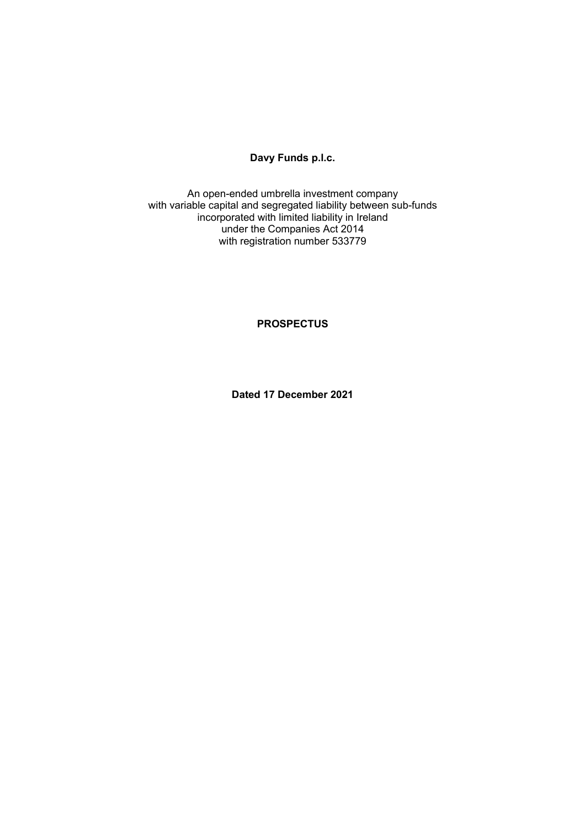# **Davy Funds p.l.c.**

An open-ended umbrella investment company with variable capital and segregated liability between sub-funds incorporated with limited liability in Ireland under the Companies Act 2014 with registration number 533779

**PROSPECTUS** 

**Dated 17 December 2021**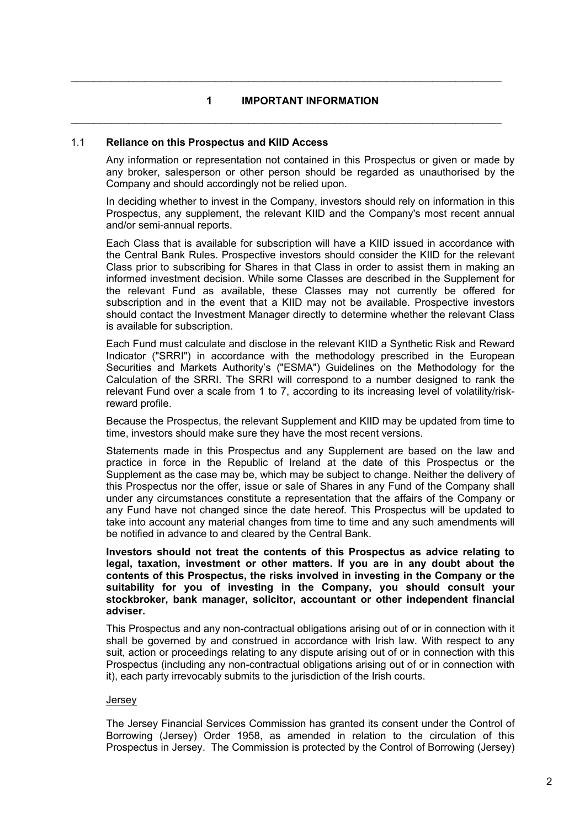### **1 IMPORTANT INFORMATION**

 $\mathcal{L}_\mathcal{L} = \mathcal{L}_\mathcal{L} = \mathcal{L}_\mathcal{L} = \mathcal{L}_\mathcal{L} = \mathcal{L}_\mathcal{L} = \mathcal{L}_\mathcal{L} = \mathcal{L}_\mathcal{L} = \mathcal{L}_\mathcal{L} = \mathcal{L}_\mathcal{L} = \mathcal{L}_\mathcal{L} = \mathcal{L}_\mathcal{L} = \mathcal{L}_\mathcal{L} = \mathcal{L}_\mathcal{L} = \mathcal{L}_\mathcal{L} = \mathcal{L}_\mathcal{L} = \mathcal{L}_\mathcal{L} = \mathcal{L}_\mathcal{L}$ 

 $\mathcal{L}_\mathcal{L} = \mathcal{L}_\mathcal{L} = \mathcal{L}_\mathcal{L} = \mathcal{L}_\mathcal{L} = \mathcal{L}_\mathcal{L} = \mathcal{L}_\mathcal{L} = \mathcal{L}_\mathcal{L} = \mathcal{L}_\mathcal{L} = \mathcal{L}_\mathcal{L} = \mathcal{L}_\mathcal{L} = \mathcal{L}_\mathcal{L} = \mathcal{L}_\mathcal{L} = \mathcal{L}_\mathcal{L} = \mathcal{L}_\mathcal{L} = \mathcal{L}_\mathcal{L} = \mathcal{L}_\mathcal{L} = \mathcal{L}_\mathcal{L}$ 

#### 1.1 **Reliance on this Prospectus and KIID Access**

Any information or representation not contained in this Prospectus or given or made by any broker, salesperson or other person should be regarded as unauthorised by the Company and should accordingly not be relied upon.

In deciding whether to invest in the Company, investors should rely on information in this Prospectus, any supplement, the relevant KIID and the Company's most recent annual and/or semi-annual reports.

Each Class that is available for subscription will have a KIID issued in accordance with the Central Bank Rules. Prospective investors should consider the KIID for the relevant Class prior to subscribing for Shares in that Class in order to assist them in making an informed investment decision. While some Classes are described in the Supplement for the relevant Fund as available, these Classes may not currently be offered for subscription and in the event that a KIID may not be available. Prospective investors should contact the Investment Manager directly to determine whether the relevant Class is available for subscription.

Each Fund must calculate and disclose in the relevant KIID a Synthetic Risk and Reward Indicator ("SRRI") in accordance with the methodology prescribed in the European Securities and Markets Authority's ("ESMA") Guidelines on the Methodology for the Calculation of the SRRI. The SRRI will correspond to a number designed to rank the relevant Fund over a scale from 1 to 7, according to its increasing level of volatility/riskreward profile.

Because the Prospectus, the relevant Supplement and KIID may be updated from time to time, investors should make sure they have the most recent versions.

Statements made in this Prospectus and any Supplement are based on the law and practice in force in the Republic of Ireland at the date of this Prospectus or the Supplement as the case may be, which may be subject to change. Neither the delivery of this Prospectus nor the offer, issue or sale of Shares in any Fund of the Company shall under any circumstances constitute a representation that the affairs of the Company or any Fund have not changed since the date hereof. This Prospectus will be updated to take into account any material changes from time to time and any such amendments will be notified in advance to and cleared by the Central Bank.

**Investors should not treat the contents of this Prospectus as advice relating to legal, taxation, investment or other matters. If you are in any doubt about the contents of this Prospectus, the risks involved in investing in the Company or the suitability for you of investing in the Company, you should consult your stockbroker, bank manager, solicitor, accountant or other independent financial adviser.** 

This Prospectus and any non-contractual obligations arising out of or in connection with it shall be governed by and construed in accordance with Irish law. With respect to any suit, action or proceedings relating to any dispute arising out of or in connection with this Prospectus (including any non-contractual obligations arising out of or in connection with it), each party irrevocably submits to the jurisdiction of the Irish courts.

#### Jersey

The Jersey Financial Services Commission has granted its consent under the Control of Borrowing (Jersey) Order 1958, as amended in relation to the circulation of this Prospectus in Jersey. The Commission is protected by the Control of Borrowing (Jersey)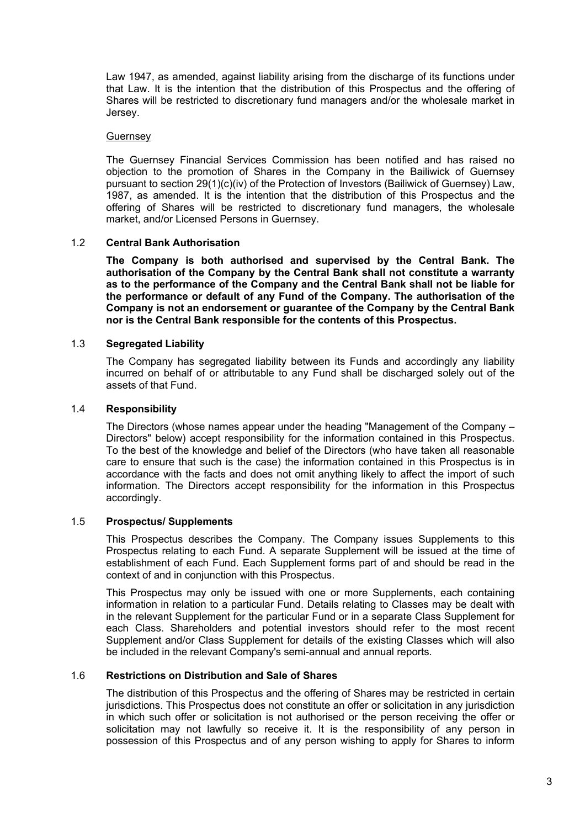Law 1947, as amended, against liability arising from the discharge of its functions under that Law. It is the intention that the distribution of this Prospectus and the offering of Shares will be restricted to discretionary fund managers and/or the wholesale market in Jersey.

#### **Guernsey**

The Guernsey Financial Services Commission has been notified and has raised no objection to the promotion of Shares in the Company in the Bailiwick of Guernsey pursuant to section 29(1)(c)(iv) of the Protection of Investors (Bailiwick of Guernsey) Law, 1987, as amended. It is the intention that the distribution of this Prospectus and the offering of Shares will be restricted to discretionary fund managers, the wholesale market, and/or Licensed Persons in Guernsey.

### 1.2 **Central Bank Authorisation**

**The Company is both authorised and supervised by the Central Bank. The authorisation of the Company by the Central Bank shall not constitute a warranty as to the performance of the Company and the Central Bank shall not be liable for the performance or default of any Fund of the Company. The authorisation of the Company is not an endorsement or guarantee of the Company by the Central Bank nor is the Central Bank responsible for the contents of this Prospectus.** 

### 1.3 **Segregated Liability**

The Company has segregated liability between its Funds and accordingly any liability incurred on behalf of or attributable to any Fund shall be discharged solely out of the assets of that Fund.

#### 1.4 **Responsibility**

The Directors (whose names appear under the heading "Management of the Company – Directors" below) accept responsibility for the information contained in this Prospectus. To the best of the knowledge and belief of the Directors (who have taken all reasonable care to ensure that such is the case) the information contained in this Prospectus is in accordance with the facts and does not omit anything likely to affect the import of such information. The Directors accept responsibility for the information in this Prospectus accordingly.

### 1.5 **Prospectus/ Supplements**

This Prospectus describes the Company. The Company issues Supplements to this Prospectus relating to each Fund. A separate Supplement will be issued at the time of establishment of each Fund. Each Supplement forms part of and should be read in the context of and in conjunction with this Prospectus.

This Prospectus may only be issued with one or more Supplements, each containing information in relation to a particular Fund. Details relating to Classes may be dealt with in the relevant Supplement for the particular Fund or in a separate Class Supplement for each Class. Shareholders and potential investors should refer to the most recent Supplement and/or Class Supplement for details of the existing Classes which will also be included in the relevant Company's semi-annual and annual reports.

# 1.6 **Restrictions on Distribution and Sale of Shares**

The distribution of this Prospectus and the offering of Shares may be restricted in certain jurisdictions. This Prospectus does not constitute an offer or solicitation in any jurisdiction in which such offer or solicitation is not authorised or the person receiving the offer or solicitation may not lawfully so receive it. It is the responsibility of any person in possession of this Prospectus and of any person wishing to apply for Shares to inform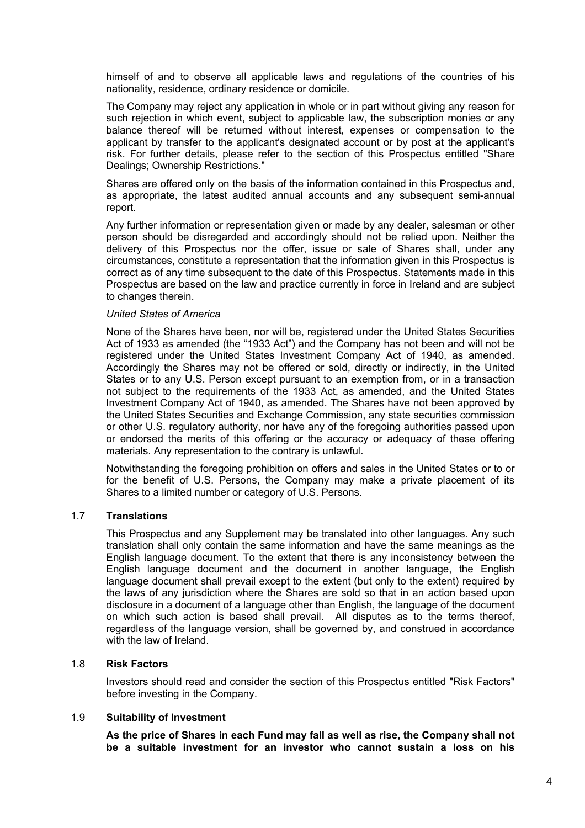himself of and to observe all applicable laws and regulations of the countries of his nationality, residence, ordinary residence or domicile.

The Company may reject any application in whole or in part without giving any reason for such rejection in which event, subject to applicable law, the subscription monies or any balance thereof will be returned without interest, expenses or compensation to the applicant by transfer to the applicant's designated account or by post at the applicant's risk. For further details, please refer to the section of this Prospectus entitled "Share Dealings; Ownership Restrictions."

Shares are offered only on the basis of the information contained in this Prospectus and, as appropriate, the latest audited annual accounts and any subsequent semi-annual report.

Any further information or representation given or made by any dealer, salesman or other person should be disregarded and accordingly should not be relied upon. Neither the delivery of this Prospectus nor the offer, issue or sale of Shares shall, under any circumstances, constitute a representation that the information given in this Prospectus is correct as of any time subsequent to the date of this Prospectus. Statements made in this Prospectus are based on the law and practice currently in force in Ireland and are subject to changes therein.

#### *United States of America*

None of the Shares have been, nor will be, registered under the United States Securities Act of 1933 as amended (the "1933 Act") and the Company has not been and will not be registered under the United States Investment Company Act of 1940, as amended. Accordingly the Shares may not be offered or sold, directly or indirectly, in the United States or to any U.S. Person except pursuant to an exemption from, or in a transaction not subject to the requirements of the 1933 Act, as amended, and the United States Investment Company Act of 1940, as amended. The Shares have not been approved by the United States Securities and Exchange Commission, any state securities commission or other U.S. regulatory authority, nor have any of the foregoing authorities passed upon or endorsed the merits of this offering or the accuracy or adequacy of these offering materials. Any representation to the contrary is unlawful.

Notwithstanding the foregoing prohibition on offers and sales in the United States or to or for the benefit of U.S. Persons, the Company may make a private placement of its Shares to a limited number or category of U.S. Persons.

### 1.7 **Translations**

This Prospectus and any Supplement may be translated into other languages. Any such translation shall only contain the same information and have the same meanings as the English language document. To the extent that there is any inconsistency between the English language document and the document in another language, the English language document shall prevail except to the extent (but only to the extent) required by the laws of any jurisdiction where the Shares are sold so that in an action based upon disclosure in a document of a language other than English, the language of the document on which such action is based shall prevail. All disputes as to the terms thereof, regardless of the language version, shall be governed by, and construed in accordance with the law of Ireland.

### 1.8 **Risk Factors**

Investors should read and consider the section of this Prospectus entitled "Risk Factors" before investing in the Company.

### 1.9 **Suitability of Investment**

**As the price of Shares in each Fund may fall as well as rise, the Company shall not be a suitable investment for an investor who cannot sustain a loss on his**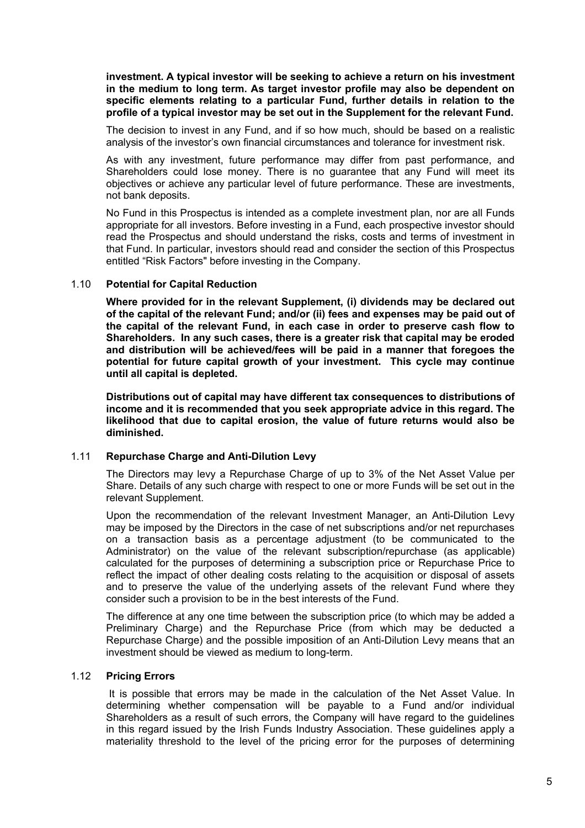**investment. A typical investor will be seeking to achieve a return on his investment in the medium to long term. As target investor profile may also be dependent on specific elements relating to a particular Fund, further details in relation to the profile of a typical investor may be set out in the Supplement for the relevant Fund.** 

The decision to invest in any Fund, and if so how much, should be based on a realistic analysis of the investor's own financial circumstances and tolerance for investment risk.

As with any investment, future performance may differ from past performance, and Shareholders could lose money. There is no guarantee that any Fund will meet its objectives or achieve any particular level of future performance. These are investments, not bank deposits.

No Fund in this Prospectus is intended as a complete investment plan, nor are all Funds appropriate for all investors. Before investing in a Fund, each prospective investor should read the Prospectus and should understand the risks, costs and terms of investment in that Fund. In particular, investors should read and consider the section of this Prospectus entitled "Risk Factors" before investing in the Company.

### 1.10 **Potential for Capital Reduction**

**Where provided for in the relevant Supplement, (i) dividends may be declared out of the capital of the relevant Fund; and/or (ii) fees and expenses may be paid out of the capital of the relevant Fund, in each case in order to preserve cash flow to Shareholders. In any such cases, there is a greater risk that capital may be eroded and distribution will be achieved/fees will be paid in a manner that foregoes the potential for future capital growth of your investment. This cycle may continue until all capital is depleted.** 

**Distributions out of capital may have different tax consequences to distributions of income and it is recommended that you seek appropriate advice in this regard. The likelihood that due to capital erosion, the value of future returns would also be diminished.** 

### 1.11 **Repurchase Charge and Anti-Dilution Levy**

The Directors may levy a Repurchase Charge of up to 3% of the Net Asset Value per Share. Details of any such charge with respect to one or more Funds will be set out in the relevant Supplement.

Upon the recommendation of the relevant Investment Manager, an Anti-Dilution Levy may be imposed by the Directors in the case of net subscriptions and/or net repurchases on a transaction basis as a percentage adjustment (to be communicated to the Administrator) on the value of the relevant subscription/repurchase (as applicable) calculated for the purposes of determining a subscription price or Repurchase Price to reflect the impact of other dealing costs relating to the acquisition or disposal of assets and to preserve the value of the underlying assets of the relevant Fund where they consider such a provision to be in the best interests of the Fund.

The difference at any one time between the subscription price (to which may be added a Preliminary Charge) and the Repurchase Price (from which may be deducted a Repurchase Charge) and the possible imposition of an Anti-Dilution Levy means that an investment should be viewed as medium to long-term.

### 1.12 **Pricing Errors**

 It is possible that errors may be made in the calculation of the Net Asset Value. In determining whether compensation will be payable to a Fund and/or individual Shareholders as a result of such errors, the Company will have regard to the guidelines in this regard issued by the Irish Funds Industry Association. These guidelines apply a materiality threshold to the level of the pricing error for the purposes of determining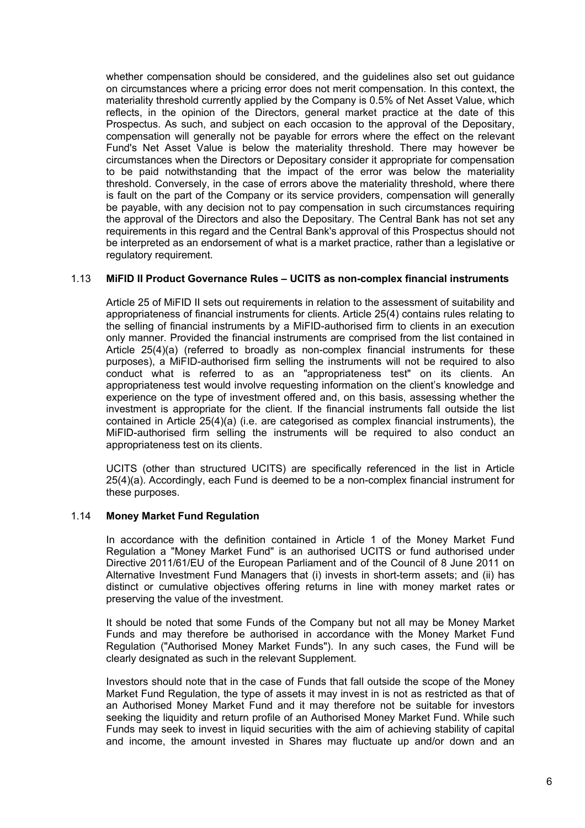whether compensation should be considered, and the guidelines also set out guidance on circumstances where a pricing error does not merit compensation. In this context, the materiality threshold currently applied by the Company is 0.5% of Net Asset Value, which reflects, in the opinion of the Directors, general market practice at the date of this Prospectus. As such, and subject on each occasion to the approval of the Depositary, compensation will generally not be payable for errors where the effect on the relevant Fund's Net Asset Value is below the materiality threshold. There may however be circumstances when the Directors or Depositary consider it appropriate for compensation to be paid notwithstanding that the impact of the error was below the materiality threshold. Conversely, in the case of errors above the materiality threshold, where there is fault on the part of the Company or its service providers, compensation will generally be payable, with any decision not to pay compensation in such circumstances requiring the approval of the Directors and also the Depositary. The Central Bank has not set any requirements in this regard and the Central Bank's approval of this Prospectus should not be interpreted as an endorsement of what is a market practice, rather than a legislative or regulatory requirement.

### 1.13 **MiFID II Product Governance Rules – UCITS as non-complex financial instruments**

Article 25 of MiFID II sets out requirements in relation to the assessment of suitability and appropriateness of financial instruments for clients. Article 25(4) contains rules relating to the selling of financial instruments by a MiFID-authorised firm to clients in an execution only manner. Provided the financial instruments are comprised from the list contained in Article 25(4)(a) (referred to broadly as non-complex financial instruments for these purposes), a MiFID-authorised firm selling the instruments will not be required to also conduct what is referred to as an "appropriateness test" on its clients. An appropriateness test would involve requesting information on the client's knowledge and experience on the type of investment offered and, on this basis, assessing whether the investment is appropriate for the client. If the financial instruments fall outside the list contained in Article 25(4)(a) (i.e. are categorised as complex financial instruments), the MiFID-authorised firm selling the instruments will be required to also conduct an appropriateness test on its clients.

UCITS (other than structured UCITS) are specifically referenced in the list in Article 25(4)(a). Accordingly, each Fund is deemed to be a non-complex financial instrument for these purposes.

# 1.14 **Money Market Fund Regulation**

In accordance with the definition contained in Article 1 of the Money Market Fund Regulation a "Money Market Fund" is an authorised UCITS or fund authorised under Directive 2011/61/EU of the European Parliament and of the Council of 8 June 2011 on Alternative Investment Fund Managers that (i) invests in short-term assets; and (ii) has distinct or cumulative objectives offering returns in line with money market rates or preserving the value of the investment.

It should be noted that some Funds of the Company but not all may be Money Market Funds and may therefore be authorised in accordance with the Money Market Fund Regulation ("Authorised Money Market Funds"). In any such cases, the Fund will be clearly designated as such in the relevant Supplement.

Investors should note that in the case of Funds that fall outside the scope of the Money Market Fund Regulation, the type of assets it may invest in is not as restricted as that of an Authorised Money Market Fund and it may therefore not be suitable for investors seeking the liquidity and return profile of an Authorised Money Market Fund. While such Funds may seek to invest in liquid securities with the aim of achieving stability of capital and income, the amount invested in Shares may fluctuate up and/or down and an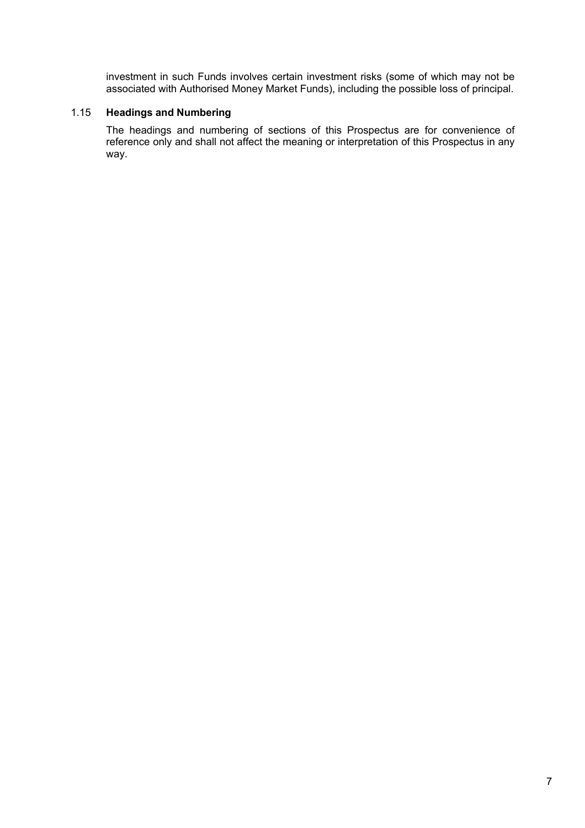investment in such Funds involves certain investment risks (some of which may not be associated with Authorised Money Market Funds), including the possible loss of principal.

### 1.15 **Headings and Numbering**

The headings and numbering of sections of this Prospectus are for convenience of reference only and shall not affect the meaning or interpretation of this Prospectus in any way.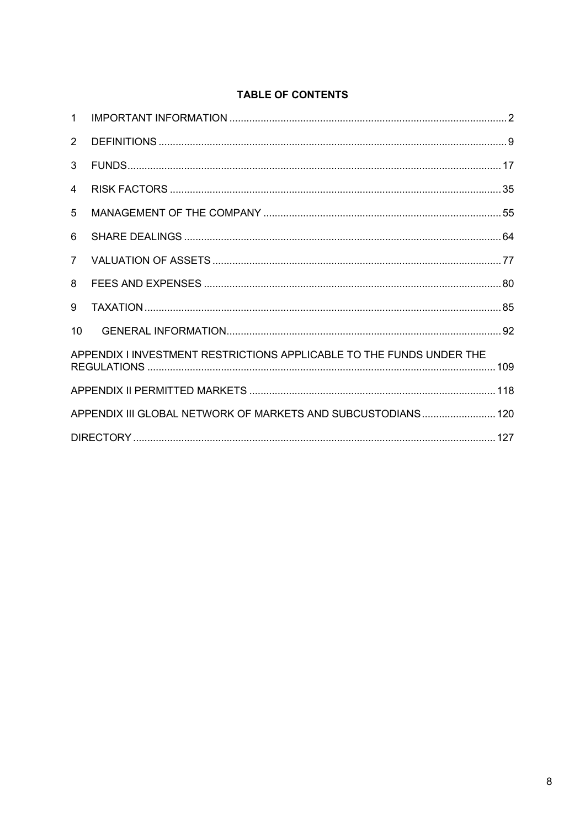# TABLE OF CONTENTS

| $\mathbf 1$                                                          |  |  |
|----------------------------------------------------------------------|--|--|
| 2                                                                    |  |  |
| 3                                                                    |  |  |
| 4                                                                    |  |  |
| 5                                                                    |  |  |
| 6                                                                    |  |  |
| $\overline{7}$                                                       |  |  |
| 8                                                                    |  |  |
| 9                                                                    |  |  |
| 10                                                                   |  |  |
| APPENDIX I INVESTMENT RESTRICTIONS APPLICABLE TO THE FUNDS UNDER THE |  |  |
|                                                                      |  |  |
| APPENDIX III GLOBAL NETWORK OF MARKETS AND SUBCUSTODIANS 120         |  |  |
|                                                                      |  |  |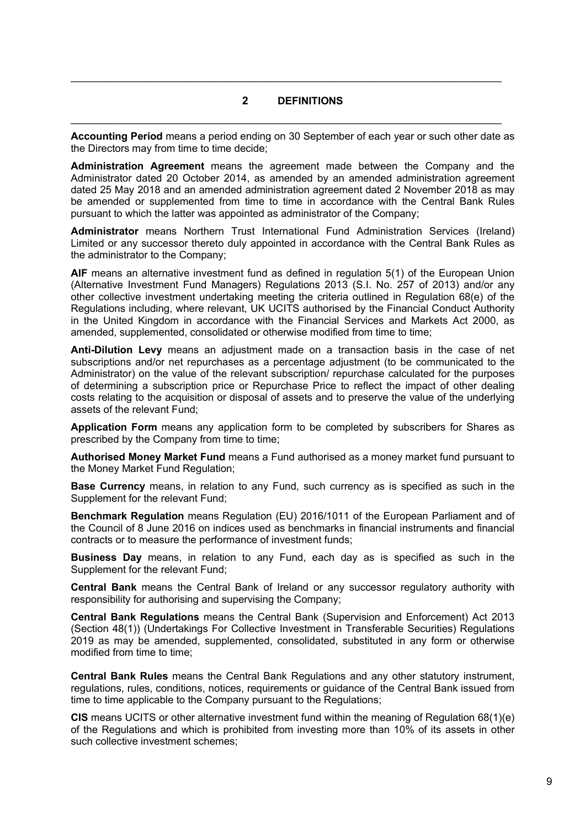### **2 DEFINITIONS**

 $\mathcal{L}_\mathcal{L} = \mathcal{L}_\mathcal{L} = \mathcal{L}_\mathcal{L} = \mathcal{L}_\mathcal{L} = \mathcal{L}_\mathcal{L} = \mathcal{L}_\mathcal{L} = \mathcal{L}_\mathcal{L} = \mathcal{L}_\mathcal{L} = \mathcal{L}_\mathcal{L} = \mathcal{L}_\mathcal{L} = \mathcal{L}_\mathcal{L} = \mathcal{L}_\mathcal{L} = \mathcal{L}_\mathcal{L} = \mathcal{L}_\mathcal{L} = \mathcal{L}_\mathcal{L} = \mathcal{L}_\mathcal{L} = \mathcal{L}_\mathcal{L}$ 

 $\mathcal{L}_\mathcal{L} = \mathcal{L}_\mathcal{L} = \mathcal{L}_\mathcal{L} = \mathcal{L}_\mathcal{L} = \mathcal{L}_\mathcal{L} = \mathcal{L}_\mathcal{L} = \mathcal{L}_\mathcal{L} = \mathcal{L}_\mathcal{L} = \mathcal{L}_\mathcal{L} = \mathcal{L}_\mathcal{L} = \mathcal{L}_\mathcal{L} = \mathcal{L}_\mathcal{L} = \mathcal{L}_\mathcal{L} = \mathcal{L}_\mathcal{L} = \mathcal{L}_\mathcal{L} = \mathcal{L}_\mathcal{L} = \mathcal{L}_\mathcal{L}$ 

**Accounting Period** means a period ending on 30 September of each year or such other date as the Directors may from time to time decide;

**Administration Agreement** means the agreement made between the Company and the Administrator dated 20 October 2014, as amended by an amended administration agreement dated 25 May 2018 and an amended administration agreement dated 2 November 2018 as may be amended or supplemented from time to time in accordance with the Central Bank Rules pursuant to which the latter was appointed as administrator of the Company;

**Administrator** means Northern Trust International Fund Administration Services (Ireland) Limited or any successor thereto duly appointed in accordance with the Central Bank Rules as the administrator to the Company;

**AIF** means an alternative investment fund as defined in requlation 5(1) of the European Union (Alternative Investment Fund Managers) Regulations 2013 (S.I. No. 257 of 2013) and/or any other collective investment undertaking meeting the criteria outlined in Regulation 68(e) of the Regulations including, where relevant, UK UCITS authorised by the Financial Conduct Authority in the United Kingdom in accordance with the Financial Services and Markets Act 2000, as amended, supplemented, consolidated or otherwise modified from time to time;

**Anti-Dilution Levy** means an adjustment made on a transaction basis in the case of net subscriptions and/or net repurchases as a percentage adjustment (to be communicated to the Administrator) on the value of the relevant subscription/ repurchase calculated for the purposes of determining a subscription price or Repurchase Price to reflect the impact of other dealing costs relating to the acquisition or disposal of assets and to preserve the value of the underlying assets of the relevant Fund;

**Application Form** means any application form to be completed by subscribers for Shares as prescribed by the Company from time to time;

**Authorised Money Market Fund** means a Fund authorised as a money market fund pursuant to the Money Market Fund Regulation;

**Base Currency** means, in relation to any Fund, such currency as is specified as such in the Supplement for the relevant Fund;

**Benchmark Regulation** means Regulation (EU) 2016/1011 of the European Parliament and of the Council of 8 June 2016 on indices used as benchmarks in financial instruments and financial contracts or to measure the performance of investment funds;

**Business Day** means, in relation to any Fund, each day as is specified as such in the Supplement for the relevant Fund;

**Central Bank** means the Central Bank of Ireland or any successor regulatory authority with responsibility for authorising and supervising the Company;

**Central Bank Regulations** means the Central Bank (Supervision and Enforcement) Act 2013 (Section 48(1)) (Undertakings For Collective Investment in Transferable Securities) Regulations 2019 as may be amended, supplemented, consolidated, substituted in any form or otherwise modified from time to time;

**Central Bank Rules** means the Central Bank Regulations and any other statutory instrument, regulations, rules, conditions, notices, requirements or guidance of the Central Bank issued from time to time applicable to the Company pursuant to the Regulations:

**CIS** means UCITS or other alternative investment fund within the meaning of Regulation 68(1)(e) of the Regulations and which is prohibited from investing more than 10% of its assets in other such collective investment schemes;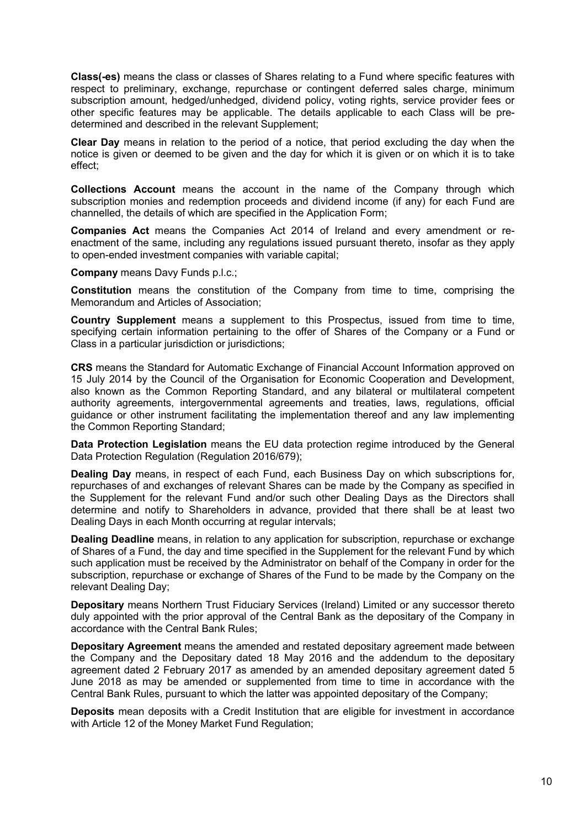**Class(-es)** means the class or classes of Shares relating to a Fund where specific features with respect to preliminary, exchange, repurchase or contingent deferred sales charge, minimum subscription amount, hedged/unhedged, dividend policy, voting rights, service provider fees or other specific features may be applicable. The details applicable to each Class will be predetermined and described in the relevant Supplement;

**Clear Day** means in relation to the period of a notice, that period excluding the day when the notice is given or deemed to be given and the day for which it is given or on which it is to take effect;

**Collections Account** means the account in the name of the Company through which subscription monies and redemption proceeds and dividend income (if any) for each Fund are channelled, the details of which are specified in the Application Form;

**Companies Act** means the Companies Act 2014 of Ireland and every amendment or reenactment of the same, including any regulations issued pursuant thereto, insofar as they apply to open-ended investment companies with variable capital;

**Company** means Davy Funds p.l.c.;

**Constitution** means the constitution of the Company from time to time, comprising the Memorandum and Articles of Association;

**Country Supplement** means a supplement to this Prospectus, issued from time to time, specifying certain information pertaining to the offer of Shares of the Company or a Fund or Class in a particular jurisdiction or jurisdictions;

**CRS** means the Standard for Automatic Exchange of Financial Account Information approved on 15 July 2014 by the Council of the Organisation for Economic Cooperation and Development, also known as the Common Reporting Standard, and any bilateral or multilateral competent authority agreements, intergovernmental agreements and treaties, laws, regulations, official guidance or other instrument facilitating the implementation thereof and any law implementing the Common Reporting Standard;

**Data Protection Legislation** means the EU data protection regime introduced by the General Data Protection Regulation (Regulation 2016/679);

**Dealing Day** means, in respect of each Fund, each Business Day on which subscriptions for, repurchases of and exchanges of relevant Shares can be made by the Company as specified in the Supplement for the relevant Fund and/or such other Dealing Days as the Directors shall determine and notify to Shareholders in advance, provided that there shall be at least two Dealing Days in each Month occurring at regular intervals;

**Dealing Deadline** means, in relation to any application for subscription, repurchase or exchange of Shares of a Fund, the day and time specified in the Supplement for the relevant Fund by which such application must be received by the Administrator on behalf of the Company in order for the subscription, repurchase or exchange of Shares of the Fund to be made by the Company on the relevant Dealing Day;

**Depositary** means Northern Trust Fiduciary Services (Ireland) Limited or any successor thereto duly appointed with the prior approval of the Central Bank as the depositary of the Company in accordance with the Central Bank Rules;

**Depositary Agreement** means the amended and restated depositary agreement made between the Company and the Depositary dated 18 May 2016 and the addendum to the depositary agreement dated 2 February 2017 as amended by an amended depositary agreement dated 5 June 2018 as may be amended or supplemented from time to time in accordance with the Central Bank Rules, pursuant to which the latter was appointed depositary of the Company;

**Deposits** mean deposits with a Credit Institution that are eligible for investment in accordance with Article 12 of the Money Market Fund Regulation;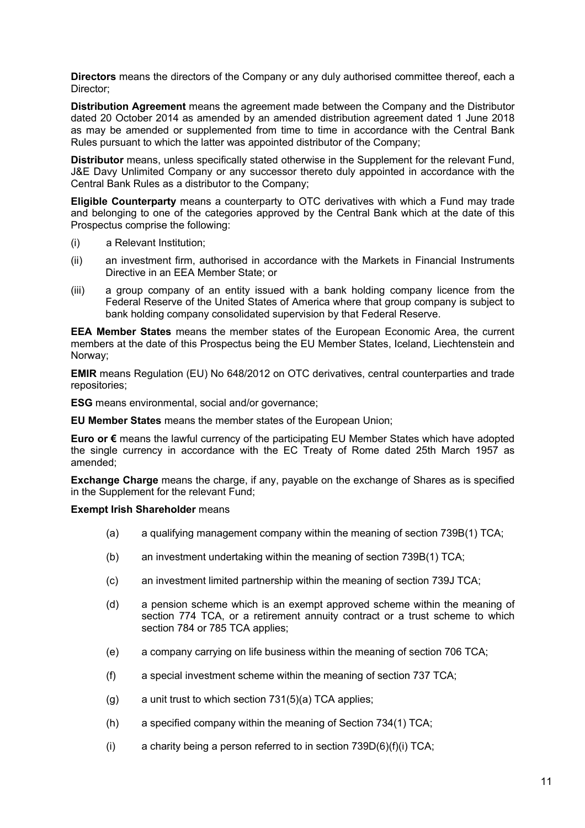**Directors** means the directors of the Company or any duly authorised committee thereof, each a Director;

**Distribution Agreement** means the agreement made between the Company and the Distributor dated 20 October 2014 as amended by an amended distribution agreement dated 1 June 2018 as may be amended or supplemented from time to time in accordance with the Central Bank Rules pursuant to which the latter was appointed distributor of the Company;

**Distributor** means, unless specifically stated otherwise in the Supplement for the relevant Fund, J&E Davy Unlimited Company or any successor thereto duly appointed in accordance with the Central Bank Rules as a distributor to the Company;

**Eligible Counterparty** means a counterparty to OTC derivatives with which a Fund may trade and belonging to one of the categories approved by the Central Bank which at the date of this Prospectus comprise the following:

- (i) a Relevant Institution;
- (ii) an investment firm, authorised in accordance with the Markets in Financial Instruments Directive in an EEA Member State; or
- (iii) a group company of an entity issued with a bank holding company licence from the Federal Reserve of the United States of America where that group company is subject to bank holding company consolidated supervision by that Federal Reserve.

**EEA Member States** means the member states of the European Economic Area, the current members at the date of this Prospectus being the EU Member States, Iceland, Liechtenstein and Norway;

**EMIR** means Regulation (EU) No 648/2012 on OTC derivatives, central counterparties and trade repositories;

**ESG** means environmental, social and/or governance;

**EU Member States** means the member states of the European Union;

**Euro or €** means the lawful currency of the participating EU Member States which have adopted the single currency in accordance with the EC Treaty of Rome dated 25th March 1957 as amended;

**Exchange Charge** means the charge, if any, payable on the exchange of Shares as is specified in the Supplement for the relevant Fund;

### **Exempt Irish Shareholder** means

- (a) a qualifying management company within the meaning of section 739B(1) TCA;
- (b) an investment undertaking within the meaning of section 739B(1) TCA;
- (c) an investment limited partnership within the meaning of section 739J TCA;
- (d) a pension scheme which is an exempt approved scheme within the meaning of section 774 TCA, or a retirement annuity contract or a trust scheme to which section 784 or 785 TCA applies;
- (e) a company carrying on life business within the meaning of section 706 TCA;
- (f) a special investment scheme within the meaning of section 737 TCA;
- $(g)$  a unit trust to which section 731(5)(a) TCA applies;
- (h) a specified company within the meaning of Section 734(1) TCA;
- (i) a charity being a person referred to in section  $739D(6)(f)(i) TCA$ ;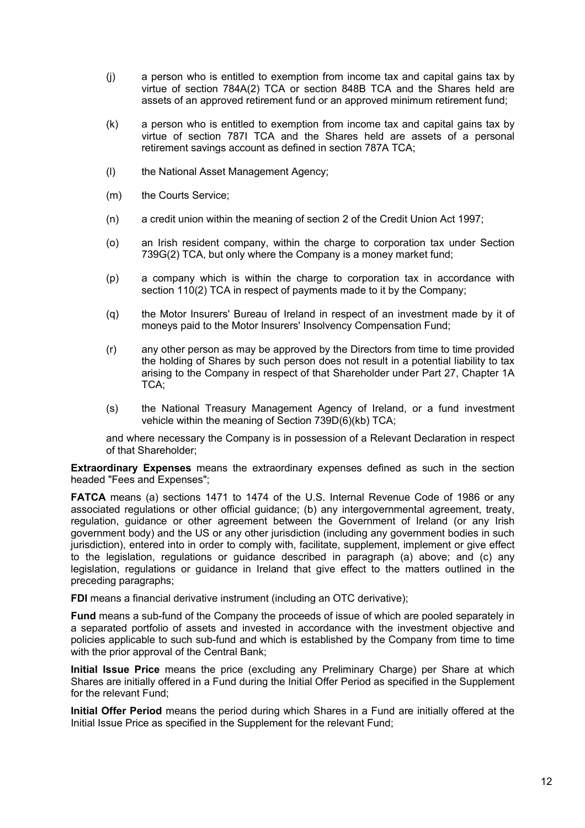- (j) a person who is entitled to exemption from income tax and capital gains tax by virtue of section 784A(2) TCA or section 848B TCA and the Shares held are assets of an approved retirement fund or an approved minimum retirement fund;
- (k) a person who is entitled to exemption from income tax and capital gains tax by virtue of section 787I TCA and the Shares held are assets of a personal retirement savings account as defined in section 787A TCA;
- (l) the National Asset Management Agency;
- (m) the Courts Service;
- (n) a credit union within the meaning of section 2 of the Credit Union Act 1997;
- (o) an Irish resident company, within the charge to corporation tax under Section 739G(2) TCA, but only where the Company is a money market fund;
- (p) a company which is within the charge to corporation tax in accordance with section 110(2) TCA in respect of payments made to it by the Company;
- (q) the Motor Insurers' Bureau of Ireland in respect of an investment made by it of moneys paid to the Motor Insurers' Insolvency Compensation Fund;
- (r) any other person as may be approved by the Directors from time to time provided the holding of Shares by such person does not result in a potential liability to tax arising to the Company in respect of that Shareholder under Part 27, Chapter 1A TCA;
- (s) the National Treasury Management Agency of Ireland, or a fund investment vehicle within the meaning of Section 739D(6)(kb) TCA;

and where necessary the Company is in possession of a Relevant Declaration in respect of that Shareholder;

**Extraordinary Expenses** means the extraordinary expenses defined as such in the section headed "Fees and Expenses";

**FATCA** means (a) sections 1471 to 1474 of the U.S. Internal Revenue Code of 1986 or any associated regulations or other official guidance; (b) any intergovernmental agreement, treaty, regulation, guidance or other agreement between the Government of Ireland (or any Irish government body) and the US or any other jurisdiction (including any government bodies in such jurisdiction), entered into in order to comply with, facilitate, supplement, implement or give effect to the legislation, regulations or guidance described in paragraph (a) above; and (c) any legislation, regulations or guidance in Ireland that give effect to the matters outlined in the preceding paragraphs;

**FDI** means a financial derivative instrument (including an OTC derivative);

**Fund** means a sub-fund of the Company the proceeds of issue of which are pooled separately in a separated portfolio of assets and invested in accordance with the investment objective and policies applicable to such sub-fund and which is established by the Company from time to time with the prior approval of the Central Bank;

**Initial Issue Price** means the price (excluding any Preliminary Charge) per Share at which Shares are initially offered in a Fund during the Initial Offer Period as specified in the Supplement for the relevant Fund;

**Initial Offer Period** means the period during which Shares in a Fund are initially offered at the Initial Issue Price as specified in the Supplement for the relevant Fund;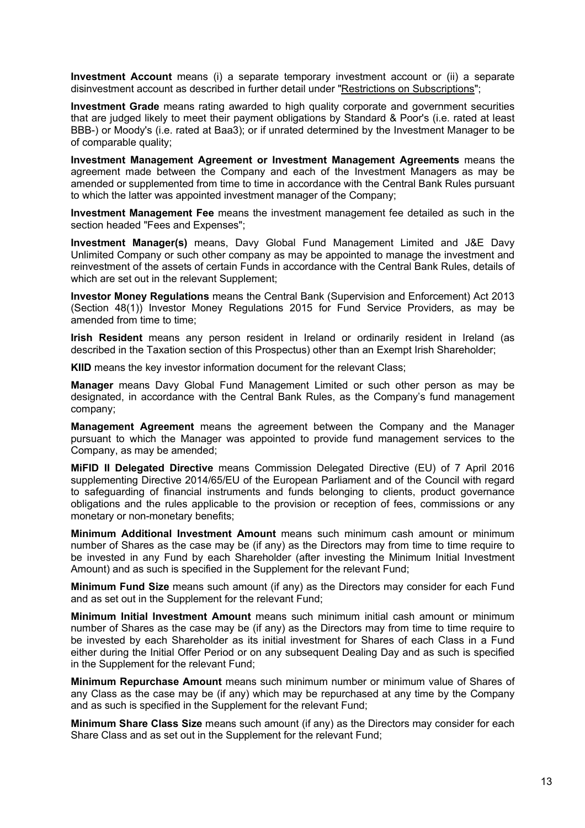**Investment Account** means (i) a separate temporary investment account or (ii) a separate disinvestment account as described in further detail under "Restrictions on Subscriptions";

**Investment Grade** means rating awarded to high quality corporate and government securities that are judged likely to meet their payment obligations by Standard & Poor's (i.e. rated at least BBB-) or Moody's (i.e. rated at Baa3); or if unrated determined by the Investment Manager to be of comparable quality;

**Investment Management Agreement or Investment Management Agreements** means the agreement made between the Company and each of the Investment Managers as may be amended or supplemented from time to time in accordance with the Central Bank Rules pursuant to which the latter was appointed investment manager of the Company;

**Investment Management Fee** means the investment management fee detailed as such in the section headed "Fees and Expenses";

**Investment Manager(s)** means, Davy Global Fund Management Limited and J&E Davy Unlimited Company or such other company as may be appointed to manage the investment and reinvestment of the assets of certain Funds in accordance with the Central Bank Rules, details of which are set out in the relevant Supplement;

**Investor Money Regulations** means the Central Bank (Supervision and Enforcement) Act 2013 (Section 48(1)) Investor Money Regulations 2015 for Fund Service Providers, as may be amended from time to time:

**Irish Resident** means any person resident in Ireland or ordinarily resident in Ireland (as described in the Taxation section of this Prospectus) other than an Exempt Irish Shareholder;

**KIID** means the key investor information document for the relevant Class:

**Manager** means Davy Global Fund Management Limited or such other person as may be designated, in accordance with the Central Bank Rules, as the Company's fund management company;

**Management Agreement** means the agreement between the Company and the Manager pursuant to which the Manager was appointed to provide fund management services to the Company, as may be amended;

**MiFID II Delegated Directive** means Commission Delegated Directive (EU) of 7 April 2016 supplementing Directive 2014/65/EU of the European Parliament and of the Council with regard to safeguarding of financial instruments and funds belonging to clients, product governance obligations and the rules applicable to the provision or reception of fees, commissions or any monetary or non-monetary benefits;

**Minimum Additional Investment Amount** means such minimum cash amount or minimum number of Shares as the case may be (if any) as the Directors may from time to time require to be invested in any Fund by each Shareholder (after investing the Minimum Initial Investment Amount) and as such is specified in the Supplement for the relevant Fund;

**Minimum Fund Size** means such amount (if any) as the Directors may consider for each Fund and as set out in the Supplement for the relevant Fund;

**Minimum Initial Investment Amount** means such minimum initial cash amount or minimum number of Shares as the case may be (if any) as the Directors may from time to time require to be invested by each Shareholder as its initial investment for Shares of each Class in a Fund either during the Initial Offer Period or on any subsequent Dealing Day and as such is specified in the Supplement for the relevant Fund;

**Minimum Repurchase Amount** means such minimum number or minimum value of Shares of any Class as the case may be (if any) which may be repurchased at any time by the Company and as such is specified in the Supplement for the relevant Fund;

**Minimum Share Class Size** means such amount (if any) as the Directors may consider for each Share Class and as set out in the Supplement for the relevant Fund;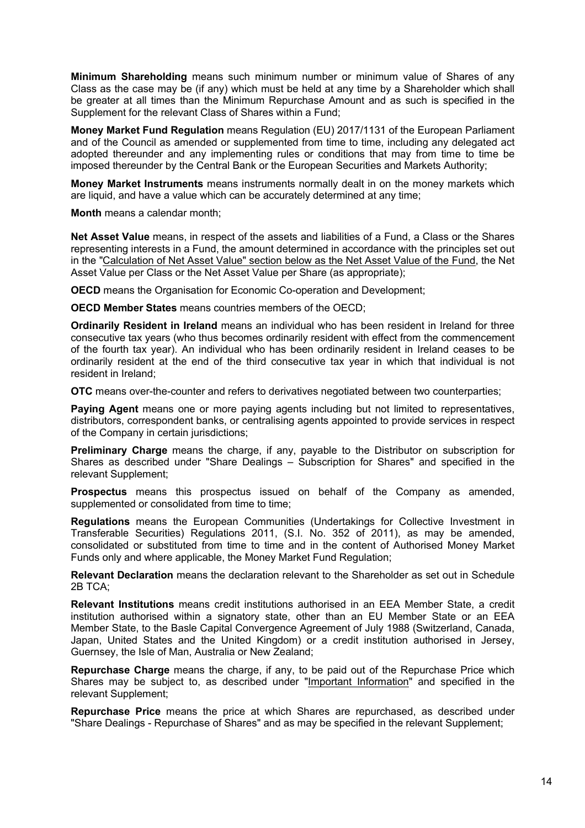**Minimum Shareholding** means such minimum number or minimum value of Shares of any Class as the case may be (if any) which must be held at any time by a Shareholder which shall be greater at all times than the Minimum Repurchase Amount and as such is specified in the Supplement for the relevant Class of Shares within a Fund;

**Money Market Fund Regulation** means Regulation (EU) 2017/1131 of the European Parliament and of the Council as amended or supplemented from time to time, including any delegated act adopted thereunder and any implementing rules or conditions that may from time to time be imposed thereunder by the Central Bank or the European Securities and Markets Authority;

**Money Market Instruments** means instruments normally dealt in on the money markets which are liquid, and have a value which can be accurately determined at any time;

**Month** means a calendar month;

**Net Asset Value** means, in respect of the assets and liabilities of a Fund, a Class or the Shares representing interests in a Fund, the amount determined in accordance with the principles set out in the "Calculation of Net Asset Value" section below as the Net Asset Value of the Fund, the Net Asset Value per Class or the Net Asset Value per Share (as appropriate);

**OECD** means the Organisation for Economic Co-operation and Development;

**OECD Member States** means countries members of the OECD;

**Ordinarily Resident in Ireland** means an individual who has been resident in Ireland for three consecutive tax years (who thus becomes ordinarily resident with effect from the commencement of the fourth tax year). An individual who has been ordinarily resident in Ireland ceases to be ordinarily resident at the end of the third consecutive tax year in which that individual is not resident in Ireland;

**OTC** means over-the-counter and refers to derivatives negotiated between two counterparties;

**Paying Agent** means one or more paying agents including but not limited to representatives, distributors, correspondent banks, or centralising agents appointed to provide services in respect of the Company in certain jurisdictions;

**Preliminary Charge** means the charge, if any, payable to the Distributor on subscription for Shares as described under "Share Dealings – Subscription for Shares" and specified in the relevant Supplement;

**Prospectus** means this prospectus issued on behalf of the Company as amended, supplemented or consolidated from time to time;

**Regulations** means the European Communities (Undertakings for Collective Investment in Transferable Securities) Regulations 2011, (S.I. No. 352 of 2011), as may be amended, consolidated or substituted from time to time and in the content of Authorised Money Market Funds only and where applicable, the Money Market Fund Regulation;

**Relevant Declaration** means the declaration relevant to the Shareholder as set out in Schedule 2B TCA;

**Relevant Institutions** means credit institutions authorised in an EEA Member State, a credit institution authorised within a signatory state, other than an EU Member State or an EEA Member State, to the Basle Capital Convergence Agreement of July 1988 (Switzerland, Canada, Japan, United States and the United Kingdom) or a credit institution authorised in Jersey, Guernsey, the Isle of Man, Australia or New Zealand;

**Repurchase Charge** means the charge, if any, to be paid out of the Repurchase Price which Shares may be subject to, as described under "Important Information" and specified in the relevant Supplement;

**Repurchase Price** means the price at which Shares are repurchased, as described under "Share Dealings - Repurchase of Shares" and as may be specified in the relevant Supplement;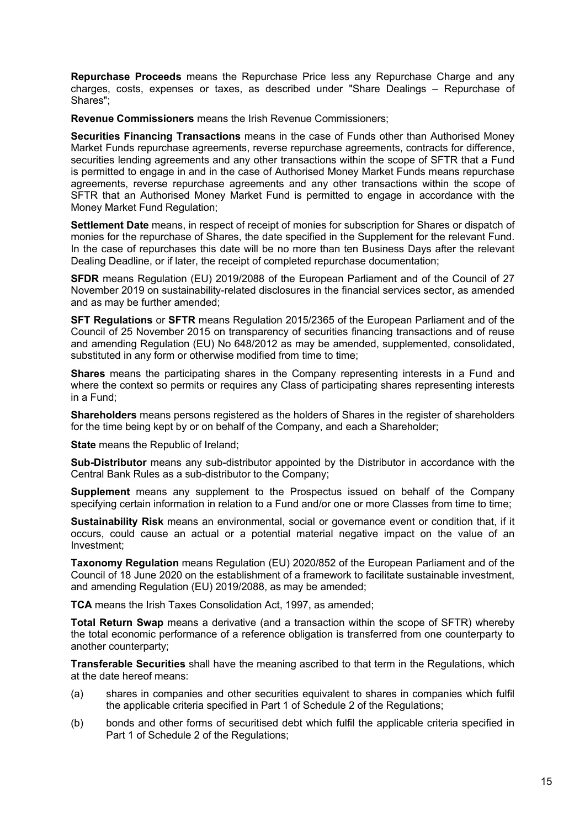**Repurchase Proceeds** means the Repurchase Price less any Repurchase Charge and any charges, costs, expenses or taxes, as described under "Share Dealings – Repurchase of Shares";

**Revenue Commissioners** means the Irish Revenue Commissioners;

**Securities Financing Transactions** means in the case of Funds other than Authorised Money Market Funds repurchase agreements, reverse repurchase agreements, contracts for difference, securities lending agreements and any other transactions within the scope of SFTR that a Fund is permitted to engage in and in the case of Authorised Money Market Funds means repurchase agreements, reverse repurchase agreements and any other transactions within the scope of SFTR that an Authorised Money Market Fund is permitted to engage in accordance with the Money Market Fund Regulation;

**Settlement Date** means, in respect of receipt of monies for subscription for Shares or dispatch of monies for the repurchase of Shares, the date specified in the Supplement for the relevant Fund. In the case of repurchases this date will be no more than ten Business Days after the relevant Dealing Deadline, or if later, the receipt of completed repurchase documentation;

**SFDR** means Regulation (EU) 2019/2088 of the European Parliament and of the Council of 27 November 2019 on sustainability-related disclosures in the financial services sector, as amended and as may be further amended;

**SFT Regulations** or **SFTR** means Regulation 2015/2365 of the European Parliament and of the Council of 25 November 2015 on transparency of securities financing transactions and of reuse and amending Regulation (EU) No 648/2012 as may be amended, supplemented, consolidated, substituted in any form or otherwise modified from time to time;

**Shares** means the participating shares in the Company representing interests in a Fund and where the context so permits or requires any Class of participating shares representing interests in a Fund;

**Shareholders** means persons registered as the holders of Shares in the register of shareholders for the time being kept by or on behalf of the Company, and each a Shareholder;

**State** means the Republic of Ireland;

**Sub-Distributor** means any sub-distributor appointed by the Distributor in accordance with the Central Bank Rules as a sub-distributor to the Company;

**Supplement** means any supplement to the Prospectus issued on behalf of the Company specifying certain information in relation to a Fund and/or one or more Classes from time to time;

**Sustainability Risk** means an environmental, social or governance event or condition that, if it occurs, could cause an actual or a potential material negative impact on the value of an Investment;

**Taxonomy Regulation** means Regulation (EU) 2020/852 of the European Parliament and of the Council of 18 June 2020 on the establishment of a framework to facilitate sustainable investment, and amending Regulation (EU) 2019/2088, as may be amended;

**TCA** means the Irish Taxes Consolidation Act, 1997, as amended;

**Total Return Swap** means a derivative (and a transaction within the scope of SFTR) whereby the total economic performance of a reference obligation is transferred from one counterparty to another counterparty;

**Transferable Securities** shall have the meaning ascribed to that term in the Regulations, which at the date hereof means:

- (a) shares in companies and other securities equivalent to shares in companies which fulfil the applicable criteria specified in Part 1 of Schedule 2 of the Regulations;
- (b) bonds and other forms of securitised debt which fulfil the applicable criteria specified in Part 1 of Schedule 2 of the Regulations;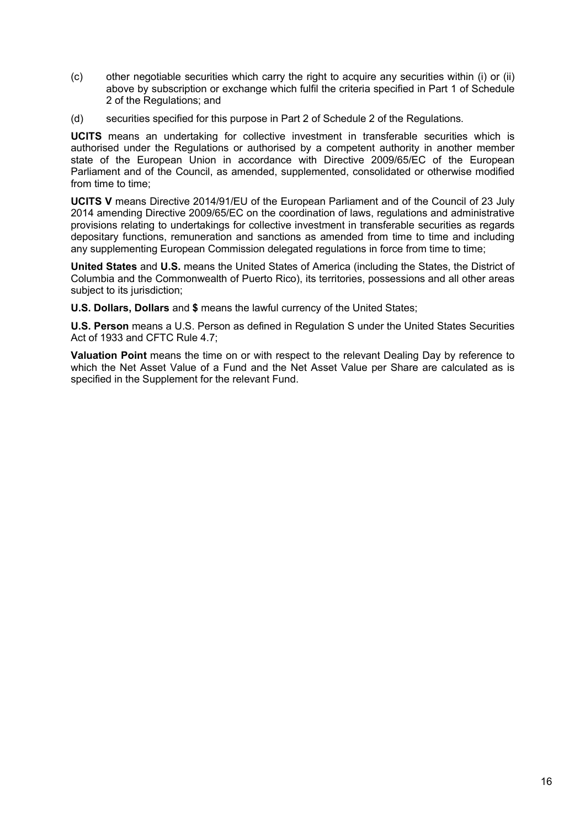- (c) other negotiable securities which carry the right to acquire any securities within (i) or (ii) above by subscription or exchange which fulfil the criteria specified in Part 1 of Schedule 2 of the Regulations; and
- (d) securities specified for this purpose in Part 2 of Schedule 2 of the Regulations.

**UCITS** means an undertaking for collective investment in transferable securities which is authorised under the Regulations or authorised by a competent authority in another member state of the European Union in accordance with Directive 2009/65/EC of the European Parliament and of the Council, as amended, supplemented, consolidated or otherwise modified from time to time:

**UCITS V** means Directive 2014/91/EU of the European Parliament and of the Council of 23 July 2014 amending Directive 2009/65/EC on the coordination of laws, regulations and administrative provisions relating to undertakings for collective investment in transferable securities as regards depositary functions, remuneration and sanctions as amended from time to time and including any supplementing European Commission delegated regulations in force from time to time;

**United States** and **U.S.** means the United States of America (including the States, the District of Columbia and the Commonwealth of Puerto Rico), its territories, possessions and all other areas subject to its jurisdiction;

**U.S. Dollars, Dollars** and **\$** means the lawful currency of the United States;

**U.S. Person** means a U.S. Person as defined in Regulation S under the United States Securities Act of 1933 and CFTC Rule 4.7;

**Valuation Point** means the time on or with respect to the relevant Dealing Day by reference to which the Net Asset Value of a Fund and the Net Asset Value per Share are calculated as is specified in the Supplement for the relevant Fund.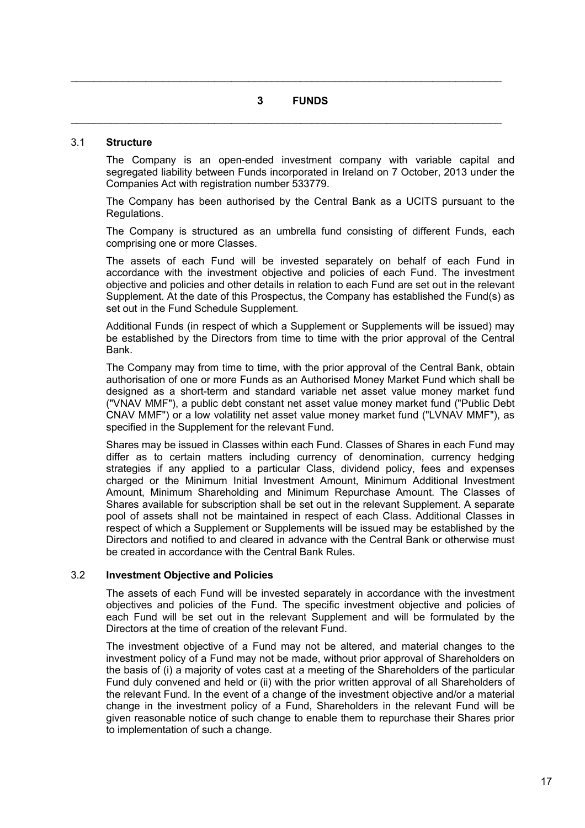### **3 FUNDS**

 $\mathcal{L}_\mathcal{L} = \mathcal{L}_\mathcal{L} = \mathcal{L}_\mathcal{L} = \mathcal{L}_\mathcal{L} = \mathcal{L}_\mathcal{L} = \mathcal{L}_\mathcal{L} = \mathcal{L}_\mathcal{L} = \mathcal{L}_\mathcal{L} = \mathcal{L}_\mathcal{L} = \mathcal{L}_\mathcal{L} = \mathcal{L}_\mathcal{L} = \mathcal{L}_\mathcal{L} = \mathcal{L}_\mathcal{L} = \mathcal{L}_\mathcal{L} = \mathcal{L}_\mathcal{L} = \mathcal{L}_\mathcal{L} = \mathcal{L}_\mathcal{L}$ 

 $\mathcal{L}_\mathcal{L} = \mathcal{L}_\mathcal{L} = \mathcal{L}_\mathcal{L} = \mathcal{L}_\mathcal{L} = \mathcal{L}_\mathcal{L} = \mathcal{L}_\mathcal{L} = \mathcal{L}_\mathcal{L} = \mathcal{L}_\mathcal{L} = \mathcal{L}_\mathcal{L} = \mathcal{L}_\mathcal{L} = \mathcal{L}_\mathcal{L} = \mathcal{L}_\mathcal{L} = \mathcal{L}_\mathcal{L} = \mathcal{L}_\mathcal{L} = \mathcal{L}_\mathcal{L} = \mathcal{L}_\mathcal{L} = \mathcal{L}_\mathcal{L}$ 

#### 3.1 **Structure**

The Company is an open-ended investment company with variable capital and segregated liability between Funds incorporated in Ireland on 7 October, 2013 under the Companies Act with registration number 533779.

The Company has been authorised by the Central Bank as a UCITS pursuant to the Regulations.

The Company is structured as an umbrella fund consisting of different Funds, each comprising one or more Classes.

The assets of each Fund will be invested separately on behalf of each Fund in accordance with the investment objective and policies of each Fund. The investment objective and policies and other details in relation to each Fund are set out in the relevant Supplement. At the date of this Prospectus, the Company has established the Fund(s) as set out in the Fund Schedule Supplement.

Additional Funds (in respect of which a Supplement or Supplements will be issued) may be established by the Directors from time to time with the prior approval of the Central Bank.

The Company may from time to time, with the prior approval of the Central Bank, obtain authorisation of one or more Funds as an Authorised Money Market Fund which shall be designed as a short-term and standard variable net asset value money market fund ("VNAV MMF"), a public debt constant net asset value money market fund ("Public Debt CNAV MMF") or a low volatility net asset value money market fund ("LVNAV MMF"), as specified in the Supplement for the relevant Fund.

Shares may be issued in Classes within each Fund. Classes of Shares in each Fund may differ as to certain matters including currency of denomination, currency hedging strategies if any applied to a particular Class, dividend policy, fees and expenses charged or the Minimum Initial Investment Amount, Minimum Additional Investment Amount, Minimum Shareholding and Minimum Repurchase Amount. The Classes of Shares available for subscription shall be set out in the relevant Supplement. A separate pool of assets shall not be maintained in respect of each Class. Additional Classes in respect of which a Supplement or Supplements will be issued may be established by the Directors and notified to and cleared in advance with the Central Bank or otherwise must be created in accordance with the Central Bank Rules.

### 3.2 **Investment Objective and Policies**

The assets of each Fund will be invested separately in accordance with the investment objectives and policies of the Fund. The specific investment objective and policies of each Fund will be set out in the relevant Supplement and will be formulated by the Directors at the time of creation of the relevant Fund.

The investment objective of a Fund may not be altered, and material changes to the investment policy of a Fund may not be made, without prior approval of Shareholders on the basis of (i) a majority of votes cast at a meeting of the Shareholders of the particular Fund duly convened and held or (ii) with the prior written approval of all Shareholders of the relevant Fund. In the event of a change of the investment objective and/or a material change in the investment policy of a Fund, Shareholders in the relevant Fund will be given reasonable notice of such change to enable them to repurchase their Shares prior to implementation of such a change.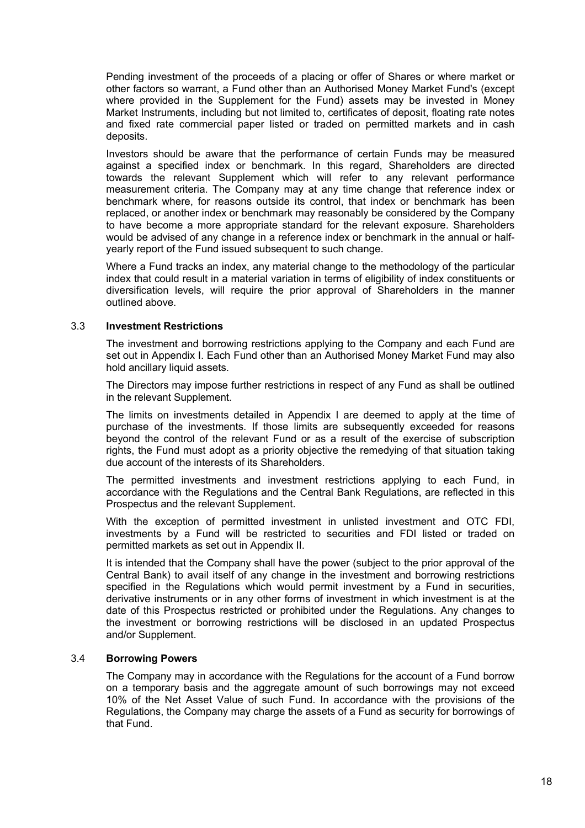Pending investment of the proceeds of a placing or offer of Shares or where market or other factors so warrant, a Fund other than an Authorised Money Market Fund's (except where provided in the Supplement for the Fund) assets may be invested in Money Market Instruments, including but not limited to, certificates of deposit, floating rate notes and fixed rate commercial paper listed or traded on permitted markets and in cash deposits.

Investors should be aware that the performance of certain Funds may be measured against a specified index or benchmark. In this regard, Shareholders are directed towards the relevant Supplement which will refer to any relevant performance measurement criteria. The Company may at any time change that reference index or benchmark where, for reasons outside its control, that index or benchmark has been replaced, or another index or benchmark may reasonably be considered by the Company to have become a more appropriate standard for the relevant exposure. Shareholders would be advised of any change in a reference index or benchmark in the annual or halfyearly report of the Fund issued subsequent to such change.

Where a Fund tracks an index, any material change to the methodology of the particular index that could result in a material variation in terms of eligibility of index constituents or diversification levels, will require the prior approval of Shareholders in the manner outlined above.

### 3.3 **Investment Restrictions**

The investment and borrowing restrictions applying to the Company and each Fund are set out in Appendix I. Each Fund other than an Authorised Money Market Fund may also hold ancillary liquid assets.

The Directors may impose further restrictions in respect of any Fund as shall be outlined in the relevant Supplement.

The limits on investments detailed in Appendix I are deemed to apply at the time of purchase of the investments. If those limits are subsequently exceeded for reasons beyond the control of the relevant Fund or as a result of the exercise of subscription rights, the Fund must adopt as a priority objective the remedying of that situation taking due account of the interests of its Shareholders.

The permitted investments and investment restrictions applying to each Fund, in accordance with the Regulations and the Central Bank Regulations, are reflected in this Prospectus and the relevant Supplement.

With the exception of permitted investment in unlisted investment and OTC FDI, investments by a Fund will be restricted to securities and FDI listed or traded on permitted markets as set out in Appendix II.

It is intended that the Company shall have the power (subject to the prior approval of the Central Bank) to avail itself of any change in the investment and borrowing restrictions specified in the Regulations which would permit investment by a Fund in securities, derivative instruments or in any other forms of investment in which investment is at the date of this Prospectus restricted or prohibited under the Regulations. Any changes to the investment or borrowing restrictions will be disclosed in an updated Prospectus and/or Supplement.

### 3.4 **Borrowing Powers**

The Company may in accordance with the Regulations for the account of a Fund borrow on a temporary basis and the aggregate amount of such borrowings may not exceed 10% of the Net Asset Value of such Fund. In accordance with the provisions of the Regulations, the Company may charge the assets of a Fund as security for borrowings of that Fund.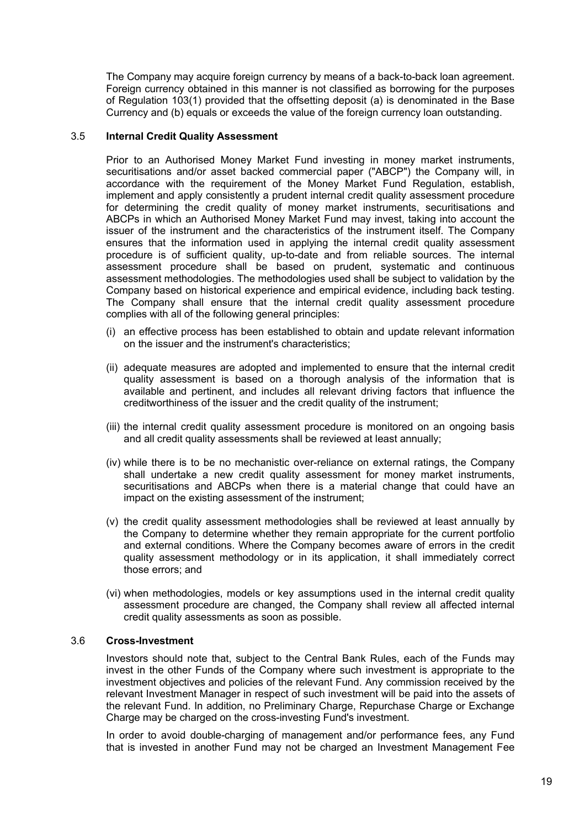The Company may acquire foreign currency by means of a back-to-back loan agreement. Foreign currency obtained in this manner is not classified as borrowing for the purposes of Regulation 103(1) provided that the offsetting deposit (a) is denominated in the Base Currency and (b) equals or exceeds the value of the foreign currency loan outstanding.

### 3.5 **Internal Credit Quality Assessment**

Prior to an Authorised Money Market Fund investing in money market instruments, securitisations and/or asset backed commercial paper ("ABCP") the Company will, in accordance with the requirement of the Money Market Fund Regulation, establish, implement and apply consistently a prudent internal credit quality assessment procedure for determining the credit quality of money market instruments, securitisations and ABCPs in which an Authorised Money Market Fund may invest, taking into account the issuer of the instrument and the characteristics of the instrument itself. The Company ensures that the information used in applying the internal credit quality assessment procedure is of sufficient quality, up-to-date and from reliable sources. The internal assessment procedure shall be based on prudent, systematic and continuous assessment methodologies. The methodologies used shall be subject to validation by the Company based on historical experience and empirical evidence, including back testing. The Company shall ensure that the internal credit quality assessment procedure complies with all of the following general principles:

- (i) an effective process has been established to obtain and update relevant information on the issuer and the instrument's characteristics;
- (ii) adequate measures are adopted and implemented to ensure that the internal credit quality assessment is based on a thorough analysis of the information that is available and pertinent, and includes all relevant driving factors that influence the creditworthiness of the issuer and the credit quality of the instrument;
- (iii) the internal credit quality assessment procedure is monitored on an ongoing basis and all credit quality assessments shall be reviewed at least annually;
- (iv) while there is to be no mechanistic over-reliance on external ratings, the Company shall undertake a new credit quality assessment for money market instruments, securitisations and ABCPs when there is a material change that could have an impact on the existing assessment of the instrument;
- (v) the credit quality assessment methodologies shall be reviewed at least annually by the Company to determine whether they remain appropriate for the current portfolio and external conditions. Where the Company becomes aware of errors in the credit quality assessment methodology or in its application, it shall immediately correct those errors; and
- (vi) when methodologies, models or key assumptions used in the internal credit quality assessment procedure are changed, the Company shall review all affected internal credit quality assessments as soon as possible.

### 3.6 **Cross-Investment**

Investors should note that, subject to the Central Bank Rules, each of the Funds may invest in the other Funds of the Company where such investment is appropriate to the investment objectives and policies of the relevant Fund. Any commission received by the relevant Investment Manager in respect of such investment will be paid into the assets of the relevant Fund. In addition, no Preliminary Charge, Repurchase Charge or Exchange Charge may be charged on the cross-investing Fund's investment.

In order to avoid double-charging of management and/or performance fees, any Fund that is invested in another Fund may not be charged an Investment Management Fee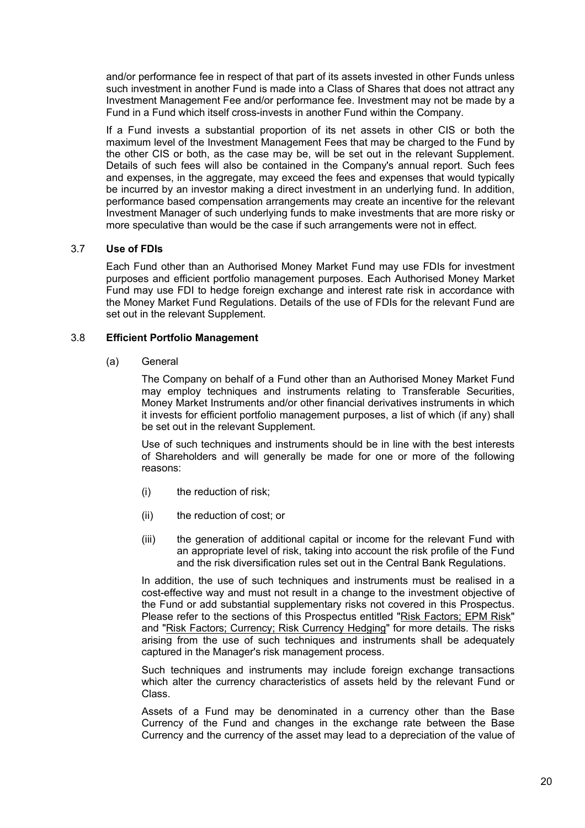and/or performance fee in respect of that part of its assets invested in other Funds unless such investment in another Fund is made into a Class of Shares that does not attract any Investment Management Fee and/or performance fee. Investment may not be made by a Fund in a Fund which itself cross-invests in another Fund within the Company.

If a Fund invests a substantial proportion of its net assets in other CIS or both the maximum level of the Investment Management Fees that may be charged to the Fund by the other CIS or both, as the case may be, will be set out in the relevant Supplement. Details of such fees will also be contained in the Company's annual report. Such fees and expenses, in the aggregate, may exceed the fees and expenses that would typically be incurred by an investor making a direct investment in an underlying fund. In addition, performance based compensation arrangements may create an incentive for the relevant Investment Manager of such underlying funds to make investments that are more risky or more speculative than would be the case if such arrangements were not in effect.

# 3.7 **Use of FDIs**

Each Fund other than an Authorised Money Market Fund may use FDIs for investment purposes and efficient portfolio management purposes. Each Authorised Money Market Fund may use FDI to hedge foreign exchange and interest rate risk in accordance with the Money Market Fund Regulations. Details of the use of FDIs for the relevant Fund are set out in the relevant Supplement.

### 3.8 **Efficient Portfolio Management**

### (a) General

The Company on behalf of a Fund other than an Authorised Money Market Fund may employ techniques and instruments relating to Transferable Securities, Money Market Instruments and/or other financial derivatives instruments in which it invests for efficient portfolio management purposes, a list of which (if any) shall be set out in the relevant Supplement.

Use of such techniques and instruments should be in line with the best interests of Shareholders and will generally be made for one or more of the following reasons:

- (i) the reduction of risk;
- (ii) the reduction of cost; or
- (iii) the generation of additional capital or income for the relevant Fund with an appropriate level of risk, taking into account the risk profile of the Fund and the risk diversification rules set out in the Central Bank Regulations.

In addition, the use of such techniques and instruments must be realised in a cost-effective way and must not result in a change to the investment objective of the Fund or add substantial supplementary risks not covered in this Prospectus. Please refer to the sections of this Prospectus entitled "Risk Factors; EPM Risk" and "Risk Factors; Currency; Risk Currency Hedging" for more details. The risks arising from the use of such techniques and instruments shall be adequately captured in the Manager's risk management process.

Such techniques and instruments may include foreign exchange transactions which alter the currency characteristics of assets held by the relevant Fund or Class.

Assets of a Fund may be denominated in a currency other than the Base Currency of the Fund and changes in the exchange rate between the Base Currency and the currency of the asset may lead to a depreciation of the value of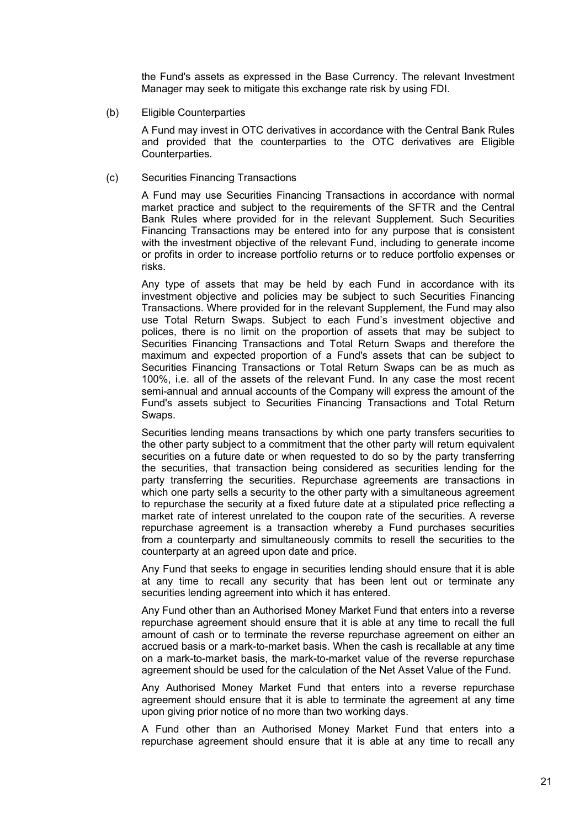the Fund's assets as expressed in the Base Currency. The relevant Investment Manager may seek to mitigate this exchange rate risk by using FDI.

(b) Eligible Counterparties

A Fund may invest in OTC derivatives in accordance with the Central Bank Rules and provided that the counterparties to the OTC derivatives are Eligible Counterparties.

(c) Securities Financing Transactions

A Fund may use Securities Financing Transactions in accordance with normal market practice and subject to the requirements of the SFTR and the Central Bank Rules where provided for in the relevant Supplement. Such Securities Financing Transactions may be entered into for any purpose that is consistent with the investment objective of the relevant Fund, including to generate income or profits in order to increase portfolio returns or to reduce portfolio expenses or risks.

Any type of assets that may be held by each Fund in accordance with its investment objective and policies may be subject to such Securities Financing Transactions. Where provided for in the relevant Supplement, the Fund may also use Total Return Swaps. Subject to each Fund's investment objective and polices, there is no limit on the proportion of assets that may be subject to Securities Financing Transactions and Total Return Swaps and therefore the maximum and expected proportion of a Fund's assets that can be subject to Securities Financing Transactions or Total Return Swaps can be as much as 100%, i.e. all of the assets of the relevant Fund. In any case the most recent semi-annual and annual accounts of the Company will express the amount of the Fund's assets subject to Securities Financing Transactions and Total Return Swaps.

Securities lending means transactions by which one party transfers securities to the other party subject to a commitment that the other party will return equivalent securities on a future date or when requested to do so by the party transferring the securities, that transaction being considered as securities lending for the party transferring the securities. Repurchase agreements are transactions in which one party sells a security to the other party with a simultaneous agreement to repurchase the security at a fixed future date at a stipulated price reflecting a market rate of interest unrelated to the coupon rate of the securities. A reverse repurchase agreement is a transaction whereby a Fund purchases securities from a counterparty and simultaneously commits to resell the securities to the counterparty at an agreed upon date and price.

Any Fund that seeks to engage in securities lending should ensure that it is able at any time to recall any security that has been lent out or terminate any securities lending agreement into which it has entered.

Any Fund other than an Authorised Money Market Fund that enters into a reverse repurchase agreement should ensure that it is able at any time to recall the full amount of cash or to terminate the reverse repurchase agreement on either an accrued basis or a mark-to-market basis. When the cash is recallable at any time on a mark-to-market basis, the mark-to-market value of the reverse repurchase agreement should be used for the calculation of the Net Asset Value of the Fund.

Any Authorised Money Market Fund that enters into a reverse repurchase agreement should ensure that it is able to terminate the agreement at any time upon giving prior notice of no more than two working days.

A Fund other than an Authorised Money Market Fund that enters into a repurchase agreement should ensure that it is able at any time to recall any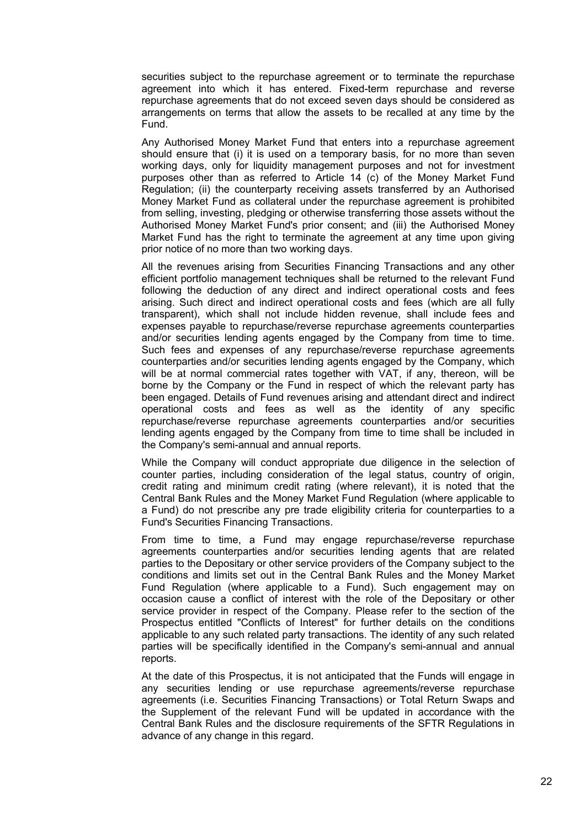securities subject to the repurchase agreement or to terminate the repurchase agreement into which it has entered. Fixed-term repurchase and reverse repurchase agreements that do not exceed seven days should be considered as arrangements on terms that allow the assets to be recalled at any time by the Fund.

Any Authorised Money Market Fund that enters into a repurchase agreement should ensure that (i) it is used on a temporary basis, for no more than seven working days, only for liquidity management purposes and not for investment purposes other than as referred to Article 14 (c) of the Money Market Fund Regulation; (ii) the counterparty receiving assets transferred by an Authorised Money Market Fund as collateral under the repurchase agreement is prohibited from selling, investing, pledging or otherwise transferring those assets without the Authorised Money Market Fund's prior consent; and (iii) the Authorised Money Market Fund has the right to terminate the agreement at any time upon giving prior notice of no more than two working days.

All the revenues arising from Securities Financing Transactions and any other efficient portfolio management techniques shall be returned to the relevant Fund following the deduction of any direct and indirect operational costs and fees arising. Such direct and indirect operational costs and fees (which are all fully transparent), which shall not include hidden revenue, shall include fees and expenses payable to repurchase/reverse repurchase agreements counterparties and/or securities lending agents engaged by the Company from time to time. Such fees and expenses of any repurchase/reverse repurchase agreements counterparties and/or securities lending agents engaged by the Company, which will be at normal commercial rates together with VAT, if any, thereon, will be borne by the Company or the Fund in respect of which the relevant party has been engaged. Details of Fund revenues arising and attendant direct and indirect operational costs and fees as well as the identity of any specific repurchase/reverse repurchase agreements counterparties and/or securities lending agents engaged by the Company from time to time shall be included in the Company's semi-annual and annual reports.

While the Company will conduct appropriate due diligence in the selection of counter parties, including consideration of the legal status, country of origin, credit rating and minimum credit rating (where relevant), it is noted that the Central Bank Rules and the Money Market Fund Regulation (where applicable to a Fund) do not prescribe any pre trade eligibility criteria for counterparties to a Fund's Securities Financing Transactions.

From time to time, a Fund may engage repurchase/reverse repurchase agreements counterparties and/or securities lending agents that are related parties to the Depositary or other service providers of the Company subject to the conditions and limits set out in the Central Bank Rules and the Money Market Fund Regulation (where applicable to a Fund). Such engagement may on occasion cause a conflict of interest with the role of the Depositary or other service provider in respect of the Company. Please refer to the section of the Prospectus entitled "Conflicts of Interest" for further details on the conditions applicable to any such related party transactions. The identity of any such related parties will be specifically identified in the Company's semi-annual and annual reports.

At the date of this Prospectus, it is not anticipated that the Funds will engage in any securities lending or use repurchase agreements/reverse repurchase agreements (i.e. Securities Financing Transactions) or Total Return Swaps and the Supplement of the relevant Fund will be updated in accordance with the Central Bank Rules and the disclosure requirements of the SFTR Regulations in advance of any change in this regard.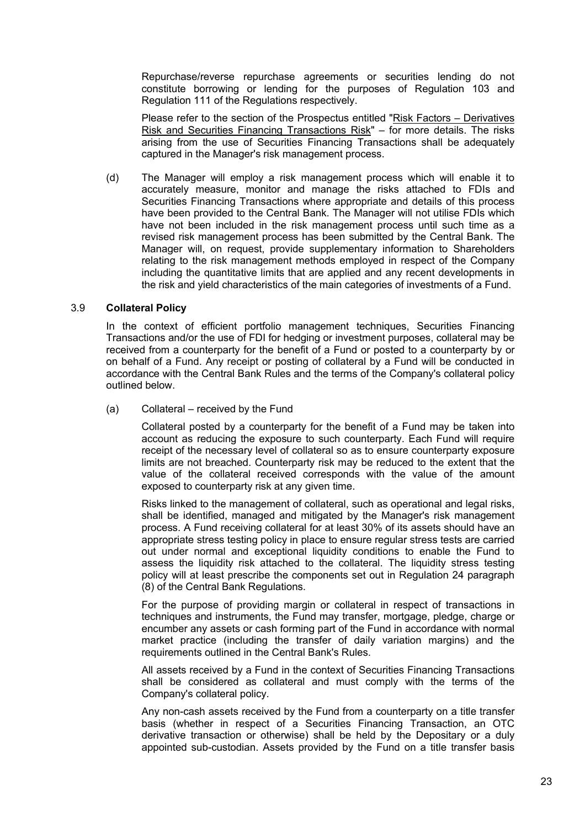Repurchase/reverse repurchase agreements or securities lending do not constitute borrowing or lending for the purposes of Regulation 103 and Regulation 111 of the Regulations respectively.

Please refer to the section of the Prospectus entitled "Risk Factors – Derivatives Risk and Securities Financing Transactions Risk" – for more details. The risks arising from the use of Securities Financing Transactions shall be adequately captured in the Manager's risk management process.

(d) The Manager will employ a risk management process which will enable it to accurately measure, monitor and manage the risks attached to FDIs and Securities Financing Transactions where appropriate and details of this process have been provided to the Central Bank. The Manager will not utilise FDIs which have not been included in the risk management process until such time as a revised risk management process has been submitted by the Central Bank. The Manager will, on request, provide supplementary information to Shareholders relating to the risk management methods employed in respect of the Company including the quantitative limits that are applied and any recent developments in the risk and yield characteristics of the main categories of investments of a Fund.

### 3.9 **Collateral Policy**

In the context of efficient portfolio management techniques, Securities Financing Transactions and/or the use of FDI for hedging or investment purposes, collateral may be received from a counterparty for the benefit of a Fund or posted to a counterparty by or on behalf of a Fund. Any receipt or posting of collateral by a Fund will be conducted in accordance with the Central Bank Rules and the terms of the Company's collateral policy outlined below.

(a) Collateral – received by the Fund

Collateral posted by a counterparty for the benefit of a Fund may be taken into account as reducing the exposure to such counterparty. Each Fund will require receipt of the necessary level of collateral so as to ensure counterparty exposure limits are not breached. Counterparty risk may be reduced to the extent that the value of the collateral received corresponds with the value of the amount exposed to counterparty risk at any given time.

Risks linked to the management of collateral, such as operational and legal risks, shall be identified, managed and mitigated by the Manager's risk management process. A Fund receiving collateral for at least 30% of its assets should have an appropriate stress testing policy in place to ensure regular stress tests are carried out under normal and exceptional liquidity conditions to enable the Fund to assess the liquidity risk attached to the collateral. The liquidity stress testing policy will at least prescribe the components set out in Regulation 24 paragraph (8) of the Central Bank Regulations.

For the purpose of providing margin or collateral in respect of transactions in techniques and instruments, the Fund may transfer, mortgage, pledge, charge or encumber any assets or cash forming part of the Fund in accordance with normal market practice (including the transfer of daily variation margins) and the requirements outlined in the Central Bank's Rules.

All assets received by a Fund in the context of Securities Financing Transactions shall be considered as collateral and must comply with the terms of the Company's collateral policy.

Any non-cash assets received by the Fund from a counterparty on a title transfer basis (whether in respect of a Securities Financing Transaction, an OTC derivative transaction or otherwise) shall be held by the Depositary or a duly appointed sub-custodian. Assets provided by the Fund on a title transfer basis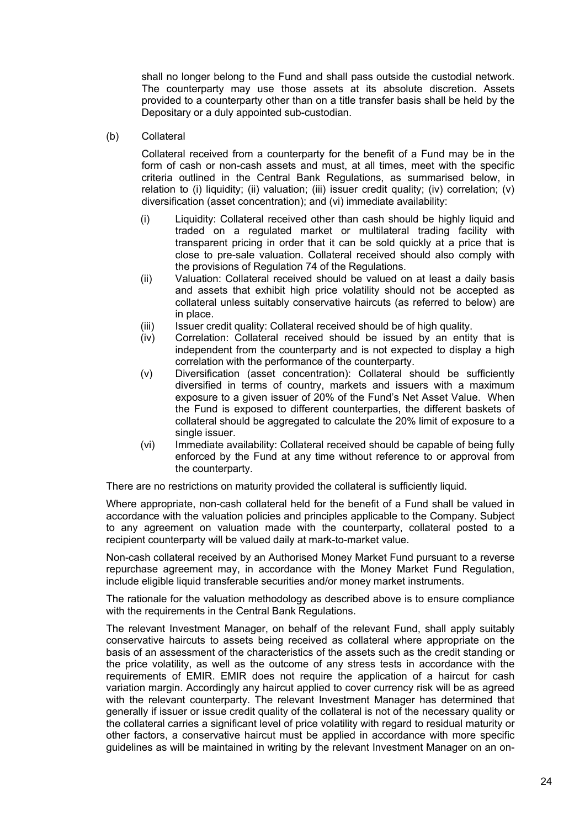shall no longer belong to the Fund and shall pass outside the custodial network. The counterparty may use those assets at its absolute discretion. Assets provided to a counterparty other than on a title transfer basis shall be held by the Depositary or a duly appointed sub-custodian.

### (b) Collateral

Collateral received from a counterparty for the benefit of a Fund may be in the form of cash or non-cash assets and must, at all times, meet with the specific criteria outlined in the Central Bank Regulations, as summarised below, in relation to (i) liquidity; (ii) valuation; (iii) issuer credit quality; (iv) correlation; (v) diversification (asset concentration); and (vi) immediate availability:

- (i) Liquidity: Collateral received other than cash should be highly liquid and traded on a regulated market or multilateral trading facility with transparent pricing in order that it can be sold quickly at a price that is close to pre-sale valuation. Collateral received should also comply with the provisions of Regulation 74 of the Regulations.
- (ii) Valuation: Collateral received should be valued on at least a daily basis and assets that exhibit high price volatility should not be accepted as collateral unless suitably conservative haircuts (as referred to below) are in place.
- (iii) Issuer credit quality: Collateral received should be of high quality.
- (iv) Correlation: Collateral received should be issued by an entity that is independent from the counterparty and is not expected to display a high correlation with the performance of the counterparty.
- (v) Diversification (asset concentration): Collateral should be sufficiently diversified in terms of country, markets and issuers with a maximum exposure to a given issuer of 20% of the Fund's Net Asset Value. When the Fund is exposed to different counterparties, the different baskets of collateral should be aggregated to calculate the 20% limit of exposure to a single issuer.
- (vi) Immediate availability: Collateral received should be capable of being fully enforced by the Fund at any time without reference to or approval from the counterparty.

There are no restrictions on maturity provided the collateral is sufficiently liquid.

Where appropriate, non-cash collateral held for the benefit of a Fund shall be valued in accordance with the valuation policies and principles applicable to the Company. Subject to any agreement on valuation made with the counterparty, collateral posted to a recipient counterparty will be valued daily at mark-to-market value.

Non-cash collateral received by an Authorised Money Market Fund pursuant to a reverse repurchase agreement may, in accordance with the Money Market Fund Regulation, include eligible liquid transferable securities and/or money market instruments.

The rationale for the valuation methodology as described above is to ensure compliance with the requirements in the Central Bank Regulations.

The relevant Investment Manager, on behalf of the relevant Fund, shall apply suitably conservative haircuts to assets being received as collateral where appropriate on the basis of an assessment of the characteristics of the assets such as the credit standing or the price volatility, as well as the outcome of any stress tests in accordance with the requirements of EMIR. EMIR does not require the application of a haircut for cash variation margin. Accordingly any haircut applied to cover currency risk will be as agreed with the relevant counterparty. The relevant Investment Manager has determined that generally if issuer or issue credit quality of the collateral is not of the necessary quality or the collateral carries a significant level of price volatility with regard to residual maturity or other factors, a conservative haircut must be applied in accordance with more specific guidelines as will be maintained in writing by the relevant Investment Manager on an on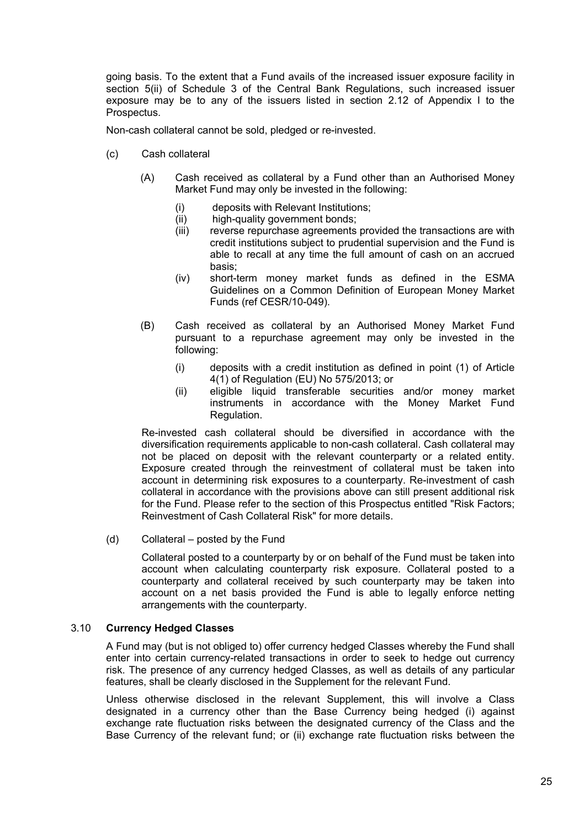going basis. To the extent that a Fund avails of the increased issuer exposure facility in section 5(ii) of Schedule 3 of the Central Bank Regulations, such increased issuer exposure may be to any of the issuers listed in section 2.12 of Appendix I to the Prospectus.

Non-cash collateral cannot be sold, pledged or re-invested.

- (c) Cash collateral
	- (A) Cash received as collateral by a Fund other than an Authorised Money Market Fund may only be invested in the following:
		- (i) deposits with Relevant Institutions;
		- (ii) high-quality government bonds;
		- (iii) reverse repurchase agreements provided the transactions are with credit institutions subject to prudential supervision and the Fund is able to recall at any time the full amount of cash on an accrued basis;
		- (iv) short-term money market funds as defined in the ESMA Guidelines on a Common Definition of European Money Market Funds (ref CESR/10-049).
	- (B) Cash received as collateral by an Authorised Money Market Fund pursuant to a repurchase agreement may only be invested in the following:
		- (i) deposits with a credit institution as defined in point (1) of Article 4(1) of Regulation (EU) No 575/2013; or
		- (ii) eligible liquid transferable securities and/or money market instruments in accordance with the Money Market Fund Regulation.

Re-invested cash collateral should be diversified in accordance with the diversification requirements applicable to non-cash collateral. Cash collateral may not be placed on deposit with the relevant counterparty or a related entity. Exposure created through the reinvestment of collateral must be taken into account in determining risk exposures to a counterparty. Re-investment of cash collateral in accordance with the provisions above can still present additional risk for the Fund. Please refer to the section of this Prospectus entitled "Risk Factors; Reinvestment of Cash Collateral Risk" for more details.

(d) Collateral – posted by the Fund

Collateral posted to a counterparty by or on behalf of the Fund must be taken into account when calculating counterparty risk exposure. Collateral posted to a counterparty and collateral received by such counterparty may be taken into account on a net basis provided the Fund is able to legally enforce netting arrangements with the counterparty.

# 3.10 **Currency Hedged Classes**

A Fund may (but is not obliged to) offer currency hedged Classes whereby the Fund shall enter into certain currency-related transactions in order to seek to hedge out currency risk. The presence of any currency hedged Classes, as well as details of any particular features, shall be clearly disclosed in the Supplement for the relevant Fund.

Unless otherwise disclosed in the relevant Supplement, this will involve a Class designated in a currency other than the Base Currency being hedged (i) against exchange rate fluctuation risks between the designated currency of the Class and the Base Currency of the relevant fund; or (ii) exchange rate fluctuation risks between the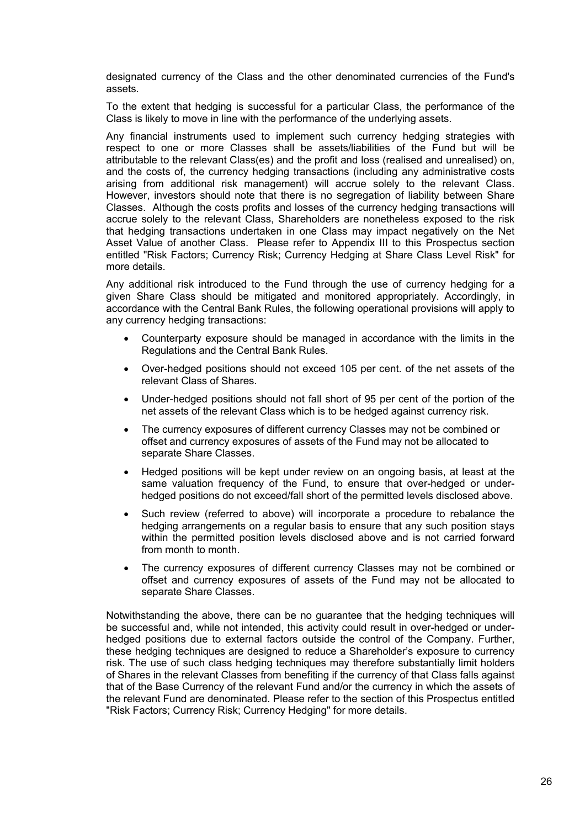designated currency of the Class and the other denominated currencies of the Fund's assets.

To the extent that hedging is successful for a particular Class, the performance of the Class is likely to move in line with the performance of the underlying assets.

Any financial instruments used to implement such currency hedging strategies with respect to one or more Classes shall be assets/liabilities of the Fund but will be attributable to the relevant Class(es) and the profit and loss (realised and unrealised) on, and the costs of, the currency hedging transactions (including any administrative costs arising from additional risk management) will accrue solely to the relevant Class. However, investors should note that there is no segregation of liability between Share Classes. Although the costs profits and losses of the currency hedging transactions will accrue solely to the relevant Class, Shareholders are nonetheless exposed to the risk that hedging transactions undertaken in one Class may impact negatively on the Net Asset Value of another Class. Please refer to Appendix III to this Prospectus section entitled "Risk Factors; Currency Risk; Currency Hedging at Share Class Level Risk" for more details.

Any additional risk introduced to the Fund through the use of currency hedging for a given Share Class should be mitigated and monitored appropriately. Accordingly, in accordance with the Central Bank Rules, the following operational provisions will apply to any currency hedging transactions:

- Counterparty exposure should be managed in accordance with the limits in the Regulations and the Central Bank Rules.
- Over-hedged positions should not exceed 105 per cent. of the net assets of the relevant Class of Shares.
- Under-hedged positions should not fall short of 95 per cent of the portion of the net assets of the relevant Class which is to be hedged against currency risk.
- The currency exposures of different currency Classes may not be combined or offset and currency exposures of assets of the Fund may not be allocated to separate Share Classes.
- Hedged positions will be kept under review on an ongoing basis, at least at the same valuation frequency of the Fund, to ensure that over-hedged or underhedged positions do not exceed/fall short of the permitted levels disclosed above.
- Such review (referred to above) will incorporate a procedure to rebalance the hedging arrangements on a regular basis to ensure that any such position stays within the permitted position levels disclosed above and is not carried forward from month to month.
- The currency exposures of different currency Classes may not be combined or offset and currency exposures of assets of the Fund may not be allocated to separate Share Classes.

Notwithstanding the above, there can be no guarantee that the hedging techniques will be successful and, while not intended, this activity could result in over-hedged or underhedged positions due to external factors outside the control of the Company. Further, these hedging techniques are designed to reduce a Shareholder's exposure to currency risk. The use of such class hedging techniques may therefore substantially limit holders of Shares in the relevant Classes from benefiting if the currency of that Class falls against that of the Base Currency of the relevant Fund and/or the currency in which the assets of the relevant Fund are denominated. Please refer to the section of this Prospectus entitled "Risk Factors; Currency Risk; Currency Hedging" for more details.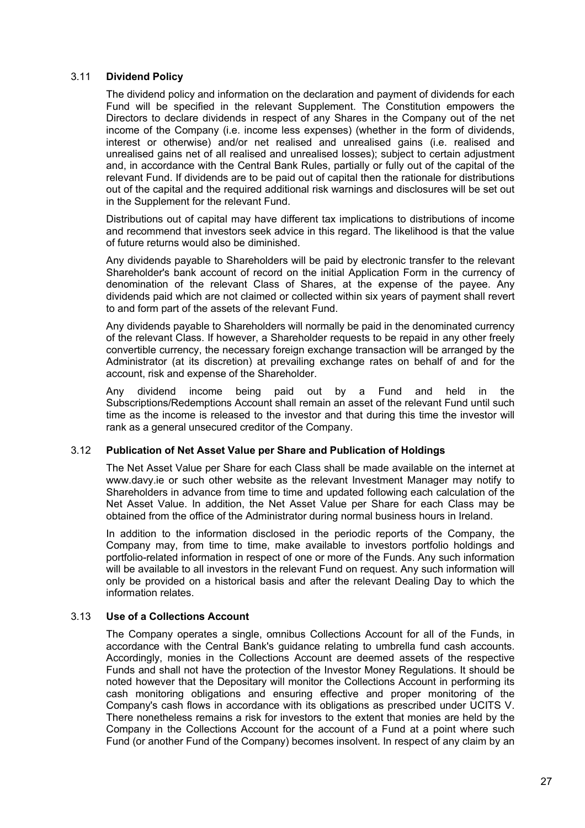### 3.11 **Dividend Policy**

The dividend policy and information on the declaration and payment of dividends for each Fund will be specified in the relevant Supplement. The Constitution empowers the Directors to declare dividends in respect of any Shares in the Company out of the net income of the Company (i.e. income less expenses) (whether in the form of dividends, interest or otherwise) and/or net realised and unrealised gains (i.e. realised and unrealised gains net of all realised and unrealised losses); subject to certain adjustment and, in accordance with the Central Bank Rules, partially or fully out of the capital of the relevant Fund. If dividends are to be paid out of capital then the rationale for distributions out of the capital and the required additional risk warnings and disclosures will be set out in the Supplement for the relevant Fund.

Distributions out of capital may have different tax implications to distributions of income and recommend that investors seek advice in this regard. The likelihood is that the value of future returns would also be diminished.

Any dividends payable to Shareholders will be paid by electronic transfer to the relevant Shareholder's bank account of record on the initial Application Form in the currency of denomination of the relevant Class of Shares, at the expense of the payee. Any dividends paid which are not claimed or collected within six years of payment shall revert to and form part of the assets of the relevant Fund.

Any dividends payable to Shareholders will normally be paid in the denominated currency of the relevant Class. If however, a Shareholder requests to be repaid in any other freely convertible currency, the necessary foreign exchange transaction will be arranged by the Administrator (at its discretion) at prevailing exchange rates on behalf of and for the account, risk and expense of the Shareholder.

Any dividend income being paid out by a Fund and held in the Subscriptions/Redemptions Account shall remain an asset of the relevant Fund until such time as the income is released to the investor and that during this time the investor will rank as a general unsecured creditor of the Company.

### 3.12 **Publication of Net Asset Value per Share and Publication of Holdings**

The Net Asset Value per Share for each Class shall be made available on the internet at www.davy.ie or such other website as the relevant Investment Manager may notify to Shareholders in advance from time to time and updated following each calculation of the Net Asset Value. In addition, the Net Asset Value per Share for each Class may be obtained from the office of the Administrator during normal business hours in Ireland.

In addition to the information disclosed in the periodic reports of the Company, the Company may, from time to time, make available to investors portfolio holdings and portfolio-related information in respect of one or more of the Funds. Any such information will be available to all investors in the relevant Fund on request. Any such information will only be provided on a historical basis and after the relevant Dealing Day to which the information relates.

### 3.13 **Use of a Collections Account**

The Company operates a single, omnibus Collections Account for all of the Funds, in accordance with the Central Bank's guidance relating to umbrella fund cash accounts. Accordingly, monies in the Collections Account are deemed assets of the respective Funds and shall not have the protection of the Investor Money Regulations. It should be noted however that the Depositary will monitor the Collections Account in performing its cash monitoring obligations and ensuring effective and proper monitoring of the Company's cash flows in accordance with its obligations as prescribed under UCITS V. There nonetheless remains a risk for investors to the extent that monies are held by the Company in the Collections Account for the account of a Fund at a point where such Fund (or another Fund of the Company) becomes insolvent. In respect of any claim by an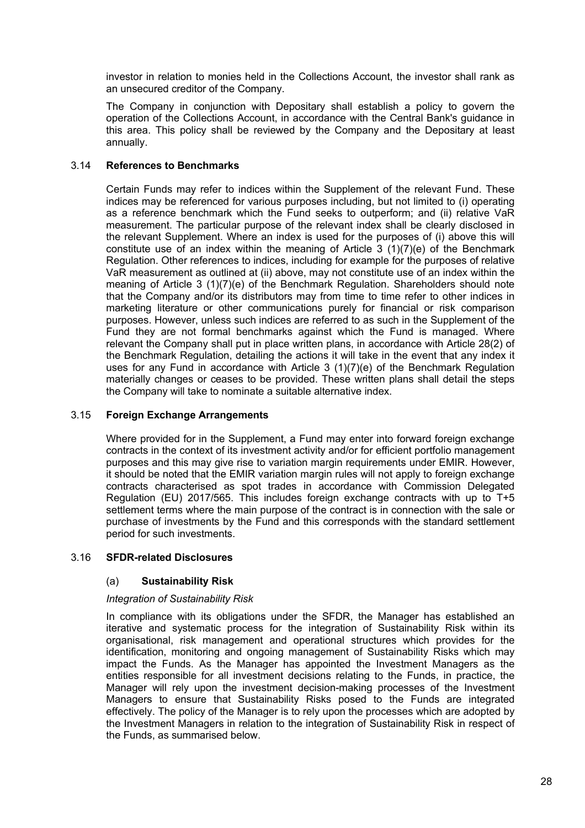investor in relation to monies held in the Collections Account, the investor shall rank as an unsecured creditor of the Company.

The Company in conjunction with Depositary shall establish a policy to govern the operation of the Collections Account, in accordance with the Central Bank's guidance in this area. This policy shall be reviewed by the Company and the Depositary at least annually.

### 3.14 **References to Benchmarks**

Certain Funds may refer to indices within the Supplement of the relevant Fund. These indices may be referenced for various purposes including, but not limited to (i) operating as a reference benchmark which the Fund seeks to outperform; and (ii) relative VaR measurement. The particular purpose of the relevant index shall be clearly disclosed in the relevant Supplement. Where an index is used for the purposes of (i) above this will constitute use of an index within the meaning of Article 3 (1)(7)(e) of the Benchmark Regulation. Other references to indices, including for example for the purposes of relative VaR measurement as outlined at (ii) above, may not constitute use of an index within the meaning of Article 3 (1)(7)(e) of the Benchmark Regulation. Shareholders should note that the Company and/or its distributors may from time to time refer to other indices in marketing literature or other communications purely for financial or risk comparison purposes. However, unless such indices are referred to as such in the Supplement of the Fund they are not formal benchmarks against which the Fund is managed. Where relevant the Company shall put in place written plans, in accordance with Article 28(2) of the Benchmark Regulation, detailing the actions it will take in the event that any index it uses for any Fund in accordance with Article  $3$  (1)(7)(e) of the Benchmark Regulation materially changes or ceases to be provided. These written plans shall detail the steps the Company will take to nominate a suitable alternative index.

### 3.15 **Foreign Exchange Arrangements**

Where provided for in the Supplement, a Fund may enter into forward foreign exchange contracts in the context of its investment activity and/or for efficient portfolio management purposes and this may give rise to variation margin requirements under EMIR. However, it should be noted that the EMIR variation margin rules will not apply to foreign exchange contracts characterised as spot trades in accordance with Commission Delegated Regulation (EU) 2017/565. This includes foreign exchange contracts with up to T+5 settlement terms where the main purpose of the contract is in connection with the sale or purchase of investments by the Fund and this corresponds with the standard settlement period for such investments.

### 3.16 **SFDR-related Disclosures**

# (a) **Sustainability Risk**

### *Integration of Sustainability Risk*

In compliance with its obligations under the SFDR, the Manager has established an iterative and systematic process for the integration of Sustainability Risk within its organisational, risk management and operational structures which provides for the identification, monitoring and ongoing management of Sustainability Risks which may impact the Funds. As the Manager has appointed the Investment Managers as the entities responsible for all investment decisions relating to the Funds, in practice, the Manager will rely upon the investment decision-making processes of the Investment Managers to ensure that Sustainability Risks posed to the Funds are integrated effectively. The policy of the Manager is to rely upon the processes which are adopted by the Investment Managers in relation to the integration of Sustainability Risk in respect of the Funds, as summarised below.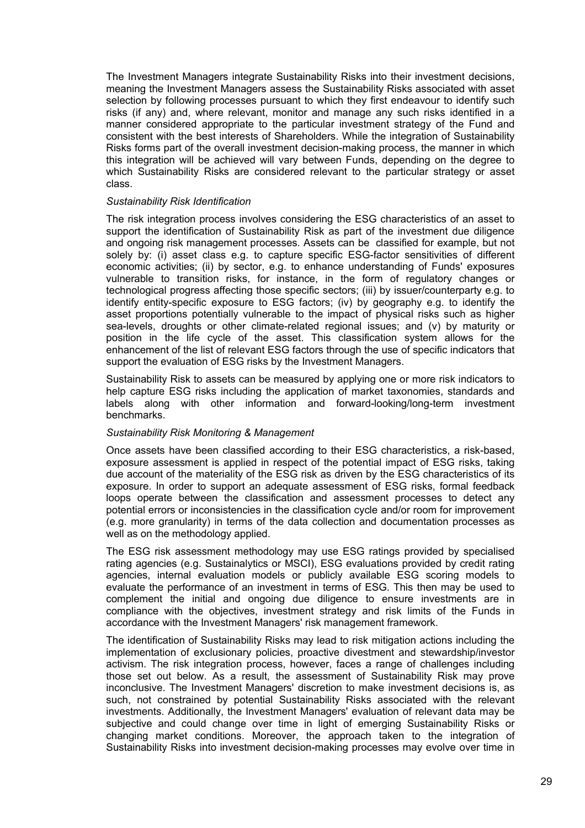The Investment Managers integrate Sustainability Risks into their investment decisions, meaning the Investment Managers assess the Sustainability Risks associated with asset selection by following processes pursuant to which they first endeavour to identify such risks (if any) and, where relevant, monitor and manage any such risks identified in a manner considered appropriate to the particular investment strategy of the Fund and consistent with the best interests of Shareholders. While the integration of Sustainability Risks forms part of the overall investment decision-making process, the manner in which this integration will be achieved will vary between Funds, depending on the degree to which Sustainability Risks are considered relevant to the particular strategy or asset class.

#### *Sustainability Risk Identification*

The risk integration process involves considering the ESG characteristics of an asset to support the identification of Sustainability Risk as part of the investment due diligence and ongoing risk management processes. Assets can be classified for example, but not solely by: (i) asset class e.g. to capture specific ESG-factor sensitivities of different economic activities; (ii) by sector, e.g. to enhance understanding of Funds' exposures vulnerable to transition risks, for instance, in the form of regulatory changes or technological progress affecting those specific sectors; (iii) by issuer/counterparty e.g. to identify entity-specific exposure to ESG factors; (iv) by geography e.g. to identify the asset proportions potentially vulnerable to the impact of physical risks such as higher sea-levels, droughts or other climate-related regional issues; and (v) by maturity or position in the life cycle of the asset. This classification system allows for the enhancement of the list of relevant ESG factors through the use of specific indicators that support the evaluation of ESG risks by the Investment Managers.

Sustainability Risk to assets can be measured by applying one or more risk indicators to help capture ESG risks including the application of market taxonomies, standards and labels along with other information and forward-looking/long-term investment benchmarks.

#### *Sustainability Risk Monitoring & Management*

Once assets have been classified according to their ESG characteristics, a risk-based, exposure assessment is applied in respect of the potential impact of ESG risks, taking due account of the materiality of the ESG risk as driven by the ESG characteristics of its exposure. In order to support an adequate assessment of ESG risks, formal feedback loops operate between the classification and assessment processes to detect any potential errors or inconsistencies in the classification cycle and/or room for improvement (e.g. more granularity) in terms of the data collection and documentation processes as well as on the methodology applied.

The ESG risk assessment methodology may use ESG ratings provided by specialised rating agencies (e.g. Sustainalytics or MSCI), ESG evaluations provided by credit rating agencies, internal evaluation models or publicly available ESG scoring models to evaluate the performance of an investment in terms of ESG. This then may be used to complement the initial and ongoing due diligence to ensure investments are in compliance with the objectives, investment strategy and risk limits of the Funds in accordance with the Investment Managers' risk management framework.

The identification of Sustainability Risks may lead to risk mitigation actions including the implementation of exclusionary policies, proactive divestment and stewardship/investor activism. The risk integration process, however, faces a range of challenges including those set out below. As a result, the assessment of Sustainability Risk may prove inconclusive. The Investment Managers' discretion to make investment decisions is, as such, not constrained by potential Sustainability Risks associated with the relevant investments. Additionally, the Investment Managers' evaluation of relevant data may be subjective and could change over time in light of emerging Sustainability Risks or changing market conditions. Moreover, the approach taken to the integration of Sustainability Risks into investment decision-making processes may evolve over time in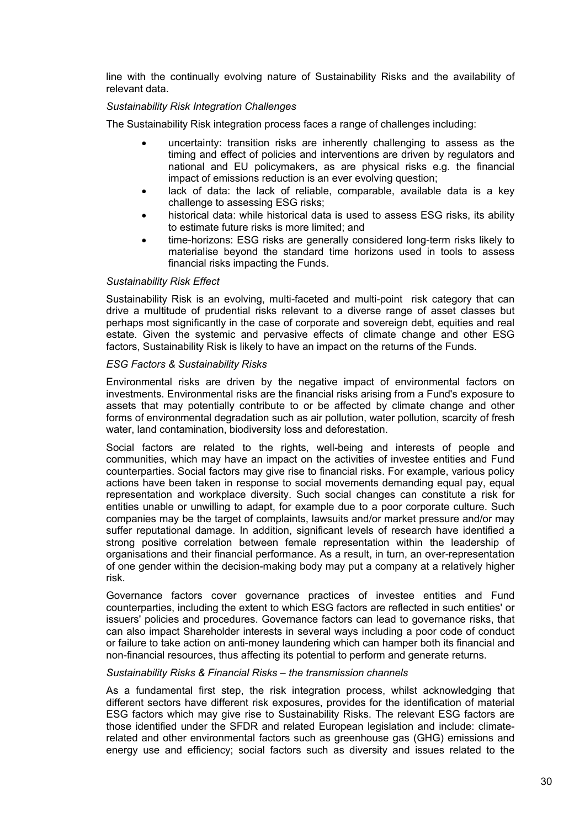line with the continually evolving nature of Sustainability Risks and the availability of relevant data.

### *Sustainability Risk Integration Challenges*

The Sustainability Risk integration process faces a range of challenges including:

- uncertainty: transition risks are inherently challenging to assess as the timing and effect of policies and interventions are driven by regulators and national and EU policymakers, as are physical risks e.g. the financial impact of emissions reduction is an ever evolving question;
- lack of data: the lack of reliable, comparable, available data is a key challenge to assessing ESG risks;
- historical data: while historical data is used to assess ESG risks, its ability to estimate future risks is more limited; and
- time-horizons: ESG risks are generally considered long-term risks likely to materialise beyond the standard time horizons used in tools to assess financial risks impacting the Funds.

### *Sustainability Risk Effect*

Sustainability Risk is an evolving, multi-faceted and multi-point risk category that can drive a multitude of prudential risks relevant to a diverse range of asset classes but perhaps most significantly in the case of corporate and sovereign debt, equities and real estate. Given the systemic and pervasive effects of climate change and other ESG factors, Sustainability Risk is likely to have an impact on the returns of the Funds.

### *ESG Factors & Sustainability Risks*

Environmental risks are driven by the negative impact of environmental factors on investments. Environmental risks are the financial risks arising from a Fund's exposure to assets that may potentially contribute to or be affected by climate change and other forms of environmental degradation such as air pollution, water pollution, scarcity of fresh water, land contamination, biodiversity loss and deforestation.

Social factors are related to the rights, well-being and interests of people and communities, which may have an impact on the activities of investee entities and Fund counterparties. Social factors may give rise to financial risks. For example, various policy actions have been taken in response to social movements demanding equal pay, equal representation and workplace diversity. Such social changes can constitute a risk for entities unable or unwilling to adapt, for example due to a poor corporate culture. Such companies may be the target of complaints, lawsuits and/or market pressure and/or may suffer reputational damage. In addition, significant levels of research have identified a strong positive correlation between female representation within the leadership of organisations and their financial performance. As a result, in turn, an over-representation of one gender within the decision-making body may put a company at a relatively higher risk.

Governance factors cover governance practices of investee entities and Fund counterparties, including the extent to which ESG factors are reflected in such entities' or issuers' policies and procedures. Governance factors can lead to governance risks, that can also impact Shareholder interests in several ways including a poor code of conduct or failure to take action on anti-money laundering which can hamper both its financial and non-financial resources, thus affecting its potential to perform and generate returns.

### *Sustainability Risks & Financial Risks – the transmission channels*

As a fundamental first step, the risk integration process, whilst acknowledging that different sectors have different risk exposures, provides for the identification of material ESG factors which may give rise to Sustainability Risks. The relevant ESG factors are those identified under the SFDR and related European legislation and include: climaterelated and other environmental factors such as greenhouse gas (GHG) emissions and energy use and efficiency; social factors such as diversity and issues related to the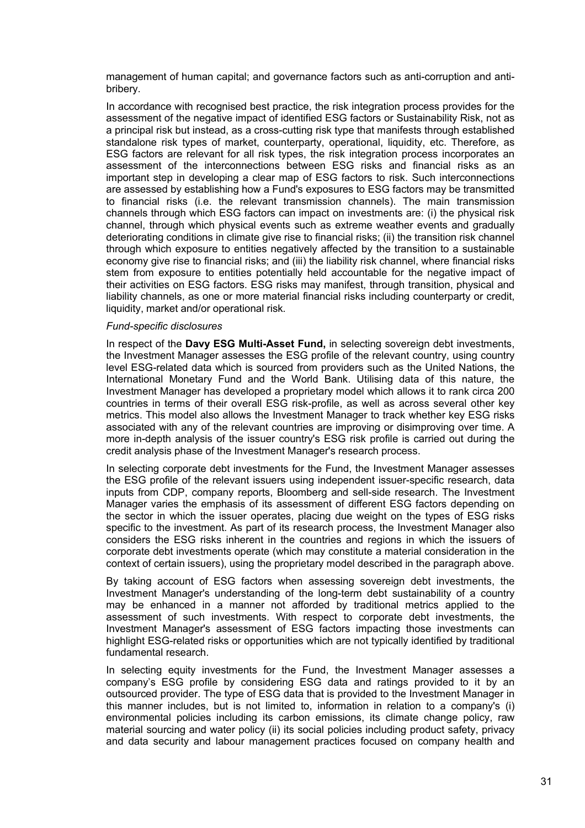management of human capital; and governance factors such as anti-corruption and antibribery.

In accordance with recognised best practice, the risk integration process provides for the assessment of the negative impact of identified ESG factors or Sustainability Risk, not as a principal risk but instead, as a cross-cutting risk type that manifests through established standalone risk types of market, counterparty, operational, liquidity, etc. Therefore, as ESG factors are relevant for all risk types, the risk integration process incorporates an assessment of the interconnections between ESG risks and financial risks as an important step in developing a clear map of ESG factors to risk. Such interconnections are assessed by establishing how a Fund's exposures to ESG factors may be transmitted to financial risks (i.e. the relevant transmission channels). The main transmission channels through which ESG factors can impact on investments are: (i) the physical risk channel, through which physical events such as extreme weather events and gradually deteriorating conditions in climate give rise to financial risks; (ii) the transition risk channel through which exposure to entities negatively affected by the transition to a sustainable economy give rise to financial risks; and (iii) the liability risk channel, where financial risks stem from exposure to entities potentially held accountable for the negative impact of their activities on ESG factors. ESG risks may manifest, through transition, physical and liability channels, as one or more material financial risks including counterparty or credit, liquidity, market and/or operational risk*.* 

#### *Fund-specific disclosures*

In respect of the **Davy ESG Multi-Asset Fund,** in selecting sovereign debt investments, the Investment Manager assesses the ESG profile of the relevant country, using country level ESG-related data which is sourced from providers such as the United Nations, the International Monetary Fund and the World Bank. Utilising data of this nature, the Investment Manager has developed a proprietary model which allows it to rank circa 200 countries in terms of their overall ESG risk-profile, as well as across several other key metrics. This model also allows the Investment Manager to track whether key ESG risks associated with any of the relevant countries are improving or disimproving over time. A more in-depth analysis of the issuer country's ESG risk profile is carried out during the credit analysis phase of the Investment Manager's research process.

In selecting corporate debt investments for the Fund, the Investment Manager assesses the ESG profile of the relevant issuers using independent issuer-specific research, data inputs from CDP, company reports, Bloomberg and sell-side research. The Investment Manager varies the emphasis of its assessment of different ESG factors depending on the sector in which the issuer operates, placing due weight on the types of ESG risks specific to the investment. As part of its research process, the Investment Manager also considers the ESG risks inherent in the countries and regions in which the issuers of corporate debt investments operate (which may constitute a material consideration in the context of certain issuers), using the proprietary model described in the paragraph above.

By taking account of ESG factors when assessing sovereign debt investments, the Investment Manager's understanding of the long-term debt sustainability of a country may be enhanced in a manner not afforded by traditional metrics applied to the assessment of such investments. With respect to corporate debt investments, the Investment Manager's assessment of ESG factors impacting those investments can highlight ESG-related risks or opportunities which are not typically identified by traditional fundamental research.

In selecting equity investments for the Fund, the Investment Manager assesses a company's ESG profile by considering ESG data and ratings provided to it by an outsourced provider. The type of ESG data that is provided to the Investment Manager in this manner includes, but is not limited to, information in relation to a company's (i) environmental policies including its carbon emissions, its climate change policy, raw material sourcing and water policy (ii) its social policies including product safety, privacy and data security and labour management practices focused on company health and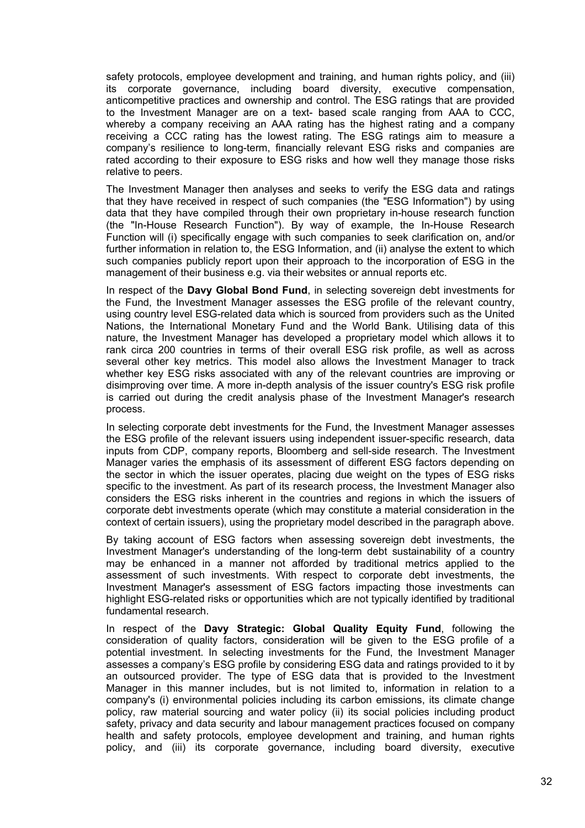safety protocols, employee development and training, and human rights policy, and (iii) its corporate governance, including board diversity, executive compensation, anticompetitive practices and ownership and control. The ESG ratings that are provided to the Investment Manager are on a text- based scale ranging from AAA to CCC, whereby a company receiving an AAA rating has the highest rating and a company receiving a CCC rating has the lowest rating. The ESG ratings aim to measure a company's resilience to long-term, financially relevant ESG risks and companies are rated according to their exposure to ESG risks and how well they manage those risks relative to peers.

The Investment Manager then analyses and seeks to verify the ESG data and ratings that they have received in respect of such companies (the "ESG Information") by using data that they have compiled through their own proprietary in-house research function (the "In-House Research Function"). By way of example, the In-House Research Function will (i) specifically engage with such companies to seek clarification on, and/or further information in relation to, the ESG Information, and (ii) analyse the extent to which such companies publicly report upon their approach to the incorporation of ESG in the management of their business e.g. via their websites or annual reports etc.

In respect of the **Davy Global Bond Fund**, in selecting sovereign debt investments for the Fund, the Investment Manager assesses the ESG profile of the relevant country, using country level ESG-related data which is sourced from providers such as the United Nations, the International Monetary Fund and the World Bank. Utilising data of this nature, the Investment Manager has developed a proprietary model which allows it to rank circa 200 countries in terms of their overall ESG risk profile, as well as across several other key metrics. This model also allows the Investment Manager to track whether key ESG risks associated with any of the relevant countries are improving or disimproving over time. A more in-depth analysis of the issuer country's ESG risk profile is carried out during the credit analysis phase of the Investment Manager's research process.

In selecting corporate debt investments for the Fund, the Investment Manager assesses the ESG profile of the relevant issuers using independent issuer-specific research, data inputs from CDP, company reports, Bloomberg and sell-side research. The Investment Manager varies the emphasis of its assessment of different ESG factors depending on the sector in which the issuer operates, placing due weight on the types of ESG risks specific to the investment. As part of its research process, the Investment Manager also considers the ESG risks inherent in the countries and regions in which the issuers of corporate debt investments operate (which may constitute a material consideration in the context of certain issuers), using the proprietary model described in the paragraph above.

By taking account of ESG factors when assessing sovereign debt investments, the Investment Manager's understanding of the long-term debt sustainability of a country may be enhanced in a manner not afforded by traditional metrics applied to the assessment of such investments. With respect to corporate debt investments, the Investment Manager's assessment of ESG factors impacting those investments can highlight ESG-related risks or opportunities which are not typically identified by traditional fundamental research.

In respect of the **Davy Strategic: Global Quality Equity Fund**, following the consideration of quality factors, consideration will be given to the ESG profile of a potential investment. In selecting investments for the Fund, the Investment Manager assesses a company's ESG profile by considering ESG data and ratings provided to it by an outsourced provider. The type of ESG data that is provided to the Investment Manager in this manner includes, but is not limited to, information in relation to a company's (i) environmental policies including its carbon emissions, its climate change policy, raw material sourcing and water policy (ii) its social policies including product safety, privacy and data security and labour management practices focused on company health and safety protocols, employee development and training, and human rights policy, and (iii) its corporate governance, including board diversity, executive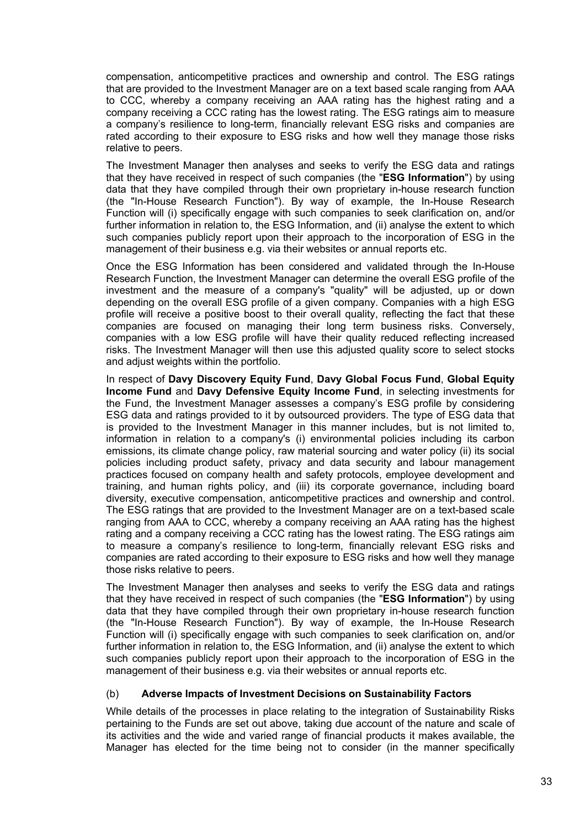compensation, anticompetitive practices and ownership and control. The ESG ratings that are provided to the Investment Manager are on a text based scale ranging from AAA to CCC, whereby a company receiving an AAA rating has the highest rating and a company receiving a CCC rating has the lowest rating. The ESG ratings aim to measure a company's resilience to long-term, financially relevant ESG risks and companies are rated according to their exposure to ESG risks and how well they manage those risks relative to peers.

The Investment Manager then analyses and seeks to verify the ESG data and ratings that they have received in respect of such companies (the "**ESG Information**") by using data that they have compiled through their own proprietary in-house research function (the "In-House Research Function"). By way of example, the In-House Research Function will (i) specifically engage with such companies to seek clarification on, and/or further information in relation to, the ESG Information, and (ii) analyse the extent to which such companies publicly report upon their approach to the incorporation of ESG in the management of their business e.g. via their websites or annual reports etc.

Once the ESG Information has been considered and validated through the In-House Research Function, the Investment Manager can determine the overall ESG profile of the investment and the measure of a company's "quality" will be adjusted, up or down depending on the overall ESG profile of a given company. Companies with a high ESG profile will receive a positive boost to their overall quality, reflecting the fact that these companies are focused on managing their long term business risks. Conversely, companies with a low ESG profile will have their quality reduced reflecting increased risks. The Investment Manager will then use this adjusted quality score to select stocks and adjust weights within the portfolio.

In respect of **Davy Discovery Equity Fund**, **Davy Global Focus Fund**, **Global Equity Income Fund** and **Davy Defensive Equity Income Fund**, in selecting investments for the Fund, the Investment Manager assesses a company's ESG profile by considering ESG data and ratings provided to it by outsourced providers. The type of ESG data that is provided to the Investment Manager in this manner includes, but is not limited to, information in relation to a company's (i) environmental policies including its carbon emissions, its climate change policy, raw material sourcing and water policy (ii) its social policies including product safety, privacy and data security and labour management practices focused on company health and safety protocols, employee development and training, and human rights policy, and (iii) its corporate governance, including board diversity, executive compensation, anticompetitive practices and ownership and control. The ESG ratings that are provided to the Investment Manager are on a text-based scale ranging from AAA to CCC, whereby a company receiving an AAA rating has the highest rating and a company receiving a CCC rating has the lowest rating. The ESG ratings aim to measure a company's resilience to long-term, financially relevant ESG risks and companies are rated according to their exposure to ESG risks and how well they manage those risks relative to peers.

The Investment Manager then analyses and seeks to verify the ESG data and ratings that they have received in respect of such companies (the "**ESG Information**") by using data that they have compiled through their own proprietary in-house research function (the "In-House Research Function"). By way of example, the In-House Research Function will (i) specifically engage with such companies to seek clarification on, and/or further information in relation to, the ESG Information, and (ii) analyse the extent to which such companies publicly report upon their approach to the incorporation of ESG in the management of their business e.g. via their websites or annual reports etc.

### (b) **Adverse Impacts of Investment Decisions on Sustainability Factors**

While details of the processes in place relating to the integration of Sustainability Risks pertaining to the Funds are set out above, taking due account of the nature and scale of its activities and the wide and varied range of financial products it makes available, the Manager has elected for the time being not to consider (in the manner specifically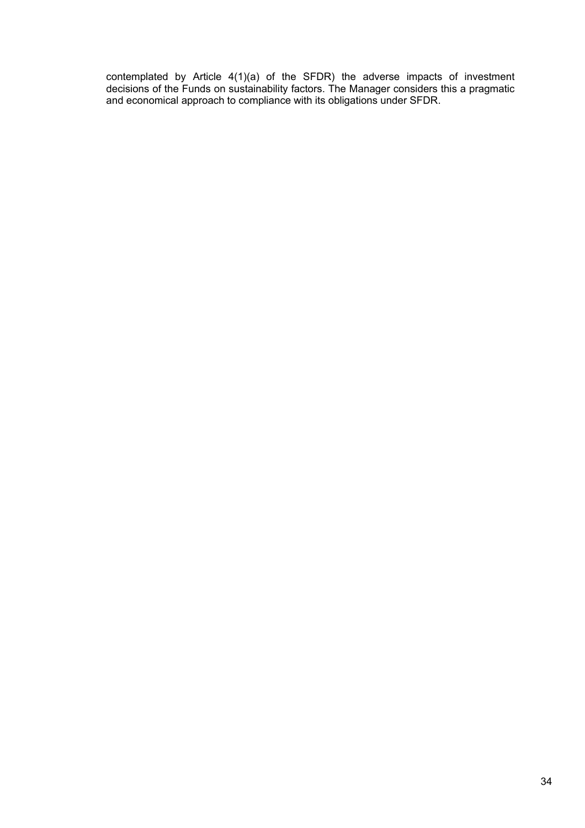contemplated by Article 4(1)(a) of the SFDR) the adverse impacts of investment decisions of the Funds on sustainability factors. The Manager considers this a pragmatic and economical approach to compliance with its obligations under SFDR.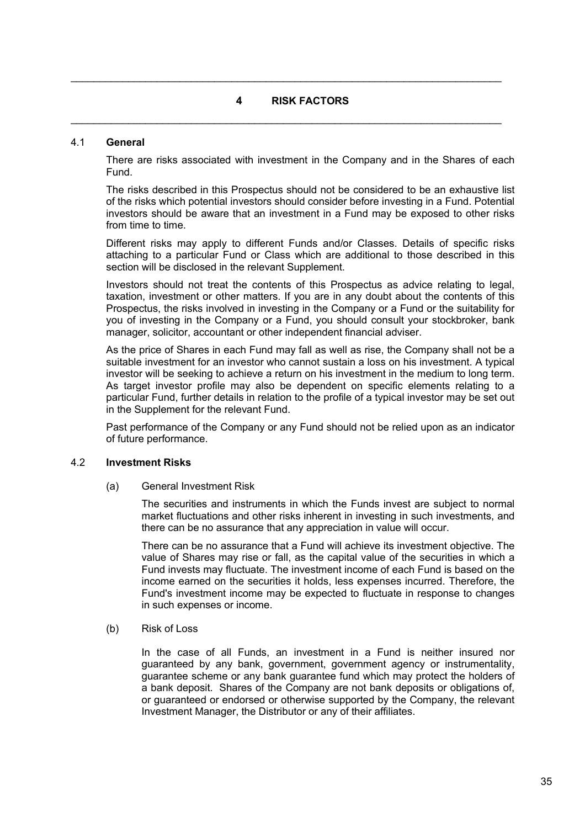# **4 RISK FACTORS**

 $\mathcal{L}_\mathcal{L} = \mathcal{L}_\mathcal{L} = \mathcal{L}_\mathcal{L} = \mathcal{L}_\mathcal{L} = \mathcal{L}_\mathcal{L} = \mathcal{L}_\mathcal{L} = \mathcal{L}_\mathcal{L} = \mathcal{L}_\mathcal{L} = \mathcal{L}_\mathcal{L} = \mathcal{L}_\mathcal{L} = \mathcal{L}_\mathcal{L} = \mathcal{L}_\mathcal{L} = \mathcal{L}_\mathcal{L} = \mathcal{L}_\mathcal{L} = \mathcal{L}_\mathcal{L} = \mathcal{L}_\mathcal{L} = \mathcal{L}_\mathcal{L}$ 

 $\mathcal{L}_\mathcal{L} = \mathcal{L}_\mathcal{L} = \mathcal{L}_\mathcal{L} = \mathcal{L}_\mathcal{L} = \mathcal{L}_\mathcal{L} = \mathcal{L}_\mathcal{L} = \mathcal{L}_\mathcal{L} = \mathcal{L}_\mathcal{L} = \mathcal{L}_\mathcal{L} = \mathcal{L}_\mathcal{L} = \mathcal{L}_\mathcal{L} = \mathcal{L}_\mathcal{L} = \mathcal{L}_\mathcal{L} = \mathcal{L}_\mathcal{L} = \mathcal{L}_\mathcal{L} = \mathcal{L}_\mathcal{L} = \mathcal{L}_\mathcal{L}$ 

### 4.1 **General**

There are risks associated with investment in the Company and in the Shares of each Fund.

The risks described in this Prospectus should not be considered to be an exhaustive list of the risks which potential investors should consider before investing in a Fund. Potential investors should be aware that an investment in a Fund may be exposed to other risks from time to time.

Different risks may apply to different Funds and/or Classes. Details of specific risks attaching to a particular Fund or Class which are additional to those described in this section will be disclosed in the relevant Supplement.

Investors should not treat the contents of this Prospectus as advice relating to legal, taxation, investment or other matters. If you are in any doubt about the contents of this Prospectus, the risks involved in investing in the Company or a Fund or the suitability for you of investing in the Company or a Fund, you should consult your stockbroker, bank manager, solicitor, accountant or other independent financial adviser.

As the price of Shares in each Fund may fall as well as rise, the Company shall not be a suitable investment for an investor who cannot sustain a loss on his investment. A typical investor will be seeking to achieve a return on his investment in the medium to long term. As target investor profile may also be dependent on specific elements relating to a particular Fund, further details in relation to the profile of a typical investor may be set out in the Supplement for the relevant Fund.

Past performance of the Company or any Fund should not be relied upon as an indicator of future performance.

### 4.2 **Investment Risks**

(a) General Investment Risk

The securities and instruments in which the Funds invest are subject to normal market fluctuations and other risks inherent in investing in such investments, and there can be no assurance that any appreciation in value will occur.

There can be no assurance that a Fund will achieve its investment objective. The value of Shares may rise or fall, as the capital value of the securities in which a Fund invests may fluctuate. The investment income of each Fund is based on the income earned on the securities it holds, less expenses incurred. Therefore, the Fund's investment income may be expected to fluctuate in response to changes in such expenses or income.

(b) Risk of Loss

In the case of all Funds, an investment in a Fund is neither insured nor guaranteed by any bank, government, government agency or instrumentality, guarantee scheme or any bank guarantee fund which may protect the holders of a bank deposit. Shares of the Company are not bank deposits or obligations of, or guaranteed or endorsed or otherwise supported by the Company, the relevant Investment Manager, the Distributor or any of their affiliates.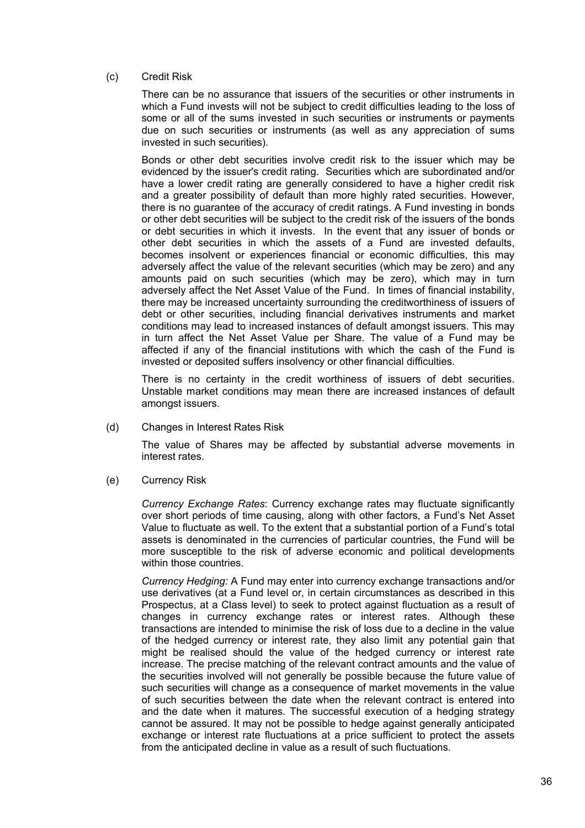### (c) Credit Risk

There can be no assurance that issuers of the securities or other instruments in which a Fund invests will not be subject to credit difficulties leading to the loss of some or all of the sums invested in such securities or instruments or payments due on such securities or instruments (as well as any appreciation of sums invested in such securities).

Bonds or other debt securities involve credit risk to the issuer which may be evidenced by the issuer's credit rating. Securities which are subordinated and/or have a lower credit rating are generally considered to have a higher credit risk and a greater possibility of default than more highly rated securities. However, there is no guarantee of the accuracy of credit ratings. A Fund investing in bonds or other debt securities will be subject to the credit risk of the issuers of the bonds or debt securities in which it invests. In the event that any issuer of bonds or other debt securities in which the assets of a Fund are invested defaults, becomes insolvent or experiences financial or economic difficulties, this may adversely affect the value of the relevant securities (which may be zero) and any amounts paid on such securities (which may be zero), which may in turn adversely affect the Net Asset Value of the Fund. In times of financial instability, there may be increased uncertainty surrounding the creditworthiness of issuers of debt or other securities, including financial derivatives instruments and market conditions may lead to increased instances of default amongst issuers. This may in turn affect the Net Asset Value per Share. The value of a Fund may be affected if any of the financial institutions with which the cash of the Fund is invested or deposited suffers insolvency or other financial difficulties.

There is no certainty in the credit worthiness of issuers of debt securities. Unstable market conditions may mean there are increased instances of default amongst issuers.

(d) Changes in Interest Rates Risk

The value of Shares may be affected by substantial adverse movements in interest rates.

(e) Currency Risk

*Currency Exchange Rates*: Currency exchange rates may fluctuate significantly over short periods of time causing, along with other factors, a Fund's Net Asset Value to fluctuate as well. To the extent that a substantial portion of a Fund's total assets is denominated in the currencies of particular countries, the Fund will be more susceptible to the risk of adverse economic and political developments within those countries.

*Currency Hedging:* A Fund may enter into currency exchange transactions and/or use derivatives (at a Fund level or, in certain circumstances as described in this Prospectus, at a Class level) to seek to protect against fluctuation as a result of changes in currency exchange rates or interest rates. Although these transactions are intended to minimise the risk of loss due to a decline in the value of the hedged currency or interest rate, they also limit any potential gain that might be realised should the value of the hedged currency or interest rate increase. The precise matching of the relevant contract amounts and the value of the securities involved will not generally be possible because the future value of such securities will change as a consequence of market movements in the value of such securities between the date when the relevant contract is entered into and the date when it matures. The successful execution of a hedging strategy cannot be assured. It may not be possible to hedge against generally anticipated exchange or interest rate fluctuations at a price sufficient to protect the assets from the anticipated decline in value as a result of such fluctuations.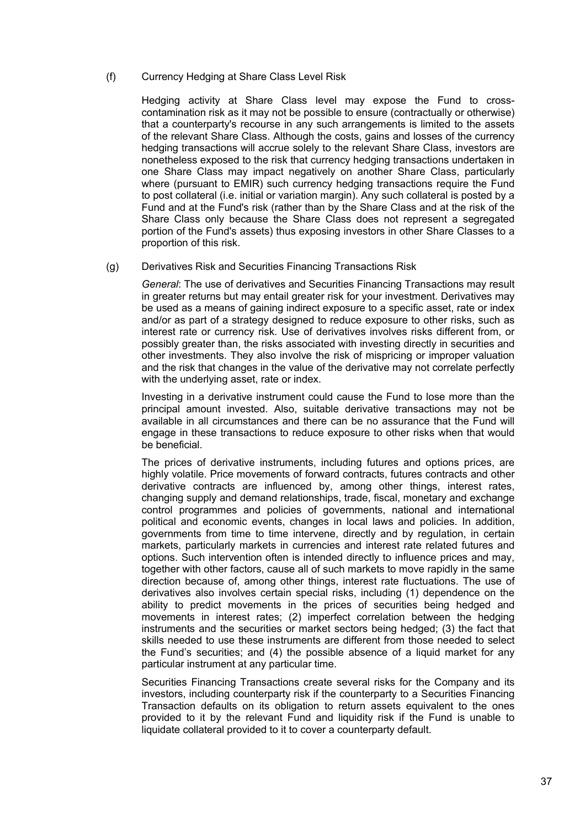(f) Currency Hedging at Share Class Level Risk

Hedging activity at Share Class level may expose the Fund to crosscontamination risk as it may not be possible to ensure (contractually or otherwise) that a counterparty's recourse in any such arrangements is limited to the assets of the relevant Share Class. Although the costs, gains and losses of the currency hedging transactions will accrue solely to the relevant Share Class, investors are nonetheless exposed to the risk that currency hedging transactions undertaken in one Share Class may impact negatively on another Share Class, particularly where (pursuant to EMIR) such currency hedging transactions require the Fund to post collateral (i.e. initial or variation margin). Any such collateral is posted by a Fund and at the Fund's risk (rather than by the Share Class and at the risk of the Share Class only because the Share Class does not represent a segregated portion of the Fund's assets) thus exposing investors in other Share Classes to a proportion of this risk.

(g) Derivatives Risk and Securities Financing Transactions Risk

*General*: The use of derivatives and Securities Financing Transactions may result in greater returns but may entail greater risk for your investment. Derivatives may be used as a means of gaining indirect exposure to a specific asset, rate or index and/or as part of a strategy designed to reduce exposure to other risks, such as interest rate or currency risk. Use of derivatives involves risks different from, or possibly greater than, the risks associated with investing directly in securities and other investments. They also involve the risk of mispricing or improper valuation and the risk that changes in the value of the derivative may not correlate perfectly with the underlying asset, rate or index.

Investing in a derivative instrument could cause the Fund to lose more than the principal amount invested. Also, suitable derivative transactions may not be available in all circumstances and there can be no assurance that the Fund will engage in these transactions to reduce exposure to other risks when that would be beneficial.

The prices of derivative instruments, including futures and options prices, are highly volatile. Price movements of forward contracts, futures contracts and other derivative contracts are influenced by, among other things, interest rates, changing supply and demand relationships, trade, fiscal, monetary and exchange control programmes and policies of governments, national and international political and economic events, changes in local laws and policies. In addition, governments from time to time intervene, directly and by regulation, in certain markets, particularly markets in currencies and interest rate related futures and options. Such intervention often is intended directly to influence prices and may, together with other factors, cause all of such markets to move rapidly in the same direction because of, among other things, interest rate fluctuations. The use of derivatives also involves certain special risks, including (1) dependence on the ability to predict movements in the prices of securities being hedged and movements in interest rates; (2) imperfect correlation between the hedging instruments and the securities or market sectors being hedged; (3) the fact that skills needed to use these instruments are different from those needed to select the Fund's securities; and (4) the possible absence of a liquid market for any particular instrument at any particular time.

Securities Financing Transactions create several risks for the Company and its investors, including counterparty risk if the counterparty to a Securities Financing Transaction defaults on its obligation to return assets equivalent to the ones provided to it by the relevant Fund and liquidity risk if the Fund is unable to liquidate collateral provided to it to cover a counterparty default.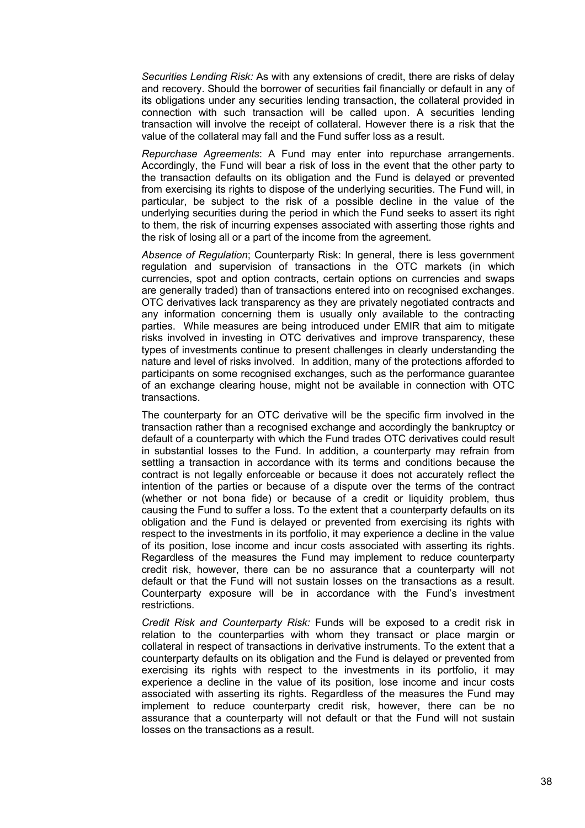*Securities Lending Risk:* As with any extensions of credit, there are risks of delay and recovery. Should the borrower of securities fail financially or default in any of its obligations under any securities lending transaction, the collateral provided in connection with such transaction will be called upon. A securities lending transaction will involve the receipt of collateral. However there is a risk that the value of the collateral may fall and the Fund suffer loss as a result.

*Repurchase Agreements*: A Fund may enter into repurchase arrangements. Accordingly, the Fund will bear a risk of loss in the event that the other party to the transaction defaults on its obligation and the Fund is delayed or prevented from exercising its rights to dispose of the underlying securities. The Fund will, in particular, be subject to the risk of a possible decline in the value of the underlying securities during the period in which the Fund seeks to assert its right to them, the risk of incurring expenses associated with asserting those rights and the risk of losing all or a part of the income from the agreement.

*Absence of Regulation*; Counterparty Risk: In general, there is less government regulation and supervision of transactions in the OTC markets (in which currencies, spot and option contracts, certain options on currencies and swaps are generally traded) than of transactions entered into on recognised exchanges. OTC derivatives lack transparency as they are privately negotiated contracts and any information concerning them is usually only available to the contracting parties. While measures are being introduced under EMIR that aim to mitigate risks involved in investing in OTC derivatives and improve transparency, these types of investments continue to present challenges in clearly understanding the nature and level of risks involved. In addition, many of the protections afforded to participants on some recognised exchanges, such as the performance guarantee of an exchange clearing house, might not be available in connection with OTC transactions.

The counterparty for an OTC derivative will be the specific firm involved in the transaction rather than a recognised exchange and accordingly the bankruptcy or default of a counterparty with which the Fund trades OTC derivatives could result in substantial losses to the Fund. In addition, a counterparty may refrain from settling a transaction in accordance with its terms and conditions because the contract is not legally enforceable or because it does not accurately reflect the intention of the parties or because of a dispute over the terms of the contract (whether or not bona fide) or because of a credit or liquidity problem, thus causing the Fund to suffer a loss. To the extent that a counterparty defaults on its obligation and the Fund is delayed or prevented from exercising its rights with respect to the investments in its portfolio, it may experience a decline in the value of its position, lose income and incur costs associated with asserting its rights. Regardless of the measures the Fund may implement to reduce counterparty credit risk, however, there can be no assurance that a counterparty will not default or that the Fund will not sustain losses on the transactions as a result. Counterparty exposure will be in accordance with the Fund's investment restrictions.

*Credit Risk and Counterparty Risk:* Funds will be exposed to a credit risk in relation to the counterparties with whom they transact or place margin or collateral in respect of transactions in derivative instruments. To the extent that a counterparty defaults on its obligation and the Fund is delayed or prevented from exercising its rights with respect to the investments in its portfolio, it may experience a decline in the value of its position, lose income and incur costs associated with asserting its rights. Regardless of the measures the Fund may implement to reduce counterparty credit risk, however, there can be no assurance that a counterparty will not default or that the Fund will not sustain losses on the transactions as a result.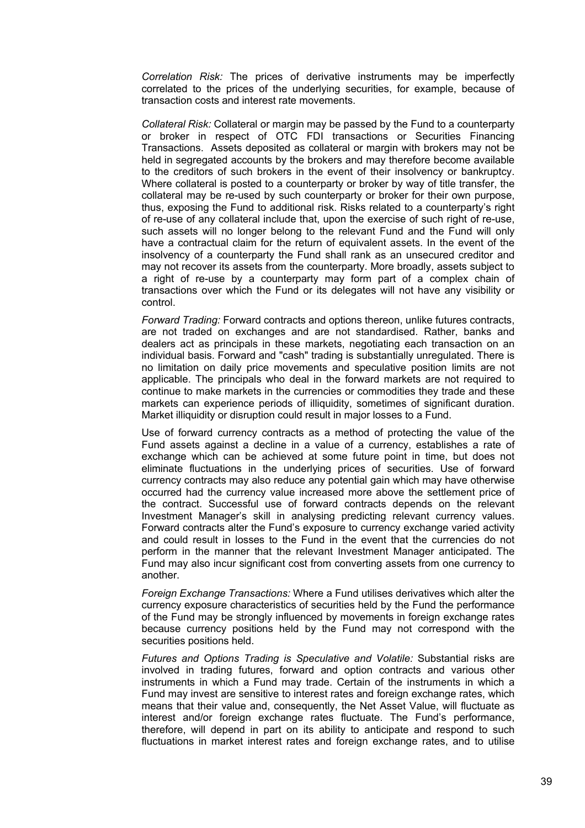*Correlation Risk:* The prices of derivative instruments may be imperfectly correlated to the prices of the underlying securities, for example, because of transaction costs and interest rate movements.

*Collateral Risk:* Collateral or margin may be passed by the Fund to a counterparty or broker in respect of OTC FDI transactions or Securities Financing Transactions. Assets deposited as collateral or margin with brokers may not be held in segregated accounts by the brokers and may therefore become available to the creditors of such brokers in the event of their insolvency or bankruptcy. Where collateral is posted to a counterparty or broker by way of title transfer, the collateral may be re-used by such counterparty or broker for their own purpose, thus, exposing the Fund to additional risk. Risks related to a counterparty's right of re-use of any collateral include that, upon the exercise of such right of re-use, such assets will no longer belong to the relevant Fund and the Fund will only have a contractual claim for the return of equivalent assets. In the event of the insolvency of a counterparty the Fund shall rank as an unsecured creditor and may not recover its assets from the counterparty. More broadly, assets subject to a right of re-use by a counterparty may form part of a complex chain of transactions over which the Fund or its delegates will not have any visibility or control.

*Forward Trading:* Forward contracts and options thereon, unlike futures contracts, are not traded on exchanges and are not standardised. Rather, banks and dealers act as principals in these markets, negotiating each transaction on an individual basis. Forward and "cash" trading is substantially unregulated. There is no limitation on daily price movements and speculative position limits are not applicable. The principals who deal in the forward markets are not required to continue to make markets in the currencies or commodities they trade and these markets can experience periods of illiquidity, sometimes of significant duration. Market illiquidity or disruption could result in major losses to a Fund.

Use of forward currency contracts as a method of protecting the value of the Fund assets against a decline in a value of a currency, establishes a rate of exchange which can be achieved at some future point in time, but does not eliminate fluctuations in the underlying prices of securities. Use of forward currency contracts may also reduce any potential gain which may have otherwise occurred had the currency value increased more above the settlement price of the contract. Successful use of forward contracts depends on the relevant Investment Manager's skill in analysing predicting relevant currency values. Forward contracts alter the Fund's exposure to currency exchange varied activity and could result in losses to the Fund in the event that the currencies do not perform in the manner that the relevant Investment Manager anticipated. The Fund may also incur significant cost from converting assets from one currency to another.

*Foreign Exchange Transactions:* Where a Fund utilises derivatives which alter the currency exposure characteristics of securities held by the Fund the performance of the Fund may be strongly influenced by movements in foreign exchange rates because currency positions held by the Fund may not correspond with the securities positions held.

*Futures and Options Trading is Speculative and Volatile:* Substantial risks are involved in trading futures, forward and option contracts and various other instruments in which a Fund may trade. Certain of the instruments in which a Fund may invest are sensitive to interest rates and foreign exchange rates, which means that their value and, consequently, the Net Asset Value, will fluctuate as interest and/or foreign exchange rates fluctuate. The Fund's performance, therefore, will depend in part on its ability to anticipate and respond to such fluctuations in market interest rates and foreign exchange rates, and to utilise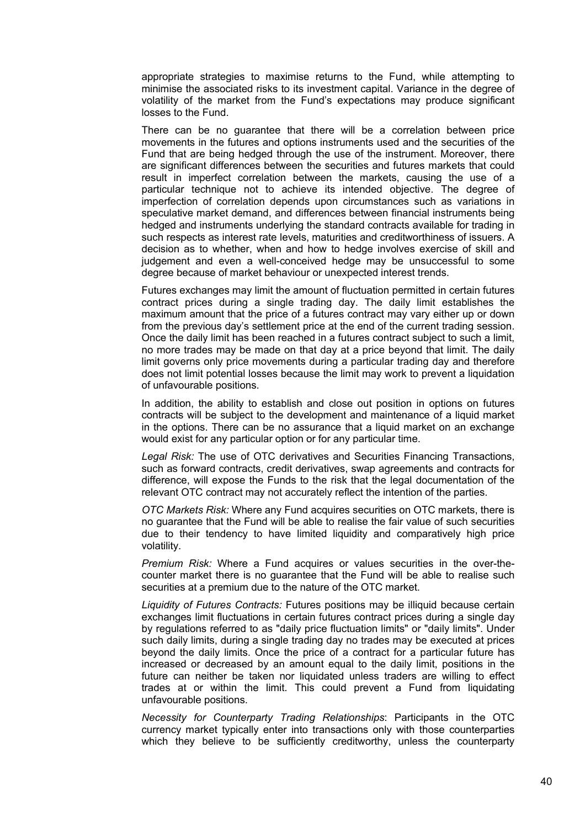appropriate strategies to maximise returns to the Fund, while attempting to minimise the associated risks to its investment capital. Variance in the degree of volatility of the market from the Fund's expectations may produce significant losses to the Fund.

There can be no guarantee that there will be a correlation between price movements in the futures and options instruments used and the securities of the Fund that are being hedged through the use of the instrument. Moreover, there are significant differences between the securities and futures markets that could result in imperfect correlation between the markets, causing the use of a particular technique not to achieve its intended objective. The degree of imperfection of correlation depends upon circumstances such as variations in speculative market demand, and differences between financial instruments being hedged and instruments underlying the standard contracts available for trading in such respects as interest rate levels, maturities and creditworthiness of issuers. A decision as to whether, when and how to hedge involves exercise of skill and judgement and even a well-conceived hedge may be unsuccessful to some degree because of market behaviour or unexpected interest trends.

Futures exchanges may limit the amount of fluctuation permitted in certain futures contract prices during a single trading day. The daily limit establishes the maximum amount that the price of a futures contract may vary either up or down from the previous day's settlement price at the end of the current trading session. Once the daily limit has been reached in a futures contract subject to such a limit, no more trades may be made on that day at a price beyond that limit. The daily limit governs only price movements during a particular trading day and therefore does not limit potential losses because the limit may work to prevent a liquidation of unfavourable positions.

In addition, the ability to establish and close out position in options on futures contracts will be subject to the development and maintenance of a liquid market in the options. There can be no assurance that a liquid market on an exchange would exist for any particular option or for any particular time.

*Legal Risk:* The use of OTC derivatives and Securities Financing Transactions, such as forward contracts, credit derivatives, swap agreements and contracts for difference, will expose the Funds to the risk that the legal documentation of the relevant OTC contract may not accurately reflect the intention of the parties.

*OTC Markets Risk:* Where any Fund acquires securities on OTC markets, there is no guarantee that the Fund will be able to realise the fair value of such securities due to their tendency to have limited liquidity and comparatively high price volatility.

*Premium Risk:* Where a Fund acquires or values securities in the over-thecounter market there is no guarantee that the Fund will be able to realise such securities at a premium due to the nature of the OTC market.

*Liquidity of Futures Contracts:* Futures positions may be illiquid because certain exchanges limit fluctuations in certain futures contract prices during a single day by regulations referred to as "daily price fluctuation limits" or "daily limits". Under such daily limits, during a single trading day no trades may be executed at prices beyond the daily limits. Once the price of a contract for a particular future has increased or decreased by an amount equal to the daily limit, positions in the future can neither be taken nor liquidated unless traders are willing to effect trades at or within the limit. This could prevent a Fund from liquidating unfavourable positions.

*Necessity for Counterparty Trading Relationships*: Participants in the OTC currency market typically enter into transactions only with those counterparties which they believe to be sufficiently creditworthy, unless the counterparty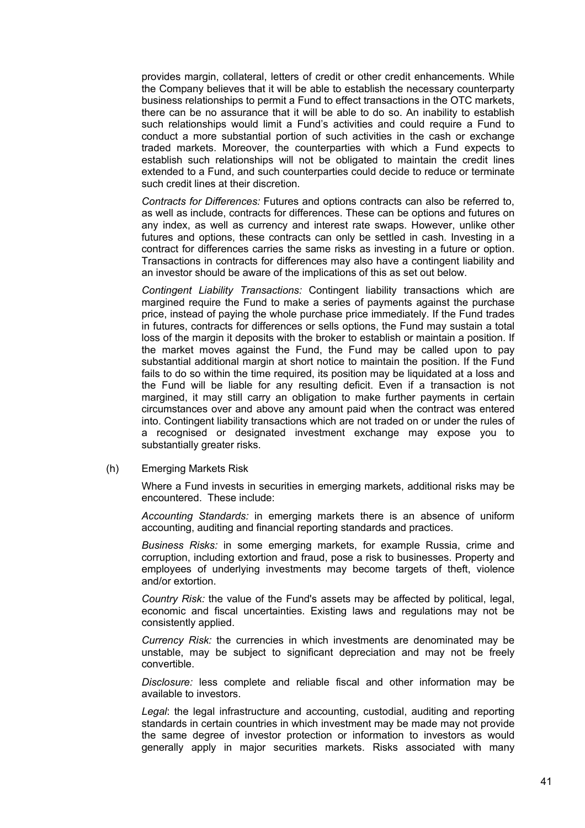provides margin, collateral, letters of credit or other credit enhancements. While the Company believes that it will be able to establish the necessary counterparty business relationships to permit a Fund to effect transactions in the OTC markets, there can be no assurance that it will be able to do so. An inability to establish such relationships would limit a Fund's activities and could require a Fund to conduct a more substantial portion of such activities in the cash or exchange traded markets. Moreover, the counterparties with which a Fund expects to establish such relationships will not be obligated to maintain the credit lines extended to a Fund, and such counterparties could decide to reduce or terminate such credit lines at their discretion.

*Contracts for Differences:* Futures and options contracts can also be referred to, as well as include, contracts for differences. These can be options and futures on any index, as well as currency and interest rate swaps. However, unlike other futures and options, these contracts can only be settled in cash. Investing in a contract for differences carries the same risks as investing in a future or option. Transactions in contracts for differences may also have a contingent liability and an investor should be aware of the implications of this as set out below.

*Contingent Liability Transactions:* Contingent liability transactions which are margined require the Fund to make a series of payments against the purchase price, instead of paying the whole purchase price immediately. If the Fund trades in futures, contracts for differences or sells options, the Fund may sustain a total loss of the margin it deposits with the broker to establish or maintain a position. If the market moves against the Fund, the Fund may be called upon to pay substantial additional margin at short notice to maintain the position. If the Fund fails to do so within the time required, its position may be liquidated at a loss and the Fund will be liable for any resulting deficit. Even if a transaction is not margined, it may still carry an obligation to make further payments in certain circumstances over and above any amount paid when the contract was entered into. Contingent liability transactions which are not traded on or under the rules of a recognised or designated investment exchange may expose you to substantially greater risks.

(h) Emerging Markets Risk

Where a Fund invests in securities in emerging markets, additional risks may be encountered. These include:

*Accounting Standards:* in emerging markets there is an absence of uniform accounting, auditing and financial reporting standards and practices.

*Business Risks:* in some emerging markets, for example Russia, crime and corruption, including extortion and fraud, pose a risk to businesses. Property and employees of underlying investments may become targets of theft, violence and/or extortion.

*Country Risk:* the value of the Fund's assets may be affected by political, legal, economic and fiscal uncertainties. Existing laws and regulations may not be consistently applied.

*Currency Risk:* the currencies in which investments are denominated may be unstable, may be subject to significant depreciation and may not be freely convertible.

*Disclosure:* less complete and reliable fiscal and other information may be available to investors.

*Legal*: the legal infrastructure and accounting, custodial, auditing and reporting standards in certain countries in which investment may be made may not provide the same degree of investor protection or information to investors as would generally apply in major securities markets. Risks associated with many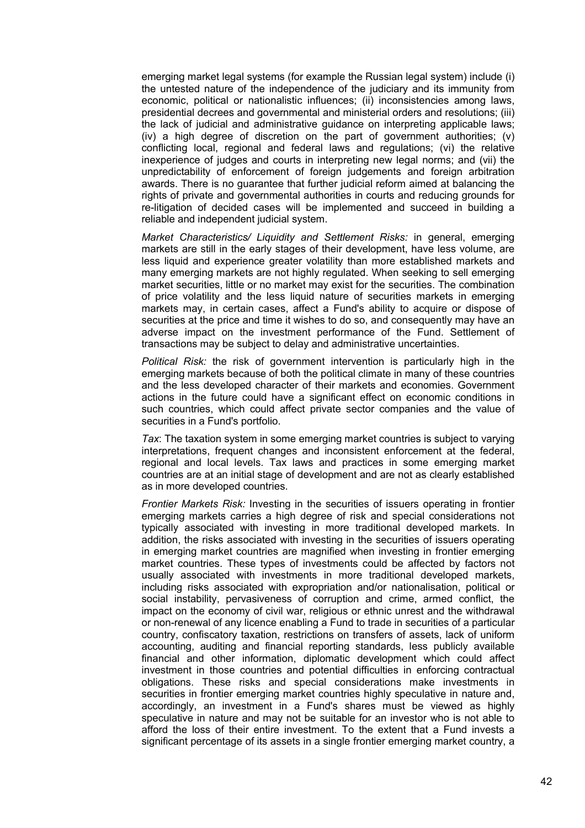emerging market legal systems (for example the Russian legal system) include (i) the untested nature of the independence of the judiciary and its immunity from economic, political or nationalistic influences; (ii) inconsistencies among laws, presidential decrees and governmental and ministerial orders and resolutions; (iii) the lack of judicial and administrative guidance on interpreting applicable laws; (iv) a high degree of discretion on the part of government authorities; (v) conflicting local, regional and federal laws and regulations; (vi) the relative inexperience of judges and courts in interpreting new legal norms; and (vii) the unpredictability of enforcement of foreign judgements and foreign arbitration awards. There is no guarantee that further judicial reform aimed at balancing the rights of private and governmental authorities in courts and reducing grounds for re-litigation of decided cases will be implemented and succeed in building a reliable and independent judicial system.

*Market Characteristics/ Liquidity and Settlement Risks:* in general, emerging markets are still in the early stages of their development, have less volume, are less liquid and experience greater volatility than more established markets and many emerging markets are not highly regulated. When seeking to sell emerging market securities, little or no market may exist for the securities. The combination of price volatility and the less liquid nature of securities markets in emerging markets may, in certain cases, affect a Fund's ability to acquire or dispose of securities at the price and time it wishes to do so, and consequently may have an adverse impact on the investment performance of the Fund. Settlement of transactions may be subject to delay and administrative uncertainties.

*Political Risk:* the risk of government intervention is particularly high in the emerging markets because of both the political climate in many of these countries and the less developed character of their markets and economies. Government actions in the future could have a significant effect on economic conditions in such countries, which could affect private sector companies and the value of securities in a Fund's portfolio.

*Tax*: The taxation system in some emerging market countries is subject to varying interpretations, frequent changes and inconsistent enforcement at the federal, regional and local levels. Tax laws and practices in some emerging market countries are at an initial stage of development and are not as clearly established as in more developed countries.

*Frontier Markets Risk:* Investing in the securities of issuers operating in frontier emerging markets carries a high degree of risk and special considerations not typically associated with investing in more traditional developed markets. In addition, the risks associated with investing in the securities of issuers operating in emerging market countries are magnified when investing in frontier emerging market countries. These types of investments could be affected by factors not usually associated with investments in more traditional developed markets, including risks associated with expropriation and/or nationalisation, political or social instability, pervasiveness of corruption and crime, armed conflict, the impact on the economy of civil war, religious or ethnic unrest and the withdrawal or non-renewal of any licence enabling a Fund to trade in securities of a particular country, confiscatory taxation, restrictions on transfers of assets, lack of uniform accounting, auditing and financial reporting standards, less publicly available financial and other information, diplomatic development which could affect investment in those countries and potential difficulties in enforcing contractual obligations. These risks and special considerations make investments in securities in frontier emerging market countries highly speculative in nature and, accordingly, an investment in a Fund's shares must be viewed as highly speculative in nature and may not be suitable for an investor who is not able to afford the loss of their entire investment. To the extent that a Fund invests a significant percentage of its assets in a single frontier emerging market country, a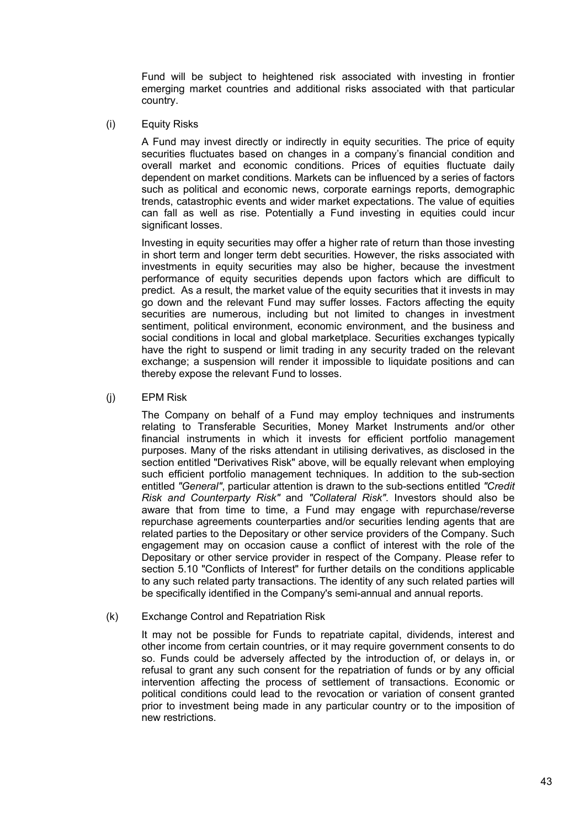Fund will be subject to heightened risk associated with investing in frontier emerging market countries and additional risks associated with that particular country.

(i) Equity Risks

A Fund may invest directly or indirectly in equity securities. The price of equity securities fluctuates based on changes in a company's financial condition and overall market and economic conditions. Prices of equities fluctuate daily dependent on market conditions. Markets can be influenced by a series of factors such as political and economic news, corporate earnings reports, demographic trends, catastrophic events and wider market expectations. The value of equities can fall as well as rise. Potentially a Fund investing in equities could incur significant losses.

Investing in equity securities may offer a higher rate of return than those investing in short term and longer term debt securities. However, the risks associated with investments in equity securities may also be higher, because the investment performance of equity securities depends upon factors which are difficult to predict. As a result, the market value of the equity securities that it invests in may go down and the relevant Fund may suffer losses. Factors affecting the equity securities are numerous, including but not limited to changes in investment sentiment, political environment, economic environment, and the business and social conditions in local and global marketplace. Securities exchanges typically have the right to suspend or limit trading in any security traded on the relevant exchange; a suspension will render it impossible to liquidate positions and can thereby expose the relevant Fund to losses.

(j) EPM Risk

The Company on behalf of a Fund may employ techniques and instruments relating to Transferable Securities, Money Market Instruments and/or other financial instruments in which it invests for efficient portfolio management purposes. Many of the risks attendant in utilising derivatives, as disclosed in the section entitled "Derivatives Risk" above, will be equally relevant when employing such efficient portfolio management techniques. In addition to the sub-section entitled *"General"*, particular attention is drawn to the sub-sections entitled *"Credit Risk and Counterparty Risk"* and *"Collateral Risk"*. Investors should also be aware that from time to time, a Fund may engage with repurchase/reverse repurchase agreements counterparties and/or securities lending agents that are related parties to the Depositary or other service providers of the Company. Such engagement may on occasion cause a conflict of interest with the role of the Depositary or other service provider in respect of the Company. Please refer to section 5.10 "Conflicts of Interest" for further details on the conditions applicable to any such related party transactions. The identity of any such related parties will be specifically identified in the Company's semi-annual and annual reports.

(k) Exchange Control and Repatriation Risk

It may not be possible for Funds to repatriate capital, dividends, interest and other income from certain countries, or it may require government consents to do so. Funds could be adversely affected by the introduction of, or delays in, or refusal to grant any such consent for the repatriation of funds or by any official intervention affecting the process of settlement of transactions. Economic or political conditions could lead to the revocation or variation of consent granted prior to investment being made in any particular country or to the imposition of new restrictions.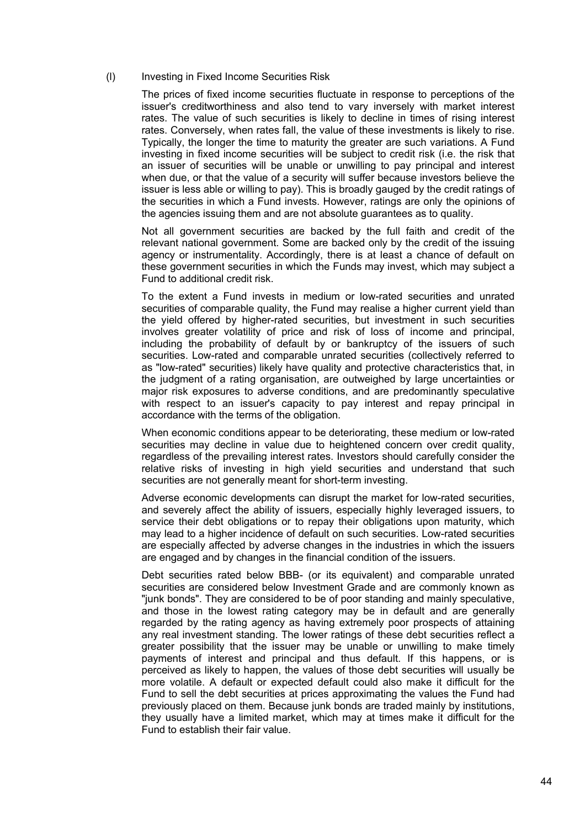#### (l) Investing in Fixed Income Securities Risk

The prices of fixed income securities fluctuate in response to perceptions of the issuer's creditworthiness and also tend to vary inversely with market interest rates. The value of such securities is likely to decline in times of rising interest rates. Conversely, when rates fall, the value of these investments is likely to rise. Typically, the longer the time to maturity the greater are such variations. A Fund investing in fixed income securities will be subject to credit risk (i.e. the risk that an issuer of securities will be unable or unwilling to pay principal and interest when due, or that the value of a security will suffer because investors believe the issuer is less able or willing to pay). This is broadly gauged by the credit ratings of the securities in which a Fund invests. However, ratings are only the opinions of the agencies issuing them and are not absolute guarantees as to quality.

Not all government securities are backed by the full faith and credit of the relevant national government. Some are backed only by the credit of the issuing agency or instrumentality. Accordingly, there is at least a chance of default on these government securities in which the Funds may invest, which may subject a Fund to additional credit risk.

To the extent a Fund invests in medium or low-rated securities and unrated securities of comparable quality, the Fund may realise a higher current yield than the yield offered by higher-rated securities, but investment in such securities involves greater volatility of price and risk of loss of income and principal, including the probability of default by or bankruptcy of the issuers of such securities. Low-rated and comparable unrated securities (collectively referred to as "low-rated" securities) likely have quality and protective characteristics that, in the judgment of a rating organisation, are outweighed by large uncertainties or major risk exposures to adverse conditions, and are predominantly speculative with respect to an issuer's capacity to pay interest and repay principal in accordance with the terms of the obligation.

When economic conditions appear to be deteriorating, these medium or low-rated securities may decline in value due to heightened concern over credit quality, regardless of the prevailing interest rates. Investors should carefully consider the relative risks of investing in high yield securities and understand that such securities are not generally meant for short-term investing.

Adverse economic developments can disrupt the market for low-rated securities, and severely affect the ability of issuers, especially highly leveraged issuers, to service their debt obligations or to repay their obligations upon maturity, which may lead to a higher incidence of default on such securities. Low-rated securities are especially affected by adverse changes in the industries in which the issuers are engaged and by changes in the financial condition of the issuers.

Debt securities rated below BBB- (or its equivalent) and comparable unrated securities are considered below Investment Grade and are commonly known as "junk bonds". They are considered to be of poor standing and mainly speculative, and those in the lowest rating category may be in default and are generally regarded by the rating agency as having extremely poor prospects of attaining any real investment standing. The lower ratings of these debt securities reflect a greater possibility that the issuer may be unable or unwilling to make timely payments of interest and principal and thus default. If this happens, or is perceived as likely to happen, the values of those debt securities will usually be more volatile. A default or expected default could also make it difficult for the Fund to sell the debt securities at prices approximating the values the Fund had previously placed on them. Because junk bonds are traded mainly by institutions, they usually have a limited market, which may at times make it difficult for the Fund to establish their fair value.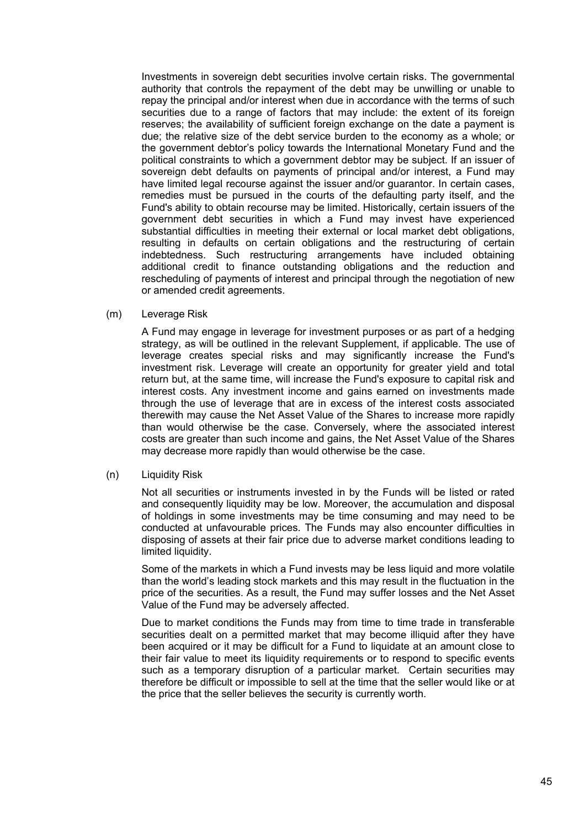Investments in sovereign debt securities involve certain risks. The governmental authority that controls the repayment of the debt may be unwilling or unable to repay the principal and/or interest when due in accordance with the terms of such securities due to a range of factors that may include: the extent of its foreign reserves; the availability of sufficient foreign exchange on the date a payment is due; the relative size of the debt service burden to the economy as a whole; or the government debtor's policy towards the International Monetary Fund and the political constraints to which a government debtor may be subject. If an issuer of sovereign debt defaults on payments of principal and/or interest, a Fund may have limited legal recourse against the issuer and/or guarantor. In certain cases, remedies must be pursued in the courts of the defaulting party itself, and the Fund's ability to obtain recourse may be limited. Historically, certain issuers of the government debt securities in which a Fund may invest have experienced substantial difficulties in meeting their external or local market debt obligations, resulting in defaults on certain obligations and the restructuring of certain indebtedness. Such restructuring arrangements have included obtaining additional credit to finance outstanding obligations and the reduction and rescheduling of payments of interest and principal through the negotiation of new or amended credit agreements.

(m) Leverage Risk

A Fund may engage in leverage for investment purposes or as part of a hedging strategy, as will be outlined in the relevant Supplement, if applicable. The use of leverage creates special risks and may significantly increase the Fund's investment risk. Leverage will create an opportunity for greater yield and total return but, at the same time, will increase the Fund's exposure to capital risk and interest costs. Any investment income and gains earned on investments made through the use of leverage that are in excess of the interest costs associated therewith may cause the Net Asset Value of the Shares to increase more rapidly than would otherwise be the case. Conversely, where the associated interest costs are greater than such income and gains, the Net Asset Value of the Shares may decrease more rapidly than would otherwise be the case.

(n) Liquidity Risk

Not all securities or instruments invested in by the Funds will be listed or rated and consequently liquidity may be low. Moreover, the accumulation and disposal of holdings in some investments may be time consuming and may need to be conducted at unfavourable prices. The Funds may also encounter difficulties in disposing of assets at their fair price due to adverse market conditions leading to limited liquidity.

Some of the markets in which a Fund invests may be less liquid and more volatile than the world's leading stock markets and this may result in the fluctuation in the price of the securities. As a result, the Fund may suffer losses and the Net Asset Value of the Fund may be adversely affected.

Due to market conditions the Funds may from time to time trade in transferable securities dealt on a permitted market that may become illiquid after they have been acquired or it may be difficult for a Fund to liquidate at an amount close to their fair value to meet its liquidity requirements or to respond to specific events such as a temporary disruption of a particular market. Certain securities may therefore be difficult or impossible to sell at the time that the seller would like or at the price that the seller believes the security is currently worth.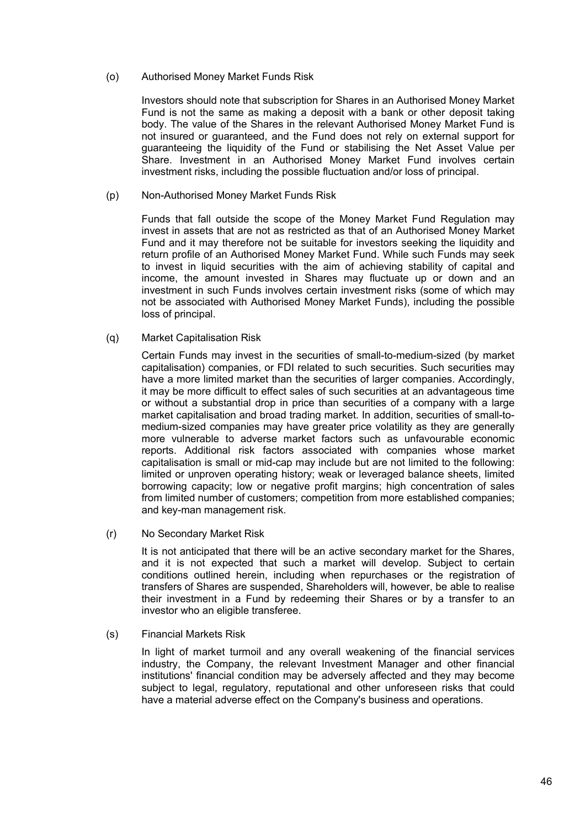## (o) Authorised Money Market Funds Risk

Investors should note that subscription for Shares in an Authorised Money Market Fund is not the same as making a deposit with a bank or other deposit taking body. The value of the Shares in the relevant Authorised Money Market Fund is not insured or guaranteed, and the Fund does not rely on external support for guaranteeing the liquidity of the Fund or stabilising the Net Asset Value per Share. Investment in an Authorised Money Market Fund involves certain investment risks, including the possible fluctuation and/or loss of principal.

(p) Non-Authorised Money Market Funds Risk

Funds that fall outside the scope of the Money Market Fund Regulation may invest in assets that are not as restricted as that of an Authorised Money Market Fund and it may therefore not be suitable for investors seeking the liquidity and return profile of an Authorised Money Market Fund. While such Funds may seek to invest in liquid securities with the aim of achieving stability of capital and income, the amount invested in Shares may fluctuate up or down and an investment in such Funds involves certain investment risks (some of which may not be associated with Authorised Money Market Funds), including the possible loss of principal.

(q) Market Capitalisation Risk

Certain Funds may invest in the securities of small-to-medium-sized (by market capitalisation) companies, or FDI related to such securities. Such securities may have a more limited market than the securities of larger companies. Accordingly, it may be more difficult to effect sales of such securities at an advantageous time or without a substantial drop in price than securities of a company with a large market capitalisation and broad trading market. In addition, securities of small-tomedium-sized companies may have greater price volatility as they are generally more vulnerable to adverse market factors such as unfavourable economic reports. Additional risk factors associated with companies whose market capitalisation is small or mid-cap may include but are not limited to the following: limited or unproven operating history; weak or leveraged balance sheets, limited borrowing capacity; low or negative profit margins; high concentration of sales from limited number of customers; competition from more established companies; and key-man management risk.

(r) No Secondary Market Risk

It is not anticipated that there will be an active secondary market for the Shares, and it is not expected that such a market will develop. Subject to certain conditions outlined herein, including when repurchases or the registration of transfers of Shares are suspended, Shareholders will, however, be able to realise their investment in a Fund by redeeming their Shares or by a transfer to an investor who an eligible transferee.

(s) Financial Markets Risk

In light of market turmoil and any overall weakening of the financial services industry, the Company, the relevant Investment Manager and other financial institutions' financial condition may be adversely affected and they may become subject to legal, regulatory, reputational and other unforeseen risks that could have a material adverse effect on the Company's business and operations.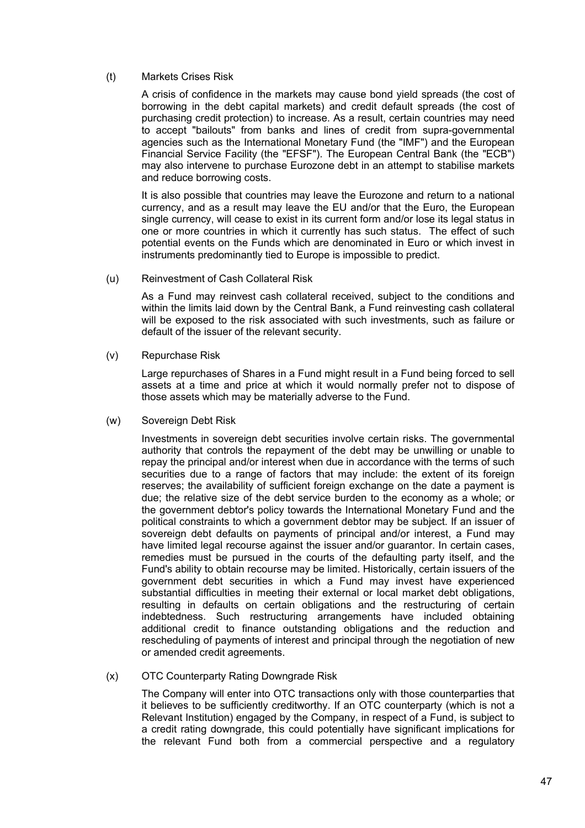# (t) Markets Crises Risk

A crisis of confidence in the markets may cause bond yield spreads (the cost of borrowing in the debt capital markets) and credit default spreads (the cost of purchasing credit protection) to increase. As a result, certain countries may need to accept "bailouts" from banks and lines of credit from supra-governmental agencies such as the International Monetary Fund (the "IMF") and the European Financial Service Facility (the "EFSF"). The European Central Bank (the "ECB") may also intervene to purchase Eurozone debt in an attempt to stabilise markets and reduce borrowing costs.

It is also possible that countries may leave the Eurozone and return to a national currency, and as a result may leave the EU and/or that the Euro, the European single currency, will cease to exist in its current form and/or lose its legal status in one or more countries in which it currently has such status. The effect of such potential events on the Funds which are denominated in Euro or which invest in instruments predominantly tied to Europe is impossible to predict.

(u) Reinvestment of Cash Collateral Risk

As a Fund may reinvest cash collateral received, subject to the conditions and within the limits laid down by the Central Bank, a Fund reinvesting cash collateral will be exposed to the risk associated with such investments, such as failure or default of the issuer of the relevant security.

(v) Repurchase Risk

Large repurchases of Shares in a Fund might result in a Fund being forced to sell assets at a time and price at which it would normally prefer not to dispose of those assets which may be materially adverse to the Fund.

(w) Sovereign Debt Risk

Investments in sovereign debt securities involve certain risks. The governmental authority that controls the repayment of the debt may be unwilling or unable to repay the principal and/or interest when due in accordance with the terms of such securities due to a range of factors that may include: the extent of its foreign reserves; the availability of sufficient foreign exchange on the date a payment is due; the relative size of the debt service burden to the economy as a whole; or the government debtor's policy towards the International Monetary Fund and the political constraints to which a government debtor may be subject. If an issuer of sovereign debt defaults on payments of principal and/or interest, a Fund may have limited legal recourse against the issuer and/or guarantor. In certain cases, remedies must be pursued in the courts of the defaulting party itself, and the Fund's ability to obtain recourse may be limited. Historically, certain issuers of the government debt securities in which a Fund may invest have experienced substantial difficulties in meeting their external or local market debt obligations, resulting in defaults on certain obligations and the restructuring of certain indebtedness. Such restructuring arrangements have included obtaining additional credit to finance outstanding obligations and the reduction and rescheduling of payments of interest and principal through the negotiation of new or amended credit agreements.

(x) OTC Counterparty Rating Downgrade Risk

The Company will enter into OTC transactions only with those counterparties that it believes to be sufficiently creditworthy. If an OTC counterparty (which is not a Relevant Institution) engaged by the Company, in respect of a Fund, is subject to a credit rating downgrade, this could potentially have significant implications for the relevant Fund both from a commercial perspective and a regulatory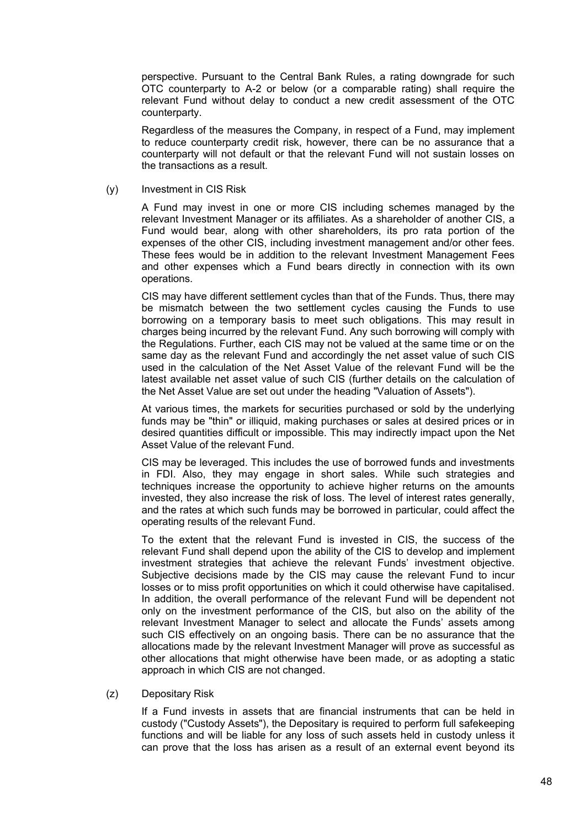perspective. Pursuant to the Central Bank Rules, a rating downgrade for such OTC counterparty to A-2 or below (or a comparable rating) shall require the relevant Fund without delay to conduct a new credit assessment of the OTC counterparty.

Regardless of the measures the Company, in respect of a Fund, may implement to reduce counterparty credit risk, however, there can be no assurance that a counterparty will not default or that the relevant Fund will not sustain losses on the transactions as a result.

(y) Investment in CIS Risk

A Fund may invest in one or more CIS including schemes managed by the relevant Investment Manager or its affiliates. As a shareholder of another CIS, a Fund would bear, along with other shareholders, its pro rata portion of the expenses of the other CIS, including investment management and/or other fees. These fees would be in addition to the relevant Investment Management Fees and other expenses which a Fund bears directly in connection with its own operations.

CIS may have different settlement cycles than that of the Funds. Thus, there may be mismatch between the two settlement cycles causing the Funds to use borrowing on a temporary basis to meet such obligations. This may result in charges being incurred by the relevant Fund. Any such borrowing will comply with the Regulations. Further, each CIS may not be valued at the same time or on the same day as the relevant Fund and accordingly the net asset value of such CIS used in the calculation of the Net Asset Value of the relevant Fund will be the latest available net asset value of such CIS (further details on the calculation of the Net Asset Value are set out under the heading "Valuation of Assets").

At various times, the markets for securities purchased or sold by the underlying funds may be "thin" or illiquid, making purchases or sales at desired prices or in desired quantities difficult or impossible. This may indirectly impact upon the Net Asset Value of the relevant Fund.

CIS may be leveraged. This includes the use of borrowed funds and investments in FDI. Also, they may engage in short sales. While such strategies and techniques increase the opportunity to achieve higher returns on the amounts invested, they also increase the risk of loss. The level of interest rates generally, and the rates at which such funds may be borrowed in particular, could affect the operating results of the relevant Fund.

To the extent that the relevant Fund is invested in CIS, the success of the relevant Fund shall depend upon the ability of the CIS to develop and implement investment strategies that achieve the relevant Funds' investment objective. Subjective decisions made by the CIS may cause the relevant Fund to incur losses or to miss profit opportunities on which it could otherwise have capitalised. In addition, the overall performance of the relevant Fund will be dependent not only on the investment performance of the CIS, but also on the ability of the relevant Investment Manager to select and allocate the Funds' assets among such CIS effectively on an ongoing basis. There can be no assurance that the allocations made by the relevant Investment Manager will prove as successful as other allocations that might otherwise have been made, or as adopting a static approach in which CIS are not changed.

# (z) Depositary Risk

If a Fund invests in assets that are financial instruments that can be held in custody ("Custody Assets"), the Depositary is required to perform full safekeeping functions and will be liable for any loss of such assets held in custody unless it can prove that the loss has arisen as a result of an external event beyond its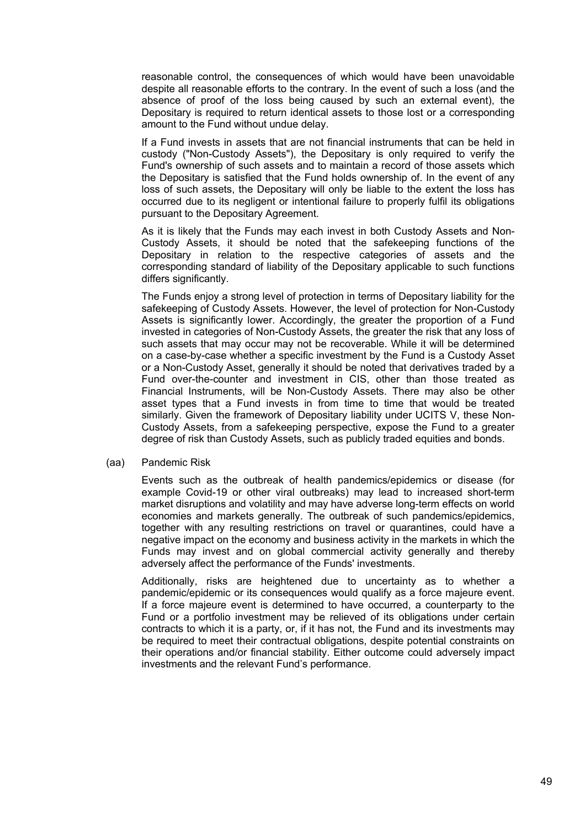reasonable control, the consequences of which would have been unavoidable despite all reasonable efforts to the contrary. In the event of such a loss (and the absence of proof of the loss being caused by such an external event), the Depositary is required to return identical assets to those lost or a corresponding amount to the Fund without undue delay.

If a Fund invests in assets that are not financial instruments that can be held in custody ("Non-Custody Assets"), the Depositary is only required to verify the Fund's ownership of such assets and to maintain a record of those assets which the Depositary is satisfied that the Fund holds ownership of. In the event of any loss of such assets, the Depositary will only be liable to the extent the loss has occurred due to its negligent or intentional failure to properly fulfil its obligations pursuant to the Depositary Agreement.

As it is likely that the Funds may each invest in both Custody Assets and Non-Custody Assets, it should be noted that the safekeeping functions of the Depositary in relation to the respective categories of assets and the corresponding standard of liability of the Depositary applicable to such functions differs significantly.

The Funds enjoy a strong level of protection in terms of Depositary liability for the safekeeping of Custody Assets. However, the level of protection for Non-Custody Assets is significantly lower. Accordingly, the greater the proportion of a Fund invested in categories of Non-Custody Assets, the greater the risk that any loss of such assets that may occur may not be recoverable. While it will be determined on a case-by-case whether a specific investment by the Fund is a Custody Asset or a Non-Custody Asset, generally it should be noted that derivatives traded by a Fund over-the-counter and investment in CIS, other than those treated as Financial Instruments, will be Non-Custody Assets. There may also be other asset types that a Fund invests in from time to time that would be treated similarly. Given the framework of Depositary liability under UCITS V, these Non-Custody Assets, from a safekeeping perspective, expose the Fund to a greater degree of risk than Custody Assets, such as publicly traded equities and bonds.

(aa) Pandemic Risk

Events such as the outbreak of health pandemics/epidemics or disease (for example Covid-19 or other viral outbreaks) may lead to increased short-term market disruptions and volatility and may have adverse long-term effects on world economies and markets generally. The outbreak of such pandemics/epidemics, together with any resulting restrictions on travel or quarantines, could have a negative impact on the economy and business activity in the markets in which the Funds may invest and on global commercial activity generally and thereby adversely affect the performance of the Funds' investments.

Additionally, risks are heightened due to uncertainty as to whether a pandemic/epidemic or its consequences would qualify as a force majeure event. If a force majeure event is determined to have occurred, a counterparty to the Fund or a portfolio investment may be relieved of its obligations under certain contracts to which it is a party, or, if it has not, the Fund and its investments may be required to meet their contractual obligations, despite potential constraints on their operations and/or financial stability. Either outcome could adversely impact investments and the relevant Fund's performance.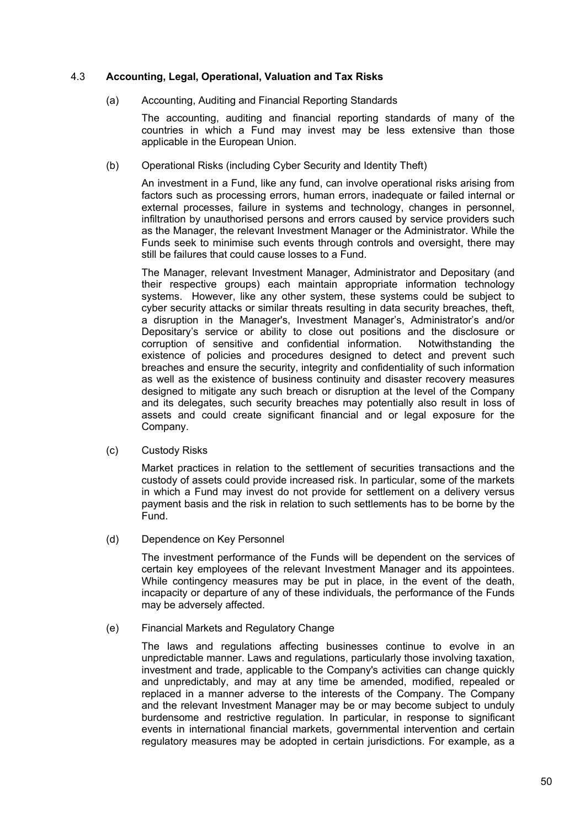# 4.3 **Accounting, Legal, Operational, Valuation and Tax Risks**

(a) Accounting, Auditing and Financial Reporting Standards

The accounting, auditing and financial reporting standards of many of the countries in which a Fund may invest may be less extensive than those applicable in the European Union.

(b) Operational Risks (including Cyber Security and Identity Theft)

An investment in a Fund, like any fund, can involve operational risks arising from factors such as processing errors, human errors, inadequate or failed internal or external processes, failure in systems and technology, changes in personnel, infiltration by unauthorised persons and errors caused by service providers such as the Manager, the relevant Investment Manager or the Administrator. While the Funds seek to minimise such events through controls and oversight, there may still be failures that could cause losses to a Fund.

The Manager, relevant Investment Manager, Administrator and Depositary (and their respective groups) each maintain appropriate information technology systems. However, like any other system, these systems could be subject to cyber security attacks or similar threats resulting in data security breaches, theft, a disruption in the Manager's, Investment Manager's, Administrator's and/or Depositary's service or ability to close out positions and the disclosure or corruption of sensitive and confidential information. Notwithstanding the existence of policies and procedures designed to detect and prevent such breaches and ensure the security, integrity and confidentiality of such information as well as the existence of business continuity and disaster recovery measures designed to mitigate any such breach or disruption at the level of the Company and its delegates, such security breaches may potentially also result in loss of assets and could create significant financial and or legal exposure for the Company.

(c) Custody Risks

Market practices in relation to the settlement of securities transactions and the custody of assets could provide increased risk. In particular, some of the markets in which a Fund may invest do not provide for settlement on a delivery versus payment basis and the risk in relation to such settlements has to be borne by the Fund.

(d) Dependence on Key Personnel

The investment performance of the Funds will be dependent on the services of certain key employees of the relevant Investment Manager and its appointees. While contingency measures may be put in place, in the event of the death, incapacity or departure of any of these individuals, the performance of the Funds may be adversely affected.

## (e) Financial Markets and Regulatory Change

The laws and regulations affecting businesses continue to evolve in an unpredictable manner. Laws and regulations, particularly those involving taxation, investment and trade, applicable to the Company's activities can change quickly and unpredictably, and may at any time be amended, modified, repealed or replaced in a manner adverse to the interests of the Company. The Company and the relevant Investment Manager may be or may become subject to unduly burdensome and restrictive regulation. In particular, in response to significant events in international financial markets, governmental intervention and certain regulatory measures may be adopted in certain jurisdictions. For example, as a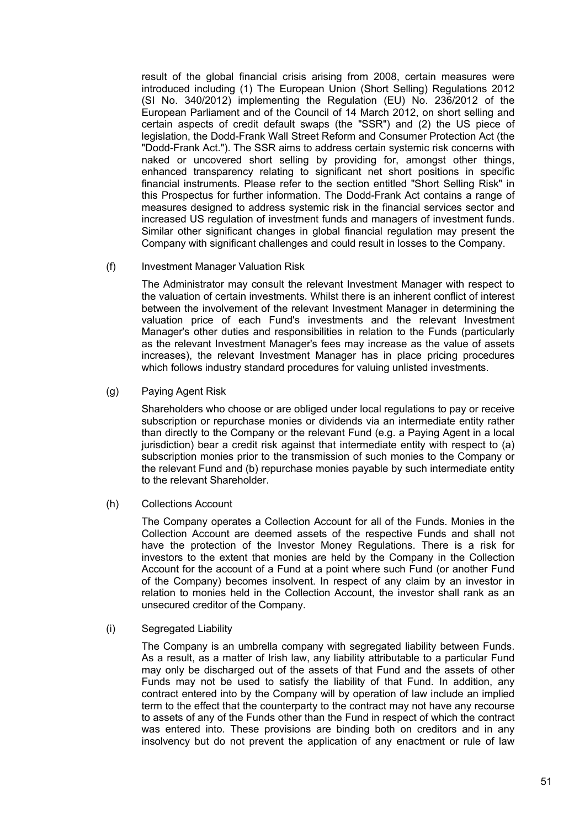result of the global financial crisis arising from 2008, certain measures were introduced including (1) The European Union (Short Selling) Regulations 2012 (SI No. 340/2012) implementing the Regulation (EU) No. 236/2012 of the European Parliament and of the Council of 14 March 2012, on short selling and certain aspects of credit default swaps (the "SSR") and (2) the US piece of legislation, the Dodd-Frank Wall Street Reform and Consumer Protection Act (the "Dodd-Frank Act."). The SSR aims to address certain systemic risk concerns with naked or uncovered short selling by providing for, amongst other things, enhanced transparency relating to significant net short positions in specific financial instruments. Please refer to the section entitled "Short Selling Risk" in this Prospectus for further information. The Dodd-Frank Act contains a range of measures designed to address systemic risk in the financial services sector and increased US regulation of investment funds and managers of investment funds. Similar other significant changes in global financial regulation may present the Company with significant challenges and could result in losses to the Company.

## (f) Investment Manager Valuation Risk

The Administrator may consult the relevant Investment Manager with respect to the valuation of certain investments. Whilst there is an inherent conflict of interest between the involvement of the relevant Investment Manager in determining the valuation price of each Fund's investments and the relevant Investment Manager's other duties and responsibilities in relation to the Funds (particularly as the relevant Investment Manager's fees may increase as the value of assets increases), the relevant Investment Manager has in place pricing procedures which follows industry standard procedures for valuing unlisted investments.

(g) Paying Agent Risk

Shareholders who choose or are obliged under local regulations to pay or receive subscription or repurchase monies or dividends via an intermediate entity rather than directly to the Company or the relevant Fund (e.g. a Paying Agent in a local jurisdiction) bear a credit risk against that intermediate entity with respect to (a) subscription monies prior to the transmission of such monies to the Company or the relevant Fund and (b) repurchase monies payable by such intermediate entity to the relevant Shareholder.

(h) Collections Account

The Company operates a Collection Account for all of the Funds. Monies in the Collection Account are deemed assets of the respective Funds and shall not have the protection of the Investor Money Regulations. There is a risk for investors to the extent that monies are held by the Company in the Collection Account for the account of a Fund at a point where such Fund (or another Fund of the Company) becomes insolvent. In respect of any claim by an investor in relation to monies held in the Collection Account, the investor shall rank as an unsecured creditor of the Company.

(i) Segregated Liability

The Company is an umbrella company with segregated liability between Funds. As a result, as a matter of Irish law, any liability attributable to a particular Fund may only be discharged out of the assets of that Fund and the assets of other Funds may not be used to satisfy the liability of that Fund. In addition, any contract entered into by the Company will by operation of law include an implied term to the effect that the counterparty to the contract may not have any recourse to assets of any of the Funds other than the Fund in respect of which the contract was entered into. These provisions are binding both on creditors and in any insolvency but do not prevent the application of any enactment or rule of law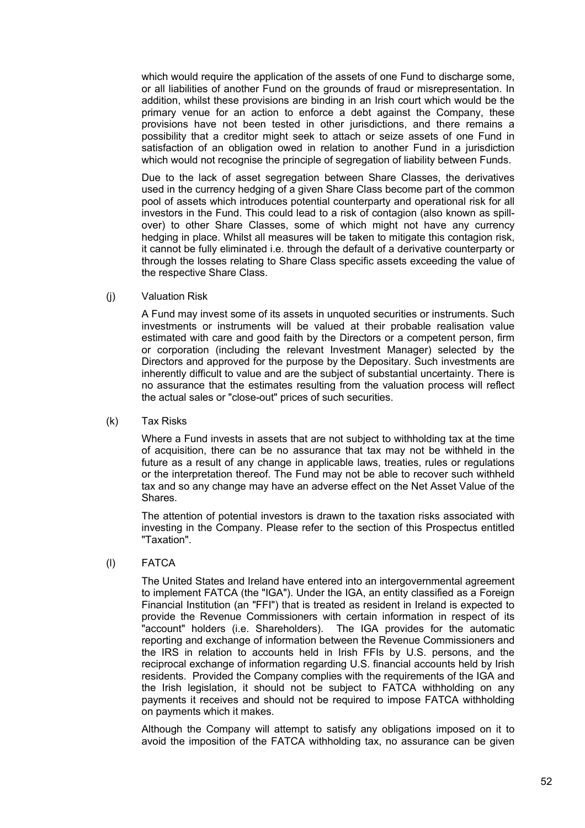which would require the application of the assets of one Fund to discharge some, or all liabilities of another Fund on the grounds of fraud or misrepresentation. In addition, whilst these provisions are binding in an Irish court which would be the primary venue for an action to enforce a debt against the Company, these provisions have not been tested in other jurisdictions, and there remains a possibility that a creditor might seek to attach or seize assets of one Fund in satisfaction of an obligation owed in relation to another Fund in a jurisdiction which would not recognise the principle of segregation of liability between Funds.

Due to the lack of asset segregation between Share Classes, the derivatives used in the currency hedging of a given Share Class become part of the common pool of assets which introduces potential counterparty and operational risk for all investors in the Fund. This could lead to a risk of contagion (also known as spillover) to other Share Classes, some of which might not have any currency hedging in place. Whilst all measures will be taken to mitigate this contagion risk, it cannot be fully eliminated i.e. through the default of a derivative counterparty or through the losses relating to Share Class specific assets exceeding the value of the respective Share Class.

(j) Valuation Risk

A Fund may invest some of its assets in unquoted securities or instruments. Such investments or instruments will be valued at their probable realisation value estimated with care and good faith by the Directors or a competent person, firm or corporation (including the relevant Investment Manager) selected by the Directors and approved for the purpose by the Depositary. Such investments are inherently difficult to value and are the subject of substantial uncertainty. There is no assurance that the estimates resulting from the valuation process will reflect the actual sales or "close-out" prices of such securities.

(k) Tax Risks

Where a Fund invests in assets that are not subject to withholding tax at the time of acquisition, there can be no assurance that tax may not be withheld in the future as a result of any change in applicable laws, treaties, rules or regulations or the interpretation thereof. The Fund may not be able to recover such withheld tax and so any change may have an adverse effect on the Net Asset Value of the Shares.

The attention of potential investors is drawn to the taxation risks associated with investing in the Company. Please refer to the section of this Prospectus entitled "Taxation".

## (l) FATCA

The United States and Ireland have entered into an intergovernmental agreement to implement FATCA (the "IGA"). Under the IGA, an entity classified as a Foreign Financial Institution (an "FFI") that is treated as resident in Ireland is expected to provide the Revenue Commissioners with certain information in respect of its "account" holders (i.e. Shareholders). The IGA provides for the automatic reporting and exchange of information between the Revenue Commissioners and the IRS in relation to accounts held in Irish FFIs by U.S. persons, and the reciprocal exchange of information regarding U.S. financial accounts held by Irish residents. Provided the Company complies with the requirements of the IGA and the Irish legislation, it should not be subject to FATCA withholding on any payments it receives and should not be required to impose FATCA withholding on payments which it makes.

Although the Company will attempt to satisfy any obligations imposed on it to avoid the imposition of the FATCA withholding tax, no assurance can be given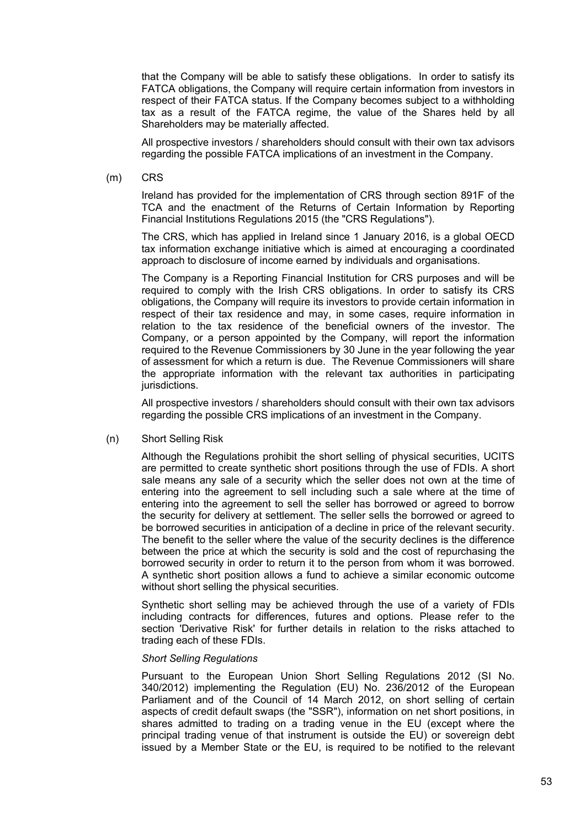that the Company will be able to satisfy these obligations. In order to satisfy its FATCA obligations, the Company will require certain information from investors in respect of their FATCA status. If the Company becomes subject to a withholding tax as a result of the FATCA regime, the value of the Shares held by all Shareholders may be materially affected.

All prospective investors / shareholders should consult with their own tax advisors regarding the possible FATCA implications of an investment in the Company.

(m) CRS

Ireland has provided for the implementation of CRS through section 891F of the TCA and the enactment of the Returns of Certain Information by Reporting Financial Institutions Regulations 2015 (the "CRS Regulations").

The CRS, which has applied in Ireland since 1 January 2016, is a global OECD tax information exchange initiative which is aimed at encouraging a coordinated approach to disclosure of income earned by individuals and organisations.

The Company is a Reporting Financial Institution for CRS purposes and will be required to comply with the Irish CRS obligations. In order to satisfy its CRS obligations, the Company will require its investors to provide certain information in respect of their tax residence and may, in some cases, require information in relation to the tax residence of the beneficial owners of the investor. The Company, or a person appointed by the Company, will report the information required to the Revenue Commissioners by 30 June in the year following the year of assessment for which a return is due. The Revenue Commissioners will share the appropriate information with the relevant tax authorities in participating jurisdictions.

All prospective investors / shareholders should consult with their own tax advisors regarding the possible CRS implications of an investment in the Company.

(n) Short Selling Risk

Although the Regulations prohibit the short selling of physical securities, UCITS are permitted to create synthetic short positions through the use of FDIs. A short sale means any sale of a security which the seller does not own at the time of entering into the agreement to sell including such a sale where at the time of entering into the agreement to sell the seller has borrowed or agreed to borrow the security for delivery at settlement. The seller sells the borrowed or agreed to be borrowed securities in anticipation of a decline in price of the relevant security. The benefit to the seller where the value of the security declines is the difference between the price at which the security is sold and the cost of repurchasing the borrowed security in order to return it to the person from whom it was borrowed. A synthetic short position allows a fund to achieve a similar economic outcome without short selling the physical securities.

Synthetic short selling may be achieved through the use of a variety of FDIs including contracts for differences, futures and options. Please refer to the section 'Derivative Risk' for further details in relation to the risks attached to trading each of these FDIs.

#### *Short Selling Regulations*

Pursuant to the European Union Short Selling Regulations 2012 (SI No. 340/2012) implementing the Regulation (EU) No. 236/2012 of the European Parliament and of the Council of 14 March 2012, on short selling of certain aspects of credit default swaps (the "SSR"), information on net short positions, in shares admitted to trading on a trading venue in the EU (except where the principal trading venue of that instrument is outside the EU) or sovereign debt issued by a Member State or the EU, is required to be notified to the relevant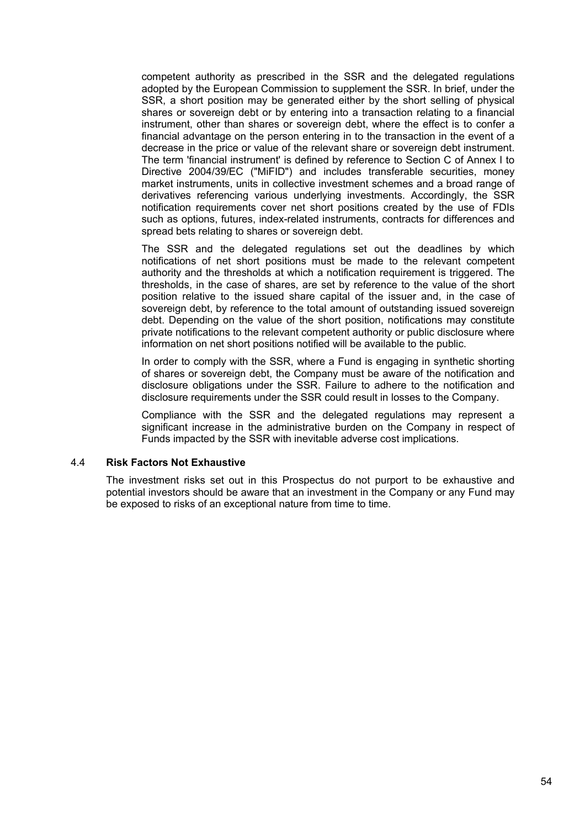competent authority as prescribed in the SSR and the delegated regulations adopted by the European Commission to supplement the SSR. In brief, under the SSR, a short position may be generated either by the short selling of physical shares or sovereign debt or by entering into a transaction relating to a financial instrument, other than shares or sovereign debt, where the effect is to confer a financial advantage on the person entering in to the transaction in the event of a decrease in the price or value of the relevant share or sovereign debt instrument. The term 'financial instrument' is defined by reference to Section C of Annex I to Directive 2004/39/EC ("MiFID") and includes transferable securities, money market instruments, units in collective investment schemes and a broad range of derivatives referencing various underlying investments. Accordingly, the SSR notification requirements cover net short positions created by the use of FDIs such as options, futures, index-related instruments, contracts for differences and spread bets relating to shares or sovereign debt.

The SSR and the delegated regulations set out the deadlines by which notifications of net short positions must be made to the relevant competent authority and the thresholds at which a notification requirement is triggered. The thresholds, in the case of shares, are set by reference to the value of the short position relative to the issued share capital of the issuer and, in the case of sovereign debt, by reference to the total amount of outstanding issued sovereign debt. Depending on the value of the short position, notifications may constitute private notifications to the relevant competent authority or public disclosure where information on net short positions notified will be available to the public.

In order to comply with the SSR, where a Fund is engaging in synthetic shorting of shares or sovereign debt, the Company must be aware of the notification and disclosure obligations under the SSR. Failure to adhere to the notification and disclosure requirements under the SSR could result in losses to the Company.

Compliance with the SSR and the delegated regulations may represent a significant increase in the administrative burden on the Company in respect of Funds impacted by the SSR with inevitable adverse cost implications.

#### 4.4 **Risk Factors Not Exhaustive**

The investment risks set out in this Prospectus do not purport to be exhaustive and potential investors should be aware that an investment in the Company or any Fund may be exposed to risks of an exceptional nature from time to time.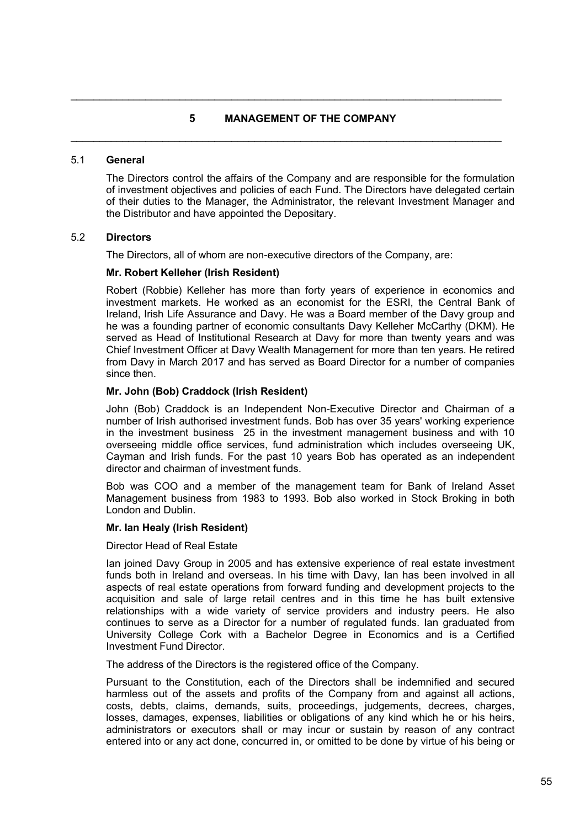# **5 MANAGEMENT OF THE COMPANY**

 $\mathcal{L}_\mathcal{L} = \{ \mathcal{L}_\mathcal{L} = \{ \mathcal{L}_\mathcal{L} = \{ \mathcal{L}_\mathcal{L} = \{ \mathcal{L}_\mathcal{L} = \{ \mathcal{L}_\mathcal{L} = \{ \mathcal{L}_\mathcal{L} = \{ \mathcal{L}_\mathcal{L} = \{ \mathcal{L}_\mathcal{L} = \{ \mathcal{L}_\mathcal{L} = \{ \mathcal{L}_\mathcal{L} = \{ \mathcal{L}_\mathcal{L} = \{ \mathcal{L}_\mathcal{L} = \{ \mathcal{L}_\mathcal{L} = \{ \mathcal{L}_\mathcal{$ 

 $\mathcal{L}_\mathcal{L} = \mathcal{L}_\mathcal{L} = \mathcal{L}_\mathcal{L} = \mathcal{L}_\mathcal{L} = \mathcal{L}_\mathcal{L} = \mathcal{L}_\mathcal{L} = \mathcal{L}_\mathcal{L} = \mathcal{L}_\mathcal{L} = \mathcal{L}_\mathcal{L} = \mathcal{L}_\mathcal{L} = \mathcal{L}_\mathcal{L} = \mathcal{L}_\mathcal{L} = \mathcal{L}_\mathcal{L} = \mathcal{L}_\mathcal{L} = \mathcal{L}_\mathcal{L} = \mathcal{L}_\mathcal{L} = \mathcal{L}_\mathcal{L}$ 

#### 5.1 **General**

The Directors control the affairs of the Company and are responsible for the formulation of investment objectives and policies of each Fund. The Directors have delegated certain of their duties to the Manager, the Administrator, the relevant Investment Manager and the Distributor and have appointed the Depositary.

#### 5.2 **Directors**

The Directors, all of whom are non-executive directors of the Company, are:

#### **Mr. Robert Kelleher (Irish Resident)**

Robert (Robbie) Kelleher has more than forty years of experience in economics and investment markets. He worked as an economist for the ESRI, the Central Bank of Ireland, Irish Life Assurance and Davy. He was a Board member of the Davy group and he was a founding partner of economic consultants Davy Kelleher McCarthy (DKM). He served as Head of Institutional Research at Davy for more than twenty years and was Chief Investment Officer at Davy Wealth Management for more than ten years. He retired from Davy in March 2017 and has served as Board Director for a number of companies since then.

#### **Mr. John (Bob) Craddock (Irish Resident)**

John (Bob) Craddock is an Independent Non-Executive Director and Chairman of a number of Irish authorised investment funds. Bob has over 35 years' working experience in the investment business 25 in the investment management business and with 10 overseeing middle office services, fund administration which includes overseeing UK, Cayman and Irish funds. For the past 10 years Bob has operated as an independent director and chairman of investment funds.

Bob was COO and a member of the management team for Bank of Ireland Asset Management business from 1983 to 1993. Bob also worked in Stock Broking in both London and Dublin.

#### **Mr. Ian Healy (Irish Resident)**

Director Head of Real Estate

Ian joined Davy Group in 2005 and has extensive experience of real estate investment funds both in Ireland and overseas. In his time with Davy, Ian has been involved in all aspects of real estate operations from forward funding and development projects to the acquisition and sale of large retail centres and in this time he has built extensive relationships with a wide variety of service providers and industry peers. He also continues to serve as a Director for a number of regulated funds. Ian graduated from University College Cork with a Bachelor Degree in Economics and is a Certified Investment Fund Director.

The address of the Directors is the registered office of the Company.

Pursuant to the Constitution, each of the Directors shall be indemnified and secured harmless out of the assets and profits of the Company from and against all actions, costs, debts, claims, demands, suits, proceedings, judgements, decrees, charges, losses, damages, expenses, liabilities or obligations of any kind which he or his heirs, administrators or executors shall or may incur or sustain by reason of any contract entered into or any act done, concurred in, or omitted to be done by virtue of his being or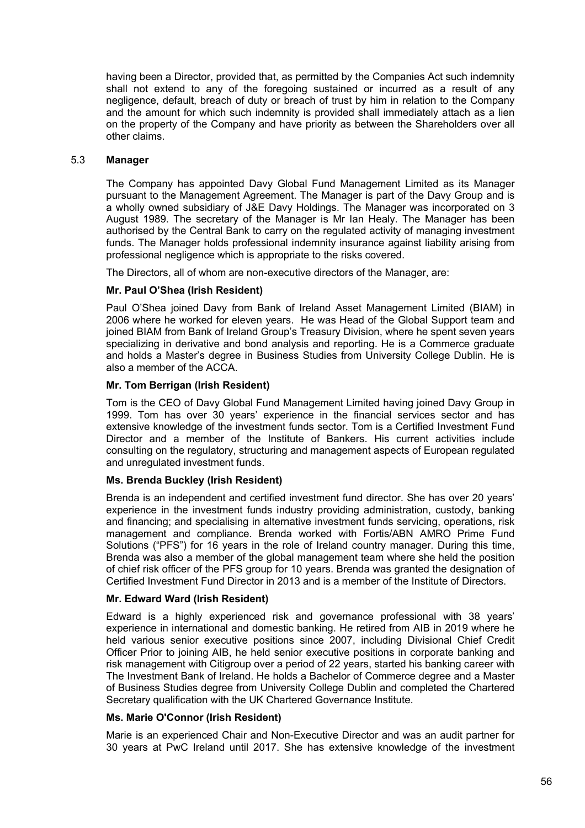having been a Director, provided that, as permitted by the Companies Act such indemnity shall not extend to any of the foregoing sustained or incurred as a result of any negligence, default, breach of duty or breach of trust by him in relation to the Company and the amount for which such indemnity is provided shall immediately attach as a lien on the property of the Company and have priority as between the Shareholders over all other claims.

# 5.3 **Manager**

The Company has appointed Davy Global Fund Management Limited as its Manager pursuant to the Management Agreement. The Manager is part of the Davy Group and is a wholly owned subsidiary of J&E Davy Holdings. The Manager was incorporated on 3 August 1989. The secretary of the Manager is Mr Ian Healy. The Manager has been authorised by the Central Bank to carry on the regulated activity of managing investment funds. The Manager holds professional indemnity insurance against liability arising from professional negligence which is appropriate to the risks covered.

The Directors, all of whom are non-executive directors of the Manager, are:

# **Mr. Paul O'Shea (Irish Resident)**

Paul O'Shea joined Davy from Bank of Ireland Asset Management Limited (BIAM) in 2006 where he worked for eleven years. He was Head of the Global Support team and joined BIAM from Bank of Ireland Group's Treasury Division, where he spent seven years specializing in derivative and bond analysis and reporting. He is a Commerce graduate and holds a Master's degree in Business Studies from University College Dublin. He is also a member of the ACCA.

# **Mr. Tom Berrigan (Irish Resident)**

Tom is the CEO of Davy Global Fund Management Limited having joined Davy Group in 1999. Tom has over 30 years' experience in the financial services sector and has extensive knowledge of the investment funds sector. Tom is a Certified Investment Fund Director and a member of the Institute of Bankers. His current activities include consulting on the regulatory, structuring and management aspects of European regulated and unregulated investment funds.

## **Ms. Brenda Buckley (Irish Resident)**

Brenda is an independent and certified investment fund director. She has over 20 years' experience in the investment funds industry providing administration, custody, banking and financing; and specialising in alternative investment funds servicing, operations, risk management and compliance. Brenda worked with Fortis/ABN AMRO Prime Fund Solutions ("PFS") for 16 years in the role of Ireland country manager. During this time, Brenda was also a member of the global management team where she held the position of chief risk officer of the PFS group for 10 years. Brenda was granted the designation of Certified Investment Fund Director in 2013 and is a member of the Institute of Directors.

## **Mr. Edward Ward (Irish Resident)**

Edward is a highly experienced risk and governance professional with 38 years' experience in international and domestic banking. He retired from AIB in 2019 where he held various senior executive positions since 2007, including Divisional Chief Credit Officer Prior to joining AIB, he held senior executive positions in corporate banking and risk management with Citigroup over a period of 22 years, started his banking career with The Investment Bank of Ireland. He holds a Bachelor of Commerce degree and a Master of Business Studies degree from University College Dublin and completed the Chartered Secretary qualification with the UK Chartered Governance Institute.

## **Ms. Marie O'Connor (Irish Resident)**

Marie is an experienced Chair and Non-Executive Director and was an audit partner for 30 years at PwC Ireland until 2017. She has extensive knowledge of the investment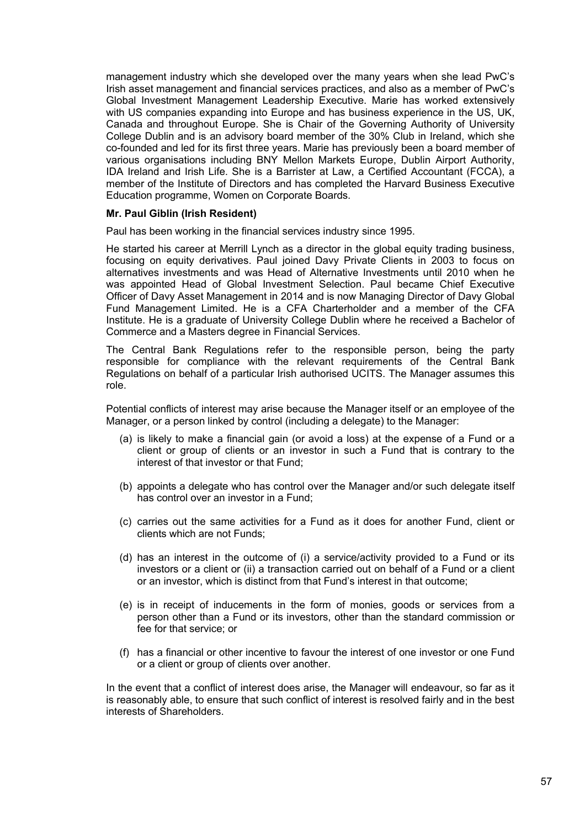management industry which she developed over the many years when she lead PwC's Irish asset management and financial services practices, and also as a member of PwC's Global Investment Management Leadership Executive. Marie has worked extensively with US companies expanding into Europe and has business experience in the US, UK, Canada and throughout Europe. She is Chair of the Governing Authority of University College Dublin and is an advisory board member of the 30% Club in Ireland, which she co-founded and led for its first three years. Marie has previously been a board member of various organisations including BNY Mellon Markets Europe, Dublin Airport Authority, IDA Ireland and Irish Life. She is a Barrister at Law, a Certified Accountant (FCCA), a member of the Institute of Directors and has completed the Harvard Business Executive Education programme, Women on Corporate Boards.

#### **Mr. Paul Giblin (Irish Resident)**

Paul has been working in the financial services industry since 1995.

He started his career at Merrill Lynch as a director in the global equity trading business, focusing on equity derivatives. Paul joined Davy Private Clients in 2003 to focus on alternatives investments and was Head of Alternative Investments until 2010 when he was appointed Head of Global Investment Selection. Paul became Chief Executive Officer of Davy Asset Management in 2014 and is now Managing Director of Davy Global Fund Management Limited. He is a CFA Charterholder and a member of the CFA Institute. He is a graduate of University College Dublin where he received a Bachelor of Commerce and a Masters degree in Financial Services.

The Central Bank Regulations refer to the responsible person, being the party responsible for compliance with the relevant requirements of the Central Bank Regulations on behalf of a particular Irish authorised UCITS. The Manager assumes this role.

Potential conflicts of interest may arise because the Manager itself or an employee of the Manager, or a person linked by control (including a delegate) to the Manager:

- (a) is likely to make a financial gain (or avoid a loss) at the expense of a Fund or a client or group of clients or an investor in such a Fund that is contrary to the interest of that investor or that Fund;
- (b) appoints a delegate who has control over the Manager and/or such delegate itself has control over an investor in a Fund;
- (c) carries out the same activities for a Fund as it does for another Fund, client or clients which are not Funds;
- (d) has an interest in the outcome of (i) a service/activity provided to a Fund or its investors or a client or (ii) a transaction carried out on behalf of a Fund or a client or an investor, which is distinct from that Fund's interest in that outcome;
- (e) is in receipt of inducements in the form of monies, goods or services from a person other than a Fund or its investors, other than the standard commission or fee for that service; or
- (f) has a financial or other incentive to favour the interest of one investor or one Fund or a client or group of clients over another.

In the event that a conflict of interest does arise, the Manager will endeavour, so far as it is reasonably able, to ensure that such conflict of interest is resolved fairly and in the best interests of Shareholders.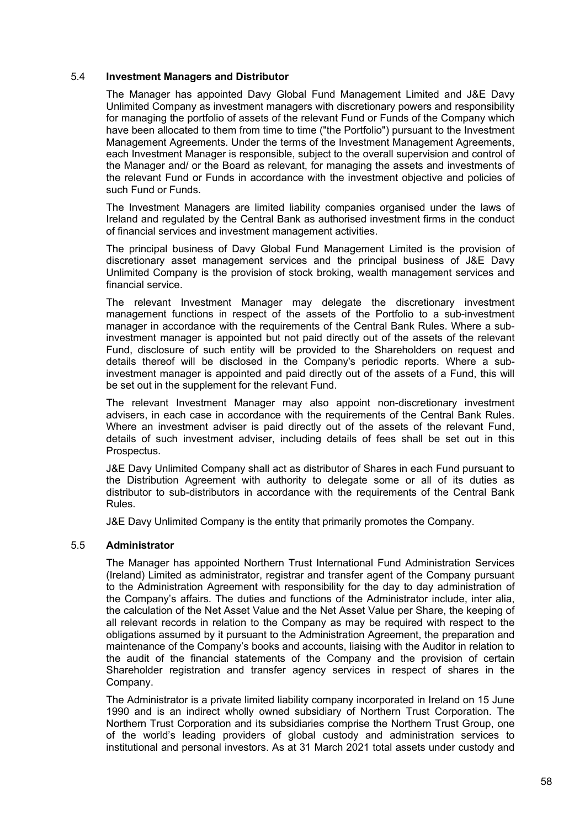# 5.4 **Investment Managers and Distributor**

The Manager has appointed Davy Global Fund Management Limited and J&E Davy Unlimited Company as investment managers with discretionary powers and responsibility for managing the portfolio of assets of the relevant Fund or Funds of the Company which have been allocated to them from time to time ("the Portfolio") pursuant to the Investment Management Agreements. Under the terms of the Investment Management Agreements, each Investment Manager is responsible, subject to the overall supervision and control of the Manager and/ or the Board as relevant, for managing the assets and investments of the relevant Fund or Funds in accordance with the investment objective and policies of such Fund or Funds.

The Investment Managers are limited liability companies organised under the laws of Ireland and regulated by the Central Bank as authorised investment firms in the conduct of financial services and investment management activities.

The principal business of Davy Global Fund Management Limited is the provision of discretionary asset management services and the principal business of J&E Davy Unlimited Company is the provision of stock broking, wealth management services and financial service.

The relevant Investment Manager may delegate the discretionary investment management functions in respect of the assets of the Portfolio to a sub-investment manager in accordance with the requirements of the Central Bank Rules. Where a subinvestment manager is appointed but not paid directly out of the assets of the relevant Fund, disclosure of such entity will be provided to the Shareholders on request and details thereof will be disclosed in the Company's periodic reports. Where a subinvestment manager is appointed and paid directly out of the assets of a Fund, this will be set out in the supplement for the relevant Fund.

The relevant Investment Manager may also appoint non-discretionary investment advisers, in each case in accordance with the requirements of the Central Bank Rules. Where an investment adviser is paid directly out of the assets of the relevant Fund, details of such investment adviser, including details of fees shall be set out in this Prospectus.

J&E Davy Unlimited Company shall act as distributor of Shares in each Fund pursuant to the Distribution Agreement with authority to delegate some or all of its duties as distributor to sub-distributors in accordance with the requirements of the Central Bank Rules.

J&E Davy Unlimited Company is the entity that primarily promotes the Company.

## 5.5 **Administrator**

The Manager has appointed Northern Trust International Fund Administration Services (Ireland) Limited as administrator, registrar and transfer agent of the Company pursuant to the Administration Agreement with responsibility for the day to day administration of the Company's affairs. The duties and functions of the Administrator include, inter alia, the calculation of the Net Asset Value and the Net Asset Value per Share, the keeping of all relevant records in relation to the Company as may be required with respect to the obligations assumed by it pursuant to the Administration Agreement, the preparation and maintenance of the Company's books and accounts, liaising with the Auditor in relation to the audit of the financial statements of the Company and the provision of certain Shareholder registration and transfer agency services in respect of shares in the Company.

The Administrator is a private limited liability company incorporated in Ireland on 15 June 1990 and is an indirect wholly owned subsidiary of Northern Trust Corporation. The Northern Trust Corporation and its subsidiaries comprise the Northern Trust Group, one of the world's leading providers of global custody and administration services to institutional and personal investors. As at 31 March 2021 total assets under custody and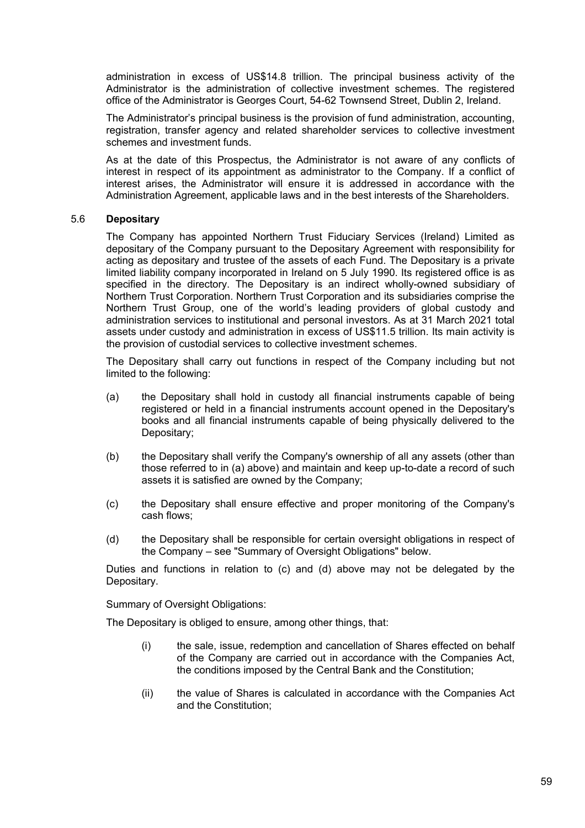administration in excess of US\$14.8 trillion. The principal business activity of the Administrator is the administration of collective investment schemes. The registered office of the Administrator is Georges Court, 54-62 Townsend Street, Dublin 2, Ireland.

The Administrator's principal business is the provision of fund administration, accounting, registration, transfer agency and related shareholder services to collective investment schemes and investment funds.

As at the date of this Prospectus, the Administrator is not aware of any conflicts of interest in respect of its appointment as administrator to the Company. If a conflict of interest arises, the Administrator will ensure it is addressed in accordance with the Administration Agreement, applicable laws and in the best interests of the Shareholders.

# 5.6 **Depositary**

The Company has appointed Northern Trust Fiduciary Services (Ireland) Limited as depositary of the Company pursuant to the Depositary Agreement with responsibility for acting as depositary and trustee of the assets of each Fund. The Depositary is a private limited liability company incorporated in Ireland on 5 July 1990. Its registered office is as specified in the directory. The Depositary is an indirect wholly-owned subsidiary of Northern Trust Corporation. Northern Trust Corporation and its subsidiaries comprise the Northern Trust Group, one of the world's leading providers of global custody and administration services to institutional and personal investors. As at 31 March 2021 total assets under custody and administration in excess of US\$11.5 trillion. Its main activity is the provision of custodial services to collective investment schemes.

The Depositary shall carry out functions in respect of the Company including but not limited to the following:

- (a) the Depositary shall hold in custody all financial instruments capable of being registered or held in a financial instruments account opened in the Depositary's books and all financial instruments capable of being physically delivered to the Depositary;
- (b) the Depositary shall verify the Company's ownership of all any assets (other than those referred to in (a) above) and maintain and keep up-to-date a record of such assets it is satisfied are owned by the Company;
- (c) the Depositary shall ensure effective and proper monitoring of the Company's cash flows;
- (d) the Depositary shall be responsible for certain oversight obligations in respect of the Company – see "Summary of Oversight Obligations" below.

Duties and functions in relation to (c) and (d) above may not be delegated by the Depositary.

Summary of Oversight Obligations:

The Depositary is obliged to ensure, among other things, that:

- (i) the sale, issue, redemption and cancellation of Shares effected on behalf of the Company are carried out in accordance with the Companies Act, the conditions imposed by the Central Bank and the Constitution;
- (ii) the value of Shares is calculated in accordance with the Companies Act and the Constitution;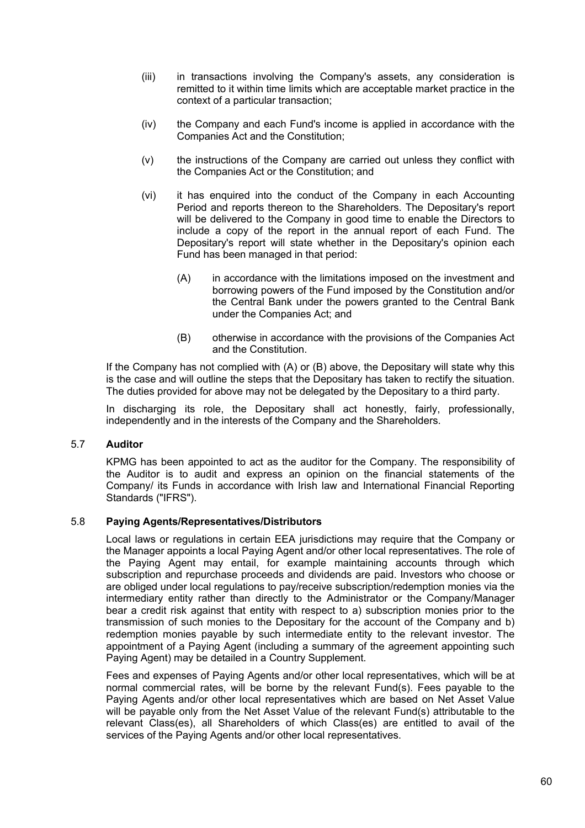- (iii) in transactions involving the Company's assets, any consideration is remitted to it within time limits which are acceptable market practice in the context of a particular transaction;
- (iv) the Company and each Fund's income is applied in accordance with the Companies Act and the Constitution;
- (v) the instructions of the Company are carried out unless they conflict with the Companies Act or the Constitution; and
- (vi) it has enquired into the conduct of the Company in each Accounting Period and reports thereon to the Shareholders. The Depositary's report will be delivered to the Company in good time to enable the Directors to include a copy of the report in the annual report of each Fund. The Depositary's report will state whether in the Depositary's opinion each Fund has been managed in that period:
	- (A) in accordance with the limitations imposed on the investment and borrowing powers of the Fund imposed by the Constitution and/or the Central Bank under the powers granted to the Central Bank under the Companies Act; and
	- (B) otherwise in accordance with the provisions of the Companies Act and the Constitution.

If the Company has not complied with (A) or (B) above, the Depositary will state why this is the case and will outline the steps that the Depositary has taken to rectify the situation. The duties provided for above may not be delegated by the Depositary to a third party.

In discharging its role, the Depositary shall act honestly, fairly, professionally, independently and in the interests of the Company and the Shareholders.

## 5.7 **Auditor**

KPMG has been appointed to act as the auditor for the Company. The responsibility of the Auditor is to audit and express an opinion on the financial statements of the Company/ its Funds in accordance with Irish law and International Financial Reporting Standards ("IFRS").

## 5.8 **Paying Agents/Representatives/Distributors**

Local laws or regulations in certain EEA jurisdictions may require that the Company or the Manager appoints a local Paying Agent and/or other local representatives. The role of the Paying Agent may entail, for example maintaining accounts through which subscription and repurchase proceeds and dividends are paid. Investors who choose or are obliged under local regulations to pay/receive subscription/redemption monies via the intermediary entity rather than directly to the Administrator or the Company/Manager bear a credit risk against that entity with respect to a) subscription monies prior to the transmission of such monies to the Depositary for the account of the Company and b) redemption monies payable by such intermediate entity to the relevant investor. The appointment of a Paying Agent (including a summary of the agreement appointing such Paying Agent) may be detailed in a Country Supplement.

Fees and expenses of Paying Agents and/or other local representatives, which will be at normal commercial rates, will be borne by the relevant Fund(s). Fees payable to the Paying Agents and/or other local representatives which are based on Net Asset Value will be payable only from the Net Asset Value of the relevant Fund(s) attributable to the relevant Class(es), all Shareholders of which Class(es) are entitled to avail of the services of the Paying Agents and/or other local representatives.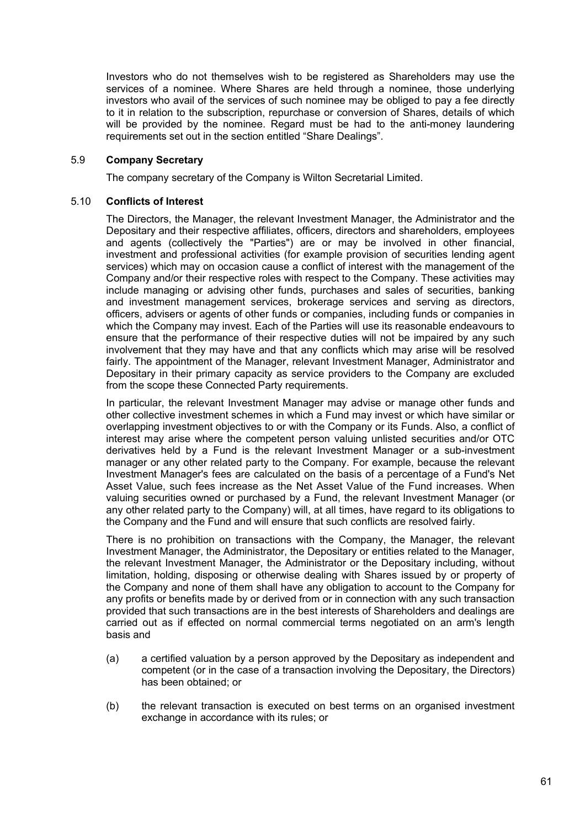Investors who do not themselves wish to be registered as Shareholders may use the services of a nominee. Where Shares are held through a nominee, those underlying investors who avail of the services of such nominee may be obliged to pay a fee directly to it in relation to the subscription, repurchase or conversion of Shares, details of which will be provided by the nominee. Regard must be had to the anti-money laundering requirements set out in the section entitled "Share Dealings".

# 5.9 **Company Secretary**

The company secretary of the Company is Wilton Secretarial Limited.

## 5.10 **Conflicts of Interest**

The Directors, the Manager, the relevant Investment Manager, the Administrator and the Depositary and their respective affiliates, officers, directors and shareholders, employees and agents (collectively the "Parties") are or may be involved in other financial, investment and professional activities (for example provision of securities lending agent services) which may on occasion cause a conflict of interest with the management of the Company and/or their respective roles with respect to the Company. These activities may include managing or advising other funds, purchases and sales of securities, banking and investment management services, brokerage services and serving as directors, officers, advisers or agents of other funds or companies, including funds or companies in which the Company may invest. Each of the Parties will use its reasonable endeavours to ensure that the performance of their respective duties will not be impaired by any such involvement that they may have and that any conflicts which may arise will be resolved fairly. The appointment of the Manager, relevant Investment Manager, Administrator and Depositary in their primary capacity as service providers to the Company are excluded from the scope these Connected Party requirements.

In particular, the relevant Investment Manager may advise or manage other funds and other collective investment schemes in which a Fund may invest or which have similar or overlapping investment objectives to or with the Company or its Funds. Also, a conflict of interest may arise where the competent person valuing unlisted securities and/or OTC derivatives held by a Fund is the relevant Investment Manager or a sub-investment manager or any other related party to the Company. For example, because the relevant Investment Manager's fees are calculated on the basis of a percentage of a Fund's Net Asset Value, such fees increase as the Net Asset Value of the Fund increases. When valuing securities owned or purchased by a Fund, the relevant Investment Manager (or any other related party to the Company) will, at all times, have regard to its obligations to the Company and the Fund and will ensure that such conflicts are resolved fairly.

There is no prohibition on transactions with the Company, the Manager, the relevant Investment Manager, the Administrator, the Depositary or entities related to the Manager, the relevant Investment Manager, the Administrator or the Depositary including, without limitation, holding, disposing or otherwise dealing with Shares issued by or property of the Company and none of them shall have any obligation to account to the Company for any profits or benefits made by or derived from or in connection with any such transaction provided that such transactions are in the best interests of Shareholders and dealings are carried out as if effected on normal commercial terms negotiated on an arm's length basis and

- (a) a certified valuation by a person approved by the Depositary as independent and competent (or in the case of a transaction involving the Depositary, the Directors) has been obtained; or
- (b) the relevant transaction is executed on best terms on an organised investment exchange in accordance with its rules; or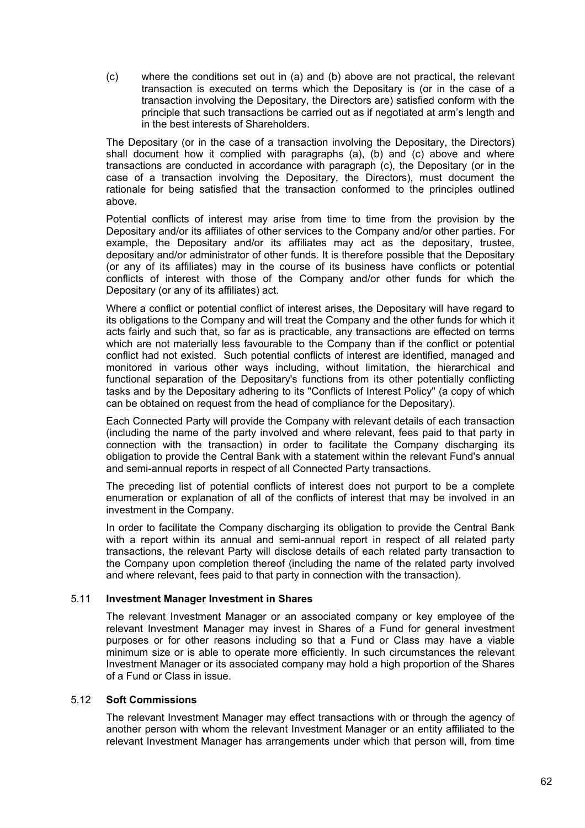(c) where the conditions set out in (a) and (b) above are not practical, the relevant transaction is executed on terms which the Depositary is (or in the case of a transaction involving the Depositary, the Directors are) satisfied conform with the principle that such transactions be carried out as if negotiated at arm's length and in the best interests of Shareholders.

The Depositary (or in the case of a transaction involving the Depositary, the Directors) shall document how it complied with paragraphs (a), (b) and (c) above and where transactions are conducted in accordance with paragraph (c), the Depositary (or in the case of a transaction involving the Depositary, the Directors), must document the rationale for being satisfied that the transaction conformed to the principles outlined above.

Potential conflicts of interest may arise from time to time from the provision by the Depositary and/or its affiliates of other services to the Company and/or other parties. For example, the Depositary and/or its affiliates may act as the depositary, trustee, depositary and/or administrator of other funds. It is therefore possible that the Depositary (or any of its affiliates) may in the course of its business have conflicts or potential conflicts of interest with those of the Company and/or other funds for which the Depositary (or any of its affiliates) act.

Where a conflict or potential conflict of interest arises, the Depositary will have regard to its obligations to the Company and will treat the Company and the other funds for which it acts fairly and such that, so far as is practicable, any transactions are effected on terms which are not materially less favourable to the Company than if the conflict or potential conflict had not existed. Such potential conflicts of interest are identified, managed and monitored in various other ways including, without limitation, the hierarchical and functional separation of the Depositary's functions from its other potentially conflicting tasks and by the Depositary adhering to its "Conflicts of Interest Policy" (a copy of which can be obtained on request from the head of compliance for the Depositary).

Each Connected Party will provide the Company with relevant details of each transaction (including the name of the party involved and where relevant, fees paid to that party in connection with the transaction) in order to facilitate the Company discharging its obligation to provide the Central Bank with a statement within the relevant Fund's annual and semi-annual reports in respect of all Connected Party transactions.

The preceding list of potential conflicts of interest does not purport to be a complete enumeration or explanation of all of the conflicts of interest that may be involved in an investment in the Company.

In order to facilitate the Company discharging its obligation to provide the Central Bank with a report within its annual and semi-annual report in respect of all related party transactions, the relevant Party will disclose details of each related party transaction to the Company upon completion thereof (including the name of the related party involved and where relevant, fees paid to that party in connection with the transaction).

## 5.11 **Investment Manager Investment in Shares**

The relevant Investment Manager or an associated company or key employee of the relevant Investment Manager may invest in Shares of a Fund for general investment purposes or for other reasons including so that a Fund or Class may have a viable minimum size or is able to operate more efficiently. In such circumstances the relevant Investment Manager or its associated company may hold a high proportion of the Shares of a Fund or Class in issue.

## 5.12 **Soft Commissions**

The relevant Investment Manager may effect transactions with or through the agency of another person with whom the relevant Investment Manager or an entity affiliated to the relevant Investment Manager has arrangements under which that person will, from time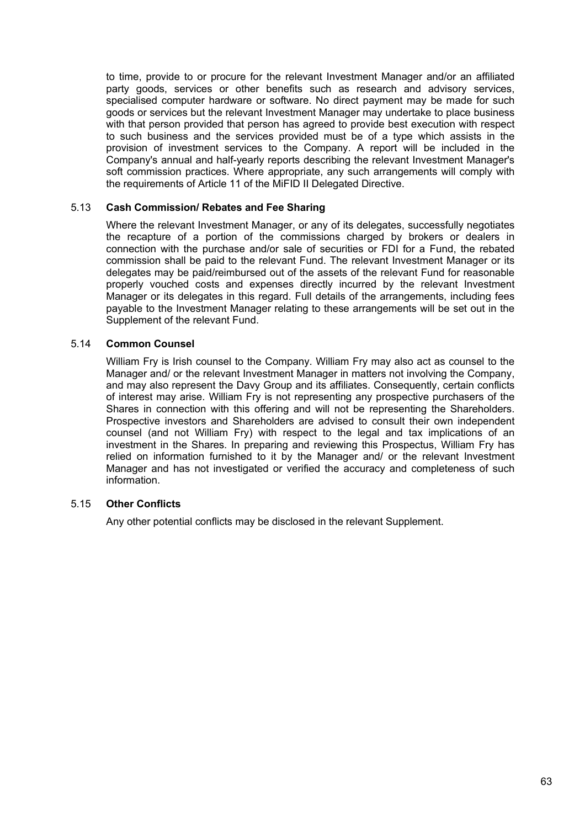to time, provide to or procure for the relevant Investment Manager and/or an affiliated party goods, services or other benefits such as research and advisory services, specialised computer hardware or software. No direct payment may be made for such goods or services but the relevant Investment Manager may undertake to place business with that person provided that person has agreed to provide best execution with respect to such business and the services provided must be of a type which assists in the provision of investment services to the Company. A report will be included in the Company's annual and half-yearly reports describing the relevant Investment Manager's soft commission practices. Where appropriate, any such arrangements will comply with the requirements of Article 11 of the MiFID II Delegated Directive.

# 5.13 **Cash Commission/ Rebates and Fee Sharing**

Where the relevant Investment Manager, or any of its delegates, successfully negotiates the recapture of a portion of the commissions charged by brokers or dealers in connection with the purchase and/or sale of securities or FDI for a Fund, the rebated commission shall be paid to the relevant Fund. The relevant Investment Manager or its delegates may be paid/reimbursed out of the assets of the relevant Fund for reasonable properly vouched costs and expenses directly incurred by the relevant Investment Manager or its delegates in this regard. Full details of the arrangements, including fees payable to the Investment Manager relating to these arrangements will be set out in the Supplement of the relevant Fund.

# 5.14 **Common Counsel**

William Fry is Irish counsel to the Company. William Fry may also act as counsel to the Manager and/ or the relevant Investment Manager in matters not involving the Company, and may also represent the Davy Group and its affiliates. Consequently, certain conflicts of interest may arise. William Fry is not representing any prospective purchasers of the Shares in connection with this offering and will not be representing the Shareholders. Prospective investors and Shareholders are advised to consult their own independent counsel (and not William Fry) with respect to the legal and tax implications of an investment in the Shares. In preparing and reviewing this Prospectus, William Fry has relied on information furnished to it by the Manager and/ or the relevant Investment Manager and has not investigated or verified the accuracy and completeness of such information.

# 5.15 **Other Conflicts**

Any other potential conflicts may be disclosed in the relevant Supplement.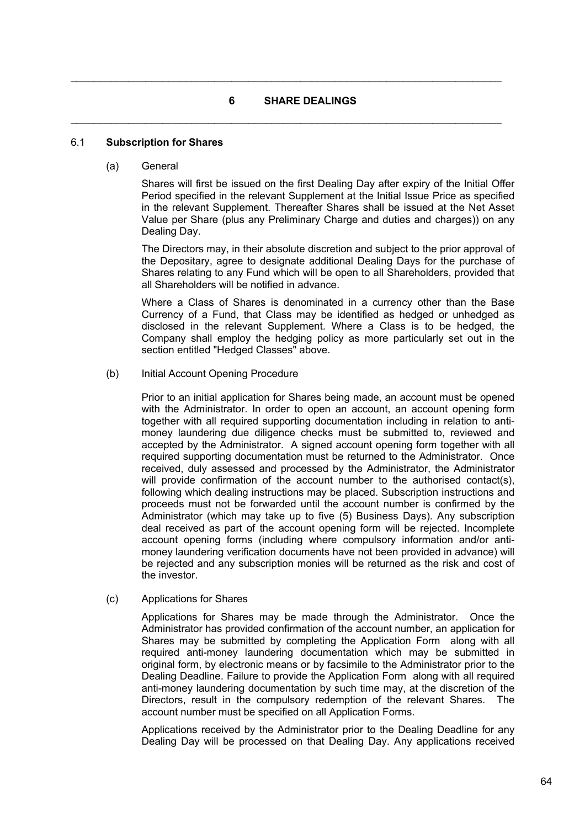# **6 SHARE DEALINGS**

 $\mathcal{L}_\mathcal{L} = \mathcal{L}_\mathcal{L} = \mathcal{L}_\mathcal{L} = \mathcal{L}_\mathcal{L} = \mathcal{L}_\mathcal{L} = \mathcal{L}_\mathcal{L} = \mathcal{L}_\mathcal{L} = \mathcal{L}_\mathcal{L} = \mathcal{L}_\mathcal{L} = \mathcal{L}_\mathcal{L} = \mathcal{L}_\mathcal{L} = \mathcal{L}_\mathcal{L} = \mathcal{L}_\mathcal{L} = \mathcal{L}_\mathcal{L} = \mathcal{L}_\mathcal{L} = \mathcal{L}_\mathcal{L} = \mathcal{L}_\mathcal{L}$ 

 $\mathcal{L}_\mathcal{L} = \mathcal{L}_\mathcal{L} = \mathcal{L}_\mathcal{L} = \mathcal{L}_\mathcal{L} = \mathcal{L}_\mathcal{L} = \mathcal{L}_\mathcal{L} = \mathcal{L}_\mathcal{L} = \mathcal{L}_\mathcal{L} = \mathcal{L}_\mathcal{L} = \mathcal{L}_\mathcal{L} = \mathcal{L}_\mathcal{L} = \mathcal{L}_\mathcal{L} = \mathcal{L}_\mathcal{L} = \mathcal{L}_\mathcal{L} = \mathcal{L}_\mathcal{L} = \mathcal{L}_\mathcal{L} = \mathcal{L}_\mathcal{L}$ 

## 6.1 **Subscription for Shares**

(a) General

Shares will first be issued on the first Dealing Day after expiry of the Initial Offer Period specified in the relevant Supplement at the Initial Issue Price as specified in the relevant Supplement. Thereafter Shares shall be issued at the Net Asset Value per Share (plus any Preliminary Charge and duties and charges)) on any Dealing Day.

The Directors may, in their absolute discretion and subject to the prior approval of the Depositary, agree to designate additional Dealing Days for the purchase of Shares relating to any Fund which will be open to all Shareholders, provided that all Shareholders will be notified in advance.

Where a Class of Shares is denominated in a currency other than the Base Currency of a Fund, that Class may be identified as hedged or unhedged as disclosed in the relevant Supplement. Where a Class is to be hedged, the Company shall employ the hedging policy as more particularly set out in the section entitled "Hedged Classes" above.

(b) Initial Account Opening Procedure

Prior to an initial application for Shares being made, an account must be opened with the Administrator. In order to open an account, an account opening form together with all required supporting documentation including in relation to antimoney laundering due diligence checks must be submitted to, reviewed and accepted by the Administrator. A signed account opening form together with all required supporting documentation must be returned to the Administrator. Once received, duly assessed and processed by the Administrator, the Administrator will provide confirmation of the account number to the authorised contact(s), following which dealing instructions may be placed. Subscription instructions and proceeds must not be forwarded until the account number is confirmed by the Administrator (which may take up to five (5) Business Days). Any subscription deal received as part of the account opening form will be rejected. Incomplete account opening forms (including where compulsory information and/or antimoney laundering verification documents have not been provided in advance) will be rejected and any subscription monies will be returned as the risk and cost of the investor.

(c) Applications for Shares

Applications for Shares may be made through the Administrator. Once the Administrator has provided confirmation of the account number, an application for Shares may be submitted by completing the Application Form along with all required anti-money laundering documentation which may be submitted in original form, by electronic means or by facsimile to the Administrator prior to the Dealing Deadline. Failure to provide the Application Form along with all required anti-money laundering documentation by such time may, at the discretion of the Directors, result in the compulsory redemption of the relevant Shares. The account number must be specified on all Application Forms.

Applications received by the Administrator prior to the Dealing Deadline for any Dealing Day will be processed on that Dealing Day. Any applications received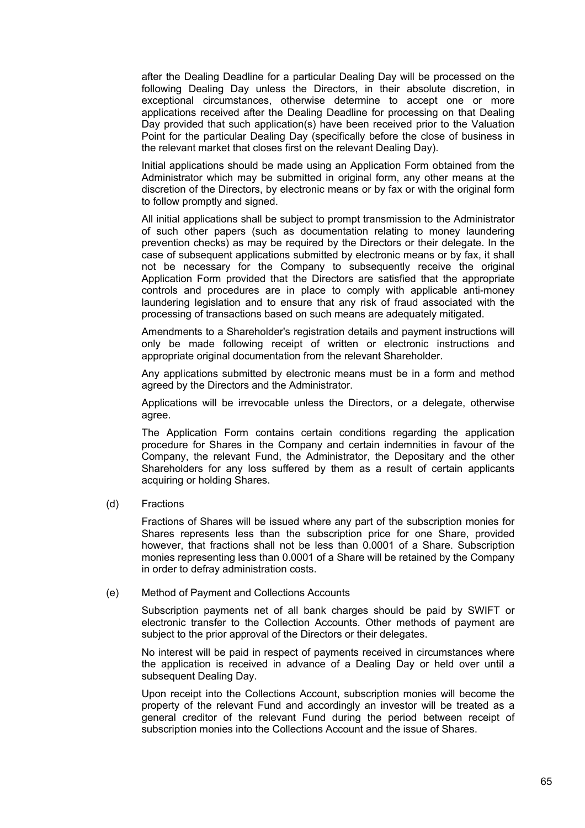after the Dealing Deadline for a particular Dealing Day will be processed on the following Dealing Day unless the Directors, in their absolute discretion, in exceptional circumstances, otherwise determine to accept one or more applications received after the Dealing Deadline for processing on that Dealing Day provided that such application(s) have been received prior to the Valuation Point for the particular Dealing Day (specifically before the close of business in the relevant market that closes first on the relevant Dealing Day).

Initial applications should be made using an Application Form obtained from the Administrator which may be submitted in original form, any other means at the discretion of the Directors, by electronic means or by fax or with the original form to follow promptly and signed.

All initial applications shall be subject to prompt transmission to the Administrator of such other papers (such as documentation relating to money laundering prevention checks) as may be required by the Directors or their delegate. In the case of subsequent applications submitted by electronic means or by fax, it shall not be necessary for the Company to subsequently receive the original Application Form provided that the Directors are satisfied that the appropriate controls and procedures are in place to comply with applicable anti-money laundering legislation and to ensure that any risk of fraud associated with the processing of transactions based on such means are adequately mitigated.

Amendments to a Shareholder's registration details and payment instructions will only be made following receipt of written or electronic instructions and appropriate original documentation from the relevant Shareholder.

Any applications submitted by electronic means must be in a form and method agreed by the Directors and the Administrator.

Applications will be irrevocable unless the Directors, or a delegate, otherwise agree.

The Application Form contains certain conditions regarding the application procedure for Shares in the Company and certain indemnities in favour of the Company, the relevant Fund, the Administrator, the Depositary and the other Shareholders for any loss suffered by them as a result of certain applicants acquiring or holding Shares.

(d) Fractions

Fractions of Shares will be issued where any part of the subscription monies for Shares represents less than the subscription price for one Share, provided however, that fractions shall not be less than 0.0001 of a Share. Subscription monies representing less than 0.0001 of a Share will be retained by the Company in order to defray administration costs.

## (e) Method of Payment and Collections Accounts

Subscription payments net of all bank charges should be paid by SWIFT or electronic transfer to the Collection Accounts. Other methods of payment are subject to the prior approval of the Directors or their delegates.

No interest will be paid in respect of payments received in circumstances where the application is received in advance of a Dealing Day or held over until a subsequent Dealing Day.

Upon receipt into the Collections Account, subscription monies will become the property of the relevant Fund and accordingly an investor will be treated as a general creditor of the relevant Fund during the period between receipt of subscription monies into the Collections Account and the issue of Shares.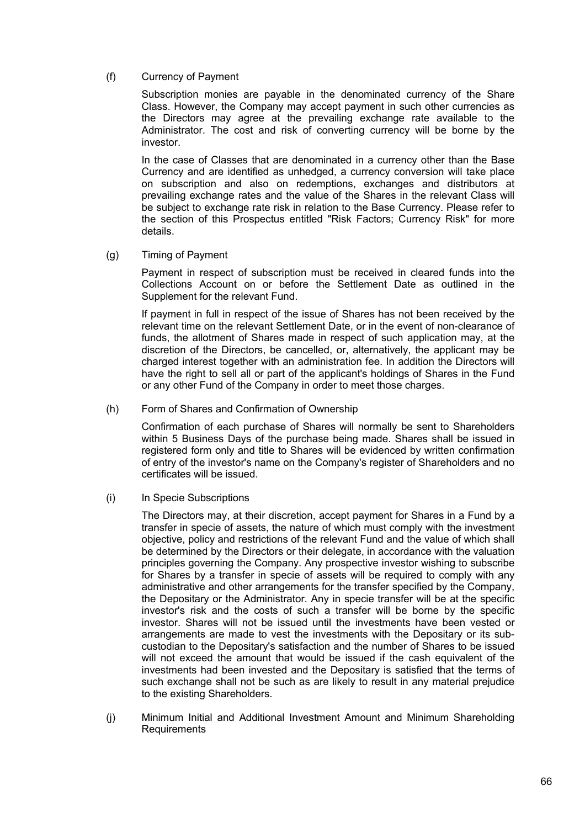(f) Currency of Payment

Subscription monies are payable in the denominated currency of the Share Class. However, the Company may accept payment in such other currencies as the Directors may agree at the prevailing exchange rate available to the Administrator. The cost and risk of converting currency will be borne by the investor.

In the case of Classes that are denominated in a currency other than the Base Currency and are identified as unhedged, a currency conversion will take place on subscription and also on redemptions, exchanges and distributors at prevailing exchange rates and the value of the Shares in the relevant Class will be subject to exchange rate risk in relation to the Base Currency. Please refer to the section of this Prospectus entitled "Risk Factors; Currency Risk" for more details.

(g) Timing of Payment

Payment in respect of subscription must be received in cleared funds into the Collections Account on or before the Settlement Date as outlined in the Supplement for the relevant Fund.

If payment in full in respect of the issue of Shares has not been received by the relevant time on the relevant Settlement Date, or in the event of non-clearance of funds, the allotment of Shares made in respect of such application may, at the discretion of the Directors, be cancelled, or, alternatively, the applicant may be charged interest together with an administration fee. In addition the Directors will have the right to sell all or part of the applicant's holdings of Shares in the Fund or any other Fund of the Company in order to meet those charges.

(h) Form of Shares and Confirmation of Ownership

Confirmation of each purchase of Shares will normally be sent to Shareholders within 5 Business Days of the purchase being made. Shares shall be issued in registered form only and title to Shares will be evidenced by written confirmation of entry of the investor's name on the Company's register of Shareholders and no certificates will be issued.

(i) In Specie Subscriptions

The Directors may, at their discretion, accept payment for Shares in a Fund by a transfer in specie of assets, the nature of which must comply with the investment objective, policy and restrictions of the relevant Fund and the value of which shall be determined by the Directors or their delegate, in accordance with the valuation principles governing the Company. Any prospective investor wishing to subscribe for Shares by a transfer in specie of assets will be required to comply with any administrative and other arrangements for the transfer specified by the Company, the Depositary or the Administrator. Any in specie transfer will be at the specific investor's risk and the costs of such a transfer will be borne by the specific investor. Shares will not be issued until the investments have been vested or arrangements are made to vest the investments with the Depositary or its subcustodian to the Depositary's satisfaction and the number of Shares to be issued will not exceed the amount that would be issued if the cash equivalent of the investments had been invested and the Depositary is satisfied that the terms of such exchange shall not be such as are likely to result in any material prejudice to the existing Shareholders.

(j) Minimum Initial and Additional Investment Amount and Minimum Shareholding **Requirements**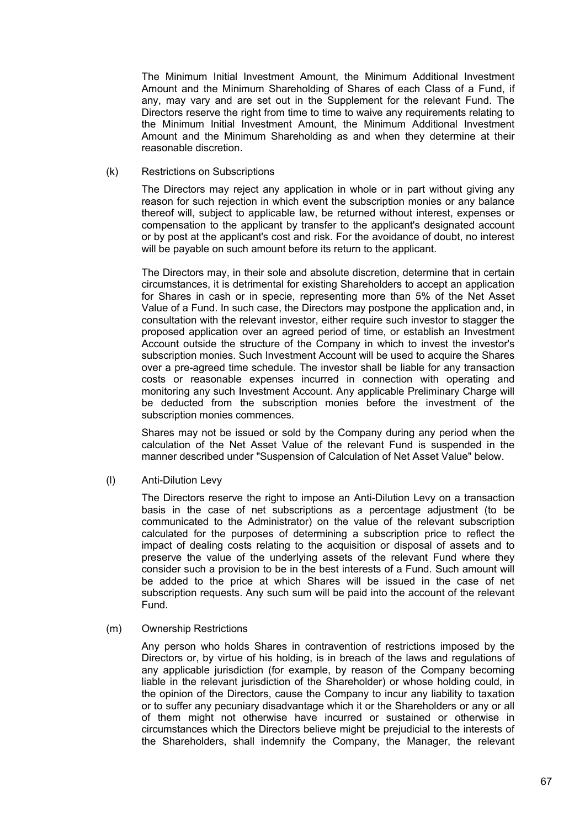The Minimum Initial Investment Amount, the Minimum Additional Investment Amount and the Minimum Shareholding of Shares of each Class of a Fund, if any, may vary and are set out in the Supplement for the relevant Fund. The Directors reserve the right from time to time to waive any requirements relating to the Minimum Initial Investment Amount, the Minimum Additional Investment Amount and the Minimum Shareholding as and when they determine at their reasonable discretion.

(k) Restrictions on Subscriptions

The Directors may reject any application in whole or in part without giving any reason for such rejection in which event the subscription monies or any balance thereof will, subject to applicable law, be returned without interest, expenses or compensation to the applicant by transfer to the applicant's designated account or by post at the applicant's cost and risk. For the avoidance of doubt, no interest will be payable on such amount before its return to the applicant.

The Directors may, in their sole and absolute discretion, determine that in certain circumstances, it is detrimental for existing Shareholders to accept an application for Shares in cash or in specie, representing more than 5% of the Net Asset Value of a Fund. In such case, the Directors may postpone the application and, in consultation with the relevant investor, either require such investor to stagger the proposed application over an agreed period of time, or establish an Investment Account outside the structure of the Company in which to invest the investor's subscription monies. Such Investment Account will be used to acquire the Shares over a pre-agreed time schedule. The investor shall be liable for any transaction costs or reasonable expenses incurred in connection with operating and monitoring any such Investment Account. Any applicable Preliminary Charge will be deducted from the subscription monies before the investment of the subscription monies commences.

Shares may not be issued or sold by the Company during any period when the calculation of the Net Asset Value of the relevant Fund is suspended in the manner described under "Suspension of Calculation of Net Asset Value" below.

(l) Anti-Dilution Levy

The Directors reserve the right to impose an Anti-Dilution Levy on a transaction basis in the case of net subscriptions as a percentage adjustment (to be communicated to the Administrator) on the value of the relevant subscription calculated for the purposes of determining a subscription price to reflect the impact of dealing costs relating to the acquisition or disposal of assets and to preserve the value of the underlying assets of the relevant Fund where they consider such a provision to be in the best interests of a Fund. Such amount will be added to the price at which Shares will be issued in the case of net subscription requests. Any such sum will be paid into the account of the relevant Fund.

(m) Ownership Restrictions

Any person who holds Shares in contravention of restrictions imposed by the Directors or, by virtue of his holding, is in breach of the laws and regulations of any applicable jurisdiction (for example, by reason of the Company becoming liable in the relevant jurisdiction of the Shareholder) or whose holding could, in the opinion of the Directors, cause the Company to incur any liability to taxation or to suffer any pecuniary disadvantage which it or the Shareholders or any or all of them might not otherwise have incurred or sustained or otherwise in circumstances which the Directors believe might be prejudicial to the interests of the Shareholders, shall indemnify the Company, the Manager, the relevant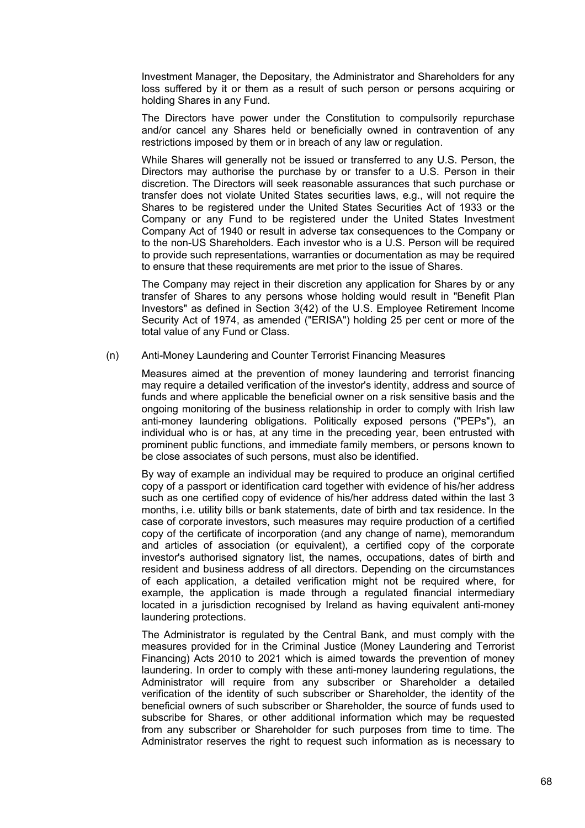Investment Manager, the Depositary, the Administrator and Shareholders for any loss suffered by it or them as a result of such person or persons acquiring or holding Shares in any Fund.

The Directors have power under the Constitution to compulsorily repurchase and/or cancel any Shares held or beneficially owned in contravention of any restrictions imposed by them or in breach of any law or regulation.

While Shares will generally not be issued or transferred to any U.S. Person, the Directors may authorise the purchase by or transfer to a U.S. Person in their discretion. The Directors will seek reasonable assurances that such purchase or transfer does not violate United States securities laws, e.g., will not require the Shares to be registered under the United States Securities Act of 1933 or the Company or any Fund to be registered under the United States Investment Company Act of 1940 or result in adverse tax consequences to the Company or to the non-US Shareholders. Each investor who is a U.S. Person will be required to provide such representations, warranties or documentation as may be required to ensure that these requirements are met prior to the issue of Shares.

The Company may reject in their discretion any application for Shares by or any transfer of Shares to any persons whose holding would result in "Benefit Plan Investors" as defined in Section 3(42) of the U.S. Employee Retirement Income Security Act of 1974, as amended ("ERISA") holding 25 per cent or more of the total value of any Fund or Class.

#### (n) Anti-Money Laundering and Counter Terrorist Financing Measures

Measures aimed at the prevention of money laundering and terrorist financing may require a detailed verification of the investor's identity, address and source of funds and where applicable the beneficial owner on a risk sensitive basis and the ongoing monitoring of the business relationship in order to comply with Irish law anti-money laundering obligations. Politically exposed persons ("PEPs"), an individual who is or has, at any time in the preceding year, been entrusted with prominent public functions, and immediate family members, or persons known to be close associates of such persons, must also be identified.

By way of example an individual may be required to produce an original certified copy of a passport or identification card together with evidence of his/her address such as one certified copy of evidence of his/her address dated within the last 3 months, i.e. utility bills or bank statements, date of birth and tax residence. In the case of corporate investors, such measures may require production of a certified copy of the certificate of incorporation (and any change of name), memorandum and articles of association (or equivalent), a certified copy of the corporate investor's authorised signatory list, the names, occupations, dates of birth and resident and business address of all directors. Depending on the circumstances of each application, a detailed verification might not be required where, for example, the application is made through a regulated financial intermediary located in a jurisdiction recognised by Ireland as having equivalent anti-money laundering protections.

The Administrator is regulated by the Central Bank, and must comply with the measures provided for in the Criminal Justice (Money Laundering and Terrorist Financing) Acts 2010 to 2021 which is aimed towards the prevention of money laundering. In order to comply with these anti-money laundering regulations, the Administrator will require from any subscriber or Shareholder a detailed verification of the identity of such subscriber or Shareholder, the identity of the beneficial owners of such subscriber or Shareholder, the source of funds used to subscribe for Shares, or other additional information which may be requested from any subscriber or Shareholder for such purposes from time to time. The Administrator reserves the right to request such information as is necessary to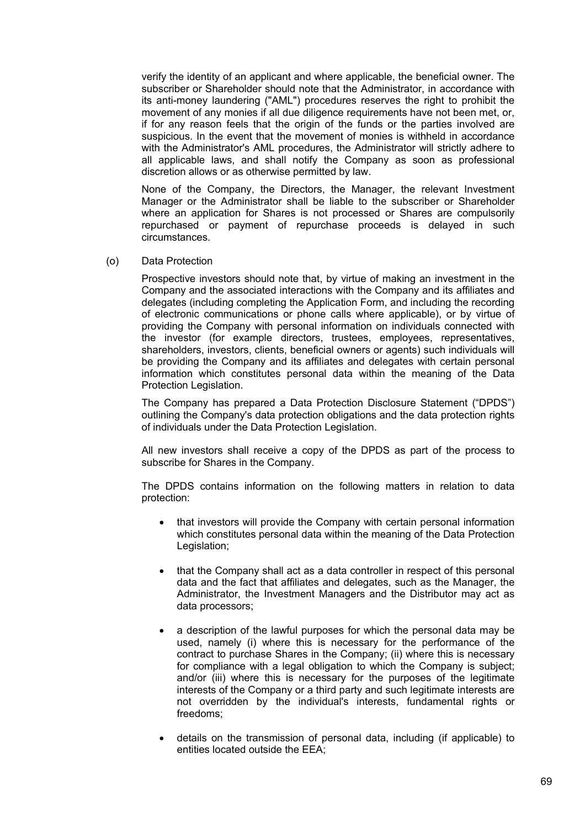verify the identity of an applicant and where applicable, the beneficial owner. The subscriber or Shareholder should note that the Administrator, in accordance with its anti-money laundering ("AML") procedures reserves the right to prohibit the movement of any monies if all due diligence requirements have not been met, or, if for any reason feels that the origin of the funds or the parties involved are suspicious. In the event that the movement of monies is withheld in accordance with the Administrator's AML procedures, the Administrator will strictly adhere to all applicable laws, and shall notify the Company as soon as professional discretion allows or as otherwise permitted by law.

None of the Company, the Directors, the Manager, the relevant Investment Manager or the Administrator shall be liable to the subscriber or Shareholder where an application for Shares is not processed or Shares are compulsorily repurchased or payment of repurchase proceeds is delayed in such circumstances.

(o) Data Protection

Prospective investors should note that, by virtue of making an investment in the Company and the associated interactions with the Company and its affiliates and delegates (including completing the Application Form, and including the recording of electronic communications or phone calls where applicable), or by virtue of providing the Company with personal information on individuals connected with the investor (for example directors, trustees, employees, representatives, shareholders, investors, clients, beneficial owners or agents) such individuals will be providing the Company and its affiliates and delegates with certain personal information which constitutes personal data within the meaning of the Data Protection Legislation.

The Company has prepared a Data Protection Disclosure Statement ("DPDS") outlining the Company's data protection obligations and the data protection rights of individuals under the Data Protection Legislation.

All new investors shall receive a copy of the DPDS as part of the process to subscribe for Shares in the Company.

The DPDS contains information on the following matters in relation to data protection:

- that investors will provide the Company with certain personal information which constitutes personal data within the meaning of the Data Protection Legislation;
- that the Company shall act as a data controller in respect of this personal data and the fact that affiliates and delegates, such as the Manager, the Administrator, the Investment Managers and the Distributor may act as data processors;
- a description of the lawful purposes for which the personal data may be used, namely (i) where this is necessary for the performance of the contract to purchase Shares in the Company; (ii) where this is necessary for compliance with a legal obligation to which the Company is subject; and/or (iii) where this is necessary for the purposes of the legitimate interests of the Company or a third party and such legitimate interests are not overridden by the individual's interests, fundamental rights or freedoms;
- details on the transmission of personal data, including (if applicable) to entities located outside the EEA;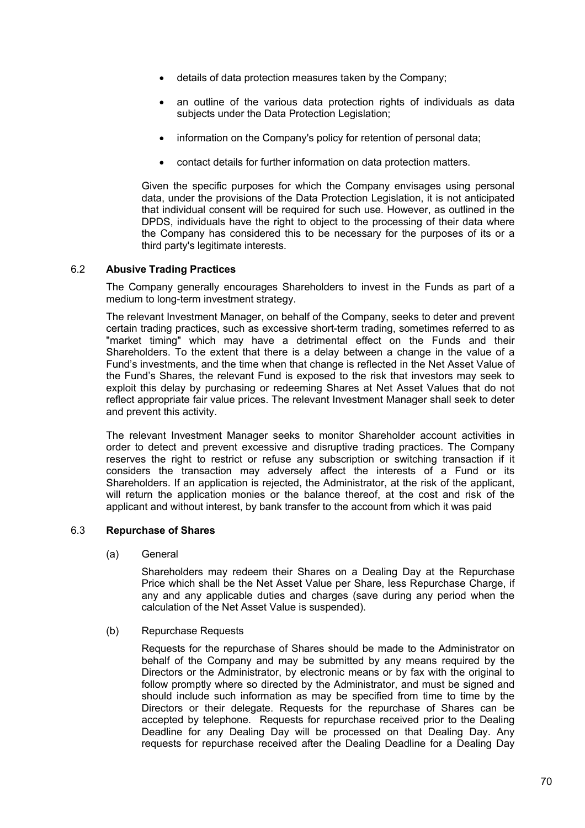- details of data protection measures taken by the Company;
- an outline of the various data protection rights of individuals as data subjects under the Data Protection Legislation;
- information on the Company's policy for retention of personal data;
- contact details for further information on data protection matters.

Given the specific purposes for which the Company envisages using personal data, under the provisions of the Data Protection Legislation, it is not anticipated that individual consent will be required for such use. However, as outlined in the DPDS, individuals have the right to object to the processing of their data where the Company has considered this to be necessary for the purposes of its or a third party's legitimate interests.

# 6.2 **Abusive Trading Practices**

The Company generally encourages Shareholders to invest in the Funds as part of a medium to long-term investment strategy.

The relevant Investment Manager, on behalf of the Company, seeks to deter and prevent certain trading practices, such as excessive short-term trading, sometimes referred to as "market timing" which may have a detrimental effect on the Funds and their Shareholders. To the extent that there is a delay between a change in the value of a Fund's investments, and the time when that change is reflected in the Net Asset Value of the Fund's Shares, the relevant Fund is exposed to the risk that investors may seek to exploit this delay by purchasing or redeeming Shares at Net Asset Values that do not reflect appropriate fair value prices. The relevant Investment Manager shall seek to deter and prevent this activity.

The relevant Investment Manager seeks to monitor Shareholder account activities in order to detect and prevent excessive and disruptive trading practices. The Company reserves the right to restrict or refuse any subscription or switching transaction if it considers the transaction may adversely affect the interests of a Fund or its Shareholders. If an application is rejected, the Administrator, at the risk of the applicant, will return the application monies or the balance thereof, at the cost and risk of the applicant and without interest, by bank transfer to the account from which it was paid

## 6.3 **Repurchase of Shares**

(a) General

Shareholders may redeem their Shares on a Dealing Day at the Repurchase Price which shall be the Net Asset Value per Share, less Repurchase Charge, if any and any applicable duties and charges (save during any period when the calculation of the Net Asset Value is suspended).

(b) Repurchase Requests

Requests for the repurchase of Shares should be made to the Administrator on behalf of the Company and may be submitted by any means required by the Directors or the Administrator, by electronic means or by fax with the original to follow promptly where so directed by the Administrator, and must be signed and should include such information as may be specified from time to time by the Directors or their delegate. Requests for the repurchase of Shares can be accepted by telephone. Requests for repurchase received prior to the Dealing Deadline for any Dealing Day will be processed on that Dealing Day. Any requests for repurchase received after the Dealing Deadline for a Dealing Day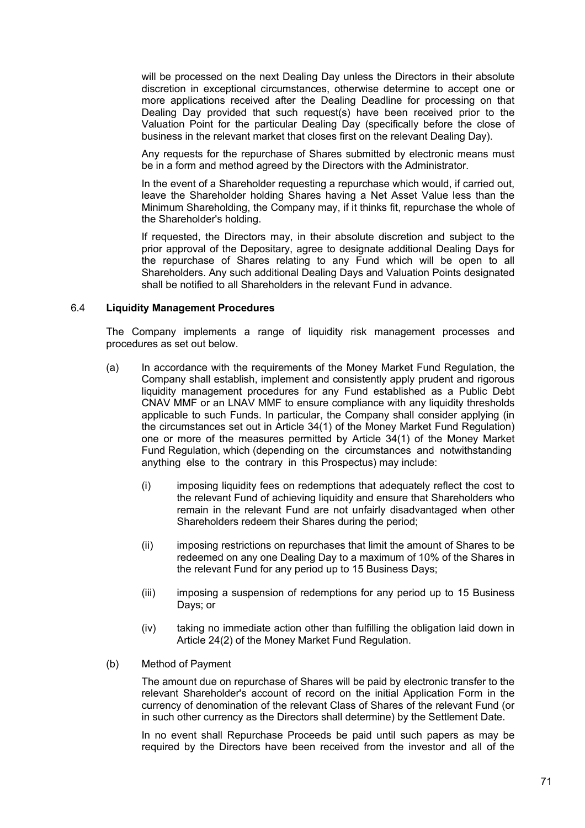will be processed on the next Dealing Day unless the Directors in their absolute discretion in exceptional circumstances, otherwise determine to accept one or more applications received after the Dealing Deadline for processing on that Dealing Day provided that such request(s) have been received prior to the Valuation Point for the particular Dealing Day (specifically before the close of business in the relevant market that closes first on the relevant Dealing Day).

Any requests for the repurchase of Shares submitted by electronic means must be in a form and method agreed by the Directors with the Administrator.

In the event of a Shareholder requesting a repurchase which would, if carried out, leave the Shareholder holding Shares having a Net Asset Value less than the Minimum Shareholding, the Company may, if it thinks fit, repurchase the whole of the Shareholder's holding.

If requested, the Directors may, in their absolute discretion and subject to the prior approval of the Depositary, agree to designate additional Dealing Days for the repurchase of Shares relating to any Fund which will be open to all Shareholders. Any such additional Dealing Days and Valuation Points designated shall be notified to all Shareholders in the relevant Fund in advance.

#### 6.4 **Liquidity Management Procedures**

The Company implements a range of liquidity risk management processes and procedures as set out below.

- (a) In accordance with the requirements of the Money Market Fund Regulation, the Company shall establish, implement and consistently apply prudent and rigorous liquidity management procedures for any Fund established as a Public Debt CNAV MMF or an LNAV MMF to ensure compliance with any liquidity thresholds applicable to such Funds. In particular, the Company shall consider applying (in the circumstances set out in Article 34(1) of the Money Market Fund Regulation) one or more of the measures permitted by Article 34(1) of the Money Market Fund Regulation, which (depending on the circumstances and notwithstanding anything else to the contrary in this Prospectus) may include:
	- (i) imposing liquidity fees on redemptions that adequately reflect the cost to the relevant Fund of achieving liquidity and ensure that Shareholders who remain in the relevant Fund are not unfairly disadvantaged when other Shareholders redeem their Shares during the period;
	- (ii) imposing restrictions on repurchases that limit the amount of Shares to be redeemed on any one Dealing Day to a maximum of 10% of the Shares in the relevant Fund for any period up to 15 Business Days;
	- (iii) imposing a suspension of redemptions for any period up to 15 Business Days; or
	- (iv) taking no immediate action other than fulfilling the obligation laid down in Article 24(2) of the Money Market Fund Regulation.
- (b) Method of Payment

The amount due on repurchase of Shares will be paid by electronic transfer to the relevant Shareholder's account of record on the initial Application Form in the currency of denomination of the relevant Class of Shares of the relevant Fund (or in such other currency as the Directors shall determine) by the Settlement Date.

In no event shall Repurchase Proceeds be paid until such papers as may be required by the Directors have been received from the investor and all of the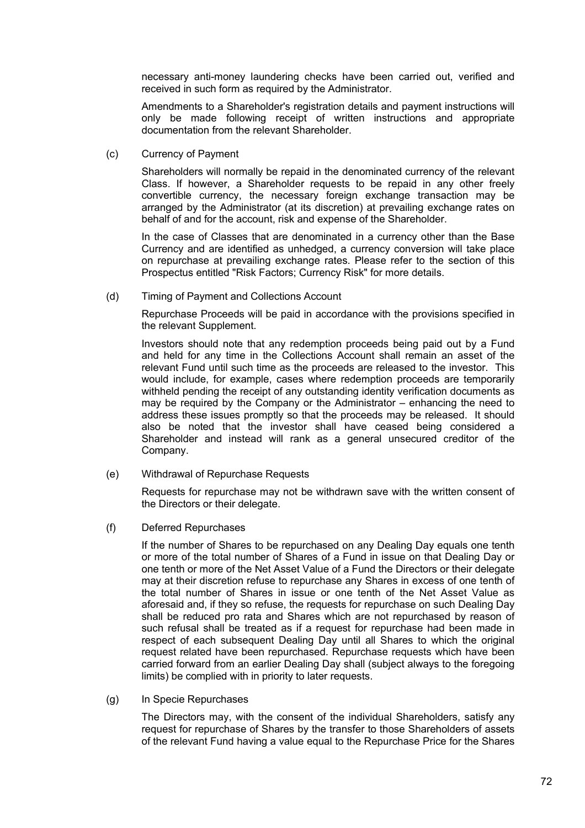necessary anti-money laundering checks have been carried out, verified and received in such form as required by the Administrator.

Amendments to a Shareholder's registration details and payment instructions will only be made following receipt of written instructions and appropriate documentation from the relevant Shareholder.

(c) Currency of Payment

Shareholders will normally be repaid in the denominated currency of the relevant Class. If however, a Shareholder requests to be repaid in any other freely convertible currency, the necessary foreign exchange transaction may be arranged by the Administrator (at its discretion) at prevailing exchange rates on behalf of and for the account, risk and expense of the Shareholder.

In the case of Classes that are denominated in a currency other than the Base Currency and are identified as unhedged, a currency conversion will take place on repurchase at prevailing exchange rates. Please refer to the section of this Prospectus entitled "Risk Factors; Currency Risk" for more details.

(d) Timing of Payment and Collections Account

Repurchase Proceeds will be paid in accordance with the provisions specified in the relevant Supplement.

Investors should note that any redemption proceeds being paid out by a Fund and held for any time in the Collections Account shall remain an asset of the relevant Fund until such time as the proceeds are released to the investor. This would include, for example, cases where redemption proceeds are temporarily withheld pending the receipt of any outstanding identity verification documents as may be required by the Company or the Administrator – enhancing the need to address these issues promptly so that the proceeds may be released. It should also be noted that the investor shall have ceased being considered a Shareholder and instead will rank as a general unsecured creditor of the Company.

(e) Withdrawal of Repurchase Requests

Requests for repurchase may not be withdrawn save with the written consent of the Directors or their delegate.

(f) Deferred Repurchases

If the number of Shares to be repurchased on any Dealing Day equals one tenth or more of the total number of Shares of a Fund in issue on that Dealing Day or one tenth or more of the Net Asset Value of a Fund the Directors or their delegate may at their discretion refuse to repurchase any Shares in excess of one tenth of the total number of Shares in issue or one tenth of the Net Asset Value as aforesaid and, if they so refuse, the requests for repurchase on such Dealing Day shall be reduced pro rata and Shares which are not repurchased by reason of such refusal shall be treated as if a request for repurchase had been made in respect of each subsequent Dealing Day until all Shares to which the original request related have been repurchased. Repurchase requests which have been carried forward from an earlier Dealing Day shall (subject always to the foregoing limits) be complied with in priority to later requests.

(g) In Specie Repurchases

The Directors may, with the consent of the individual Shareholders, satisfy any request for repurchase of Shares by the transfer to those Shareholders of assets of the relevant Fund having a value equal to the Repurchase Price for the Shares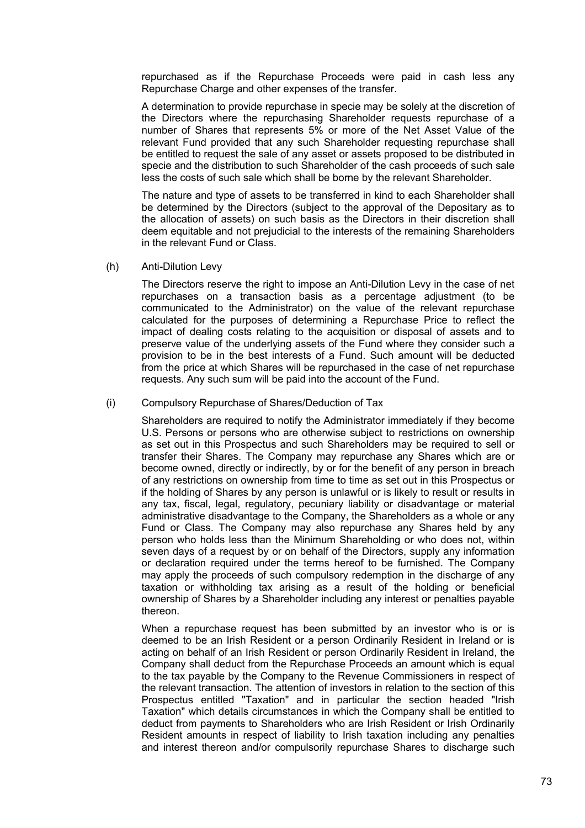repurchased as if the Repurchase Proceeds were paid in cash less any Repurchase Charge and other expenses of the transfer.

A determination to provide repurchase in specie may be solely at the discretion of the Directors where the repurchasing Shareholder requests repurchase of a number of Shares that represents 5% or more of the Net Asset Value of the relevant Fund provided that any such Shareholder requesting repurchase shall be entitled to request the sale of any asset or assets proposed to be distributed in specie and the distribution to such Shareholder of the cash proceeds of such sale less the costs of such sale which shall be borne by the relevant Shareholder.

The nature and type of assets to be transferred in kind to each Shareholder shall be determined by the Directors (subject to the approval of the Depositary as to the allocation of assets) on such basis as the Directors in their discretion shall deem equitable and not prejudicial to the interests of the remaining Shareholders in the relevant Fund or Class.

(h) Anti-Dilution Levy

The Directors reserve the right to impose an Anti-Dilution Levy in the case of net repurchases on a transaction basis as a percentage adjustment (to be communicated to the Administrator) on the value of the relevant repurchase calculated for the purposes of determining a Repurchase Price to reflect the impact of dealing costs relating to the acquisition or disposal of assets and to preserve value of the underlying assets of the Fund where they consider such a provision to be in the best interests of a Fund. Such amount will be deducted from the price at which Shares will be repurchased in the case of net repurchase requests. Any such sum will be paid into the account of the Fund.

#### (i) Compulsory Repurchase of Shares/Deduction of Tax

Shareholders are required to notify the Administrator immediately if they become U.S. Persons or persons who are otherwise subject to restrictions on ownership as set out in this Prospectus and such Shareholders may be required to sell or transfer their Shares. The Company may repurchase any Shares which are or become owned, directly or indirectly, by or for the benefit of any person in breach of any restrictions on ownership from time to time as set out in this Prospectus or if the holding of Shares by any person is unlawful or is likely to result or results in any tax, fiscal, legal, regulatory, pecuniary liability or disadvantage or material administrative disadvantage to the Company, the Shareholders as a whole or any Fund or Class. The Company may also repurchase any Shares held by any person who holds less than the Minimum Shareholding or who does not, within seven days of a request by or on behalf of the Directors, supply any information or declaration required under the terms hereof to be furnished. The Company may apply the proceeds of such compulsory redemption in the discharge of any taxation or withholding tax arising as a result of the holding or beneficial ownership of Shares by a Shareholder including any interest or penalties payable thereon.

When a repurchase request has been submitted by an investor who is or is deemed to be an Irish Resident or a person Ordinarily Resident in Ireland or is acting on behalf of an Irish Resident or person Ordinarily Resident in Ireland, the Company shall deduct from the Repurchase Proceeds an amount which is equal to the tax payable by the Company to the Revenue Commissioners in respect of the relevant transaction. The attention of investors in relation to the section of this Prospectus entitled "Taxation" and in particular the section headed "Irish Taxation" which details circumstances in which the Company shall be entitled to deduct from payments to Shareholders who are Irish Resident or Irish Ordinarily Resident amounts in respect of liability to Irish taxation including any penalties and interest thereon and/or compulsorily repurchase Shares to discharge such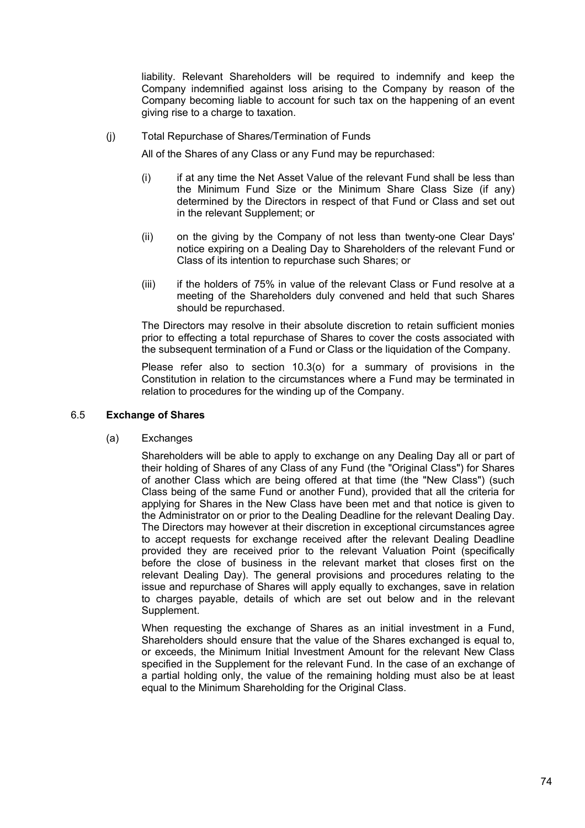liability. Relevant Shareholders will be required to indemnify and keep the Company indemnified against loss arising to the Company by reason of the Company becoming liable to account for such tax on the happening of an event giving rise to a charge to taxation.

(j) Total Repurchase of Shares/Termination of Funds

All of the Shares of any Class or any Fund may be repurchased:

- (i) if at any time the Net Asset Value of the relevant Fund shall be less than the Minimum Fund Size or the Minimum Share Class Size (if any) determined by the Directors in respect of that Fund or Class and set out in the relevant Supplement; or
- (ii) on the giving by the Company of not less than twenty-one Clear Days' notice expiring on a Dealing Day to Shareholders of the relevant Fund or Class of its intention to repurchase such Shares; or
- (iii) if the holders of 75% in value of the relevant Class or Fund resolve at a meeting of the Shareholders duly convened and held that such Shares should be repurchased.

The Directors may resolve in their absolute discretion to retain sufficient monies prior to effecting a total repurchase of Shares to cover the costs associated with the subsequent termination of a Fund or Class or the liquidation of the Company.

Please refer also to section 10.3(o) for a summary of provisions in the Constitution in relation to the circumstances where a Fund may be terminated in relation to procedures for the winding up of the Company.

### 6.5 **Exchange of Shares**

(a) Exchanges

Shareholders will be able to apply to exchange on any Dealing Day all or part of their holding of Shares of any Class of any Fund (the "Original Class") for Shares of another Class which are being offered at that time (the "New Class") (such Class being of the same Fund or another Fund), provided that all the criteria for applying for Shares in the New Class have been met and that notice is given to the Administrator on or prior to the Dealing Deadline for the relevant Dealing Day. The Directors may however at their discretion in exceptional circumstances agree to accept requests for exchange received after the relevant Dealing Deadline provided they are received prior to the relevant Valuation Point (specifically before the close of business in the relevant market that closes first on the relevant Dealing Day). The general provisions and procedures relating to the issue and repurchase of Shares will apply equally to exchanges, save in relation to charges payable, details of which are set out below and in the relevant Supplement.

When requesting the exchange of Shares as an initial investment in a Fund, Shareholders should ensure that the value of the Shares exchanged is equal to, or exceeds, the Minimum Initial Investment Amount for the relevant New Class specified in the Supplement for the relevant Fund. In the case of an exchange of a partial holding only, the value of the remaining holding must also be at least equal to the Minimum Shareholding for the Original Class.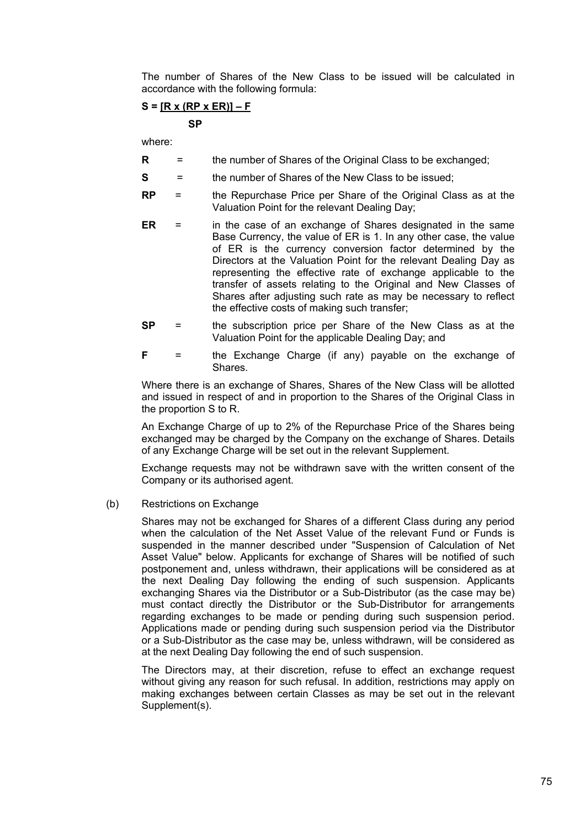The number of Shares of the New Class to be issued will be calculated in accordance with the following formula:

# **S = [R x (RP x ER)] – F**

 **SP** 

where:

- **R** = the number of Shares of the Original Class to be exchanged;
- **S** = the number of Shares of the New Class to be issued;
- **RP** = the Repurchase Price per Share of the Original Class as at the Valuation Point for the relevant Dealing Day;
- **ER** = in the case of an exchange of Shares designated in the same Base Currency, the value of ER is 1. In any other case, the value of ER is the currency conversion factor determined by the Directors at the Valuation Point for the relevant Dealing Day as representing the effective rate of exchange applicable to the transfer of assets relating to the Original and New Classes of Shares after adjusting such rate as may be necessary to reflect the effective costs of making such transfer;
- **SP** = the subscription price per Share of the New Class as at the Valuation Point for the applicable Dealing Day; and
- **F** = the Exchange Charge (if any) payable on the exchange of Shares.

Where there is an exchange of Shares, Shares of the New Class will be allotted and issued in respect of and in proportion to the Shares of the Original Class in the proportion S to R.

An Exchange Charge of up to 2% of the Repurchase Price of the Shares being exchanged may be charged by the Company on the exchange of Shares. Details of any Exchange Charge will be set out in the relevant Supplement.

Exchange requests may not be withdrawn save with the written consent of the Company or its authorised agent.

(b) Restrictions on Exchange

Shares may not be exchanged for Shares of a different Class during any period when the calculation of the Net Asset Value of the relevant Fund or Funds is suspended in the manner described under "Suspension of Calculation of Net Asset Value" below. Applicants for exchange of Shares will be notified of such postponement and, unless withdrawn, their applications will be considered as at the next Dealing Day following the ending of such suspension. Applicants exchanging Shares via the Distributor or a Sub-Distributor (as the case may be) must contact directly the Distributor or the Sub-Distributor for arrangements regarding exchanges to be made or pending during such suspension period. Applications made or pending during such suspension period via the Distributor or a Sub-Distributor as the case may be, unless withdrawn, will be considered as at the next Dealing Day following the end of such suspension.

The Directors may, at their discretion, refuse to effect an exchange request without giving any reason for such refusal. In addition, restrictions may apply on making exchanges between certain Classes as may be set out in the relevant Supplement(s).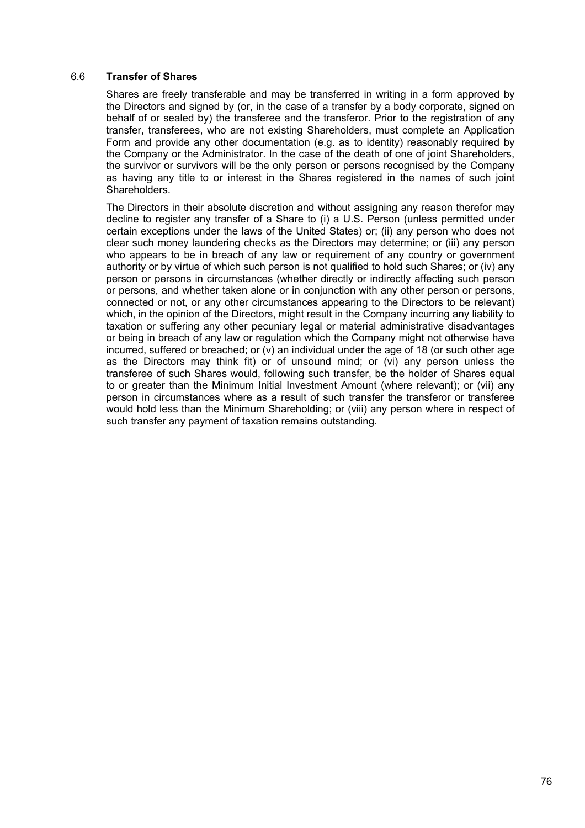### 6.6 **Transfer of Shares**

Shares are freely transferable and may be transferred in writing in a form approved by the Directors and signed by (or, in the case of a transfer by a body corporate, signed on behalf of or sealed by) the transferee and the transferor. Prior to the registration of any transfer, transferees, who are not existing Shareholders, must complete an Application Form and provide any other documentation (e.g. as to identity) reasonably required by the Company or the Administrator. In the case of the death of one of joint Shareholders, the survivor or survivors will be the only person or persons recognised by the Company as having any title to or interest in the Shares registered in the names of such joint Shareholders.

The Directors in their absolute discretion and without assigning any reason therefor may decline to register any transfer of a Share to (i) a U.S. Person (unless permitted under certain exceptions under the laws of the United States) or; (ii) any person who does not clear such money laundering checks as the Directors may determine; or (iii) any person who appears to be in breach of any law or requirement of any country or government authority or by virtue of which such person is not qualified to hold such Shares; or (iv) any person or persons in circumstances (whether directly or indirectly affecting such person or persons, and whether taken alone or in conjunction with any other person or persons, connected or not, or any other circumstances appearing to the Directors to be relevant) which, in the opinion of the Directors, might result in the Company incurring any liability to taxation or suffering any other pecuniary legal or material administrative disadvantages or being in breach of any law or regulation which the Company might not otherwise have incurred, suffered or breached; or  $(v)$  an individual under the age of 18 (or such other age as the Directors may think fit) or of unsound mind; or (vi) any person unless the transferee of such Shares would, following such transfer, be the holder of Shares equal to or greater than the Minimum Initial Investment Amount (where relevant); or (vii) any person in circumstances where as a result of such transfer the transferor or transferee would hold less than the Minimum Shareholding; or (viii) any person where in respect of such transfer any payment of taxation remains outstanding.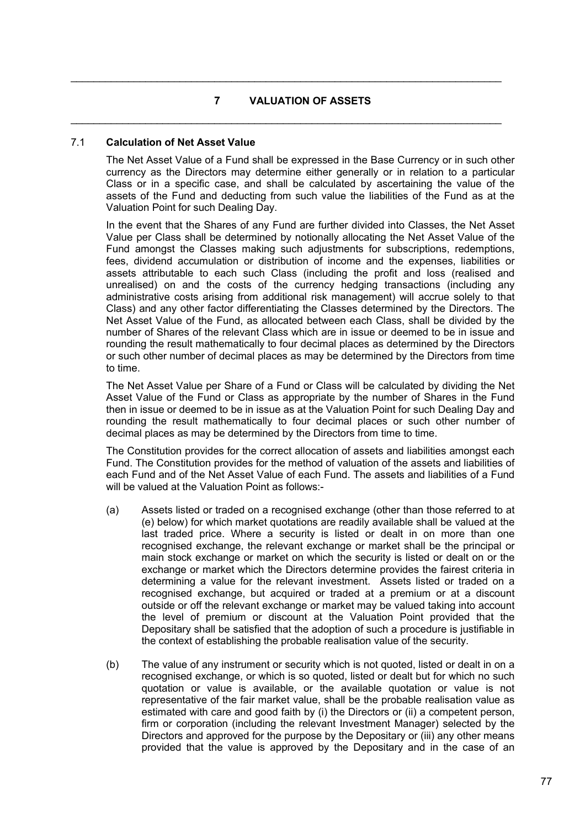# **7 VALUATION OF ASSETS**

 $\mathcal{L}_\mathcal{L} = \mathcal{L}_\mathcal{L} = \mathcal{L}_\mathcal{L} = \mathcal{L}_\mathcal{L} = \mathcal{L}_\mathcal{L} = \mathcal{L}_\mathcal{L} = \mathcal{L}_\mathcal{L} = \mathcal{L}_\mathcal{L} = \mathcal{L}_\mathcal{L} = \mathcal{L}_\mathcal{L} = \mathcal{L}_\mathcal{L} = \mathcal{L}_\mathcal{L} = \mathcal{L}_\mathcal{L} = \mathcal{L}_\mathcal{L} = \mathcal{L}_\mathcal{L} = \mathcal{L}_\mathcal{L} = \mathcal{L}_\mathcal{L}$ 

 $\mathcal{L}_\mathcal{L} = \mathcal{L}_\mathcal{L} = \mathcal{L}_\mathcal{L} = \mathcal{L}_\mathcal{L} = \mathcal{L}_\mathcal{L} = \mathcal{L}_\mathcal{L} = \mathcal{L}_\mathcal{L} = \mathcal{L}_\mathcal{L} = \mathcal{L}_\mathcal{L} = \mathcal{L}_\mathcal{L} = \mathcal{L}_\mathcal{L} = \mathcal{L}_\mathcal{L} = \mathcal{L}_\mathcal{L} = \mathcal{L}_\mathcal{L} = \mathcal{L}_\mathcal{L} = \mathcal{L}_\mathcal{L} = \mathcal{L}_\mathcal{L}$ 

# 7.1 **Calculation of Net Asset Value**

The Net Asset Value of a Fund shall be expressed in the Base Currency or in such other currency as the Directors may determine either generally or in relation to a particular Class or in a specific case, and shall be calculated by ascertaining the value of the assets of the Fund and deducting from such value the liabilities of the Fund as at the Valuation Point for such Dealing Day.

In the event that the Shares of any Fund are further divided into Classes, the Net Asset Value per Class shall be determined by notionally allocating the Net Asset Value of the Fund amongst the Classes making such adjustments for subscriptions, redemptions, fees, dividend accumulation or distribution of income and the expenses, liabilities or assets attributable to each such Class (including the profit and loss (realised and unrealised) on and the costs of the currency hedging transactions (including any administrative costs arising from additional risk management) will accrue solely to that Class) and any other factor differentiating the Classes determined by the Directors. The Net Asset Value of the Fund, as allocated between each Class, shall be divided by the number of Shares of the relevant Class which are in issue or deemed to be in issue and rounding the result mathematically to four decimal places as determined by the Directors or such other number of decimal places as may be determined by the Directors from time to time.

The Net Asset Value per Share of a Fund or Class will be calculated by dividing the Net Asset Value of the Fund or Class as appropriate by the number of Shares in the Fund then in issue or deemed to be in issue as at the Valuation Point for such Dealing Day and rounding the result mathematically to four decimal places or such other number of decimal places as may be determined by the Directors from time to time.

The Constitution provides for the correct allocation of assets and liabilities amongst each Fund. The Constitution provides for the method of valuation of the assets and liabilities of each Fund and of the Net Asset Value of each Fund. The assets and liabilities of a Fund will be valued at the Valuation Point as follows:-

- (a) Assets listed or traded on a recognised exchange (other than those referred to at (e) below) for which market quotations are readily available shall be valued at the last traded price. Where a security is listed or dealt in on more than one recognised exchange, the relevant exchange or market shall be the principal or main stock exchange or market on which the security is listed or dealt on or the exchange or market which the Directors determine provides the fairest criteria in determining a value for the relevant investment. Assets listed or traded on a recognised exchange, but acquired or traded at a premium or at a discount outside or off the relevant exchange or market may be valued taking into account the level of premium or discount at the Valuation Point provided that the Depositary shall be satisfied that the adoption of such a procedure is justifiable in the context of establishing the probable realisation value of the security.
- (b) The value of any instrument or security which is not quoted, listed or dealt in on a recognised exchange, or which is so quoted, listed or dealt but for which no such quotation or value is available, or the available quotation or value is not representative of the fair market value, shall be the probable realisation value as estimated with care and good faith by (i) the Directors or (ii) a competent person, firm or corporation (including the relevant Investment Manager) selected by the Directors and approved for the purpose by the Depositary or (iii) any other means provided that the value is approved by the Depositary and in the case of an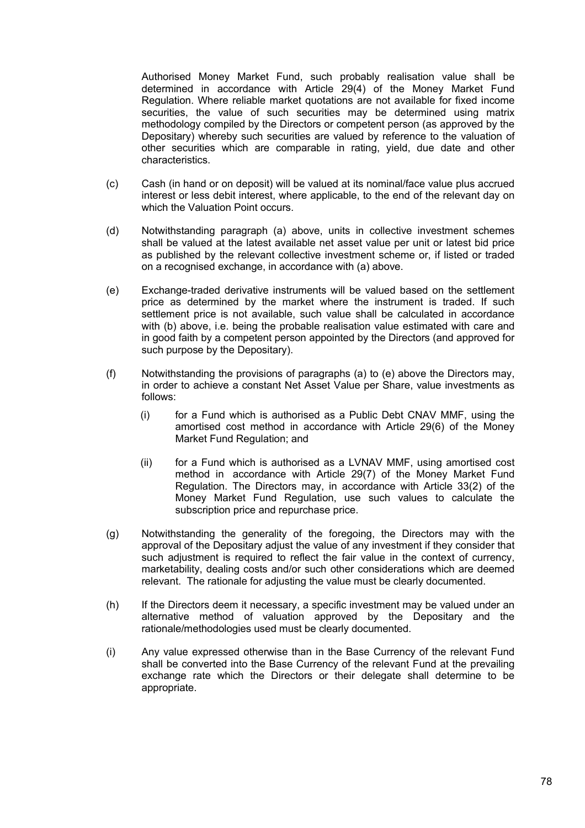Authorised Money Market Fund, such probably realisation value shall be determined in accordance with Article 29(4) of the Money Market Fund Regulation. Where reliable market quotations are not available for fixed income securities, the value of such securities may be determined using matrix methodology compiled by the Directors or competent person (as approved by the Depositary) whereby such securities are valued by reference to the valuation of other securities which are comparable in rating, yield, due date and other characteristics.

- (c) Cash (in hand or on deposit) will be valued at its nominal/face value plus accrued interest or less debit interest, where applicable, to the end of the relevant day on which the Valuation Point occurs.
- (d) Notwithstanding paragraph (a) above, units in collective investment schemes shall be valued at the latest available net asset value per unit or latest bid price as published by the relevant collective investment scheme or, if listed or traded on a recognised exchange, in accordance with (a) above.
- (e) Exchange-traded derivative instruments will be valued based on the settlement price as determined by the market where the instrument is traded. If such settlement price is not available, such value shall be calculated in accordance with (b) above, i.e. being the probable realisation value estimated with care and in good faith by a competent person appointed by the Directors (and approved for such purpose by the Depositary).
- (f) Notwithstanding the provisions of paragraphs (a) to (e) above the Directors may, in order to achieve a constant Net Asset Value per Share, value investments as follows:
	- (i) for a Fund which is authorised as a Public Debt CNAV MMF, using the amortised cost method in accordance with Article 29(6) of the Money Market Fund Regulation; and
	- (ii) for a Fund which is authorised as a LVNAV MMF, using amortised cost method in accordance with Article 29(7) of the Money Market Fund Regulation. The Directors may, in accordance with Article 33(2) of the Money Market Fund Regulation, use such values to calculate the subscription price and repurchase price.
- (g) Notwithstanding the generality of the foregoing, the Directors may with the approval of the Depositary adjust the value of any investment if they consider that such adjustment is required to reflect the fair value in the context of currency, marketability, dealing costs and/or such other considerations which are deemed relevant. The rationale for adjusting the value must be clearly documented.
- (h) If the Directors deem it necessary, a specific investment may be valued under an alternative method of valuation approved by the Depositary and the rationale/methodologies used must be clearly documented.
- (i) Any value expressed otherwise than in the Base Currency of the relevant Fund shall be converted into the Base Currency of the relevant Fund at the prevailing exchange rate which the Directors or their delegate shall determine to be appropriate.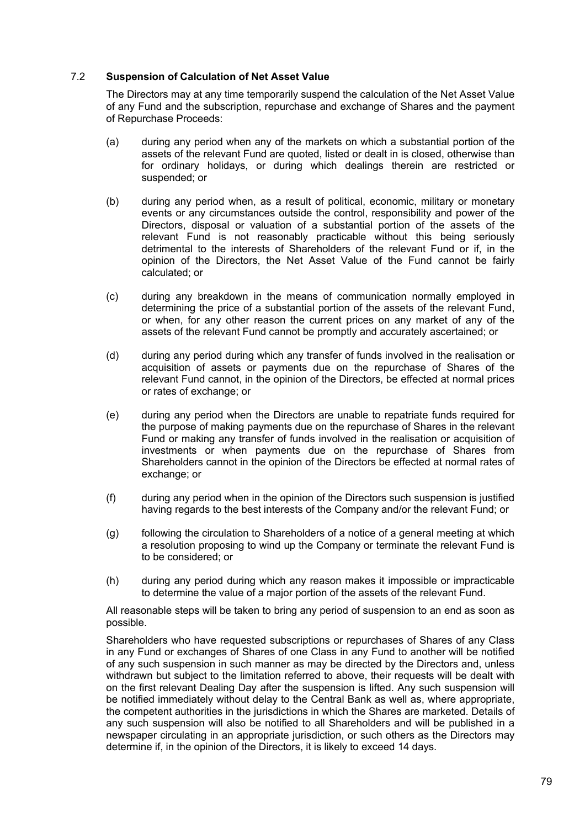## 7.2 **Suspension of Calculation of Net Asset Value**

The Directors may at any time temporarily suspend the calculation of the Net Asset Value of any Fund and the subscription, repurchase and exchange of Shares and the payment of Repurchase Proceeds:

- (a) during any period when any of the markets on which a substantial portion of the assets of the relevant Fund are quoted, listed or dealt in is closed, otherwise than for ordinary holidays, or during which dealings therein are restricted or suspended; or
- (b) during any period when, as a result of political, economic, military or monetary events or any circumstances outside the control, responsibility and power of the Directors, disposal or valuation of a substantial portion of the assets of the relevant Fund is not reasonably practicable without this being seriously detrimental to the interests of Shareholders of the relevant Fund or if, in the opinion of the Directors, the Net Asset Value of the Fund cannot be fairly calculated; or
- (c) during any breakdown in the means of communication normally employed in determining the price of a substantial portion of the assets of the relevant Fund, or when, for any other reason the current prices on any market of any of the assets of the relevant Fund cannot be promptly and accurately ascertained; or
- (d) during any period during which any transfer of funds involved in the realisation or acquisition of assets or payments due on the repurchase of Shares of the relevant Fund cannot, in the opinion of the Directors, be effected at normal prices or rates of exchange; or
- (e) during any period when the Directors are unable to repatriate funds required for the purpose of making payments due on the repurchase of Shares in the relevant Fund or making any transfer of funds involved in the realisation or acquisition of investments or when payments due on the repurchase of Shares from Shareholders cannot in the opinion of the Directors be effected at normal rates of exchange; or
- (f) during any period when in the opinion of the Directors such suspension is justified having regards to the best interests of the Company and/or the relevant Fund; or
- (g) following the circulation to Shareholders of a notice of a general meeting at which a resolution proposing to wind up the Company or terminate the relevant Fund is to be considered; or
- (h) during any period during which any reason makes it impossible or impracticable to determine the value of a major portion of the assets of the relevant Fund.

All reasonable steps will be taken to bring any period of suspension to an end as soon as possible.

Shareholders who have requested subscriptions or repurchases of Shares of any Class in any Fund or exchanges of Shares of one Class in any Fund to another will be notified of any such suspension in such manner as may be directed by the Directors and, unless withdrawn but subject to the limitation referred to above, their requests will be dealt with on the first relevant Dealing Day after the suspension is lifted. Any such suspension will be notified immediately without delay to the Central Bank as well as, where appropriate, the competent authorities in the jurisdictions in which the Shares are marketed. Details of any such suspension will also be notified to all Shareholders and will be published in a newspaper circulating in an appropriate jurisdiction, or such others as the Directors may determine if, in the opinion of the Directors, it is likely to exceed 14 days.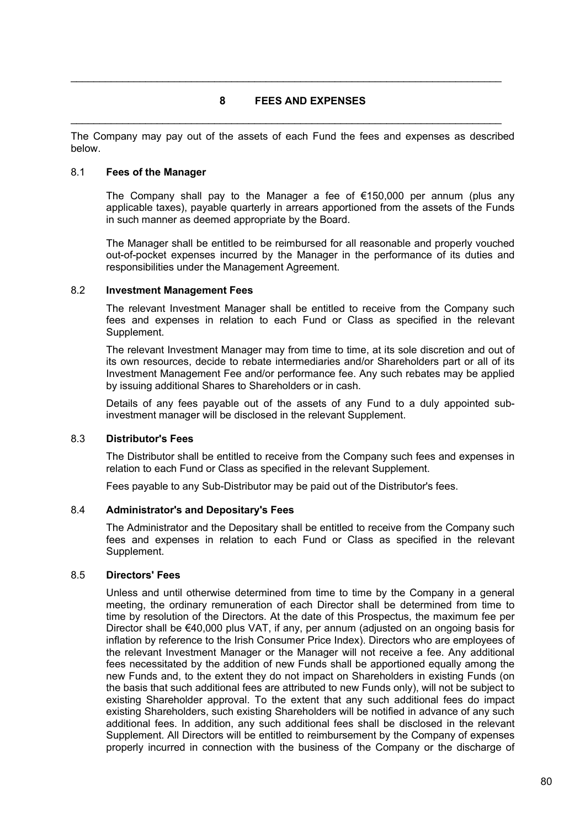# **8 FEES AND EXPENSES**

 $\mathcal{L}_\mathcal{L} = \mathcal{L}_\mathcal{L} = \mathcal{L}_\mathcal{L} = \mathcal{L}_\mathcal{L} = \mathcal{L}_\mathcal{L} = \mathcal{L}_\mathcal{L} = \mathcal{L}_\mathcal{L} = \mathcal{L}_\mathcal{L} = \mathcal{L}_\mathcal{L} = \mathcal{L}_\mathcal{L} = \mathcal{L}_\mathcal{L} = \mathcal{L}_\mathcal{L} = \mathcal{L}_\mathcal{L} = \mathcal{L}_\mathcal{L} = \mathcal{L}_\mathcal{L} = \mathcal{L}_\mathcal{L} = \mathcal{L}_\mathcal{L}$ 

 $\mathcal{L}_\mathcal{L} = \mathcal{L}_\mathcal{L} = \mathcal{L}_\mathcal{L} = \mathcal{L}_\mathcal{L} = \mathcal{L}_\mathcal{L} = \mathcal{L}_\mathcal{L} = \mathcal{L}_\mathcal{L} = \mathcal{L}_\mathcal{L} = \mathcal{L}_\mathcal{L} = \mathcal{L}_\mathcal{L} = \mathcal{L}_\mathcal{L} = \mathcal{L}_\mathcal{L} = \mathcal{L}_\mathcal{L} = \mathcal{L}_\mathcal{L} = \mathcal{L}_\mathcal{L} = \mathcal{L}_\mathcal{L} = \mathcal{L}_\mathcal{L}$ 

The Company may pay out of the assets of each Fund the fees and expenses as described below.

### 8.1 **Fees of the Manager**

The Company shall pay to the Manager a fee of  $\epsilon$ 150,000 per annum (plus any applicable taxes), payable quarterly in arrears apportioned from the assets of the Funds in such manner as deemed appropriate by the Board.

The Manager shall be entitled to be reimbursed for all reasonable and properly vouched out-of-pocket expenses incurred by the Manager in the performance of its duties and responsibilities under the Management Agreement.

## 8.2 **Investment Management Fees**

The relevant Investment Manager shall be entitled to receive from the Company such fees and expenses in relation to each Fund or Class as specified in the relevant Supplement.

The relevant Investment Manager may from time to time, at its sole discretion and out of its own resources, decide to rebate intermediaries and/or Shareholders part or all of its Investment Management Fee and/or performance fee. Any such rebates may be applied by issuing additional Shares to Shareholders or in cash.

Details of any fees payable out of the assets of any Fund to a duly appointed subinvestment manager will be disclosed in the relevant Supplement.

# 8.3 **Distributor's Fees**

The Distributor shall be entitled to receive from the Company such fees and expenses in relation to each Fund or Class as specified in the relevant Supplement.

Fees payable to any Sub-Distributor may be paid out of the Distributor's fees.

### 8.4 **Administrator's and Depositary's Fees**

The Administrator and the Depositary shall be entitled to receive from the Company such fees and expenses in relation to each Fund or Class as specified in the relevant Supplement.

# 8.5 **Directors' Fees**

Unless and until otherwise determined from time to time by the Company in a general meeting, the ordinary remuneration of each Director shall be determined from time to time by resolution of the Directors. At the date of this Prospectus, the maximum fee per Director shall be €40,000 plus VAT, if any, per annum (adjusted on an ongoing basis for inflation by reference to the Irish Consumer Price Index). Directors who are employees of the relevant Investment Manager or the Manager will not receive a fee. Any additional fees necessitated by the addition of new Funds shall be apportioned equally among the new Funds and, to the extent they do not impact on Shareholders in existing Funds (on the basis that such additional fees are attributed to new Funds only), will not be subject to existing Shareholder approval. To the extent that any such additional fees do impact existing Shareholders, such existing Shareholders will be notified in advance of any such additional fees. In addition, any such additional fees shall be disclosed in the relevant Supplement. All Directors will be entitled to reimbursement by the Company of expenses properly incurred in connection with the business of the Company or the discharge of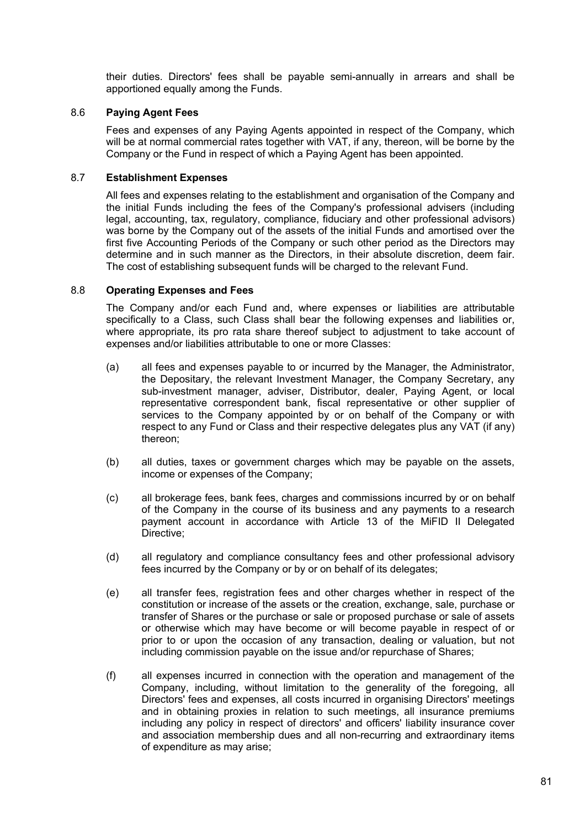their duties. Directors' fees shall be payable semi-annually in arrears and shall be apportioned equally among the Funds.

## 8.6 **Paying Agent Fees**

Fees and expenses of any Paying Agents appointed in respect of the Company, which will be at normal commercial rates together with VAT, if any, thereon, will be borne by the Company or the Fund in respect of which a Paying Agent has been appointed.

# 8.7 **Establishment Expenses**

All fees and expenses relating to the establishment and organisation of the Company and the initial Funds including the fees of the Company's professional advisers (including legal, accounting, tax, regulatory, compliance, fiduciary and other professional advisors) was borne by the Company out of the assets of the initial Funds and amortised over the first five Accounting Periods of the Company or such other period as the Directors may determine and in such manner as the Directors, in their absolute discretion, deem fair. The cost of establishing subsequent funds will be charged to the relevant Fund.

## 8.8 **Operating Expenses and Fees**

The Company and/or each Fund and, where expenses or liabilities are attributable specifically to a Class, such Class shall bear the following expenses and liabilities or, where appropriate, its pro rata share thereof subject to adjustment to take account of expenses and/or liabilities attributable to one or more Classes:

- (a) all fees and expenses payable to or incurred by the Manager, the Administrator, the Depositary, the relevant Investment Manager, the Company Secretary, any sub-investment manager, adviser, Distributor, dealer, Paying Agent, or local representative correspondent bank, fiscal representative or other supplier of services to the Company appointed by or on behalf of the Company or with respect to any Fund or Class and their respective delegates plus any VAT (if any) thereon;
- (b) all duties, taxes or government charges which may be payable on the assets, income or expenses of the Company;
- (c) all brokerage fees, bank fees, charges and commissions incurred by or on behalf of the Company in the course of its business and any payments to a research payment account in accordance with Article 13 of the MiFID II Delegated Directive:
- (d) all regulatory and compliance consultancy fees and other professional advisory fees incurred by the Company or by or on behalf of its delegates;
- (e) all transfer fees, registration fees and other charges whether in respect of the constitution or increase of the assets or the creation, exchange, sale, purchase or transfer of Shares or the purchase or sale or proposed purchase or sale of assets or otherwise which may have become or will become payable in respect of or prior to or upon the occasion of any transaction, dealing or valuation, but not including commission payable on the issue and/or repurchase of Shares;
- (f) all expenses incurred in connection with the operation and management of the Company, including, without limitation to the generality of the foregoing, all Directors' fees and expenses, all costs incurred in organising Directors' meetings and in obtaining proxies in relation to such meetings, all insurance premiums including any policy in respect of directors' and officers' liability insurance cover and association membership dues and all non-recurring and extraordinary items of expenditure as may arise;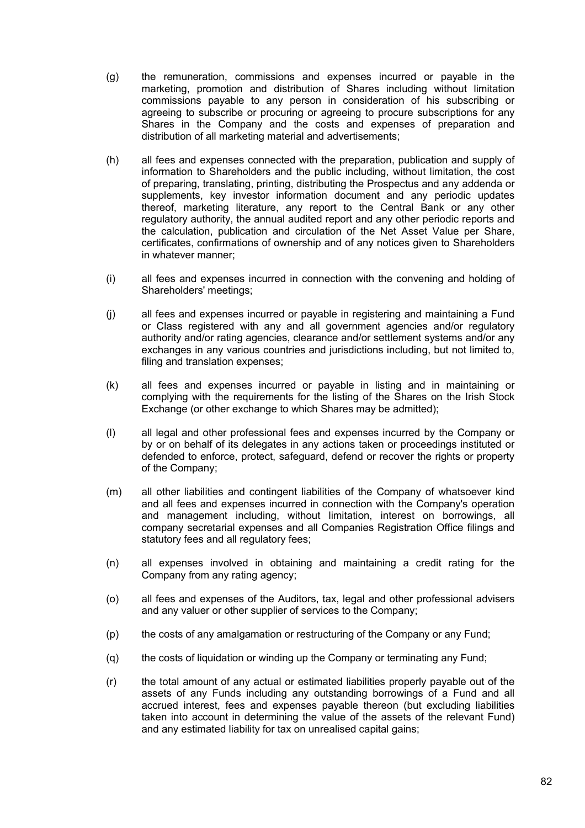- (g) the remuneration, commissions and expenses incurred or payable in the marketing, promotion and distribution of Shares including without limitation commissions payable to any person in consideration of his subscribing or agreeing to subscribe or procuring or agreeing to procure subscriptions for any Shares in the Company and the costs and expenses of preparation and distribution of all marketing material and advertisements;
- (h) all fees and expenses connected with the preparation, publication and supply of information to Shareholders and the public including, without limitation, the cost of preparing, translating, printing, distributing the Prospectus and any addenda or supplements, key investor information document and any periodic updates thereof, marketing literature, any report to the Central Bank or any other regulatory authority, the annual audited report and any other periodic reports and the calculation, publication and circulation of the Net Asset Value per Share, certificates, confirmations of ownership and of any notices given to Shareholders in whatever manner;
- (i) all fees and expenses incurred in connection with the convening and holding of Shareholders' meetings;
- (j) all fees and expenses incurred or payable in registering and maintaining a Fund or Class registered with any and all government agencies and/or regulatory authority and/or rating agencies, clearance and/or settlement systems and/or any exchanges in any various countries and jurisdictions including, but not limited to, filing and translation expenses:
- (k) all fees and expenses incurred or payable in listing and in maintaining or complying with the requirements for the listing of the Shares on the Irish Stock Exchange (or other exchange to which Shares may be admitted);
- (l) all legal and other professional fees and expenses incurred by the Company or by or on behalf of its delegates in any actions taken or proceedings instituted or defended to enforce, protect, safeguard, defend or recover the rights or property of the Company;
- (m) all other liabilities and contingent liabilities of the Company of whatsoever kind and all fees and expenses incurred in connection with the Company's operation and management including, without limitation, interest on borrowings, all company secretarial expenses and all Companies Registration Office filings and statutory fees and all regulatory fees;
- (n) all expenses involved in obtaining and maintaining a credit rating for the Company from any rating agency;
- (o) all fees and expenses of the Auditors, tax, legal and other professional advisers and any valuer or other supplier of services to the Company;
- (p) the costs of any amalgamation or restructuring of the Company or any Fund;
- (q) the costs of liquidation or winding up the Company or terminating any Fund;
- (r) the total amount of any actual or estimated liabilities properly payable out of the assets of any Funds including any outstanding borrowings of a Fund and all accrued interest, fees and expenses payable thereon (but excluding liabilities taken into account in determining the value of the assets of the relevant Fund) and any estimated liability for tax on unrealised capital gains;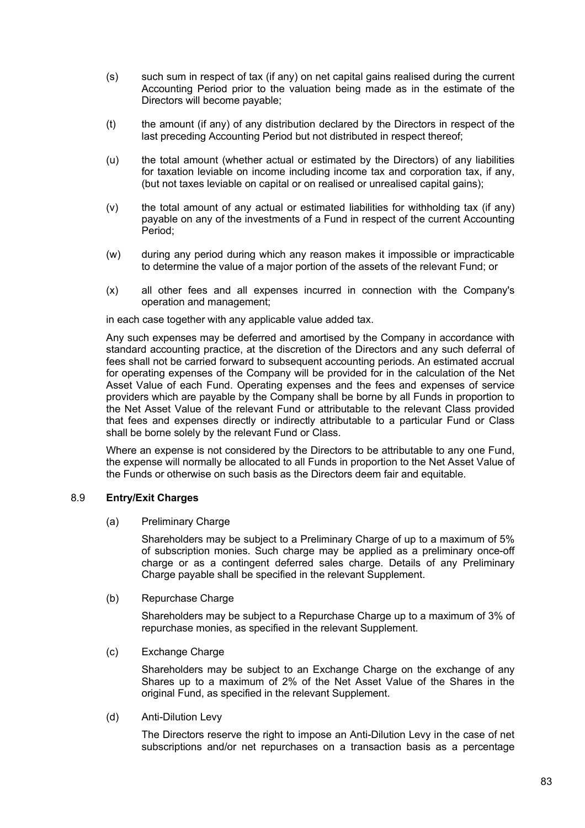- (s) such sum in respect of tax (if any) on net capital gains realised during the current Accounting Period prior to the valuation being made as in the estimate of the Directors will become payable;
- (t) the amount (if any) of any distribution declared by the Directors in respect of the last preceding Accounting Period but not distributed in respect thereof;
- (u) the total amount (whether actual or estimated by the Directors) of any liabilities for taxation leviable on income including income tax and corporation tax, if any, (but not taxes leviable on capital or on realised or unrealised capital gains);
- (v) the total amount of any actual or estimated liabilities for withholding tax (if any) payable on any of the investments of a Fund in respect of the current Accounting Period;
- (w) during any period during which any reason makes it impossible or impracticable to determine the value of a major portion of the assets of the relevant Fund; or
- (x) all other fees and all expenses incurred in connection with the Company's operation and management;

in each case together with any applicable value added tax.

Any such expenses may be deferred and amortised by the Company in accordance with standard accounting practice, at the discretion of the Directors and any such deferral of fees shall not be carried forward to subsequent accounting periods. An estimated accrual for operating expenses of the Company will be provided for in the calculation of the Net Asset Value of each Fund. Operating expenses and the fees and expenses of service providers which are payable by the Company shall be borne by all Funds in proportion to the Net Asset Value of the relevant Fund or attributable to the relevant Class provided that fees and expenses directly or indirectly attributable to a particular Fund or Class shall be borne solely by the relevant Fund or Class.

Where an expense is not considered by the Directors to be attributable to any one Fund, the expense will normally be allocated to all Funds in proportion to the Net Asset Value of the Funds or otherwise on such basis as the Directors deem fair and equitable.

### 8.9 **Entry/Exit Charges**

(a) Preliminary Charge

Shareholders may be subject to a Preliminary Charge of up to a maximum of 5% of subscription monies. Such charge may be applied as a preliminary once-off charge or as a contingent deferred sales charge. Details of any Preliminary Charge payable shall be specified in the relevant Supplement.

(b) Repurchase Charge

Shareholders may be subject to a Repurchase Charge up to a maximum of 3% of repurchase monies, as specified in the relevant Supplement.

(c) Exchange Charge

Shareholders may be subject to an Exchange Charge on the exchange of any Shares up to a maximum of 2% of the Net Asset Value of the Shares in the original Fund, as specified in the relevant Supplement.

(d) Anti-Dilution Levy

The Directors reserve the right to impose an Anti-Dilution Levy in the case of net subscriptions and/or net repurchases on a transaction basis as a percentage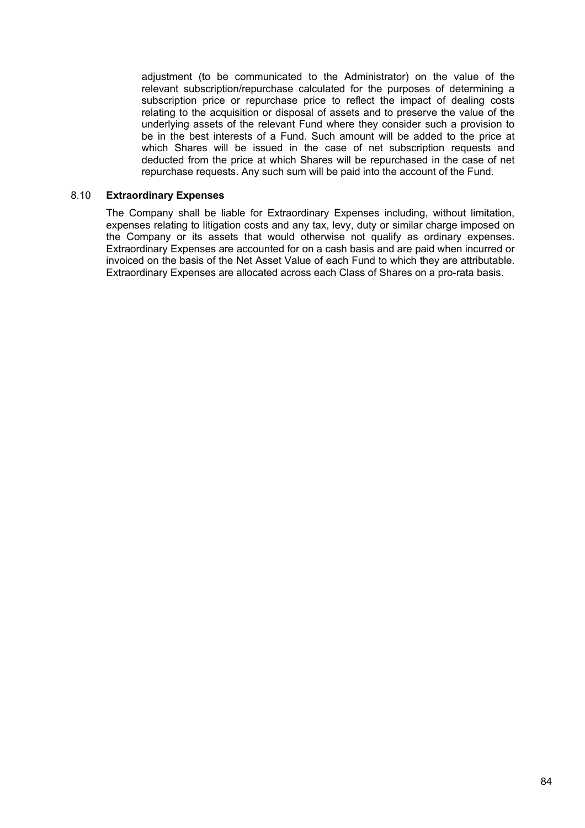adjustment (to be communicated to the Administrator) on the value of the relevant subscription/repurchase calculated for the purposes of determining a subscription price or repurchase price to reflect the impact of dealing costs relating to the acquisition or disposal of assets and to preserve the value of the underlying assets of the relevant Fund where they consider such a provision to be in the best interests of a Fund. Such amount will be added to the price at which Shares will be issued in the case of net subscription requests and deducted from the price at which Shares will be repurchased in the case of net repurchase requests. Any such sum will be paid into the account of the Fund.

#### 8.10 **Extraordinary Expenses**

The Company shall be liable for Extraordinary Expenses including, without limitation, expenses relating to litigation costs and any tax, levy, duty or similar charge imposed on the Company or its assets that would otherwise not qualify as ordinary expenses. Extraordinary Expenses are accounted for on a cash basis and are paid when incurred or invoiced on the basis of the Net Asset Value of each Fund to which they are attributable. Extraordinary Expenses are allocated across each Class of Shares on a pro-rata basis.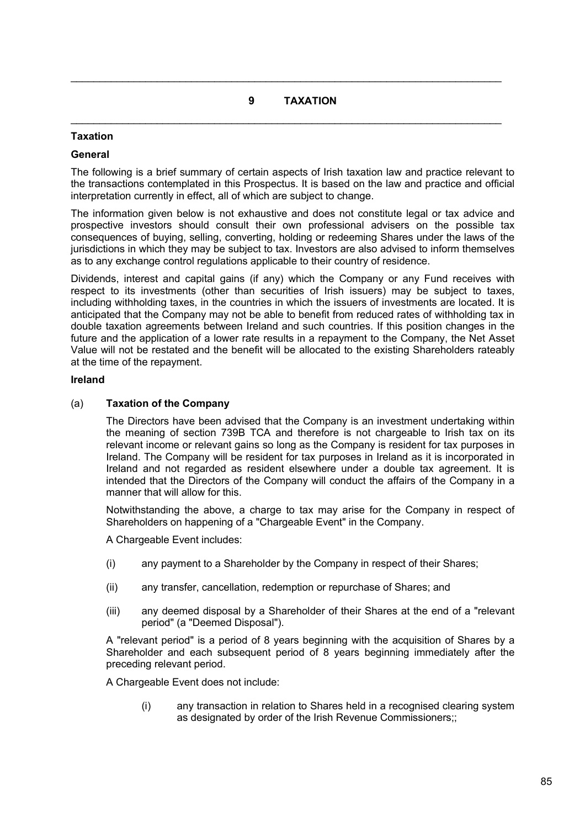# **9 TAXATION**

 $\mathcal{L}_\mathcal{L} = \mathcal{L}_\mathcal{L} = \mathcal{L}_\mathcal{L} = \mathcal{L}_\mathcal{L} = \mathcal{L}_\mathcal{L} = \mathcal{L}_\mathcal{L} = \mathcal{L}_\mathcal{L} = \mathcal{L}_\mathcal{L} = \mathcal{L}_\mathcal{L} = \mathcal{L}_\mathcal{L} = \mathcal{L}_\mathcal{L} = \mathcal{L}_\mathcal{L} = \mathcal{L}_\mathcal{L} = \mathcal{L}_\mathcal{L} = \mathcal{L}_\mathcal{L} = \mathcal{L}_\mathcal{L} = \mathcal{L}_\mathcal{L}$ 

 $\mathcal{L}_\mathcal{L} = \mathcal{L}_\mathcal{L} = \mathcal{L}_\mathcal{L} = \mathcal{L}_\mathcal{L} = \mathcal{L}_\mathcal{L} = \mathcal{L}_\mathcal{L} = \mathcal{L}_\mathcal{L} = \mathcal{L}_\mathcal{L} = \mathcal{L}_\mathcal{L} = \mathcal{L}_\mathcal{L} = \mathcal{L}_\mathcal{L} = \mathcal{L}_\mathcal{L} = \mathcal{L}_\mathcal{L} = \mathcal{L}_\mathcal{L} = \mathcal{L}_\mathcal{L} = \mathcal{L}_\mathcal{L} = \mathcal{L}_\mathcal{L}$ 

# **Taxation**

### **General**

The following is a brief summary of certain aspects of Irish taxation law and practice relevant to the transactions contemplated in this Prospectus. It is based on the law and practice and official interpretation currently in effect, all of which are subject to change.

The information given below is not exhaustive and does not constitute legal or tax advice and prospective investors should consult their own professional advisers on the possible tax consequences of buying, selling, converting, holding or redeeming Shares under the laws of the jurisdictions in which they may be subject to tax. Investors are also advised to inform themselves as to any exchange control regulations applicable to their country of residence.

Dividends, interest and capital gains (if any) which the Company or any Fund receives with respect to its investments (other than securities of Irish issuers) may be subject to taxes, including withholding taxes, in the countries in which the issuers of investments are located. It is anticipated that the Company may not be able to benefit from reduced rates of withholding tax in double taxation agreements between Ireland and such countries. If this position changes in the future and the application of a lower rate results in a repayment to the Company, the Net Asset Value will not be restated and the benefit will be allocated to the existing Shareholders rateably at the time of the repayment.

### **Ireland**

## (a) **Taxation of the Company**

The Directors have been advised that the Company is an investment undertaking within the meaning of section 739B TCA and therefore is not chargeable to Irish tax on its relevant income or relevant gains so long as the Company is resident for tax purposes in Ireland. The Company will be resident for tax purposes in Ireland as it is incorporated in Ireland and not regarded as resident elsewhere under a double tax agreement. It is intended that the Directors of the Company will conduct the affairs of the Company in a manner that will allow for this.

Notwithstanding the above, a charge to tax may arise for the Company in respect of Shareholders on happening of a "Chargeable Event" in the Company.

A Chargeable Event includes:

- (i) any payment to a Shareholder by the Company in respect of their Shares;
- (ii) any transfer, cancellation, redemption or repurchase of Shares; and
- (iii) any deemed disposal by a Shareholder of their Shares at the end of a "relevant period" (a "Deemed Disposal").

A "relevant period" is a period of 8 years beginning with the acquisition of Shares by a Shareholder and each subsequent period of 8 years beginning immediately after the preceding relevant period.

A Chargeable Event does not include:

(i) any transaction in relation to Shares held in a recognised clearing system as designated by order of the Irish Revenue Commissioners::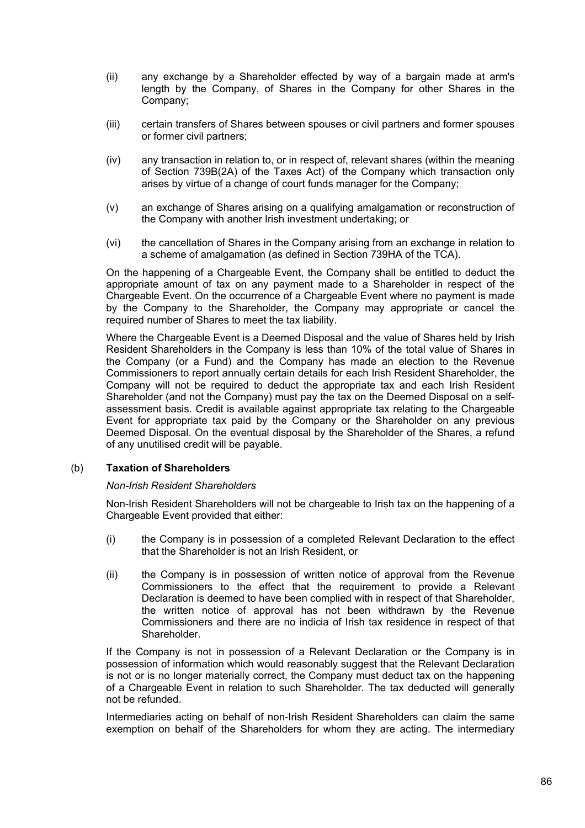- (ii) any exchange by a Shareholder effected by way of a bargain made at arm's length by the Company, of Shares in the Company for other Shares in the Company;
- (iii) certain transfers of Shares between spouses or civil partners and former spouses or former civil partners;
- (iv) any transaction in relation to, or in respect of, relevant shares (within the meaning of Section 739B(2A) of the Taxes Act) of the Company which transaction only arises by virtue of a change of court funds manager for the Company;
- (v) an exchange of Shares arising on a qualifying amalgamation or reconstruction of the Company with another Irish investment undertaking; or
- (vi) the cancellation of Shares in the Company arising from an exchange in relation to a scheme of amalgamation (as defined in Section 739HA of the TCA).

On the happening of a Chargeable Event, the Company shall be entitled to deduct the appropriate amount of tax on any payment made to a Shareholder in respect of the Chargeable Event. On the occurrence of a Chargeable Event where no payment is made by the Company to the Shareholder, the Company may appropriate or cancel the required number of Shares to meet the tax liability.

Where the Chargeable Event is a Deemed Disposal and the value of Shares held by Irish Resident Shareholders in the Company is less than 10% of the total value of Shares in the Company (or a Fund) and the Company has made an election to the Revenue Commissioners to report annually certain details for each Irish Resident Shareholder, the Company will not be required to deduct the appropriate tax and each Irish Resident Shareholder (and not the Company) must pay the tax on the Deemed Disposal on a selfassessment basis. Credit is available against appropriate tax relating to the Chargeable Event for appropriate tax paid by the Company or the Shareholder on any previous Deemed Disposal. On the eventual disposal by the Shareholder of the Shares, a refund of any unutilised credit will be payable.

### (b) **Taxation of Shareholders**

### *Non-Irish Resident Shareholders*

Non-Irish Resident Shareholders will not be chargeable to Irish tax on the happening of a Chargeable Event provided that either:

- (i) the Company is in possession of a completed Relevant Declaration to the effect that the Shareholder is not an Irish Resident, or
- (ii) the Company is in possession of written notice of approval from the Revenue Commissioners to the effect that the requirement to provide a Relevant Declaration is deemed to have been complied with in respect of that Shareholder, the written notice of approval has not been withdrawn by the Revenue Commissioners and there are no indicia of Irish tax residence in respect of that Shareholder.

If the Company is not in possession of a Relevant Declaration or the Company is in possession of information which would reasonably suggest that the Relevant Declaration is not or is no longer materially correct, the Company must deduct tax on the happening of a Chargeable Event in relation to such Shareholder. The tax deducted will generally not be refunded.

Intermediaries acting on behalf of non-Irish Resident Shareholders can claim the same exemption on behalf of the Shareholders for whom they are acting. The intermediary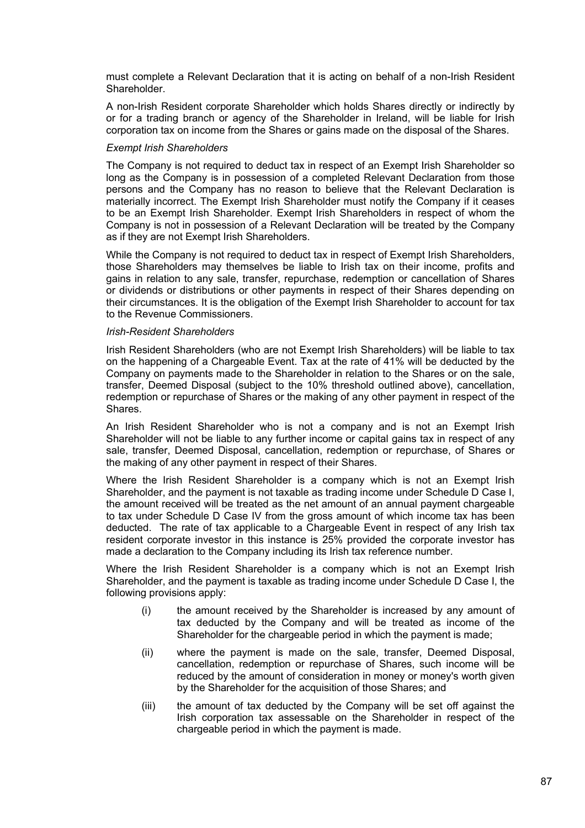must complete a Relevant Declaration that it is acting on behalf of a non-Irish Resident Shareholder.

A non-Irish Resident corporate Shareholder which holds Shares directly or indirectly by or for a trading branch or agency of the Shareholder in Ireland, will be liable for Irish corporation tax on income from the Shares or gains made on the disposal of the Shares.

#### *Exempt Irish Shareholders*

The Company is not required to deduct tax in respect of an Exempt Irish Shareholder so long as the Company is in possession of a completed Relevant Declaration from those persons and the Company has no reason to believe that the Relevant Declaration is materially incorrect. The Exempt Irish Shareholder must notify the Company if it ceases to be an Exempt Irish Shareholder. Exempt Irish Shareholders in respect of whom the Company is not in possession of a Relevant Declaration will be treated by the Company as if they are not Exempt Irish Shareholders.

While the Company is not required to deduct tax in respect of Exempt Irish Shareholders, those Shareholders may themselves be liable to Irish tax on their income, profits and gains in relation to any sale, transfer, repurchase, redemption or cancellation of Shares or dividends or distributions or other payments in respect of their Shares depending on their circumstances. It is the obligation of the Exempt Irish Shareholder to account for tax to the Revenue Commissioners.

#### *Irish-Resident Shareholders*

Irish Resident Shareholders (who are not Exempt Irish Shareholders) will be liable to tax on the happening of a Chargeable Event. Tax at the rate of 41% will be deducted by the Company on payments made to the Shareholder in relation to the Shares or on the sale, transfer, Deemed Disposal (subject to the 10% threshold outlined above), cancellation, redemption or repurchase of Shares or the making of any other payment in respect of the Shares.

An Irish Resident Shareholder who is not a company and is not an Exempt Irish Shareholder will not be liable to any further income or capital gains tax in respect of any sale, transfer, Deemed Disposal, cancellation, redemption or repurchase, of Shares or the making of any other payment in respect of their Shares.

Where the Irish Resident Shareholder is a company which is not an Exempt Irish Shareholder, and the payment is not taxable as trading income under Schedule D Case I, the amount received will be treated as the net amount of an annual payment chargeable to tax under Schedule D Case IV from the gross amount of which income tax has been deducted. The rate of tax applicable to a Chargeable Event in respect of any Irish tax resident corporate investor in this instance is 25% provided the corporate investor has made a declaration to the Company including its Irish tax reference number.

Where the Irish Resident Shareholder is a company which is not an Exempt Irish Shareholder, and the payment is taxable as trading income under Schedule D Case I, the following provisions apply:

- (i) the amount received by the Shareholder is increased by any amount of tax deducted by the Company and will be treated as income of the Shareholder for the chargeable period in which the payment is made;
- (ii) where the payment is made on the sale, transfer, Deemed Disposal, cancellation, redemption or repurchase of Shares, such income will be reduced by the amount of consideration in money or money's worth given by the Shareholder for the acquisition of those Shares; and
- (iii) the amount of tax deducted by the Company will be set off against the Irish corporation tax assessable on the Shareholder in respect of the chargeable period in which the payment is made.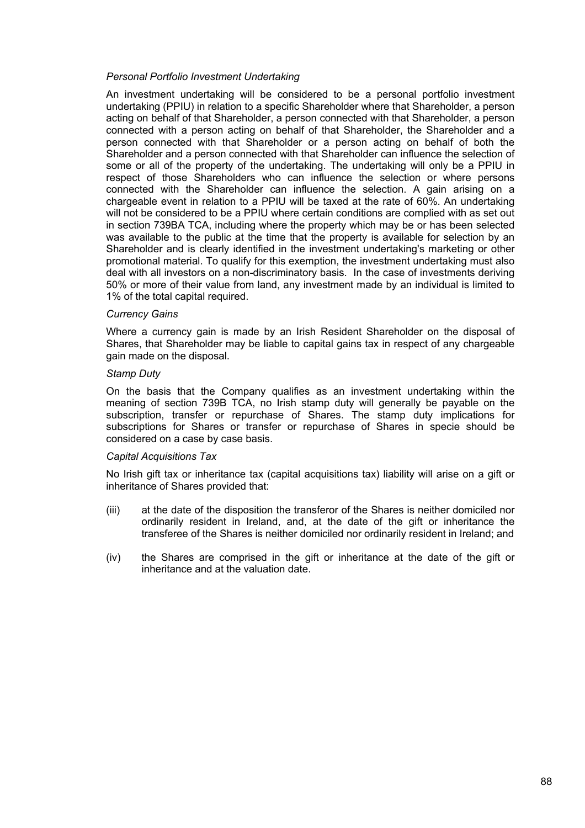### *Personal Portfolio Investment Undertaking*

An investment undertaking will be considered to be a personal portfolio investment undertaking (PPIU) in relation to a specific Shareholder where that Shareholder, a person acting on behalf of that Shareholder, a person connected with that Shareholder, a person connected with a person acting on behalf of that Shareholder, the Shareholder and a person connected with that Shareholder or a person acting on behalf of both the Shareholder and a person connected with that Shareholder can influence the selection of some or all of the property of the undertaking. The undertaking will only be a PPIU in respect of those Shareholders who can influence the selection or where persons connected with the Shareholder can influence the selection. A gain arising on a chargeable event in relation to a PPIU will be taxed at the rate of 60%. An undertaking will not be considered to be a PPIU where certain conditions are complied with as set out in section 739BA TCA, including where the property which may be or has been selected was available to the public at the time that the property is available for selection by an Shareholder and is clearly identified in the investment undertaking's marketing or other promotional material. To qualify for this exemption, the investment undertaking must also deal with all investors on a non-discriminatory basis. In the case of investments deriving 50% or more of their value from land, any investment made by an individual is limited to 1% of the total capital required.

### *Currency Gains*

Where a currency gain is made by an Irish Resident Shareholder on the disposal of Shares, that Shareholder may be liable to capital gains tax in respect of any chargeable gain made on the disposal.

#### *Stamp Duty*

On the basis that the Company qualifies as an investment undertaking within the meaning of section 739B TCA, no Irish stamp duty will generally be payable on the subscription, transfer or repurchase of Shares. The stamp duty implications for subscriptions for Shares or transfer or repurchase of Shares in specie should be considered on a case by case basis.

#### *Capital Acquisitions Tax*

No Irish gift tax or inheritance tax (capital acquisitions tax) liability will arise on a gift or inheritance of Shares provided that:

- (iii) at the date of the disposition the transferor of the Shares is neither domiciled nor ordinarily resident in Ireland, and, at the date of the gift or inheritance the transferee of the Shares is neither domiciled nor ordinarily resident in Ireland; and
- (iv) the Shares are comprised in the gift or inheritance at the date of the gift or inheritance and at the valuation date.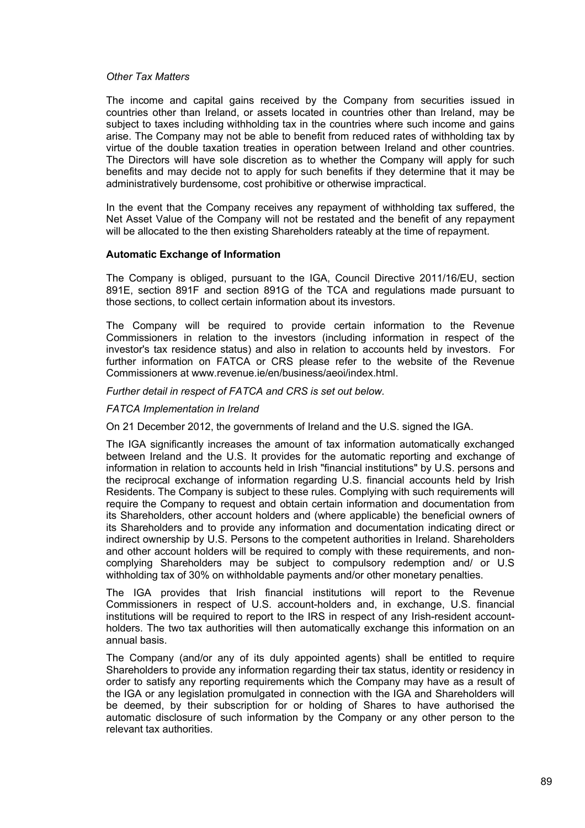#### *Other Tax Matters*

The income and capital gains received by the Company from securities issued in countries other than Ireland, or assets located in countries other than Ireland, may be subject to taxes including withholding tax in the countries where such income and gains arise. The Company may not be able to benefit from reduced rates of withholding tax by virtue of the double taxation treaties in operation between Ireland and other countries. The Directors will have sole discretion as to whether the Company will apply for such benefits and may decide not to apply for such benefits if they determine that it may be administratively burdensome, cost prohibitive or otherwise impractical.

In the event that the Company receives any repayment of withholding tax suffered, the Net Asset Value of the Company will not be restated and the benefit of any repayment will be allocated to the then existing Shareholders rateably at the time of repayment.

### **Automatic Exchange of Information**

The Company is obliged, pursuant to the IGA, Council Directive 2011/16/EU, section 891E, section 891F and section 891G of the TCA and regulations made pursuant to those sections, to collect certain information about its investors.

The Company will be required to provide certain information to the Revenue Commissioners in relation to the investors (including information in respect of the investor's tax residence status) and also in relation to accounts held by investors. For further information on FATCA or CRS please refer to the website of the Revenue Commissioners at www.revenue.je/en/business/aeoi/index.html.

*Further detail in respect of FATCA and CRS is set out below.* 

### *FATCA Implementation in Ireland*

On 21 December 2012, the governments of Ireland and the U.S. signed the IGA.

The IGA significantly increases the amount of tax information automatically exchanged between Ireland and the U.S. It provides for the automatic reporting and exchange of information in relation to accounts held in Irish "financial institutions" by U.S. persons and the reciprocal exchange of information regarding U.S. financial accounts held by Irish Residents. The Company is subject to these rules. Complying with such requirements will require the Company to request and obtain certain information and documentation from its Shareholders, other account holders and (where applicable) the beneficial owners of its Shareholders and to provide any information and documentation indicating direct or indirect ownership by U.S. Persons to the competent authorities in Ireland. Shareholders and other account holders will be required to comply with these requirements, and noncomplying Shareholders may be subject to compulsory redemption and/ or U.S withholding tax of 30% on withholdable payments and/or other monetary penalties.

The IGA provides that Irish financial institutions will report to the Revenue Commissioners in respect of U.S. account-holders and, in exchange, U.S. financial institutions will be required to report to the IRS in respect of any Irish-resident accountholders. The two tax authorities will then automatically exchange this information on an annual basis.

The Company (and/or any of its duly appointed agents) shall be entitled to require Shareholders to provide any information regarding their tax status, identity or residency in order to satisfy any reporting requirements which the Company may have as a result of the IGA or any legislation promulgated in connection with the IGA and Shareholders will be deemed, by their subscription for or holding of Shares to have authorised the automatic disclosure of such information by the Company or any other person to the relevant tax authorities.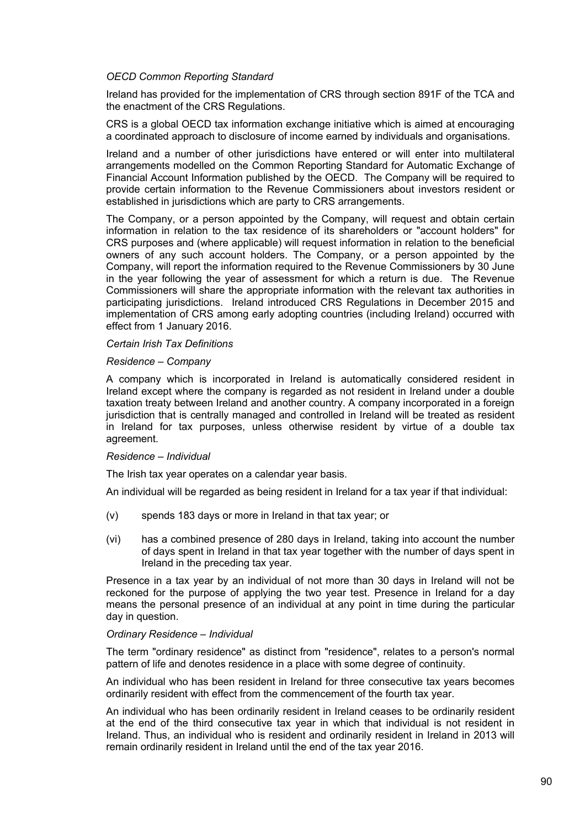### *OECD Common Reporting Standard*

Ireland has provided for the implementation of CRS through section 891F of the TCA and the enactment of the CRS Regulations.

CRS is a global OECD tax information exchange initiative which is aimed at encouraging a coordinated approach to disclosure of income earned by individuals and organisations.

Ireland and a number of other jurisdictions have entered or will enter into multilateral arrangements modelled on the Common Reporting Standard for Automatic Exchange of Financial Account Information published by the OECD. The Company will be required to provide certain information to the Revenue Commissioners about investors resident or established in jurisdictions which are party to CRS arrangements.

The Company, or a person appointed by the Company, will request and obtain certain information in relation to the tax residence of its shareholders or "account holders" for CRS purposes and (where applicable) will request information in relation to the beneficial owners of any such account holders. The Company, or a person appointed by the Company, will report the information required to the Revenue Commissioners by 30 June in the year following the year of assessment for which a return is due. The Revenue Commissioners will share the appropriate information with the relevant tax authorities in participating jurisdictions. Ireland introduced CRS Regulations in December 2015 and implementation of CRS among early adopting countries (including Ireland) occurred with effect from 1 January 2016.

#### *Certain Irish Tax Definitions*

#### *Residence – Company*

A company which is incorporated in Ireland is automatically considered resident in Ireland except where the company is regarded as not resident in Ireland under a double taxation treaty between Ireland and another country. A company incorporated in a foreign jurisdiction that is centrally managed and controlled in Ireland will be treated as resident in Ireland for tax purposes, unless otherwise resident by virtue of a double tax agreement.

#### *Residence – Individual*

The Irish tax year operates on a calendar year basis.

An individual will be regarded as being resident in Ireland for a tax year if that individual:

- (v) spends 183 days or more in Ireland in that tax year; or
- (vi) has a combined presence of 280 days in Ireland, taking into account the number of days spent in Ireland in that tax year together with the number of days spent in Ireland in the preceding tax year.

Presence in a tax year by an individual of not more than 30 days in Ireland will not be reckoned for the purpose of applying the two year test. Presence in Ireland for a day means the personal presence of an individual at any point in time during the particular day in question.

#### *Ordinary Residence – Individual*

The term "ordinary residence" as distinct from "residence", relates to a person's normal pattern of life and denotes residence in a place with some degree of continuity.

An individual who has been resident in Ireland for three consecutive tax years becomes ordinarily resident with effect from the commencement of the fourth tax year.

An individual who has been ordinarily resident in Ireland ceases to be ordinarily resident at the end of the third consecutive tax year in which that individual is not resident in Ireland. Thus, an individual who is resident and ordinarily resident in Ireland in 2013 will remain ordinarily resident in Ireland until the end of the tax year 2016.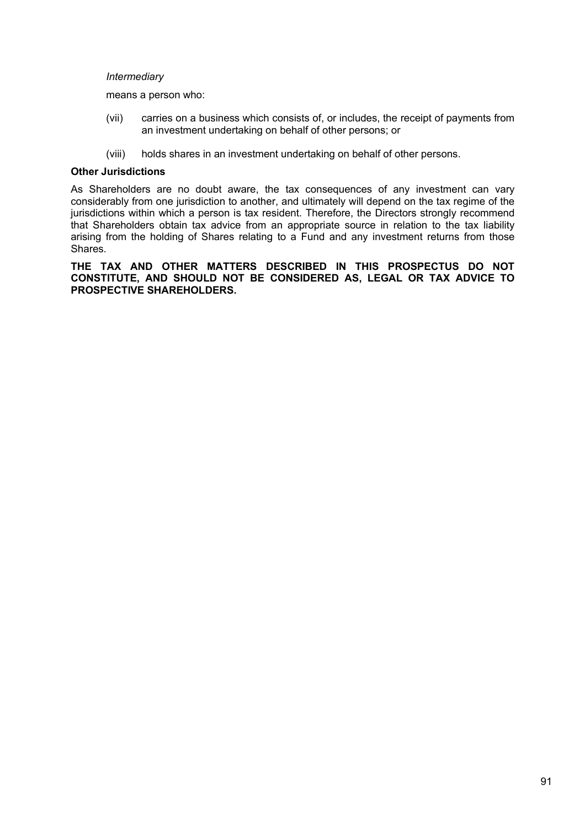#### *Intermediary*

means a person who:

- (vii) carries on a business which consists of, or includes, the receipt of payments from an investment undertaking on behalf of other persons; or
- (viii) holds shares in an investment undertaking on behalf of other persons.

### **Other Jurisdictions**

As Shareholders are no doubt aware, the tax consequences of any investment can vary considerably from one jurisdiction to another, and ultimately will depend on the tax regime of the jurisdictions within which a person is tax resident. Therefore, the Directors strongly recommend that Shareholders obtain tax advice from an appropriate source in relation to the tax liability arising from the holding of Shares relating to a Fund and any investment returns from those Shares.

**THE TAX AND OTHER MATTERS DESCRIBED IN THIS PROSPECTUS DO NOT CONSTITUTE, AND SHOULD NOT BE CONSIDERED AS, LEGAL OR TAX ADVICE TO PROSPECTIVE SHAREHOLDERS.**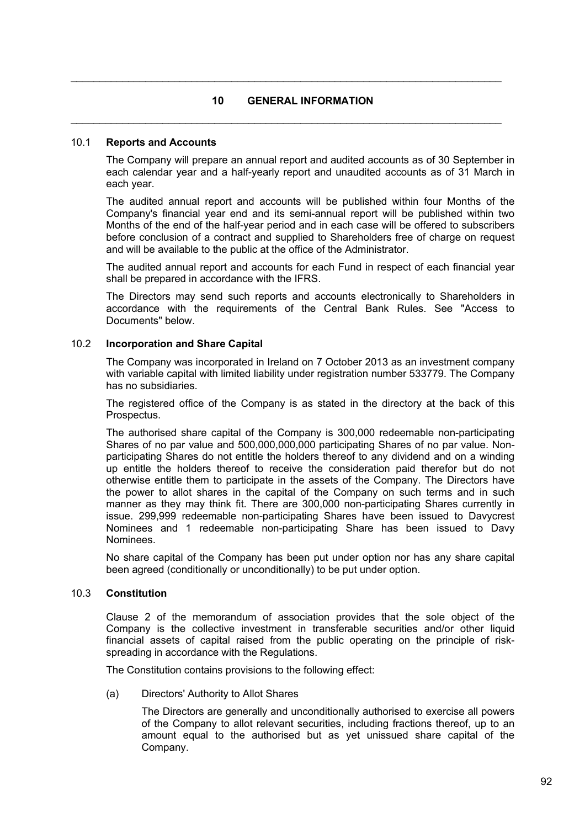# **10 GENERAL INFORMATION**

 $\mathcal{L}_\mathcal{L} = \mathcal{L}_\mathcal{L} = \mathcal{L}_\mathcal{L} = \mathcal{L}_\mathcal{L} = \mathcal{L}_\mathcal{L} = \mathcal{L}_\mathcal{L} = \mathcal{L}_\mathcal{L} = \mathcal{L}_\mathcal{L} = \mathcal{L}_\mathcal{L} = \mathcal{L}_\mathcal{L} = \mathcal{L}_\mathcal{L} = \mathcal{L}_\mathcal{L} = \mathcal{L}_\mathcal{L} = \mathcal{L}_\mathcal{L} = \mathcal{L}_\mathcal{L} = \mathcal{L}_\mathcal{L} = \mathcal{L}_\mathcal{L}$ 

 $\mathcal{L}_\mathcal{L} = \mathcal{L}_\mathcal{L} = \mathcal{L}_\mathcal{L} = \mathcal{L}_\mathcal{L} = \mathcal{L}_\mathcal{L} = \mathcal{L}_\mathcal{L} = \mathcal{L}_\mathcal{L} = \mathcal{L}_\mathcal{L} = \mathcal{L}_\mathcal{L} = \mathcal{L}_\mathcal{L} = \mathcal{L}_\mathcal{L} = \mathcal{L}_\mathcal{L} = \mathcal{L}_\mathcal{L} = \mathcal{L}_\mathcal{L} = \mathcal{L}_\mathcal{L} = \mathcal{L}_\mathcal{L} = \mathcal{L}_\mathcal{L}$ 

#### 10.1 **Reports and Accounts**

The Company will prepare an annual report and audited accounts as of 30 September in each calendar year and a half-yearly report and unaudited accounts as of 31 March in each year.

The audited annual report and accounts will be published within four Months of the Company's financial year end and its semi-annual report will be published within two Months of the end of the half-year period and in each case will be offered to subscribers before conclusion of a contract and supplied to Shareholders free of charge on request and will be available to the public at the office of the Administrator.

The audited annual report and accounts for each Fund in respect of each financial year shall be prepared in accordance with the IFRS.

The Directors may send such reports and accounts electronically to Shareholders in accordance with the requirements of the Central Bank Rules. See "Access to Documents" below.

#### 10.2 **Incorporation and Share Capital**

The Company was incorporated in Ireland on 7 October 2013 as an investment company with variable capital with limited liability under registration number 533779. The Company has no subsidiaries.

The registered office of the Company is as stated in the directory at the back of this Prospectus.

The authorised share capital of the Company is 300,000 redeemable non-participating Shares of no par value and 500,000,000,000 participating Shares of no par value. Nonparticipating Shares do not entitle the holders thereof to any dividend and on a winding up entitle the holders thereof to receive the consideration paid therefor but do not otherwise entitle them to participate in the assets of the Company. The Directors have the power to allot shares in the capital of the Company on such terms and in such manner as they may think fit. There are 300,000 non-participating Shares currently in issue. 299,999 redeemable non-participating Shares have been issued to Davycrest Nominees and 1 redeemable non-participating Share has been issued to Davy Nominees.

No share capital of the Company has been put under option nor has any share capital been agreed (conditionally or unconditionally) to be put under option.

#### 10.3 **Constitution**

Clause 2 of the memorandum of association provides that the sole object of the Company is the collective investment in transferable securities and/or other liquid financial assets of capital raised from the public operating on the principle of riskspreading in accordance with the Regulations.

The Constitution contains provisions to the following effect:

(a) Directors' Authority to Allot Shares

The Directors are generally and unconditionally authorised to exercise all powers of the Company to allot relevant securities, including fractions thereof, up to an amount equal to the authorised but as yet unissued share capital of the Company.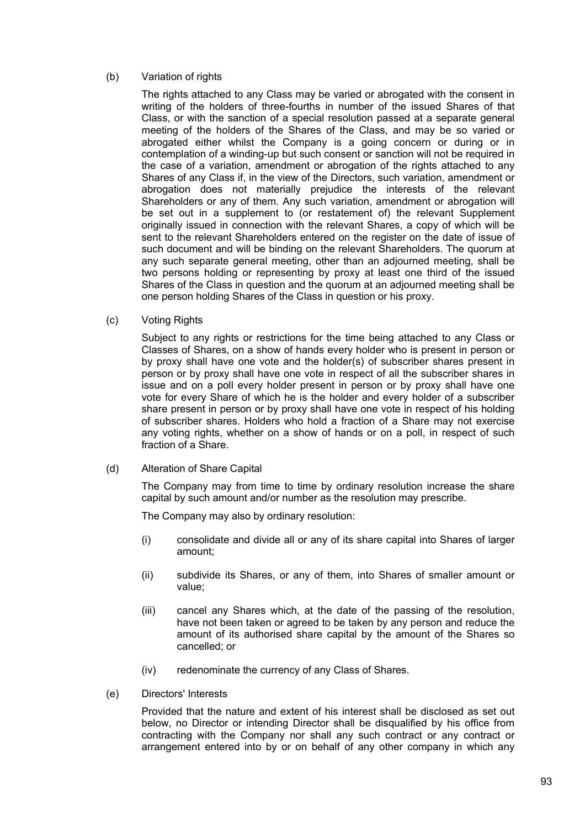## (b) Variation of rights

The rights attached to any Class may be varied or abrogated with the consent in writing of the holders of three-fourths in number of the issued Shares of that Class, or with the sanction of a special resolution passed at a separate general meeting of the holders of the Shares of the Class, and may be so varied or abrogated either whilst the Company is a going concern or during or in contemplation of a winding-up but such consent or sanction will not be required in the case of a variation, amendment or abrogation of the rights attached to any Shares of any Class if, in the view of the Directors, such variation, amendment or abrogation does not materially prejudice the interests of the relevant Shareholders or any of them. Any such variation, amendment or abrogation will be set out in a supplement to (or restatement of) the relevant Supplement originally issued in connection with the relevant Shares, a copy of which will be sent to the relevant Shareholders entered on the register on the date of issue of such document and will be binding on the relevant Shareholders. The quorum at any such separate general meeting, other than an adjourned meeting, shall be two persons holding or representing by proxy at least one third of the issued Shares of the Class in question and the quorum at an adjourned meeting shall be one person holding Shares of the Class in question or his proxy.

### (c) Voting Rights

Subject to any rights or restrictions for the time being attached to any Class or Classes of Shares, on a show of hands every holder who is present in person or by proxy shall have one vote and the holder(s) of subscriber shares present in person or by proxy shall have one vote in respect of all the subscriber shares in issue and on a poll every holder present in person or by proxy shall have one vote for every Share of which he is the holder and every holder of a subscriber share present in person or by proxy shall have one vote in respect of his holding of subscriber shares. Holders who hold a fraction of a Share may not exercise any voting rights, whether on a show of hands or on a poll, in respect of such fraction of a Share.

(d) Alteration of Share Capital

The Company may from time to time by ordinary resolution increase the share capital by such amount and/or number as the resolution may prescribe.

The Company may also by ordinary resolution:

- (i) consolidate and divide all or any of its share capital into Shares of larger amount;
- (ii) subdivide its Shares, or any of them, into Shares of smaller amount or value;
- (iii) cancel any Shares which, at the date of the passing of the resolution, have not been taken or agreed to be taken by any person and reduce the amount of its authorised share capital by the amount of the Shares so cancelled; or
- (iv) redenominate the currency of any Class of Shares.
- (e) Directors' Interests

Provided that the nature and extent of his interest shall be disclosed as set out below, no Director or intending Director shall be disqualified by his office from contracting with the Company nor shall any such contract or any contract or arrangement entered into by or on behalf of any other company in which any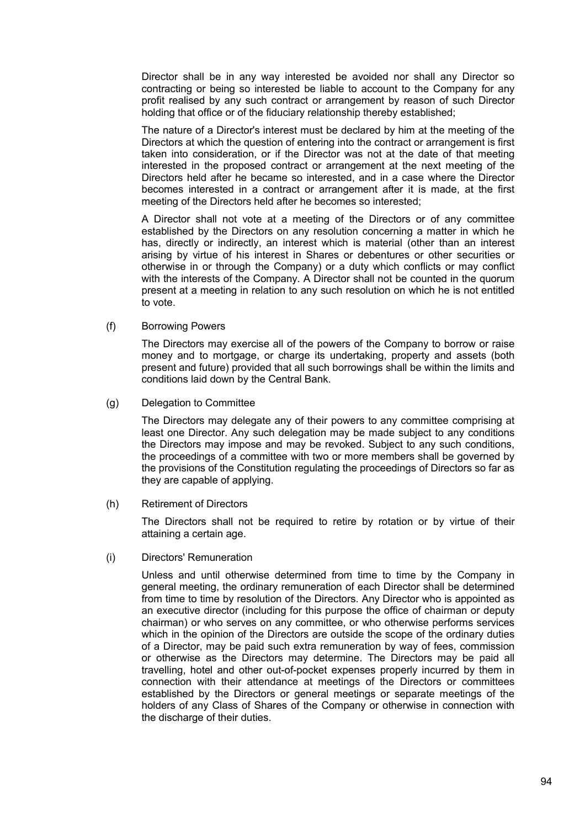Director shall be in any way interested be avoided nor shall any Director so contracting or being so interested be liable to account to the Company for any profit realised by any such contract or arrangement by reason of such Director holding that office or of the fiduciary relationship thereby established;

The nature of a Director's interest must be declared by him at the meeting of the Directors at which the question of entering into the contract or arrangement is first taken into consideration, or if the Director was not at the date of that meeting interested in the proposed contract or arrangement at the next meeting of the Directors held after he became so interested, and in a case where the Director becomes interested in a contract or arrangement after it is made, at the first meeting of the Directors held after he becomes so interested;

A Director shall not vote at a meeting of the Directors or of any committee established by the Directors on any resolution concerning a matter in which he has, directly or indirectly, an interest which is material (other than an interest arising by virtue of his interest in Shares or debentures or other securities or otherwise in or through the Company) or a duty which conflicts or may conflict with the interests of the Company. A Director shall not be counted in the quorum present at a meeting in relation to any such resolution on which he is not entitled to vote.

(f) Borrowing Powers

The Directors may exercise all of the powers of the Company to borrow or raise money and to mortgage, or charge its undertaking, property and assets (both present and future) provided that all such borrowings shall be within the limits and conditions laid down by the Central Bank.

(g) Delegation to Committee

The Directors may delegate any of their powers to any committee comprising at least one Director. Any such delegation may be made subject to any conditions the Directors may impose and may be revoked. Subject to any such conditions, the proceedings of a committee with two or more members shall be governed by the provisions of the Constitution regulating the proceedings of Directors so far as they are capable of applying.

(h) Retirement of Directors

The Directors shall not be required to retire by rotation or by virtue of their attaining a certain age.

(i) Directors' Remuneration

Unless and until otherwise determined from time to time by the Company in general meeting, the ordinary remuneration of each Director shall be determined from time to time by resolution of the Directors. Any Director who is appointed as an executive director (including for this purpose the office of chairman or deputy chairman) or who serves on any committee, or who otherwise performs services which in the opinion of the Directors are outside the scope of the ordinary duties of a Director, may be paid such extra remuneration by way of fees, commission or otherwise as the Directors may determine. The Directors may be paid all travelling, hotel and other out-of-pocket expenses properly incurred by them in connection with their attendance at meetings of the Directors or committees established by the Directors or general meetings or separate meetings of the holders of any Class of Shares of the Company or otherwise in connection with the discharge of their duties.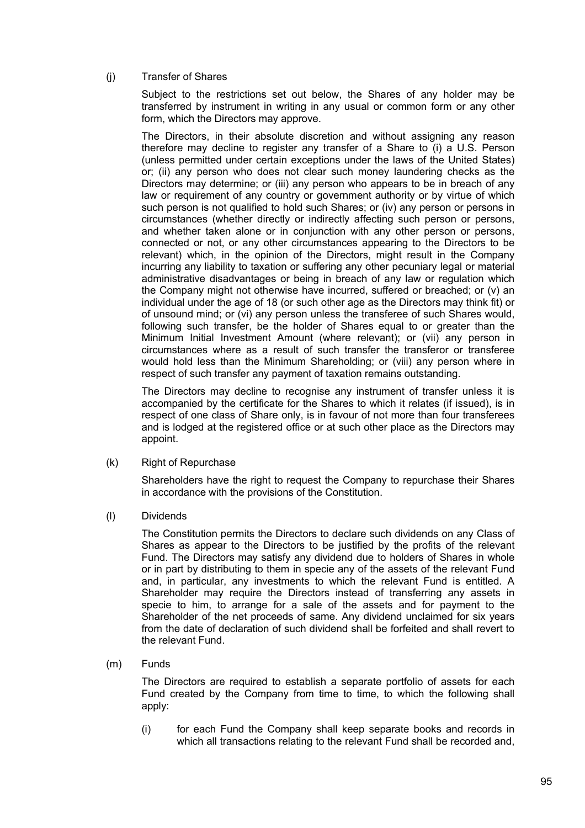## (j) Transfer of Shares

Subject to the restrictions set out below, the Shares of any holder may be transferred by instrument in writing in any usual or common form or any other form, which the Directors may approve.

The Directors, in their absolute discretion and without assigning any reason therefore may decline to register any transfer of a Share to (i) a U.S. Person (unless permitted under certain exceptions under the laws of the United States) or; (ii) any person who does not clear such money laundering checks as the Directors may determine; or (iii) any person who appears to be in breach of any law or requirement of any country or government authority or by virtue of which such person is not qualified to hold such Shares; or (iv) any person or persons in circumstances (whether directly or indirectly affecting such person or persons, and whether taken alone or in conjunction with any other person or persons, connected or not, or any other circumstances appearing to the Directors to be relevant) which, in the opinion of the Directors, might result in the Company incurring any liability to taxation or suffering any other pecuniary legal or material administrative disadvantages or being in breach of any law or regulation which the Company might not otherwise have incurred, suffered or breached; or (v) an individual under the age of 18 (or such other age as the Directors may think fit) or of unsound mind; or (vi) any person unless the transferee of such Shares would, following such transfer, be the holder of Shares equal to or greater than the Minimum Initial Investment Amount (where relevant); or (vii) any person in circumstances where as a result of such transfer the transferor or transferee would hold less than the Minimum Shareholding; or (viii) any person where in respect of such transfer any payment of taxation remains outstanding.

The Directors may decline to recognise any instrument of transfer unless it is accompanied by the certificate for the Shares to which it relates (if issued), is in respect of one class of Share only, is in favour of not more than four transferees and is lodged at the registered office or at such other place as the Directors may appoint.

(k) Right of Repurchase

Shareholders have the right to request the Company to repurchase their Shares in accordance with the provisions of the Constitution.

(l) Dividends

The Constitution permits the Directors to declare such dividends on any Class of Shares as appear to the Directors to be justified by the profits of the relevant Fund. The Directors may satisfy any dividend due to holders of Shares in whole or in part by distributing to them in specie any of the assets of the relevant Fund and, in particular, any investments to which the relevant Fund is entitled. A Shareholder may require the Directors instead of transferring any assets in specie to him, to arrange for a sale of the assets and for payment to the Shareholder of the net proceeds of same. Any dividend unclaimed for six years from the date of declaration of such dividend shall be forfeited and shall revert to the relevant Fund.

(m) Funds

The Directors are required to establish a separate portfolio of assets for each Fund created by the Company from time to time, to which the following shall apply:

(i) for each Fund the Company shall keep separate books and records in which all transactions relating to the relevant Fund shall be recorded and,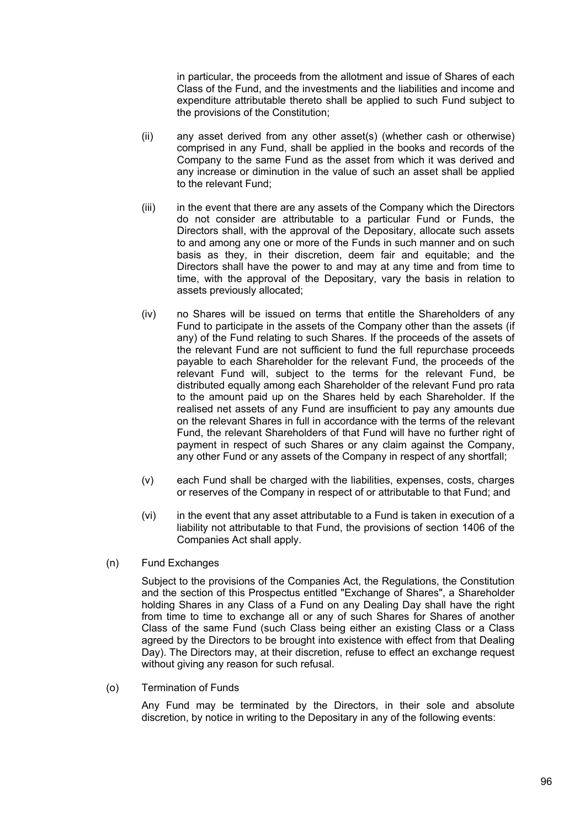in particular, the proceeds from the allotment and issue of Shares of each Class of the Fund, and the investments and the liabilities and income and expenditure attributable thereto shall be applied to such Fund subject to the provisions of the Constitution;

- (ii) any asset derived from any other asset(s) (whether cash or otherwise) comprised in any Fund, shall be applied in the books and records of the Company to the same Fund as the asset from which it was derived and any increase or diminution in the value of such an asset shall be applied to the relevant Fund;
- (iii) in the event that there are any assets of the Company which the Directors do not consider are attributable to a particular Fund or Funds, the Directors shall, with the approval of the Depositary, allocate such assets to and among any one or more of the Funds in such manner and on such basis as they, in their discretion, deem fair and equitable; and the Directors shall have the power to and may at any time and from time to time, with the approval of the Depositary, vary the basis in relation to assets previously allocated;
- (iv) no Shares will be issued on terms that entitle the Shareholders of any Fund to participate in the assets of the Company other than the assets (if any) of the Fund relating to such Shares. If the proceeds of the assets of the relevant Fund are not sufficient to fund the full repurchase proceeds payable to each Shareholder for the relevant Fund, the proceeds of the relevant Fund will, subject to the terms for the relevant Fund, be distributed equally among each Shareholder of the relevant Fund pro rata to the amount paid up on the Shares held by each Shareholder. If the realised net assets of any Fund are insufficient to pay any amounts due on the relevant Shares in full in accordance with the terms of the relevant Fund, the relevant Shareholders of that Fund will have no further right of payment in respect of such Shares or any claim against the Company, any other Fund or any assets of the Company in respect of any shortfall;
- (v) each Fund shall be charged with the liabilities, expenses, costs, charges or reserves of the Company in respect of or attributable to that Fund; and
- (vi) in the event that any asset attributable to a Fund is taken in execution of a liability not attributable to that Fund, the provisions of section 1406 of the Companies Act shall apply.
- (n) Fund Exchanges

Subject to the provisions of the Companies Act, the Regulations, the Constitution and the section of this Prospectus entitled "Exchange of Shares", a Shareholder holding Shares in any Class of a Fund on any Dealing Day shall have the right from time to time to exchange all or any of such Shares for Shares of another Class of the same Fund (such Class being either an existing Class or a Class agreed by the Directors to be brought into existence with effect from that Dealing Day). The Directors may, at their discretion, refuse to effect an exchange request without giving any reason for such refusal.

(o) Termination of Funds

Any Fund may be terminated by the Directors, in their sole and absolute discretion, by notice in writing to the Depositary in any of the following events: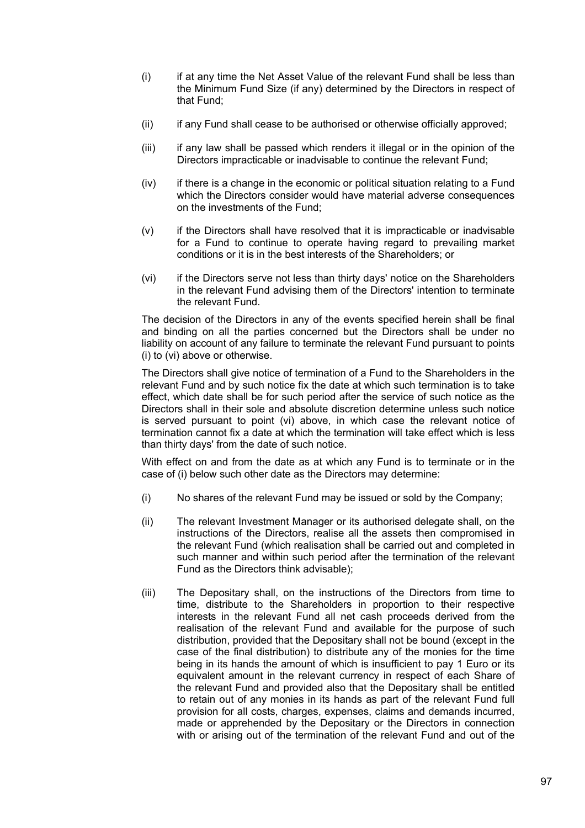- (i) if at any time the Net Asset Value of the relevant Fund shall be less than the Minimum Fund Size (if any) determined by the Directors in respect of that Fund;
- (ii) if any Fund shall cease to be authorised or otherwise officially approved;
- (iii) if any law shall be passed which renders it illegal or in the opinion of the Directors impracticable or inadvisable to continue the relevant Fund;
- (iv) if there is a change in the economic or political situation relating to a Fund which the Directors consider would have material adverse consequences on the investments of the Fund;
- (v) if the Directors shall have resolved that it is impracticable or inadvisable for a Fund to continue to operate having regard to prevailing market conditions or it is in the best interests of the Shareholders; or
- (vi) if the Directors serve not less than thirty days' notice on the Shareholders in the relevant Fund advising them of the Directors' intention to terminate the relevant Fund.

The decision of the Directors in any of the events specified herein shall be final and binding on all the parties concerned but the Directors shall be under no liability on account of any failure to terminate the relevant Fund pursuant to points (i) to (vi) above or otherwise.

The Directors shall give notice of termination of a Fund to the Shareholders in the relevant Fund and by such notice fix the date at which such termination is to take effect, which date shall be for such period after the service of such notice as the Directors shall in their sole and absolute discretion determine unless such notice is served pursuant to point (vi) above, in which case the relevant notice of termination cannot fix a date at which the termination will take effect which is less than thirty days' from the date of such notice.

With effect on and from the date as at which any Fund is to terminate or in the case of (i) below such other date as the Directors may determine:

- (i) No shares of the relevant Fund may be issued or sold by the Company;
- (ii) The relevant Investment Manager or its authorised delegate shall, on the instructions of the Directors, realise all the assets then compromised in the relevant Fund (which realisation shall be carried out and completed in such manner and within such period after the termination of the relevant Fund as the Directors think advisable);
- (iii) The Depositary shall, on the instructions of the Directors from time to time, distribute to the Shareholders in proportion to their respective interests in the relevant Fund all net cash proceeds derived from the realisation of the relevant Fund and available for the purpose of such distribution, provided that the Depositary shall not be bound (except in the case of the final distribution) to distribute any of the monies for the time being in its hands the amount of which is insufficient to pay 1 Euro or its equivalent amount in the relevant currency in respect of each Share of the relevant Fund and provided also that the Depositary shall be entitled to retain out of any monies in its hands as part of the relevant Fund full provision for all costs, charges, expenses, claims and demands incurred, made or apprehended by the Depositary or the Directors in connection with or arising out of the termination of the relevant Fund and out of the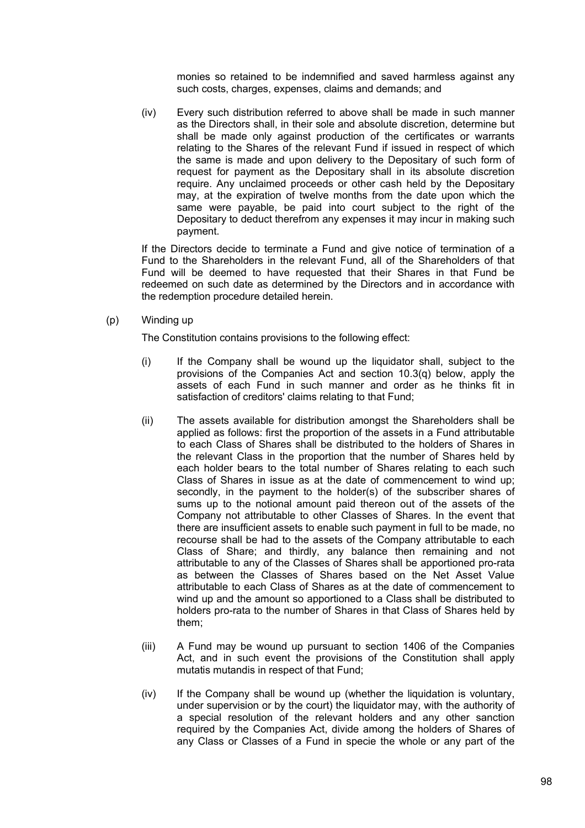monies so retained to be indemnified and saved harmless against any such costs, charges, expenses, claims and demands; and

(iv) Every such distribution referred to above shall be made in such manner as the Directors shall, in their sole and absolute discretion, determine but shall be made only against production of the certificates or warrants relating to the Shares of the relevant Fund if issued in respect of which the same is made and upon delivery to the Depositary of such form of request for payment as the Depositary shall in its absolute discretion require. Any unclaimed proceeds or other cash held by the Depositary may, at the expiration of twelve months from the date upon which the same were payable, be paid into court subject to the right of the Depositary to deduct therefrom any expenses it may incur in making such payment.

If the Directors decide to terminate a Fund and give notice of termination of a Fund to the Shareholders in the relevant Fund, all of the Shareholders of that Fund will be deemed to have requested that their Shares in that Fund be redeemed on such date as determined by the Directors and in accordance with the redemption procedure detailed herein.

(p) Winding up

The Constitution contains provisions to the following effect:

- (i) If the Company shall be wound up the liquidator shall, subject to the provisions of the Companies Act and section 10.3(q) below, apply the assets of each Fund in such manner and order as he thinks fit in satisfaction of creditors' claims relating to that Fund;
- (ii) The assets available for distribution amongst the Shareholders shall be applied as follows: first the proportion of the assets in a Fund attributable to each Class of Shares shall be distributed to the holders of Shares in the relevant Class in the proportion that the number of Shares held by each holder bears to the total number of Shares relating to each such Class of Shares in issue as at the date of commencement to wind up; secondly, in the payment to the holder(s) of the subscriber shares of sums up to the notional amount paid thereon out of the assets of the Company not attributable to other Classes of Shares. In the event that there are insufficient assets to enable such payment in full to be made, no recourse shall be had to the assets of the Company attributable to each Class of Share; and thirdly, any balance then remaining and not attributable to any of the Classes of Shares shall be apportioned pro-rata as between the Classes of Shares based on the Net Asset Value attributable to each Class of Shares as at the date of commencement to wind up and the amount so apportioned to a Class shall be distributed to holders pro-rata to the number of Shares in that Class of Shares held by them;
- (iii) A Fund may be wound up pursuant to section 1406 of the Companies Act, and in such event the provisions of the Constitution shall apply mutatis mutandis in respect of that Fund;
- (iv) If the Company shall be wound up (whether the liquidation is voluntary, under supervision or by the court) the liquidator may, with the authority of a special resolution of the relevant holders and any other sanction required by the Companies Act, divide among the holders of Shares of any Class or Classes of a Fund in specie the whole or any part of the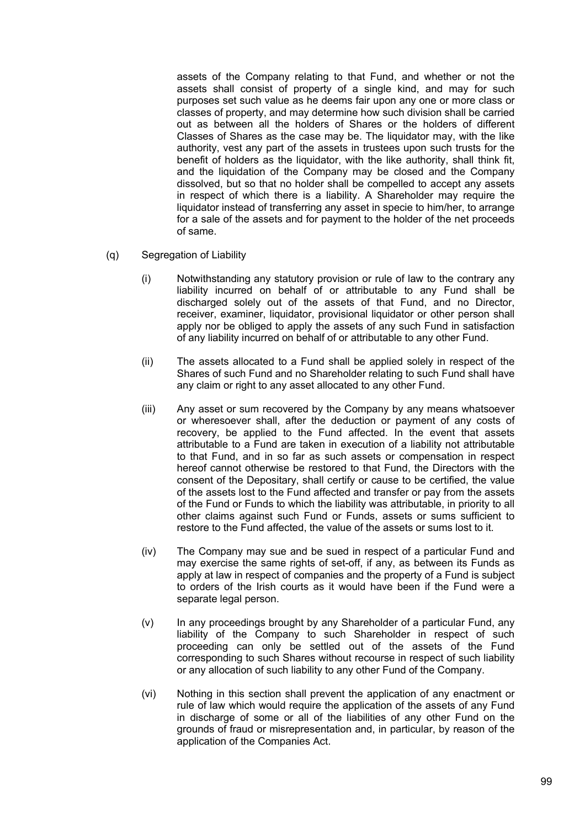assets of the Company relating to that Fund, and whether or not the assets shall consist of property of a single kind, and may for such purposes set such value as he deems fair upon any one or more class or classes of property, and may determine how such division shall be carried out as between all the holders of Shares or the holders of different Classes of Shares as the case may be. The liquidator may, with the like authority, vest any part of the assets in trustees upon such trusts for the benefit of holders as the liquidator, with the like authority, shall think fit, and the liquidation of the Company may be closed and the Company dissolved, but so that no holder shall be compelled to accept any assets in respect of which there is a liability. A Shareholder may require the liquidator instead of transferring any asset in specie to him/her, to arrange for a sale of the assets and for payment to the holder of the net proceeds of same.

- (q) Segregation of Liability
	- (i) Notwithstanding any statutory provision or rule of law to the contrary any liability incurred on behalf of or attributable to any Fund shall be discharged solely out of the assets of that Fund, and no Director, receiver, examiner, liquidator, provisional liquidator or other person shall apply nor be obliged to apply the assets of any such Fund in satisfaction of any liability incurred on behalf of or attributable to any other Fund.
	- (ii) The assets allocated to a Fund shall be applied solely in respect of the Shares of such Fund and no Shareholder relating to such Fund shall have any claim or right to any asset allocated to any other Fund.
	- (iii) Any asset or sum recovered by the Company by any means whatsoever or wheresoever shall, after the deduction or payment of any costs of recovery, be applied to the Fund affected. In the event that assets attributable to a Fund are taken in execution of a liability not attributable to that Fund, and in so far as such assets or compensation in respect hereof cannot otherwise be restored to that Fund, the Directors with the consent of the Depositary, shall certify or cause to be certified, the value of the assets lost to the Fund affected and transfer or pay from the assets of the Fund or Funds to which the liability was attributable, in priority to all other claims against such Fund or Funds, assets or sums sufficient to restore to the Fund affected, the value of the assets or sums lost to it.
	- (iv) The Company may sue and be sued in respect of a particular Fund and may exercise the same rights of set-off, if any, as between its Funds as apply at law in respect of companies and the property of a Fund is subject to orders of the Irish courts as it would have been if the Fund were a separate legal person.
	- (v) In any proceedings brought by any Shareholder of a particular Fund, any liability of the Company to such Shareholder in respect of such proceeding can only be settled out of the assets of the Fund corresponding to such Shares without recourse in respect of such liability or any allocation of such liability to any other Fund of the Company.
	- (vi) Nothing in this section shall prevent the application of any enactment or rule of law which would require the application of the assets of any Fund in discharge of some or all of the liabilities of any other Fund on the grounds of fraud or misrepresentation and, in particular, by reason of the application of the Companies Act.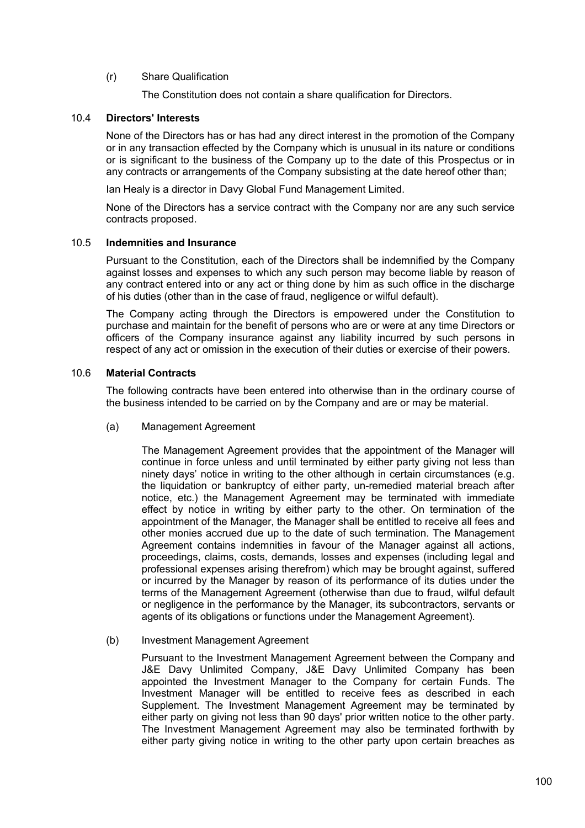# (r) Share Qualification

The Constitution does not contain a share qualification for Directors.

# 10.4 **Directors' Interests**

None of the Directors has or has had any direct interest in the promotion of the Company or in any transaction effected by the Company which is unusual in its nature or conditions or is significant to the business of the Company up to the date of this Prospectus or in any contracts or arrangements of the Company subsisting at the date hereof other than;

Ian Healy is a director in Davy Global Fund Management Limited.

None of the Directors has a service contract with the Company nor are any such service contracts proposed.

### 10.5 **Indemnities and Insurance**

Pursuant to the Constitution, each of the Directors shall be indemnified by the Company against losses and expenses to which any such person may become liable by reason of any contract entered into or any act or thing done by him as such office in the discharge of his duties (other than in the case of fraud, negligence or wilful default).

The Company acting through the Directors is empowered under the Constitution to purchase and maintain for the benefit of persons who are or were at any time Directors or officers of the Company insurance against any liability incurred by such persons in respect of any act or omission in the execution of their duties or exercise of their powers.

### 10.6 **Material Contracts**

The following contracts have been entered into otherwise than in the ordinary course of the business intended to be carried on by the Company and are or may be material.

(a) Management Agreement

The Management Agreement provides that the appointment of the Manager will continue in force unless and until terminated by either party giving not less than ninety days' notice in writing to the other although in certain circumstances (e.g. the liquidation or bankruptcy of either party, un-remedied material breach after notice, etc.) the Management Agreement may be terminated with immediate effect by notice in writing by either party to the other. On termination of the appointment of the Manager, the Manager shall be entitled to receive all fees and other monies accrued due up to the date of such termination. The Management Agreement contains indemnities in favour of the Manager against all actions, proceedings, claims, costs, demands, losses and expenses (including legal and professional expenses arising therefrom) which may be brought against, suffered or incurred by the Manager by reason of its performance of its duties under the terms of the Management Agreement (otherwise than due to fraud, wilful default or negligence in the performance by the Manager, its subcontractors, servants or agents of its obligations or functions under the Management Agreement).

#### (b) Investment Management Agreement

Pursuant to the Investment Management Agreement between the Company and J&E Davy Unlimited Company, J&E Davy Unlimited Company has been appointed the Investment Manager to the Company for certain Funds. The Investment Manager will be entitled to receive fees as described in each Supplement. The Investment Management Agreement may be terminated by either party on giving not less than 90 days' prior written notice to the other party. The Investment Management Agreement may also be terminated forthwith by either party giving notice in writing to the other party upon certain breaches as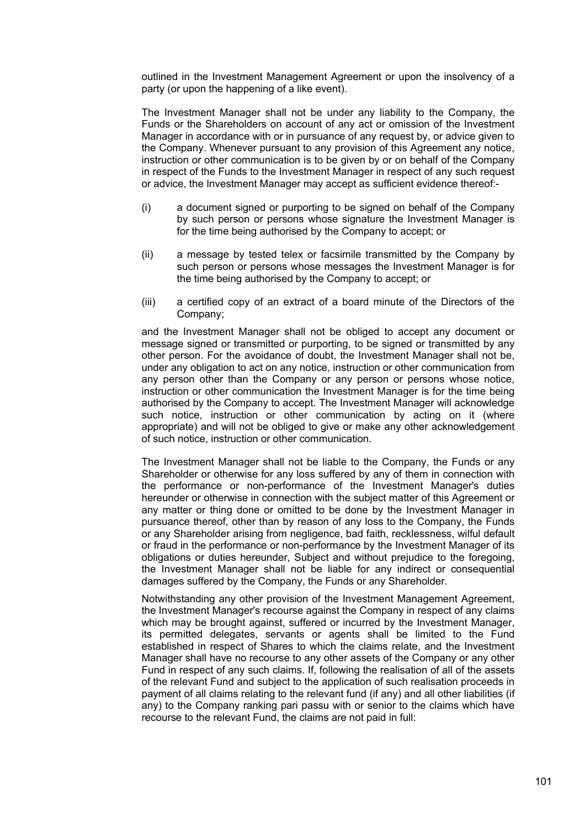outlined in the Investment Management Agreement or upon the insolvency of a party (or upon the happening of a like event).

The Investment Manager shall not be under any liability to the Company, the Funds or the Shareholders on account of any act or omission of the Investment Manager in accordance with or in pursuance of any request by, or advice given to the Company. Whenever pursuant to any provision of this Agreement any notice, instruction or other communication is to be given by or on behalf of the Company in respect of the Funds to the Investment Manager in respect of any such request or advice, the Investment Manager may accept as sufficient evidence thereof:-

- (i) a document signed or purporting to be signed on behalf of the Company by such person or persons whose signature the Investment Manager is for the time being authorised by the Company to accept; or
- (ii) a message by tested telex or facsimile transmitted by the Company by such person or persons whose messages the Investment Manager is for the time being authorised by the Company to accept; or
- (iii) a certified copy of an extract of a board minute of the Directors of the Company;

and the Investment Manager shall not be obliged to accept any document or message signed or transmitted or purporting, to be signed or transmitted by any other person. For the avoidance of doubt, the Investment Manager shall not be, under any obligation to act on any notice, instruction or other communication from any person other than the Company or any person or persons whose notice, instruction or other communication the Investment Manager is for the time being authorised by the Company to accept. The Investment Manager will acknowledge such notice, instruction or other communication by acting on it (where appropriate) and will not be obliged to give or make any other acknowledgement of such notice, instruction or other communication.

The Investment Manager shall not be liable to the Company, the Funds or any Shareholder or otherwise for any loss suffered by any of them in connection with the performance or non-performance of the Investment Manager's duties hereunder or otherwise in connection with the subject matter of this Agreement or any matter or thing done or omitted to be done by the Investment Manager in pursuance thereof, other than by reason of any loss to the Company, the Funds or any Shareholder arising from negligence, bad faith, recklessness, wilful default or fraud in the performance or non-performance by the Investment Manager of its obligations or duties hereunder, Subject and without prejudice to the foregoing, the Investment Manager shall not be liable for any indirect or consequential damages suffered by the Company, the Funds or any Shareholder.

Notwithstanding any other provision of the Investment Management Agreement, the Investment Manager's recourse against the Company in respect of any claims which may be brought against, suffered or incurred by the Investment Manager, its permitted delegates, servants or agents shall be limited to the Fund established in respect of Shares to which the claims relate, and the Investment Manager shall have no recourse to any other assets of the Company or any other Fund in respect of any such claims. If, following the realisation of all of the assets of the relevant Fund and subject to the application of such realisation proceeds in payment of all claims relating to the relevant fund (if any) and all other liabilities (if any) to the Company ranking pari passu with or senior to the claims which have recourse to the relevant Fund, the claims are not paid in full: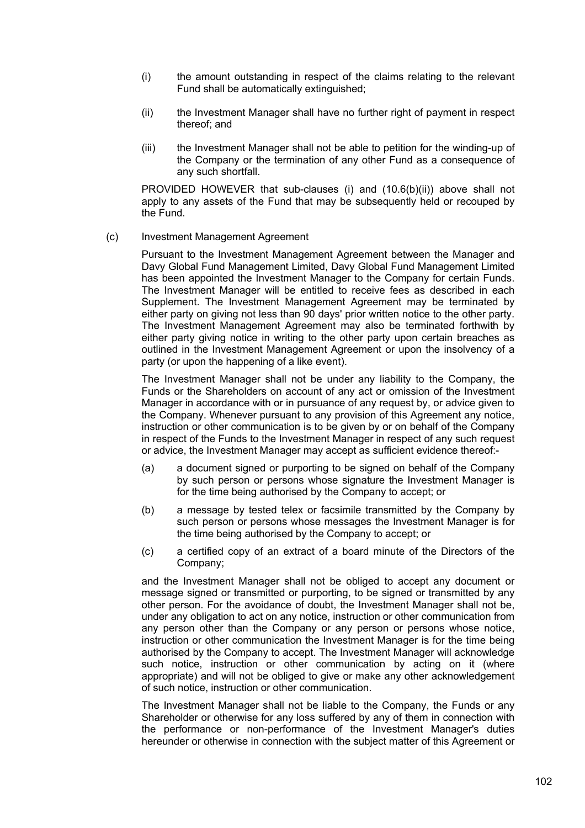- (i) the amount outstanding in respect of the claims relating to the relevant Fund shall be automatically extinguished;
- (ii) the Investment Manager shall have no further right of payment in respect thereof; and
- (iii) the Investment Manager shall not be able to petition for the winding-up of the Company or the termination of any other Fund as a consequence of any such shortfall.

PROVIDED HOWEVER that sub-clauses (i) and (10.6(b)(ii)) above shall not apply to any assets of the Fund that may be subsequently held or recouped by the Fund.

### (c) Investment Management Agreement

Pursuant to the Investment Management Agreement between the Manager and Davy Global Fund Management Limited, Davy Global Fund Management Limited has been appointed the Investment Manager to the Company for certain Funds. The Investment Manager will be entitled to receive fees as described in each Supplement. The Investment Management Agreement may be terminated by either party on giving not less than 90 days' prior written notice to the other party. The Investment Management Agreement may also be terminated forthwith by either party giving notice in writing to the other party upon certain breaches as outlined in the Investment Management Agreement or upon the insolvency of a party (or upon the happening of a like event).

The Investment Manager shall not be under any liability to the Company, the Funds or the Shareholders on account of any act or omission of the Investment Manager in accordance with or in pursuance of any request by, or advice given to the Company. Whenever pursuant to any provision of this Agreement any notice, instruction or other communication is to be given by or on behalf of the Company in respect of the Funds to the Investment Manager in respect of any such request or advice, the Investment Manager may accept as sufficient evidence thereof:-

- (a) a document signed or purporting to be signed on behalf of the Company by such person or persons whose signature the Investment Manager is for the time being authorised by the Company to accept; or
- (b) a message by tested telex or facsimile transmitted by the Company by such person or persons whose messages the Investment Manager is for the time being authorised by the Company to accept; or
- (c) a certified copy of an extract of a board minute of the Directors of the Company;

and the Investment Manager shall not be obliged to accept any document or message signed or transmitted or purporting, to be signed or transmitted by any other person. For the avoidance of doubt, the Investment Manager shall not be, under any obligation to act on any notice, instruction or other communication from any person other than the Company or any person or persons whose notice, instruction or other communication the Investment Manager is for the time being authorised by the Company to accept. The Investment Manager will acknowledge such notice, instruction or other communication by acting on it (where appropriate) and will not be obliged to give or make any other acknowledgement of such notice, instruction or other communication.

The Investment Manager shall not be liable to the Company, the Funds or any Shareholder or otherwise for any loss suffered by any of them in connection with the performance or non-performance of the Investment Manager's duties hereunder or otherwise in connection with the subject matter of this Agreement or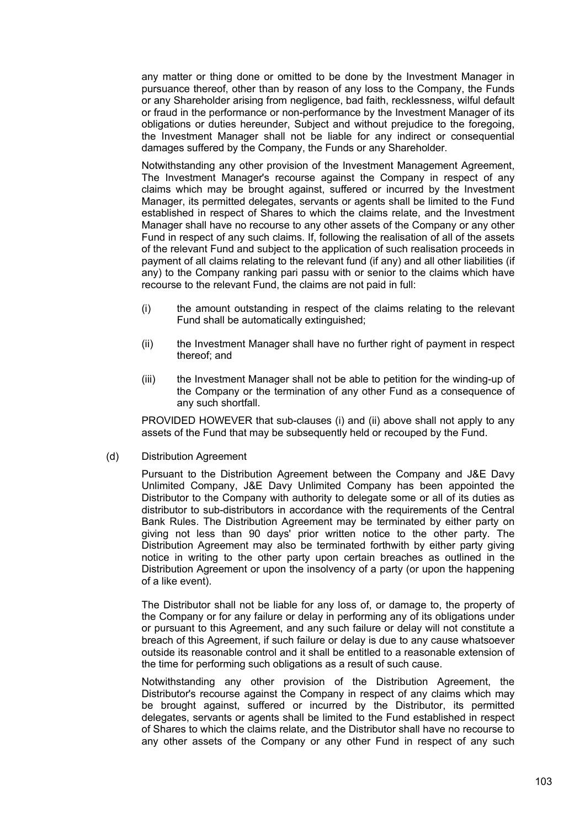any matter or thing done or omitted to be done by the Investment Manager in pursuance thereof, other than by reason of any loss to the Company, the Funds or any Shareholder arising from negligence, bad faith, recklessness, wilful default or fraud in the performance or non-performance by the Investment Manager of its obligations or duties hereunder, Subject and without prejudice to the foregoing, the Investment Manager shall not be liable for any indirect or consequential damages suffered by the Company, the Funds or any Shareholder.

Notwithstanding any other provision of the Investment Management Agreement, The Investment Manager's recourse against the Company in respect of any claims which may be brought against, suffered or incurred by the Investment Manager, its permitted delegates, servants or agents shall be limited to the Fund established in respect of Shares to which the claims relate, and the Investment Manager shall have no recourse to any other assets of the Company or any other Fund in respect of any such claims. If, following the realisation of all of the assets of the relevant Fund and subject to the application of such realisation proceeds in payment of all claims relating to the relevant fund (if any) and all other liabilities (if any) to the Company ranking pari passu with or senior to the claims which have recourse to the relevant Fund, the claims are not paid in full:

- (i) the amount outstanding in respect of the claims relating to the relevant Fund shall be automatically extinguished;
- (ii) the Investment Manager shall have no further right of payment in respect thereof; and
- (iii) the Investment Manager shall not be able to petition for the winding-up of the Company or the termination of any other Fund as a consequence of any such shortfall.

PROVIDED HOWEVER that sub-clauses (i) and (ii) above shall not apply to any assets of the Fund that may be subsequently held or recouped by the Fund.

(d) Distribution Agreement

Pursuant to the Distribution Agreement between the Company and J&E Davy Unlimited Company, J&E Davy Unlimited Company has been appointed the Distributor to the Company with authority to delegate some or all of its duties as distributor to sub-distributors in accordance with the requirements of the Central Bank Rules. The Distribution Agreement may be terminated by either party on giving not less than 90 days' prior written notice to the other party. The Distribution Agreement may also be terminated forthwith by either party giving notice in writing to the other party upon certain breaches as outlined in the Distribution Agreement or upon the insolvency of a party (or upon the happening of a like event).

The Distributor shall not be liable for any loss of, or damage to, the property of the Company or for any failure or delay in performing any of its obligations under or pursuant to this Agreement, and any such failure or delay will not constitute a breach of this Agreement, if such failure or delay is due to any cause whatsoever outside its reasonable control and it shall be entitled to a reasonable extension of the time for performing such obligations as a result of such cause.

Notwithstanding any other provision of the Distribution Agreement, the Distributor's recourse against the Company in respect of any claims which may be brought against, suffered or incurred by the Distributor, its permitted delegates, servants or agents shall be limited to the Fund established in respect of Shares to which the claims relate, and the Distributor shall have no recourse to any other assets of the Company or any other Fund in respect of any such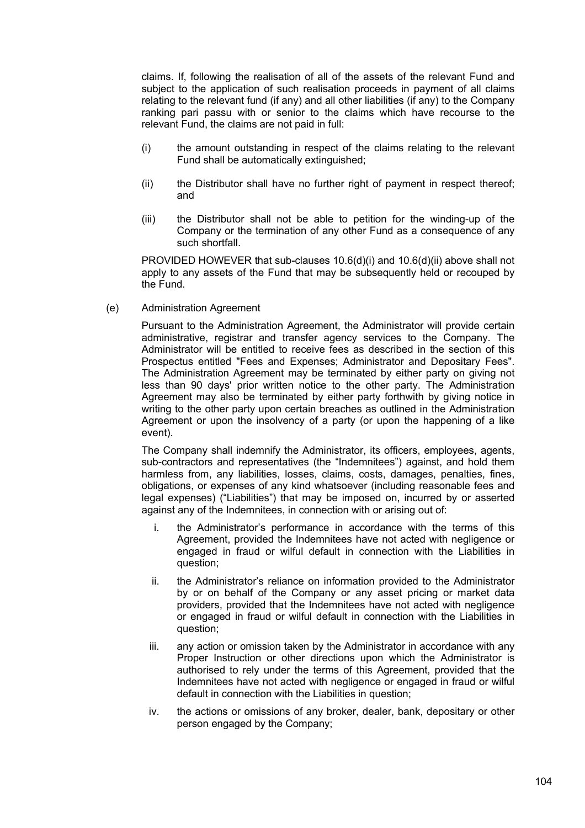claims. If, following the realisation of all of the assets of the relevant Fund and subject to the application of such realisation proceeds in payment of all claims relating to the relevant fund (if any) and all other liabilities (if any) to the Company ranking pari passu with or senior to the claims which have recourse to the relevant Fund, the claims are not paid in full:

- (i) the amount outstanding in respect of the claims relating to the relevant Fund shall be automatically extinguished;
- (ii) the Distributor shall have no further right of payment in respect thereof; and
- (iii) the Distributor shall not be able to petition for the winding-up of the Company or the termination of any other Fund as a consequence of any such shortfall.

PROVIDED HOWEVER that sub-clauses 10.6(d)(i) and 10.6(d)(ii) above shall not apply to any assets of the Fund that may be subsequently held or recouped by the Fund.

(e) Administration Agreement

Pursuant to the Administration Agreement, the Administrator will provide certain administrative, registrar and transfer agency services to the Company. The Administrator will be entitled to receive fees as described in the section of this Prospectus entitled "Fees and Expenses; Administrator and Depositary Fees". The Administration Agreement may be terminated by either party on giving not less than 90 days' prior written notice to the other party. The Administration Agreement may also be terminated by either party forthwith by giving notice in writing to the other party upon certain breaches as outlined in the Administration Agreement or upon the insolvency of a party (or upon the happening of a like event).

The Company shall indemnify the Administrator, its officers, employees, agents, sub-contractors and representatives (the "Indemnitees") against, and hold them harmless from, any liabilities, losses, claims, costs, damages, penalties, fines, obligations, or expenses of any kind whatsoever (including reasonable fees and legal expenses) ("Liabilities") that may be imposed on, incurred by or asserted against any of the Indemnitees, in connection with or arising out of:

- i. the Administrator's performance in accordance with the terms of this Agreement, provided the Indemnitees have not acted with negligence or engaged in fraud or wilful default in connection with the Liabilities in question;
- ii. the Administrator's reliance on information provided to the Administrator by or on behalf of the Company or any asset pricing or market data providers, provided that the Indemnitees have not acted with negligence or engaged in fraud or wilful default in connection with the Liabilities in question;
- iii. any action or omission taken by the Administrator in accordance with any Proper Instruction or other directions upon which the Administrator is authorised to rely under the terms of this Agreement, provided that the Indemnitees have not acted with negligence or engaged in fraud or wilful default in connection with the Liabilities in question;
- iv. the actions or omissions of any broker, dealer, bank, depositary or other person engaged by the Company;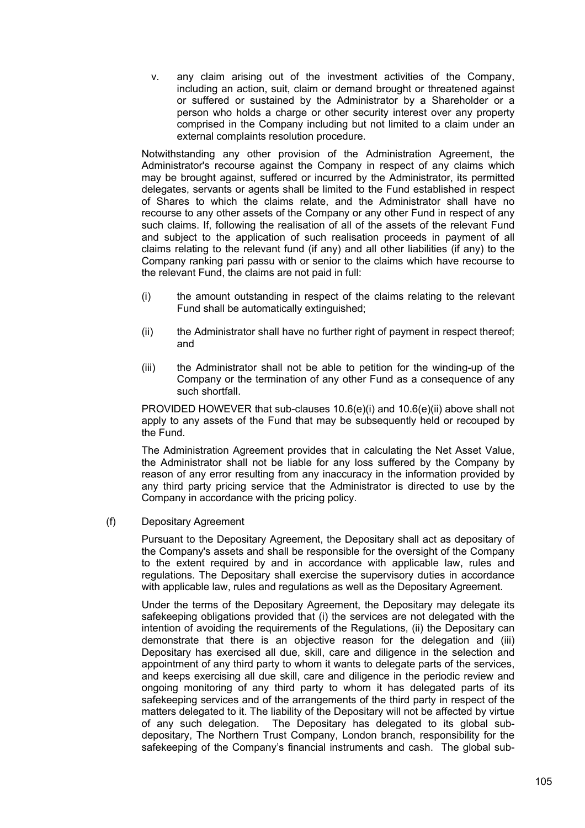v. any claim arising out of the investment activities of the Company, including an action, suit, claim or demand brought or threatened against or suffered or sustained by the Administrator by a Shareholder or a person who holds a charge or other security interest over any property comprised in the Company including but not limited to a claim under an external complaints resolution procedure.

Notwithstanding any other provision of the Administration Agreement, the Administrator's recourse against the Company in respect of any claims which may be brought against, suffered or incurred by the Administrator, its permitted delegates, servants or agents shall be limited to the Fund established in respect of Shares to which the claims relate, and the Administrator shall have no recourse to any other assets of the Company or any other Fund in respect of any such claims. If, following the realisation of all of the assets of the relevant Fund and subject to the application of such realisation proceeds in payment of all claims relating to the relevant fund (if any) and all other liabilities (if any) to the Company ranking pari passu with or senior to the claims which have recourse to the relevant Fund, the claims are not paid in full:

- (i) the amount outstanding in respect of the claims relating to the relevant Fund shall be automatically extinguished;
- (ii) the Administrator shall have no further right of payment in respect thereof; and
- (iii) the Administrator shall not be able to petition for the winding-up of the Company or the termination of any other Fund as a consequence of any such shortfall.

PROVIDED HOWEVER that sub-clauses 10.6(e)(i) and 10.6(e)(ii) above shall not apply to any assets of the Fund that may be subsequently held or recouped by the Fund.

The Administration Agreement provides that in calculating the Net Asset Value, the Administrator shall not be liable for any loss suffered by the Company by reason of any error resulting from any inaccuracy in the information provided by any third party pricing service that the Administrator is directed to use by the Company in accordance with the pricing policy.

(f) Depositary Agreement

Pursuant to the Depositary Agreement, the Depositary shall act as depositary of the Company's assets and shall be responsible for the oversight of the Company to the extent required by and in accordance with applicable law, rules and regulations. The Depositary shall exercise the supervisory duties in accordance with applicable law, rules and regulations as well as the Depositary Agreement.

Under the terms of the Depositary Agreement, the Depositary may delegate its safekeeping obligations provided that (i) the services are not delegated with the intention of avoiding the requirements of the Regulations, (ii) the Depositary can demonstrate that there is an objective reason for the delegation and (iii) Depositary has exercised all due, skill, care and diligence in the selection and appointment of any third party to whom it wants to delegate parts of the services, and keeps exercising all due skill, care and diligence in the periodic review and ongoing monitoring of any third party to whom it has delegated parts of its safekeeping services and of the arrangements of the third party in respect of the matters delegated to it. The liability of the Depositary will not be affected by virtue of any such delegation. The Depositary has delegated to its global subdepositary, The Northern Trust Company, London branch, responsibility for the safekeeping of the Company's financial instruments and cash. The global sub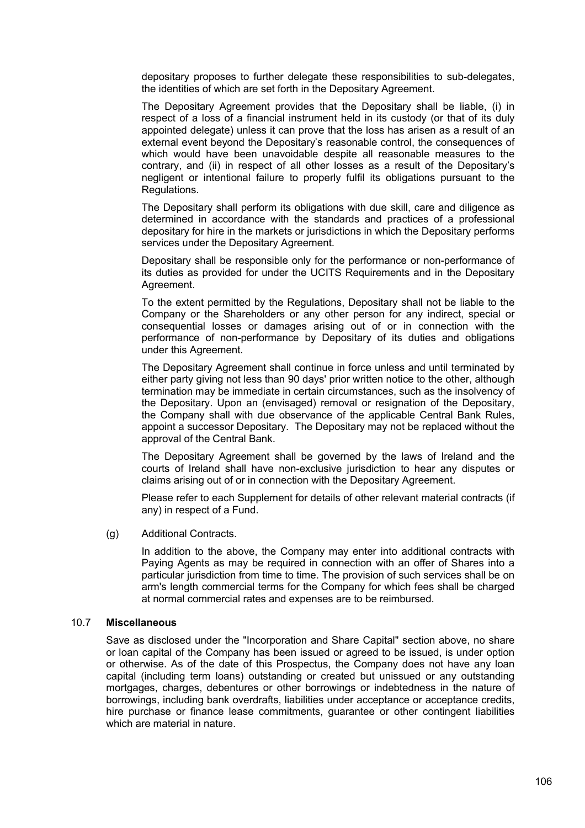depositary proposes to further delegate these responsibilities to sub-delegates, the identities of which are set forth in the Depositary Agreement.

The Depositary Agreement provides that the Depositary shall be liable, (i) in respect of a loss of a financial instrument held in its custody (or that of its duly appointed delegate) unless it can prove that the loss has arisen as a result of an external event beyond the Depositary's reasonable control, the consequences of which would have been unavoidable despite all reasonable measures to the contrary, and (ii) in respect of all other losses as a result of the Depositary's negligent or intentional failure to properly fulfil its obligations pursuant to the Regulations.

The Depositary shall perform its obligations with due skill, care and diligence as determined in accordance with the standards and practices of a professional depositary for hire in the markets or jurisdictions in which the Depositary performs services under the Depositary Agreement.

Depositary shall be responsible only for the performance or non-performance of its duties as provided for under the UCITS Requirements and in the Depositary Agreement.

To the extent permitted by the Regulations, Depositary shall not be liable to the Company or the Shareholders or any other person for any indirect, special or consequential losses or damages arising out of or in connection with the performance of non-performance by Depositary of its duties and obligations under this Agreement.

The Depositary Agreement shall continue in force unless and until terminated by either party giving not less than 90 days' prior written notice to the other, although termination may be immediate in certain circumstances, such as the insolvency of the Depositary. Upon an (envisaged) removal or resignation of the Depositary, the Company shall with due observance of the applicable Central Bank Rules, appoint a successor Depositary. The Depositary may not be replaced without the approval of the Central Bank.

The Depositary Agreement shall be governed by the laws of Ireland and the courts of Ireland shall have non-exclusive jurisdiction to hear any disputes or claims arising out of or in connection with the Depositary Agreement.

Please refer to each Supplement for details of other relevant material contracts (if any) in respect of a Fund.

(g) Additional Contracts.

In addition to the above, the Company may enter into additional contracts with Paying Agents as may be required in connection with an offer of Shares into a particular jurisdiction from time to time. The provision of such services shall be on arm's length commercial terms for the Company for which fees shall be charged at normal commercial rates and expenses are to be reimbursed.

#### 10.7 **Miscellaneous**

Save as disclosed under the "Incorporation and Share Capital" section above, no share or loan capital of the Company has been issued or agreed to be issued, is under option or otherwise. As of the date of this Prospectus, the Company does not have any loan capital (including term loans) outstanding or created but unissued or any outstanding mortgages, charges, debentures or other borrowings or indebtedness in the nature of borrowings, including bank overdrafts, liabilities under acceptance or acceptance credits, hire purchase or finance lease commitments, guarantee or other contingent liabilities which are material in nature.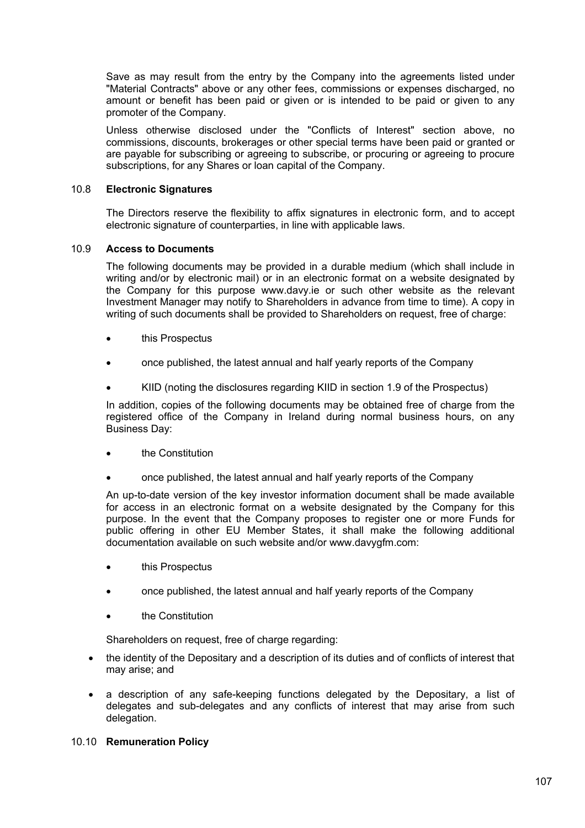Save as may result from the entry by the Company into the agreements listed under "Material Contracts" above or any other fees, commissions or expenses discharged, no amount or benefit has been paid or given or is intended to be paid or given to any promoter of the Company.

Unless otherwise disclosed under the "Conflicts of Interest" section above, no commissions, discounts, brokerages or other special terms have been paid or granted or are payable for subscribing or agreeing to subscribe, or procuring or agreeing to procure subscriptions, for any Shares or loan capital of the Company.

### 10.8 **Electronic Signatures**

The Directors reserve the flexibility to affix signatures in electronic form, and to accept electronic signature of counterparties, in line with applicable laws.

## 10.9 **Access to Documents**

The following documents may be provided in a durable medium (which shall include in writing and/or by electronic mail) or in an electronic format on a website designated by the Company for this purpose www.davy.ie or such other website as the relevant Investment Manager may notify to Shareholders in advance from time to time). A copy in writing of such documents shall be provided to Shareholders on request, free of charge:

- this Prospectus
- once published, the latest annual and half yearly reports of the Company
- KIID (noting the disclosures regarding KIID in section 1.9 of the Prospectus)

In addition, copies of the following documents may be obtained free of charge from the registered office of the Company in Ireland during normal business hours, on any Business Day:

- the Constitution
- once published, the latest annual and half yearly reports of the Company

An up-to-date version of the key investor information document shall be made available for access in an electronic format on a website designated by the Company for this purpose. In the event that the Company proposes to register one or more Funds for public offering in other EU Member States, it shall make the following additional documentation available on such website and/or www.davygfm.com:

- this Prospectus
- once published, the latest annual and half yearly reports of the Company
- the Constitution

Shareholders on request, free of charge regarding:

- the identity of the Depositary and a description of its duties and of conflicts of interest that may arise; and
- a description of any safe-keeping functions delegated by the Depositary, a list of delegates and sub-delegates and any conflicts of interest that may arise from such delegation.

### 10.10 **Remuneration Policy**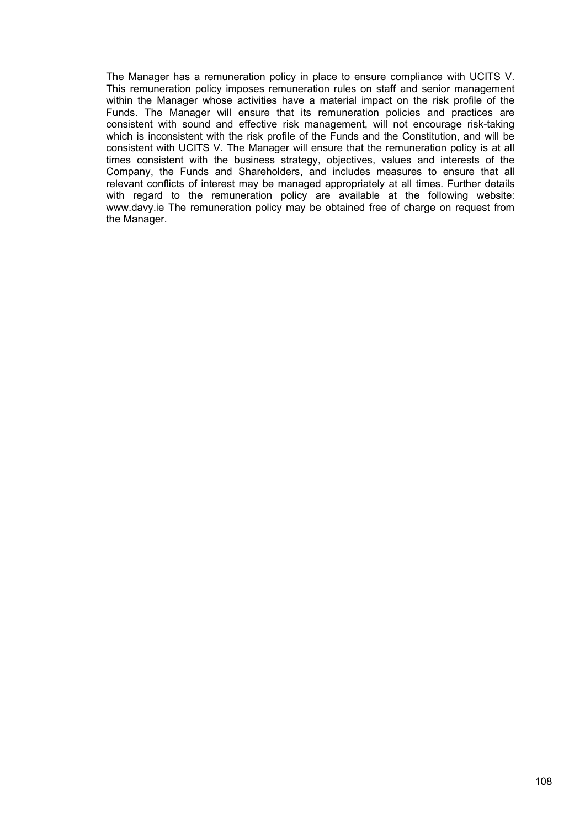The Manager has a remuneration policy in place to ensure compliance with UCITS V. This remuneration policy imposes remuneration rules on staff and senior management within the Manager whose activities have a material impact on the risk profile of the Funds. The Manager will ensure that its remuneration policies and practices are consistent with sound and effective risk management, will not encourage risk-taking which is inconsistent with the risk profile of the Funds and the Constitution, and will be consistent with UCITS V. The Manager will ensure that the remuneration policy is at all times consistent with the business strategy, objectives, values and interests of the Company, the Funds and Shareholders, and includes measures to ensure that all relevant conflicts of interest may be managed appropriately at all times. Further details with regard to the remuneration policy are available at the following website: www.davy.ie The remuneration policy may be obtained free of charge on request from the Manager.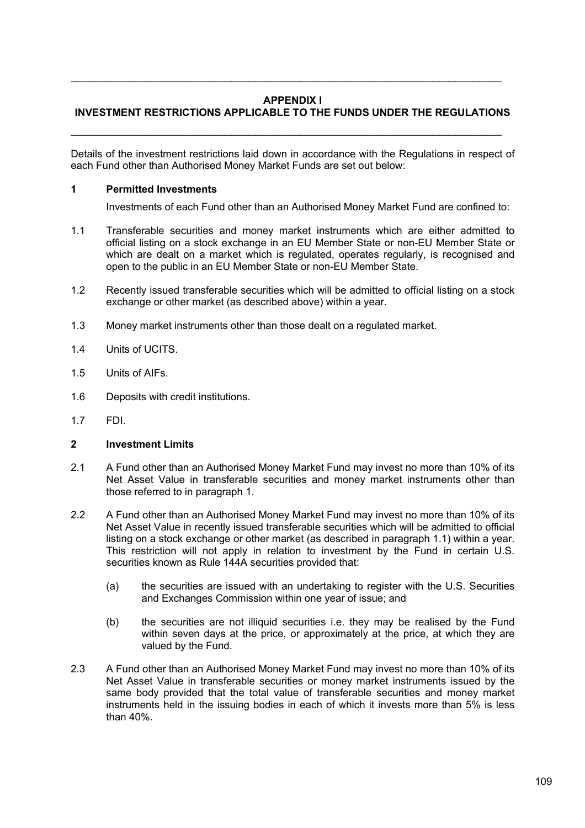# **APPENDIX I**

 $\mathcal{L}_\mathcal{L} = \mathcal{L}_\mathcal{L} = \mathcal{L}_\mathcal{L} = \mathcal{L}_\mathcal{L} = \mathcal{L}_\mathcal{L} = \mathcal{L}_\mathcal{L} = \mathcal{L}_\mathcal{L} = \mathcal{L}_\mathcal{L} = \mathcal{L}_\mathcal{L} = \mathcal{L}_\mathcal{L} = \mathcal{L}_\mathcal{L} = \mathcal{L}_\mathcal{L} = \mathcal{L}_\mathcal{L} = \mathcal{L}_\mathcal{L} = \mathcal{L}_\mathcal{L} = \mathcal{L}_\mathcal{L} = \mathcal{L}_\mathcal{L}$ 

# **INVESTMENT RESTRICTIONS APPLICABLE TO THE FUNDS UNDER THE REGULATIONS**

 $\mathcal{L}_\mathcal{L} = \mathcal{L}_\mathcal{L} = \mathcal{L}_\mathcal{L} = \mathcal{L}_\mathcal{L} = \mathcal{L}_\mathcal{L} = \mathcal{L}_\mathcal{L} = \mathcal{L}_\mathcal{L} = \mathcal{L}_\mathcal{L} = \mathcal{L}_\mathcal{L} = \mathcal{L}_\mathcal{L} = \mathcal{L}_\mathcal{L} = \mathcal{L}_\mathcal{L} = \mathcal{L}_\mathcal{L} = \mathcal{L}_\mathcal{L} = \mathcal{L}_\mathcal{L} = \mathcal{L}_\mathcal{L} = \mathcal{L}_\mathcal{L}$ 

Details of the investment restrictions laid down in accordance with the Regulations in respect of each Fund other than Authorised Money Market Funds are set out below:

### **1 Permitted Investments**

Investments of each Fund other than an Authorised Money Market Fund are confined to:

- 1.1 Transferable securities and money market instruments which are either admitted to official listing on a stock exchange in an EU Member State or non-EU Member State or which are dealt on a market which is regulated, operates regularly, is recognised and open to the public in an EU Member State or non-EU Member State.
- 1.2 Recently issued transferable securities which will be admitted to official listing on a stock exchange or other market (as described above) within a year.
- 1.3 Money market instruments other than those dealt on a regulated market.
- 1.4 Units of UCITS.
- 1.5 Units of AIFs.
- 1.6 Deposits with credit institutions.
- 1.7 FDI.

#### **2 Investment Limits**

- 2.1 A Fund other than an Authorised Money Market Fund may invest no more than 10% of its Net Asset Value in transferable securities and money market instruments other than those referred to in paragraph 1.
- 2.2 A Fund other than an Authorised Money Market Fund may invest no more than 10% of its Net Asset Value in recently issued transferable securities which will be admitted to official listing on a stock exchange or other market (as described in paragraph 1.1) within a year. This restriction will not apply in relation to investment by the Fund in certain U.S. securities known as Rule 144A securities provided that:
	- (a) the securities are issued with an undertaking to register with the U.S. Securities and Exchanges Commission within one year of issue; and
	- (b) the securities are not illiquid securities i.e. they may be realised by the Fund within seven days at the price, or approximately at the price, at which they are valued by the Fund.
- 2.3 A Fund other than an Authorised Money Market Fund may invest no more than 10% of its Net Asset Value in transferable securities or money market instruments issued by the same body provided that the total value of transferable securities and money market instruments held in the issuing bodies in each of which it invests more than 5% is less than 40%.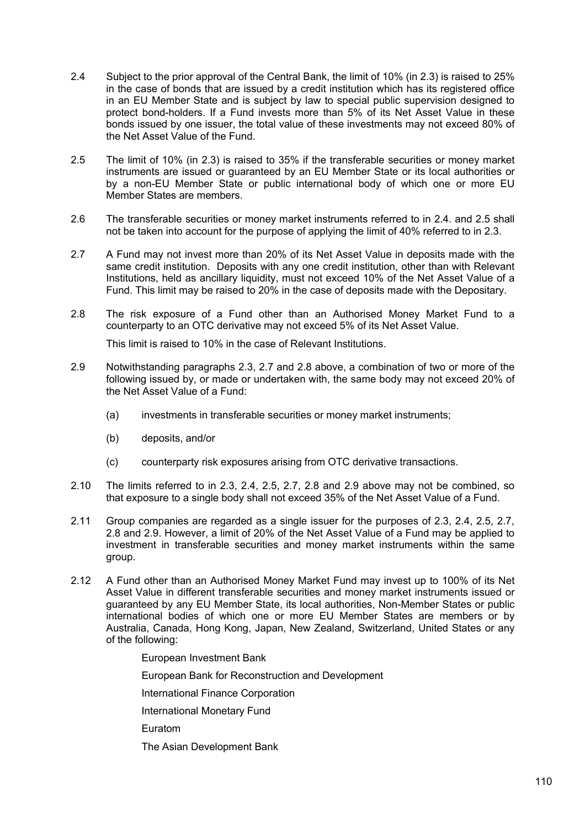- 2.4 Subject to the prior approval of the Central Bank, the limit of 10% (in 2.3) is raised to 25% in the case of bonds that are issued by a credit institution which has its registered office in an EU Member State and is subject by law to special public supervision designed to protect bond-holders. If a Fund invests more than 5% of its Net Asset Value in these bonds issued by one issuer, the total value of these investments may not exceed 80% of the Net Asset Value of the Fund.
- 2.5 The limit of 10% (in 2.3) is raised to 35% if the transferable securities or money market instruments are issued or guaranteed by an EU Member State or its local authorities or by a non-EU Member State or public international body of which one or more EU Member States are members.
- 2.6 The transferable securities or money market instruments referred to in 2.4. and 2.5 shall not be taken into account for the purpose of applying the limit of 40% referred to in 2.3.
- 2.7 A Fund may not invest more than 20% of its Net Asset Value in deposits made with the same credit institution. Deposits with any one credit institution, other than with Relevant Institutions, held as ancillary liquidity, must not exceed 10% of the Net Asset Value of a Fund. This limit may be raised to 20% in the case of deposits made with the Depositary.
- 2.8 The risk exposure of a Fund other than an Authorised Money Market Fund to a counterparty to an OTC derivative may not exceed 5% of its Net Asset Value.

This limit is raised to 10% in the case of Relevant Institutions.

- 2.9 Notwithstanding paragraphs 2.3, 2.7 and 2.8 above, a combination of two or more of the following issued by, or made or undertaken with, the same body may not exceed 20% of the Net Asset Value of a Fund:
	- (a) investments in transferable securities or money market instruments;
	- (b) deposits, and/or
	- (c) counterparty risk exposures arising from OTC derivative transactions.
- 2.10 The limits referred to in 2.3, 2.4, 2.5, 2.7, 2.8 and 2.9 above may not be combined, so that exposure to a single body shall not exceed 35% of the Net Asset Value of a Fund.
- 2.11 Group companies are regarded as a single issuer for the purposes of 2.3, 2.4, 2.5, 2.7, 2.8 and 2.9. However, a limit of 20% of the Net Asset Value of a Fund may be applied to investment in transferable securities and money market instruments within the same group.
- 2.12 A Fund other than an Authorised Money Market Fund may invest up to 100% of its Net Asset Value in different transferable securities and money market instruments issued or guaranteed by any EU Member State, its local authorities, Non-Member States or public international bodies of which one or more EU Member States are members or by Australia, Canada, Hong Kong, Japan, New Zealand, Switzerland, United States or any of the following:

European Investment Bank

European Bank for Reconstruction and Development

International Finance Corporation

International Monetary Fund

Euratom

The Asian Development Bank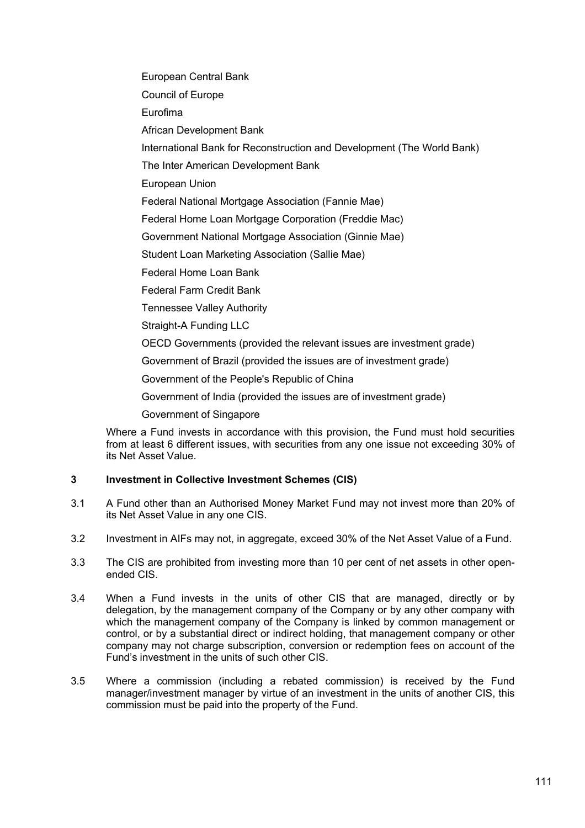European Central Bank

Council of Europe

Eurofima

African Development Bank

International Bank for Reconstruction and Development (The World Bank)

The Inter American Development Bank

European Union

Federal National Mortgage Association (Fannie Mae)

Federal Home Loan Mortgage Corporation (Freddie Mac)

Government National Mortgage Association (Ginnie Mae)

Student Loan Marketing Association (Sallie Mae)

Federal Home Loan Bank

Federal Farm Credit Bank

Tennessee Valley Authority

Straight-A Funding LLC

OECD Governments (provided the relevant issues are investment grade)

Government of Brazil (provided the issues are of investment grade)

Government of the People's Republic of China

Government of India (provided the issues are of investment grade)

Government of Singapore

Where a Fund invests in accordance with this provision, the Fund must hold securities from at least 6 different issues, with securities from any one issue not exceeding 30% of its Net Asset Value.

# **3 Investment in Collective Investment Schemes (CIS)**

- 3.1 A Fund other than an Authorised Money Market Fund may not invest more than 20% of its Net Asset Value in any one CIS.
- 3.2 Investment in AIFs may not, in aggregate, exceed 30% of the Net Asset Value of a Fund.
- 3.3 The CIS are prohibited from investing more than 10 per cent of net assets in other openended CIS.
- 3.4 When a Fund invests in the units of other CIS that are managed, directly or by delegation, by the management company of the Company or by any other company with which the management company of the Company is linked by common management or control, or by a substantial direct or indirect holding, that management company or other company may not charge subscription, conversion or redemption fees on account of the Fund's investment in the units of such other CIS.
- 3.5 Where a commission (including a rebated commission) is received by the Fund manager/investment manager by virtue of an investment in the units of another CIS, this commission must be paid into the property of the Fund.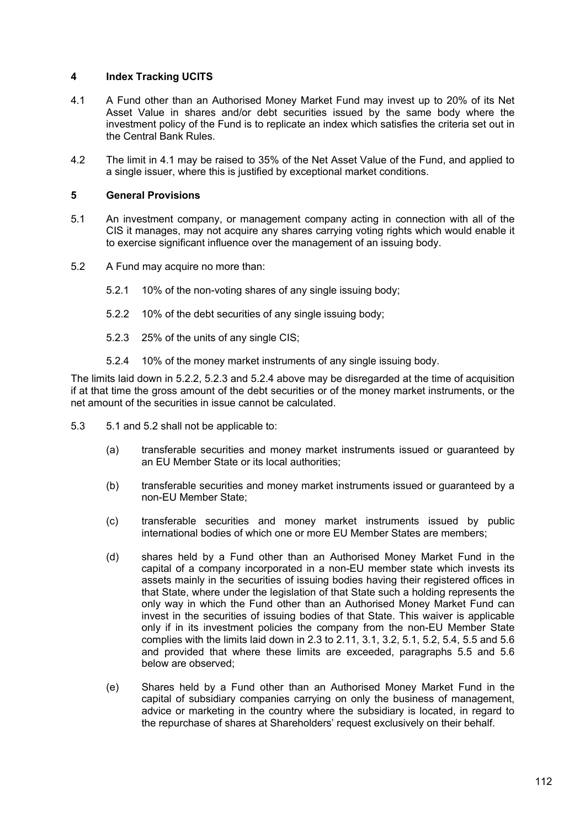## **4 Index Tracking UCITS**

- 4.1 A Fund other than an Authorised Money Market Fund may invest up to 20% of its Net Asset Value in shares and/or debt securities issued by the same body where the investment policy of the Fund is to replicate an index which satisfies the criteria set out in the Central Bank Rules.
- 4.2 The limit in 4.1 may be raised to 35% of the Net Asset Value of the Fund, and applied to a single issuer, where this is justified by exceptional market conditions.

### **5 General Provisions**

- 5.1 An investment company, or management company acting in connection with all of the CIS it manages, may not acquire any shares carrying voting rights which would enable it to exercise significant influence over the management of an issuing body.
- 5.2 A Fund may acquire no more than:
	- 5.2.1 10% of the non-voting shares of any single issuing body;
	- 5.2.2 10% of the debt securities of any single issuing body;
	- 5.2.3 25% of the units of any single CIS;
	- 5.2.4 10% of the money market instruments of any single issuing body.

The limits laid down in 5.2.2, 5.2.3 and 5.2.4 above may be disregarded at the time of acquisition if at that time the gross amount of the debt securities or of the money market instruments, or the net amount of the securities in issue cannot be calculated.

- 5.3 5.1 and 5.2 shall not be applicable to:
	- (a) transferable securities and money market instruments issued or guaranteed by an EU Member State or its local authorities;
	- (b) transferable securities and money market instruments issued or guaranteed by a non-EU Member State;
	- (c) transferable securities and money market instruments issued by public international bodies of which one or more EU Member States are members;
	- (d) shares held by a Fund other than an Authorised Money Market Fund in the capital of a company incorporated in a non-EU member state which invests its assets mainly in the securities of issuing bodies having their registered offices in that State, where under the legislation of that State such a holding represents the only way in which the Fund other than an Authorised Money Market Fund can invest in the securities of issuing bodies of that State. This waiver is applicable only if in its investment policies the company from the non-EU Member State complies with the limits laid down in 2.3 to 2.11, 3.1, 3.2, 5.1, 5.2, 5.4, 5.5 and 5.6 and provided that where these limits are exceeded, paragraphs 5.5 and 5.6 below are observed;
	- (e) Shares held by a Fund other than an Authorised Money Market Fund in the capital of subsidiary companies carrying on only the business of management, advice or marketing in the country where the subsidiary is located, in regard to the repurchase of shares at Shareholders' request exclusively on their behalf.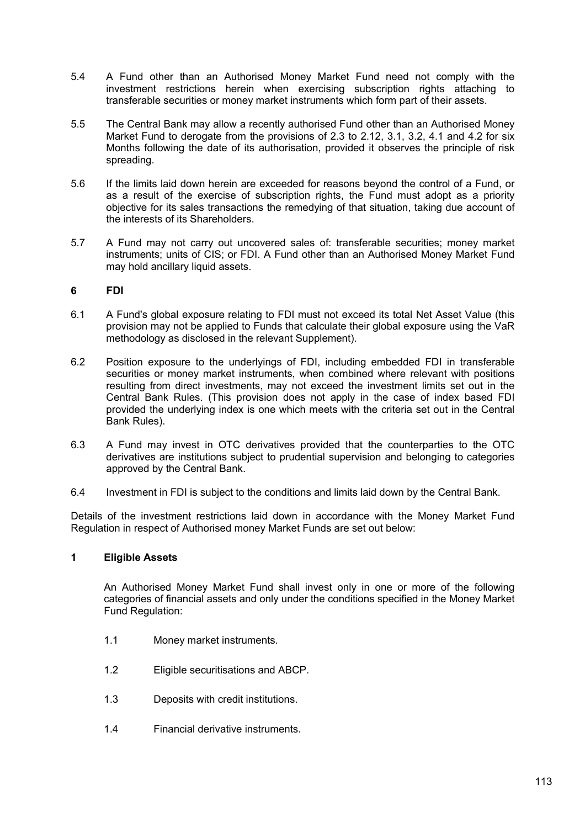- 5.4 A Fund other than an Authorised Money Market Fund need not comply with the investment restrictions herein when exercising subscription rights attaching to transferable securities or money market instruments which form part of their assets.
- 5.5 The Central Bank may allow a recently authorised Fund other than an Authorised Money Market Fund to derogate from the provisions of 2.3 to 2.12, 3.1, 3.2, 4.1 and 4.2 for six Months following the date of its authorisation, provided it observes the principle of risk spreading.
- 5.6 If the limits laid down herein are exceeded for reasons beyond the control of a Fund, or as a result of the exercise of subscription rights, the Fund must adopt as a priority objective for its sales transactions the remedying of that situation, taking due account of the interests of its Shareholders.
- 5.7 A Fund may not carry out uncovered sales of: transferable securities; money market instruments; units of CIS; or FDI. A Fund other than an Authorised Money Market Fund may hold ancillary liquid assets.

# **6 FDI**

- 6.1 A Fund's global exposure relating to FDI must not exceed its total Net Asset Value (this provision may not be applied to Funds that calculate their global exposure using the VaR methodology as disclosed in the relevant Supplement).
- 6.2 Position exposure to the underlyings of FDI, including embedded FDI in transferable securities or money market instruments, when combined where relevant with positions resulting from direct investments, may not exceed the investment limits set out in the Central Bank Rules. (This provision does not apply in the case of index based FDI provided the underlying index is one which meets with the criteria set out in the Central Bank Rules).
- 6.3 A Fund may invest in OTC derivatives provided that the counterparties to the OTC derivatives are institutions subject to prudential supervision and belonging to categories approved by the Central Bank.
- 6.4 Investment in FDI is subject to the conditions and limits laid down by the Central Bank.

Details of the investment restrictions laid down in accordance with the Money Market Fund Regulation in respect of Authorised money Market Funds are set out below:

# **1 Eligible Assets**

 An Authorised Money Market Fund shall invest only in one or more of the following categories of financial assets and only under the conditions specified in the Money Market Fund Regulation:

- 1.1 Money market instruments.
- 1.2 Eligible securitisations and ABCP.
- 1.3 Deposits with credit institutions.
- 1.4 Financial derivative instruments.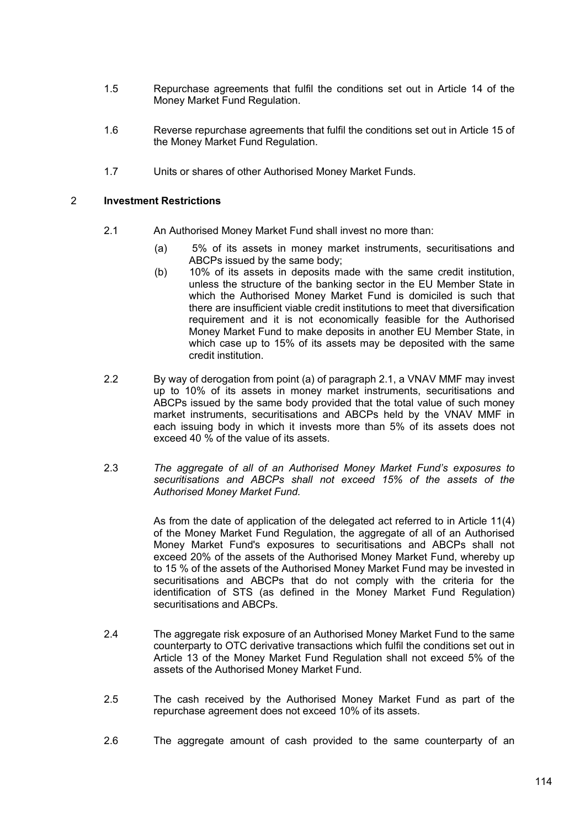- 1.5 Repurchase agreements that fulfil the conditions set out in Article 14 of the Money Market Fund Regulation.
- 1.6 Reverse repurchase agreements that fulfil the conditions set out in Article 15 of the Money Market Fund Regulation.
- 1.7 Units or shares of other Authorised Money Market Funds.

### 2 **Investment Restrictions**

- 2.1 An Authorised Money Market Fund shall invest no more than:
	- (a) 5% of its assets in money market instruments, securitisations and ABCPs issued by the same body;
	- (b) 10% of its assets in deposits made with the same credit institution, unless the structure of the banking sector in the EU Member State in which the Authorised Money Market Fund is domiciled is such that there are insufficient viable credit institutions to meet that diversification requirement and it is not economically feasible for the Authorised Money Market Fund to make deposits in another EU Member State, in which case up to 15% of its assets may be deposited with the same credit institution.
- 2.2 By way of derogation from point (a) of paragraph 2.1, a VNAV MMF may invest up to 10% of its assets in money market instruments, securitisations and ABCPs issued by the same body provided that the total value of such money market instruments, securitisations and ABCPs held by the VNAV MMF in each issuing body in which it invests more than 5% of its assets does not exceed 40 % of the value of its assets.
- 2.3 *The aggregate of all of an Authorised Money Market Fund's exposures to securitisations and ABCPs shall not exceed 15% of the assets of the Authorised Money Market Fund.*

As from the date of application of the delegated act referred to in Article 11(4) of the Money Market Fund Regulation, the aggregate of all of an Authorised Money Market Fund's exposures to securitisations and ABCPs shall not exceed 20% of the assets of the Authorised Money Market Fund, whereby up to 15 % of the assets of the Authorised Money Market Fund may be invested in securitisations and ABCPs that do not comply with the criteria for the identification of STS (as defined in the Money Market Fund Regulation) securitisations and ABCPs.

- 2.4 The aggregate risk exposure of an Authorised Money Market Fund to the same counterparty to OTC derivative transactions which fulfil the conditions set out in Article 13 of the Money Market Fund Regulation shall not exceed 5% of the assets of the Authorised Money Market Fund.
- 2.5 The cash received by the Authorised Money Market Fund as part of the repurchase agreement does not exceed 10% of its assets.
- 2.6 The agaregate amount of cash provided to the same counterparty of an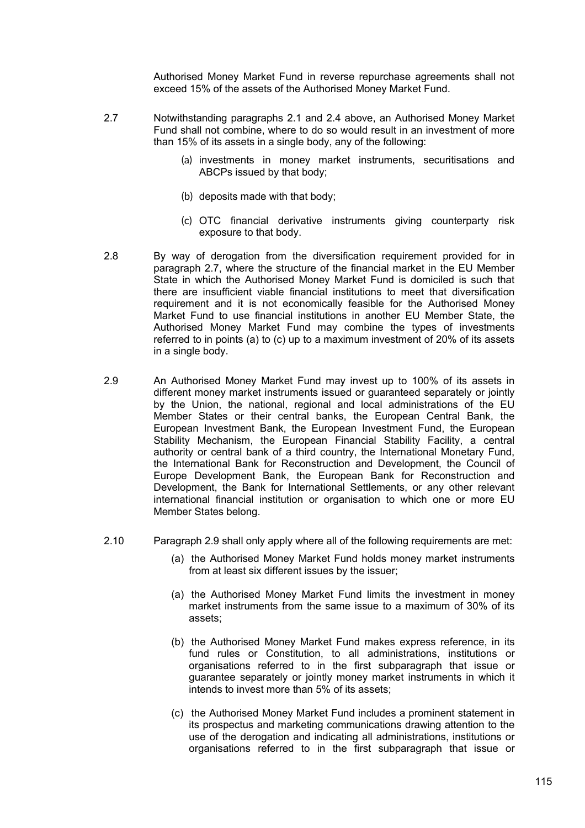Authorised Money Market Fund in reverse repurchase agreements shall not exceed 15% of the assets of the Authorised Money Market Fund.

- 2.7 Notwithstanding paragraphs 2.1 and 2.4 above, an Authorised Money Market Fund shall not combine, where to do so would result in an investment of more than 15% of its assets in a single body, any of the following:
	- (a) investments in money market instruments, securitisations and ABCPs issued by that body;
	- (b) deposits made with that body;
	- (c) OTC financial derivative instruments giving counterparty risk exposure to that body.
- 2.8 By way of derogation from the diversification requirement provided for in paragraph 2.7, where the structure of the financial market in the EU Member State in which the Authorised Money Market Fund is domiciled is such that there are insufficient viable financial institutions to meet that diversification requirement and it is not economically feasible for the Authorised Money Market Fund to use financial institutions in another EU Member State, the Authorised Money Market Fund may combine the types of investments referred to in points (a) to (c) up to a maximum investment of 20% of its assets in a single body.
- 2.9 An Authorised Money Market Fund may invest up to 100% of its assets in different money market instruments issued or guaranteed separately or jointly by the Union, the national, regional and local administrations of the EU Member States or their central banks, the European Central Bank, the European Investment Bank, the European Investment Fund, the European Stability Mechanism, the European Financial Stability Facility, a central authority or central bank of a third country, the International Monetary Fund, the International Bank for Reconstruction and Development, the Council of Europe Development Bank, the European Bank for Reconstruction and Development, the Bank for International Settlements, or any other relevant international financial institution or organisation to which one or more EU Member States belong.
- 2.10 Paragraph 2.9 shall only apply where all of the following requirements are met:
	- (a) the Authorised Money Market Fund holds money market instruments from at least six different issues by the issuer;
	- (a) the Authorised Money Market Fund limits the investment in money market instruments from the same issue to a maximum of 30% of its assets;
	- (b) the Authorised Money Market Fund makes express reference, in its fund rules or Constitution, to all administrations, institutions or organisations referred to in the first subparagraph that issue or guarantee separately or jointly money market instruments in which it intends to invest more than 5% of its assets;
	- (c) the Authorised Money Market Fund includes a prominent statement in its prospectus and marketing communications drawing attention to the use of the derogation and indicating all administrations, institutions or organisations referred to in the first subparagraph that issue or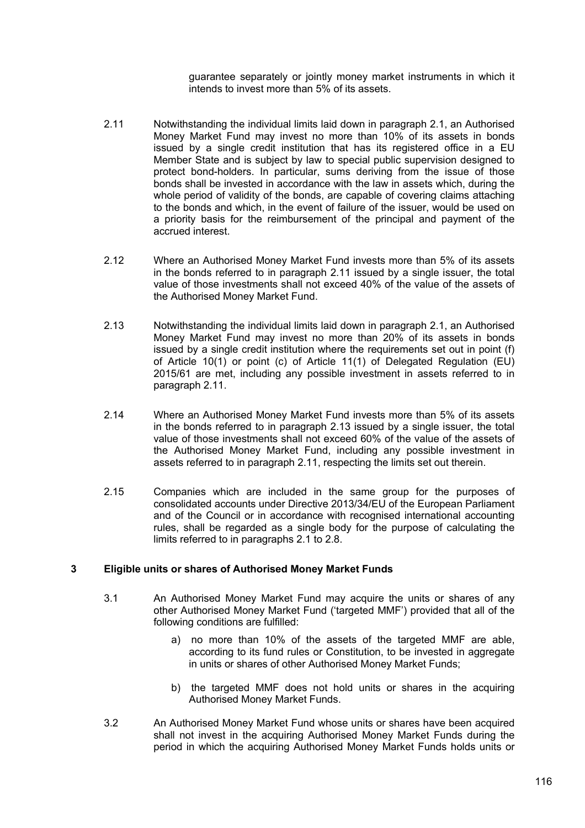guarantee separately or jointly money market instruments in which it intends to invest more than 5% of its assets.

- 2.11 Notwithstanding the individual limits laid down in paragraph 2.1, an Authorised Money Market Fund may invest no more than 10% of its assets in bonds issued by a single credit institution that has its registered office in a EU Member State and is subject by law to special public supervision designed to protect bond-holders. In particular, sums deriving from the issue of those bonds shall be invested in accordance with the law in assets which, during the whole period of validity of the bonds, are capable of covering claims attaching to the bonds and which, in the event of failure of the issuer, would be used on a priority basis for the reimbursement of the principal and payment of the accrued interest.
- 2.12 Where an Authorised Money Market Fund invests more than 5% of its assets in the bonds referred to in paragraph 2.11 issued by a single issuer, the total value of those investments shall not exceed 40% of the value of the assets of the Authorised Money Market Fund.
- 2.13 Notwithstanding the individual limits laid down in paragraph 2.1, an Authorised Money Market Fund may invest no more than 20% of its assets in bonds issued by a single credit institution where the requirements set out in point (f) of Article 10(1) or point (c) of Article 11(1) of Delegated Regulation (EU) 2015/61 are met, including any possible investment in assets referred to in paragraph 2.11.
- 2.14 Where an Authorised Money Market Fund invests more than 5% of its assets in the bonds referred to in paragraph 2.13 issued by a single issuer, the total value of those investments shall not exceed 60% of the value of the assets of the Authorised Money Market Fund, including any possible investment in assets referred to in paragraph 2.11, respecting the limits set out therein.
- 2.15 Companies which are included in the same group for the purposes of consolidated accounts under Directive 2013/34/EU of the European Parliament and of the Council or in accordance with recognised international accounting rules, shall be regarded as a single body for the purpose of calculating the limits referred to in paragraphs 2.1 to 2.8.

# **3 Eligible units or shares of Authorised Money Market Funds**

- 3.1 An Authorised Money Market Fund may acquire the units or shares of any other Authorised Money Market Fund ('targeted MMF') provided that all of the following conditions are fulfilled:
	- a) no more than 10% of the assets of the targeted MMF are able, according to its fund rules or Constitution, to be invested in aggregate in units or shares of other Authorised Money Market Funds;
	- b) the targeted MMF does not hold units or shares in the acquiring Authorised Money Market Funds.
- 3.2 An Authorised Money Market Fund whose units or shares have been acquired shall not invest in the acquiring Authorised Money Market Funds during the period in which the acquiring Authorised Money Market Funds holds units or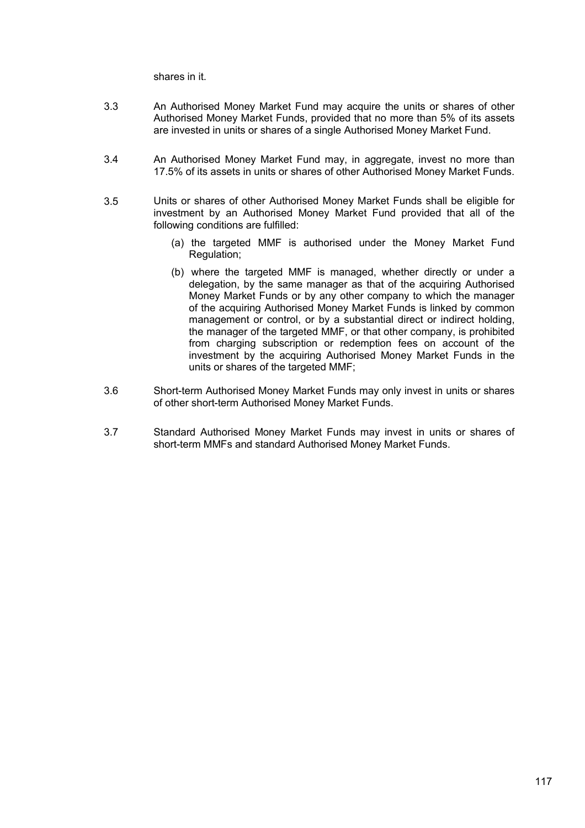shares in it.

- 3.3 An Authorised Money Market Fund may acquire the units or shares of other Authorised Money Market Funds, provided that no more than 5% of its assets are invested in units or shares of a single Authorised Money Market Fund.
- 3.4 An Authorised Money Market Fund may, in aggregate, invest no more than 17.5% of its assets in units or shares of other Authorised Money Market Funds.
- 3.5 Units or shares of other Authorised Money Market Funds shall be eligible for investment by an Authorised Money Market Fund provided that all of the following conditions are fulfilled:
	- (a) the targeted MMF is authorised under the Money Market Fund Regulation;
	- (b) where the targeted MMF is managed, whether directly or under a delegation, by the same manager as that of the acquiring Authorised Money Market Funds or by any other company to which the manager of the acquiring Authorised Money Market Funds is linked by common management or control, or by a substantial direct or indirect holding, the manager of the targeted MMF, or that other company, is prohibited from charging subscription or redemption fees on account of the investment by the acquiring Authorised Money Market Funds in the units or shares of the targeted MMF;
- 3.6 Short-term Authorised Money Market Funds may only invest in units or shares of other short-term Authorised Money Market Funds.
- 3.7 Standard Authorised Money Market Funds may invest in units or shares of short-term MMFs and standard Authorised Money Market Funds.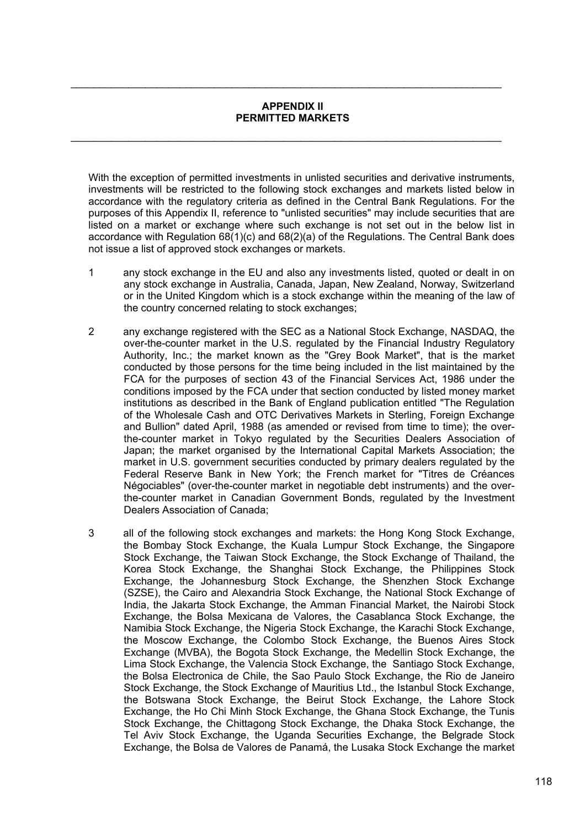#### **APPENDIX II PERMITTED MARKETS**

 $\mathcal{L}_\mathcal{L} = \mathcal{L}_\mathcal{L} = \mathcal{L}_\mathcal{L} = \mathcal{L}_\mathcal{L} = \mathcal{L}_\mathcal{L} = \mathcal{L}_\mathcal{L} = \mathcal{L}_\mathcal{L} = \mathcal{L}_\mathcal{L} = \mathcal{L}_\mathcal{L} = \mathcal{L}_\mathcal{L} = \mathcal{L}_\mathcal{L} = \mathcal{L}_\mathcal{L} = \mathcal{L}_\mathcal{L} = \mathcal{L}_\mathcal{L} = \mathcal{L}_\mathcal{L} = \mathcal{L}_\mathcal{L} = \mathcal{L}_\mathcal{L}$ 

 $\mathcal{L}_\mathcal{L} = \mathcal{L}_\mathcal{L} = \mathcal{L}_\mathcal{L} = \mathcal{L}_\mathcal{L} = \mathcal{L}_\mathcal{L} = \mathcal{L}_\mathcal{L} = \mathcal{L}_\mathcal{L} = \mathcal{L}_\mathcal{L} = \mathcal{L}_\mathcal{L} = \mathcal{L}_\mathcal{L} = \mathcal{L}_\mathcal{L} = \mathcal{L}_\mathcal{L} = \mathcal{L}_\mathcal{L} = \mathcal{L}_\mathcal{L} = \mathcal{L}_\mathcal{L} = \mathcal{L}_\mathcal{L} = \mathcal{L}_\mathcal{L}$ 

With the exception of permitted investments in unlisted securities and derivative instruments, investments will be restricted to the following stock exchanges and markets listed below in accordance with the regulatory criteria as defined in the Central Bank Regulations. For the purposes of this Appendix II, reference to "unlisted securities" may include securities that are listed on a market or exchange where such exchange is not set out in the below list in accordance with Regulation 68(1)(c) and 68(2)(a) of the Regulations. The Central Bank does not issue a list of approved stock exchanges or markets.

- 1 any stock exchange in the EU and also any investments listed, quoted or dealt in on any stock exchange in Australia, Canada, Japan, New Zealand, Norway, Switzerland or in the United Kingdom which is a stock exchange within the meaning of the law of the country concerned relating to stock exchanges;
- 2 any exchange registered with the SEC as a National Stock Exchange, NASDAQ, the over-the-counter market in the U.S. regulated by the Financial Industry Regulatory Authority, Inc.; the market known as the "Grey Book Market", that is the market conducted by those persons for the time being included in the list maintained by the FCA for the purposes of section 43 of the Financial Services Act, 1986 under the conditions imposed by the FCA under that section conducted by listed money market institutions as described in the Bank of England publication entitled "The Regulation of the Wholesale Cash and OTC Derivatives Markets in Sterling, Foreign Exchange and Bullion" dated April, 1988 (as amended or revised from time to time); the overthe-counter market in Tokyo regulated by the Securities Dealers Association of Japan; the market organised by the International Capital Markets Association; the market in U.S. government securities conducted by primary dealers regulated by the Federal Reserve Bank in New York; the French market for "Titres de Créances Négociables" (over-the-counter market in negotiable debt instruments) and the overthe-counter market in Canadian Government Bonds, regulated by the Investment Dealers Association of Canada;
- 3 all of the following stock exchanges and markets: the Hong Kong Stock Exchange, the Bombay Stock Exchange, the Kuala Lumpur Stock Exchange, the Singapore Stock Exchange, the Taiwan Stock Exchange, the Stock Exchange of Thailand, the Korea Stock Exchange, the Shanghai Stock Exchange, the Philippines Stock Exchange, the Johannesburg Stock Exchange, the Shenzhen Stock Exchange (SZSE), the Cairo and Alexandria Stock Exchange, the National Stock Exchange of India, the Jakarta Stock Exchange, the Amman Financial Market, the Nairobi Stock Exchange, the Bolsa Mexicana de Valores, the Casablanca Stock Exchange, the Namibia Stock Exchange, the Nigeria Stock Exchange, the Karachi Stock Exchange, the Moscow Exchange, the Colombo Stock Exchange, the Buenos Aires Stock Exchange (MVBA), the Bogota Stock Exchange, the Medellin Stock Exchange, the Lima Stock Exchange, the Valencia Stock Exchange, the Santiago Stock Exchange, the Bolsa Electronica de Chile, the Sao Paulo Stock Exchange, the Rio de Janeiro Stock Exchange, the Stock Exchange of Mauritius Ltd., the Istanbul Stock Exchange, the Botswana Stock Exchange, the Beirut Stock Exchange, the Lahore Stock Exchange, the Ho Chi Minh Stock Exchange, the Ghana Stock Exchange, the Tunis Stock Exchange, the Chittagong Stock Exchange, the Dhaka Stock Exchange, the Tel Aviv Stock Exchange, the Uganda Securities Exchange, the Belgrade Stock Exchange, the Bolsa de Valores de Panamá, the Lusaka Stock Exchange the market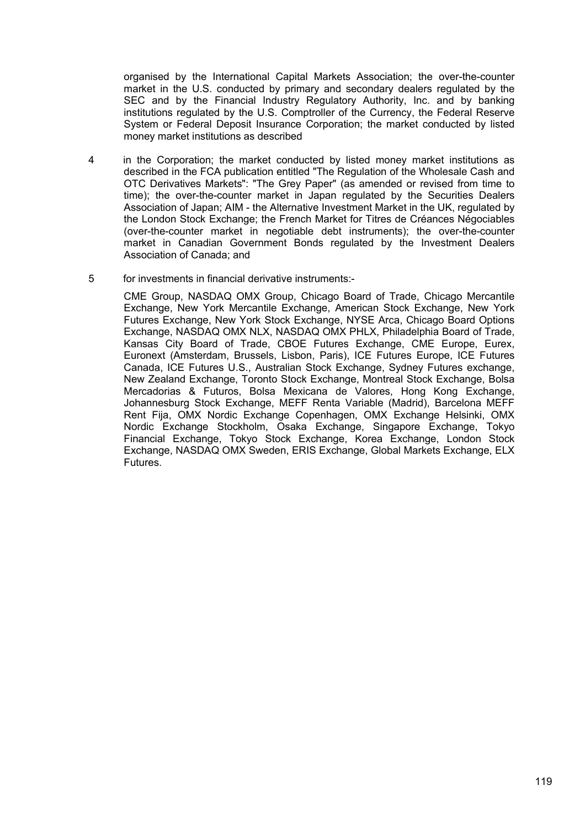organised by the International Capital Markets Association; the over-the-counter market in the U.S. conducted by primary and secondary dealers regulated by the SEC and by the Financial Industry Regulatory Authority, Inc. and by banking institutions regulated by the U.S. Comptroller of the Currency, the Federal Reserve System or Federal Deposit Insurance Corporation; the market conducted by listed money market institutions as described

- 4 in the Corporation; the market conducted by listed money market institutions as described in the FCA publication entitled "The Regulation of the Wholesale Cash and OTC Derivatives Markets": "The Grey Paper" (as amended or revised from time to time); the over-the-counter market in Japan regulated by the Securities Dealers Association of Japan; AIM - the Alternative Investment Market in the UK, regulated by the London Stock Exchange; the French Market for Titres de Créances Négociables (over-the-counter market in negotiable debt instruments); the over-the-counter market in Canadian Government Bonds regulated by the Investment Dealers Association of Canada; and
- 5 for investments in financial derivative instruments:-

CME Group, NASDAQ OMX Group, Chicago Board of Trade, Chicago Mercantile Exchange, New York Mercantile Exchange, American Stock Exchange, New York Futures Exchange, New York Stock Exchange, NYSE Arca, Chicago Board Options Exchange, NASDAQ OMX NLX, NASDAQ OMX PHLX, Philadelphia Board of Trade, Kansas City Board of Trade, CBOE Futures Exchange, CME Europe, Eurex, Euronext (Amsterdam, Brussels, Lisbon, Paris), ICE Futures Europe, ICE Futures Canada, ICE Futures U.S., Australian Stock Exchange, Sydney Futures exchange, New Zealand Exchange, Toronto Stock Exchange, Montreal Stock Exchange, Bolsa Mercadorias & Futuros, Bolsa Mexicana de Valores, Hong Kong Exchange, Johannesburg Stock Exchange, MEFF Renta Variable (Madrid), Barcelona MEFF Rent Fija, OMX Nordic Exchange Copenhagen, OMX Exchange Helsinki, OMX Nordic Exchange Stockholm, Osaka Exchange, Singapore Exchange, Tokyo Financial Exchange, Tokyo Stock Exchange, Korea Exchange, London Stock Exchange, NASDAQ OMX Sweden, ERIS Exchange, Global Markets Exchange, ELX Futures.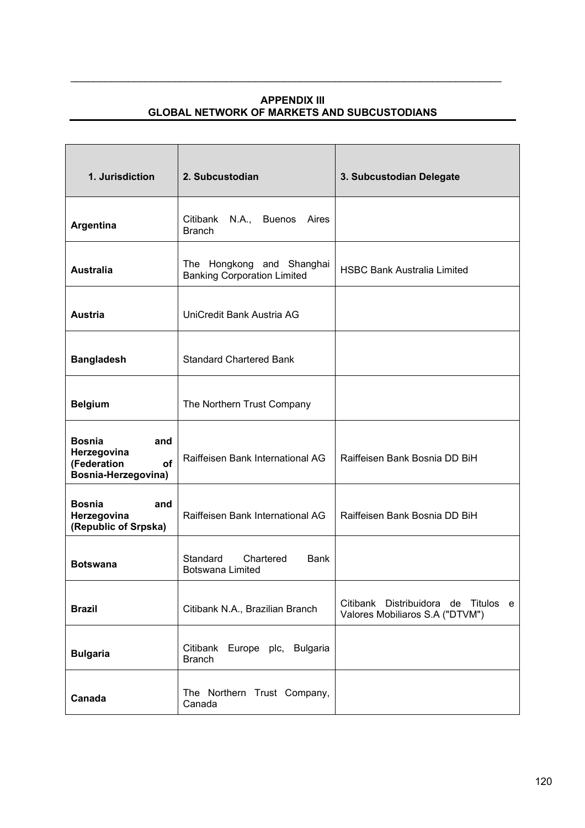# **APPENDIX III GLOBAL NETWORK OF MARKETS AND SUBCUSTODIANS**

 $\mathcal{L}_\mathcal{L} = \mathcal{L}_\mathcal{L} = \mathcal{L}_\mathcal{L} = \mathcal{L}_\mathcal{L} = \mathcal{L}_\mathcal{L} = \mathcal{L}_\mathcal{L} = \mathcal{L}_\mathcal{L} = \mathcal{L}_\mathcal{L} = \mathcal{L}_\mathcal{L} = \mathcal{L}_\mathcal{L} = \mathcal{L}_\mathcal{L} = \mathcal{L}_\mathcal{L} = \mathcal{L}_\mathcal{L} = \mathcal{L}_\mathcal{L} = \mathcal{L}_\mathcal{L} = \mathcal{L}_\mathcal{L} = \mathcal{L}_\mathcal{L}$ 

| 1. Jurisdiction                                                                        | 2. Subcustodian                                                 | 3. Subcustodian Delegate                                               |
|----------------------------------------------------------------------------------------|-----------------------------------------------------------------|------------------------------------------------------------------------|
| Argentina                                                                              | Citibank<br>N.A., Buenos Aires<br><b>Branch</b>                 |                                                                        |
| <b>Australia</b>                                                                       | The Hongkong and Shanghai<br><b>Banking Corporation Limited</b> | <b>HSBC Bank Australia Limited</b>                                     |
| <b>Austria</b>                                                                         | UniCredit Bank Austria AG                                       |                                                                        |
| <b>Bangladesh</b>                                                                      | <b>Standard Chartered Bank</b>                                  |                                                                        |
| <b>Belgium</b>                                                                         | The Northern Trust Company                                      |                                                                        |
| <b>Bosnia</b><br>and<br>Herzegovina<br>(Federation<br><b>of</b><br>Bosnia-Herzegovina) | Raiffeisen Bank International AG                                | Raiffeisen Bank Bosnia DD BiH                                          |
| <b>Bosnia</b><br>and<br>Herzegovina<br>(Republic of Srpska)                            | Raiffeisen Bank International AG                                | Raiffeisen Bank Bosnia DD BiH                                          |
| <b>Botswana</b>                                                                        | Standard Chartered<br><b>Bank</b><br><b>Botswana Limited</b>    |                                                                        |
| <b>Brazil</b>                                                                          | Citibank N.A., Brazilian Branch                                 | Citibank Distribuidora de Titulos e<br>Valores Mobiliaros S.A ("DTVM") |
| <b>Bulgaria</b>                                                                        | Citibank Europe plc, Bulgaria<br><b>Branch</b>                  |                                                                        |
| Canada                                                                                 | The Northern Trust Company,<br>Canada                           |                                                                        |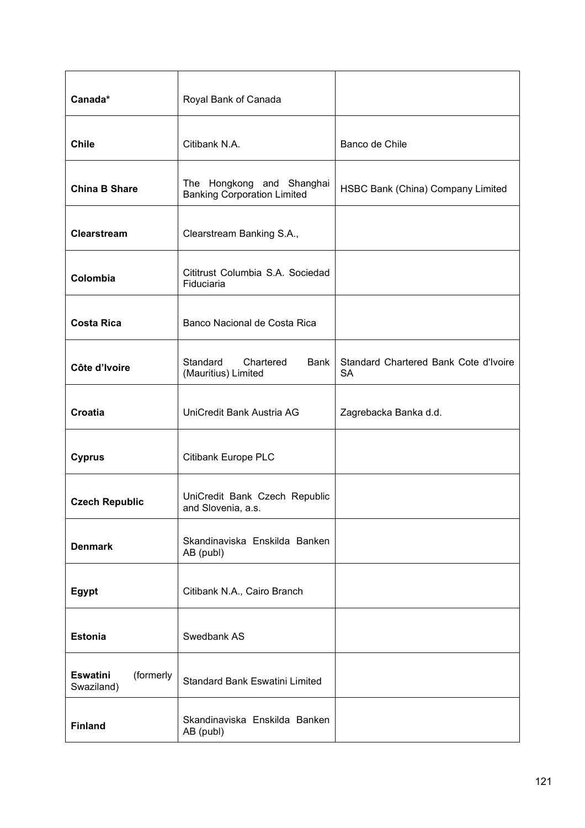| Canada*                                    | Royal Bank of Canada                                            |                                                    |
|--------------------------------------------|-----------------------------------------------------------------|----------------------------------------------------|
| <b>Chile</b>                               | Citibank N.A.                                                   | Banco de Chile                                     |
| <b>China B Share</b>                       | The Hongkong and Shanghai<br><b>Banking Corporation Limited</b> | HSBC Bank (China) Company Limited                  |
| Clearstream                                | Clearstream Banking S.A.,                                       |                                                    |
| Colombia                                   | Cititrust Columbia S.A. Sociedad<br>Fiduciaria                  |                                                    |
| <b>Costa Rica</b>                          | Banco Nacional de Costa Rica                                    |                                                    |
| Côte d'Ivoire                              | Standard<br>Chartered<br>Bank<br>(Mauritius) Limited            | Standard Chartered Bank Cote d'Ivoire<br><b>SA</b> |
| <b>Croatia</b>                             | UniCredit Bank Austria AG                                       | Zagrebacka Banka d.d.                              |
| <b>Cyprus</b>                              | <b>Citibank Europe PLC</b>                                      |                                                    |
| <b>Czech Republic</b>                      | UniCredit Bank Czech Republic<br>and Slovenia, a.s.             |                                                    |
| <b>Denmark</b>                             | Skandinaviska Enskilda Banken<br>AB (publ)                      |                                                    |
| Egypt                                      | Citibank N.A., Cairo Branch                                     |                                                    |
| <b>Estonia</b>                             | Swedbank AS                                                     |                                                    |
| (formerly<br><b>Eswatini</b><br>Swaziland) | <b>Standard Bank Eswatini Limited</b>                           |                                                    |
| <b>Finland</b>                             | Skandinaviska Enskilda Banken<br>AB (publ)                      |                                                    |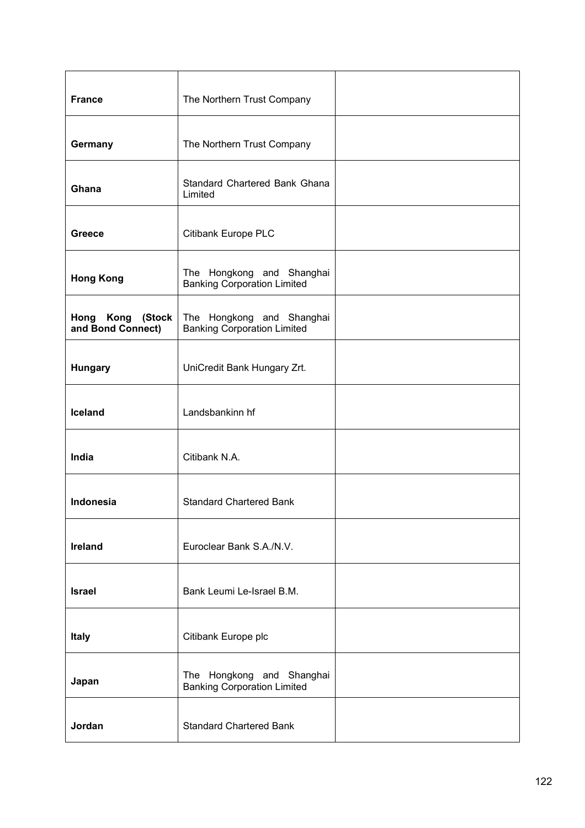| <b>France</b>                         | The Northern Trust Company                                      |  |
|---------------------------------------|-----------------------------------------------------------------|--|
| Germany                               | The Northern Trust Company                                      |  |
| Ghana                                 | Standard Chartered Bank Ghana<br>Limited                        |  |
| <b>Greece</b>                         | <b>Citibank Europe PLC</b>                                      |  |
| <b>Hong Kong</b>                      | The Hongkong and Shanghai<br><b>Banking Corporation Limited</b> |  |
| Hong Kong (Stock<br>and Bond Connect) | The Hongkong and Shanghai<br><b>Banking Corporation Limited</b> |  |
| <b>Hungary</b>                        | UniCredit Bank Hungary Zrt.                                     |  |
| Iceland                               | Landsbankinn hf                                                 |  |
| India                                 | Citibank N.A.                                                   |  |
| Indonesia                             | <b>Standard Chartered Bank</b>                                  |  |
| Ireland                               | Euroclear Bank S.A./N.V.                                        |  |
| <b>Israel</b>                         | Bank Leumi Le-Israel B.M.                                       |  |
| <b>Italy</b>                          | Citibank Europe plc                                             |  |
| Japan                                 | The Hongkong and Shanghai<br><b>Banking Corporation Limited</b> |  |
| Jordan                                | <b>Standard Chartered Bank</b>                                  |  |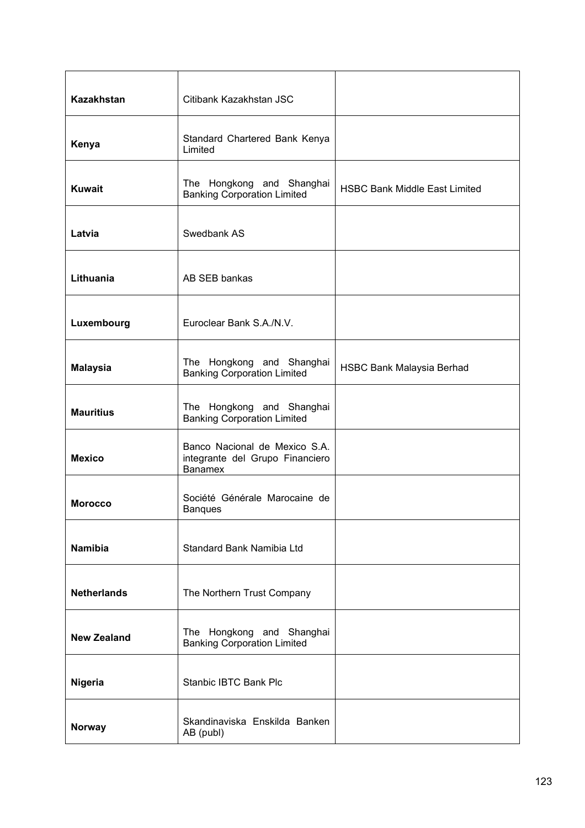| <b>Kazakhstan</b>  | Citibank Kazakhstan JSC                                                            |                                      |
|--------------------|------------------------------------------------------------------------------------|--------------------------------------|
| Kenya              | Standard Chartered Bank Kenya<br>Limited                                           |                                      |
| <b>Kuwait</b>      | The Hongkong and Shanghai<br><b>Banking Corporation Limited</b>                    | <b>HSBC Bank Middle East Limited</b> |
| Latvia             | Swedbank AS                                                                        |                                      |
| Lithuania          | AB SEB bankas                                                                      |                                      |
| Luxembourg         | Euroclear Bank S.A./N.V.                                                           |                                      |
| <b>Malaysia</b>    | The Hongkong and Shanghai<br><b>Banking Corporation Limited</b>                    | HSBC Bank Malaysia Berhad            |
| <b>Mauritius</b>   | The Hongkong and Shanghai<br><b>Banking Corporation Limited</b>                    |                                      |
| <b>Mexico</b>      | Banco Nacional de Mexico S.A.<br>integrante del Grupo Financiero<br><b>Banamex</b> |                                      |
| <b>Morocco</b>     | Société Générale Marocaine de<br><b>Banques</b>                                    |                                      |
| Namibia            | Standard Bank Namibia Ltd                                                          |                                      |
| <b>Netherlands</b> | The Northern Trust Company                                                         |                                      |
| <b>New Zealand</b> | The Hongkong and Shanghai<br><b>Banking Corporation Limited</b>                    |                                      |
| Nigeria            | <b>Stanbic IBTC Bank Plc</b>                                                       |                                      |
| <b>Norway</b>      | Skandinaviska Enskilda Banken<br>AB (publ)                                         |                                      |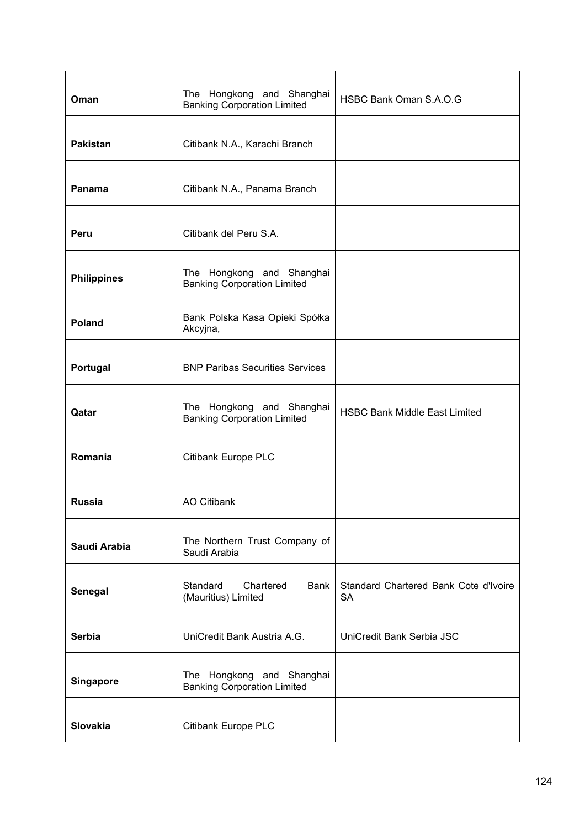| Oman               | The Hongkong and Shanghai<br><b>Banking Corporation Limited</b> | HSBC Bank Oman S.A.O.G                             |
|--------------------|-----------------------------------------------------------------|----------------------------------------------------|
| <b>Pakistan</b>    | Citibank N.A., Karachi Branch                                   |                                                    |
| Panama             | Citibank N.A., Panama Branch                                    |                                                    |
| Peru               | Citibank del Peru S.A.                                          |                                                    |
| <b>Philippines</b> | The Hongkong and Shanghai<br><b>Banking Corporation Limited</b> |                                                    |
| <b>Poland</b>      | Bank Polska Kasa Opieki Spółka<br>Akcyjna,                      |                                                    |
| Portugal           | <b>BNP Paribas Securities Services</b>                          |                                                    |
| Qatar              | The Hongkong and Shanghai<br><b>Banking Corporation Limited</b> | <b>HSBC Bank Middle East Limited</b>               |
| Romania            | Citibank Europe PLC                                             |                                                    |
| <b>Russia</b>      | <b>AO Citibank</b>                                              |                                                    |
| Saudi Arabia       | The Northern Trust Company of<br>Saudi Arabia                   |                                                    |
| Senegal            | Standard<br>Chartered<br><b>Bank</b><br>(Mauritius) Limited     | Standard Chartered Bank Cote d'Ivoire<br><b>SA</b> |
| <b>Serbia</b>      | UniCredit Bank Austria A.G.                                     | UniCredit Bank Serbia JSC                          |
| Singapore          | The Hongkong and Shanghai<br><b>Banking Corporation Limited</b> |                                                    |
| <b>Slovakia</b>    | Citibank Europe PLC                                             |                                                    |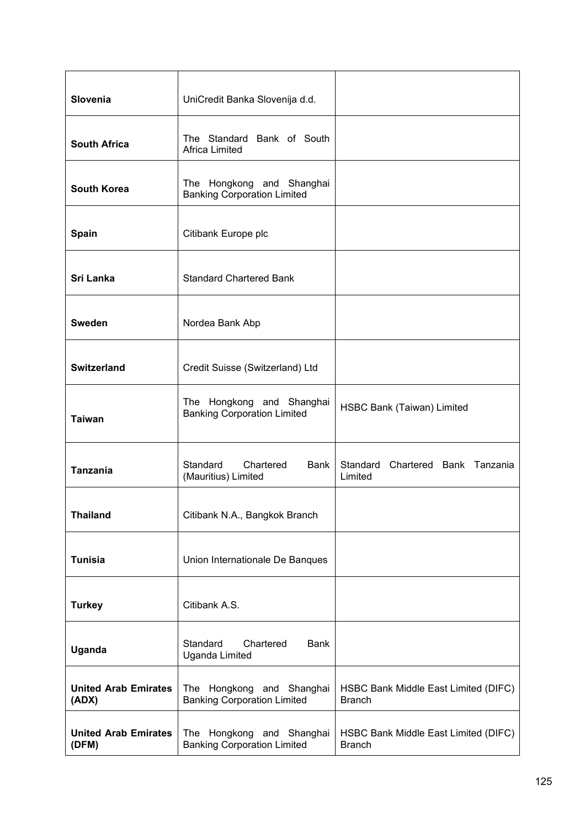| <b>Slovenia</b>                      | UniCredit Banka Slovenija d.d.                                     |                                                       |
|--------------------------------------|--------------------------------------------------------------------|-------------------------------------------------------|
| <b>South Africa</b>                  | The Standard Bank of South<br>Africa Limited                       |                                                       |
| <b>South Korea</b>                   | The Hongkong and Shanghai<br><b>Banking Corporation Limited</b>    |                                                       |
| Spain                                | Citibank Europe plc                                                |                                                       |
| Sri Lanka                            | <b>Standard Chartered Bank</b>                                     |                                                       |
| <b>Sweden</b>                        | Nordea Bank Abp                                                    |                                                       |
| <b>Switzerland</b>                   | Credit Suisse (Switzerland) Ltd                                    |                                                       |
| <b>Taiwan</b>                        | Hongkong and Shanghai<br>The<br><b>Banking Corporation Limited</b> | HSBC Bank (Taiwan) Limited                            |
| <b>Tanzania</b>                      | Standard<br><b>Bank</b><br>Chartered<br>(Mauritius) Limited        | Standard Chartered Bank Tanzania<br>Limited           |
| <b>Thailand</b>                      | Citibank N.A., Bangkok Branch                                      |                                                       |
| <b>Tunisia</b>                       | Union Internationale De Banques                                    |                                                       |
| <b>Turkey</b>                        | Citibank A.S.                                                      |                                                       |
| Uganda                               | Standard<br>Chartered<br><b>Bank</b><br><b>Uganda Limited</b>      |                                                       |
| <b>United Arab Emirates</b><br>(ADX) | The Hongkong and Shanghai<br><b>Banking Corporation Limited</b>    | HSBC Bank Middle East Limited (DIFC)<br><b>Branch</b> |
| <b>United Arab Emirates</b><br>(DFM) | The Hongkong and Shanghai<br><b>Banking Corporation Limited</b>    | HSBC Bank Middle East Limited (DIFC)<br><b>Branch</b> |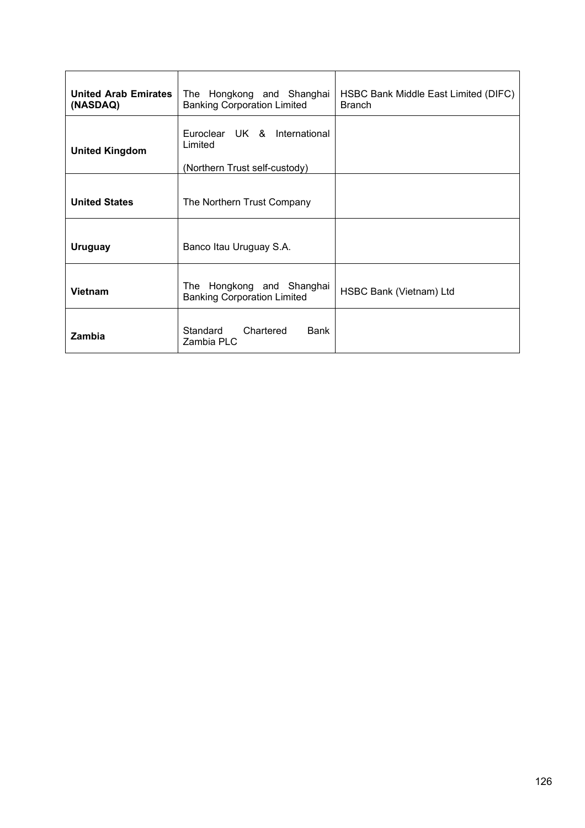| <b>United Arab Emirates</b><br>(NASDAQ) | The Hongkong and Shanghai<br><b>Banking Corporation Limited</b>          | HSBC Bank Middle East Limited (DIFC)<br><b>Branch</b> |
|-----------------------------------------|--------------------------------------------------------------------------|-------------------------------------------------------|
| <b>United Kingdom</b>                   | Euroclear UK & International<br>Limited<br>(Northern Trust self-custody) |                                                       |
| <b>United States</b>                    | The Northern Trust Company                                               |                                                       |
| <b>Uruguay</b>                          | Banco Itau Uruguay S.A.                                                  |                                                       |
| <b>Vietnam</b>                          | The Hongkong and Shanghai<br><b>Banking Corporation Limited</b>          | HSBC Bank (Vietnam) Ltd                               |
| Zambia                                  | Standard<br>Chartered<br>Bank<br>Zambia PLC                              |                                                       |